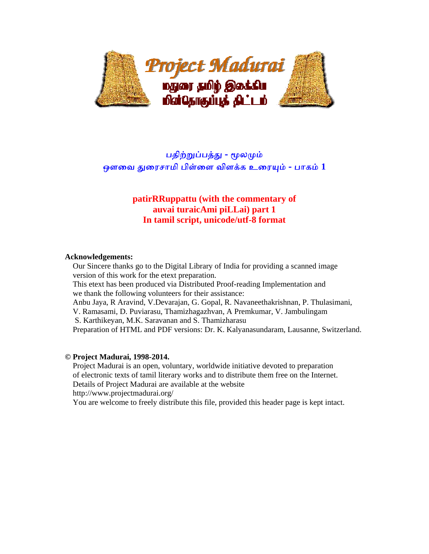

# பதிற்றுப்பத்து - மூலமும் ஒளவை துரைசாமி பிள்ளை விளக்க உரையும் - பாகம் 1

# **patirRRuppattu (with the commentary of auvai turaicAmi piLLai) part 1 In tamil script, unicode/utf-8 format**

### **Acknowledgements:**

 Our Sincere thanks go to the Digital Library of India for providing a scanned image version of this work for the etext preparation.

 This etext has been produced via Distributed Proof-reading Implementation and we thank the following volunteers for their assistance:

Anbu Jaya, R Aravind, V.Devarajan, G. Gopal, R. Navaneethakrishnan, P. Thulasimani,

V. Ramasami, D. Puviarasu, Thamizhagazhvan, A Premkumar, V. Jambulingam

S. Karthikeyan, M.K. Saravanan and S. Thamizharasu

Preparation of HTML and PDF versions: Dr. K. Kalyanasundaram, Lausanne, Switzerland.

### **© Project Madurai, 1998-2014.**

 Project Madurai is an open, voluntary, worldwide initiative devoted to preparation of electronic texts of tamil literary works and to distribute them free on the Internet. Details of Project Madurai are available at the website http://www.projectmadurai.org/

You are welcome to freely distribute this file, provided this header page is kept intact.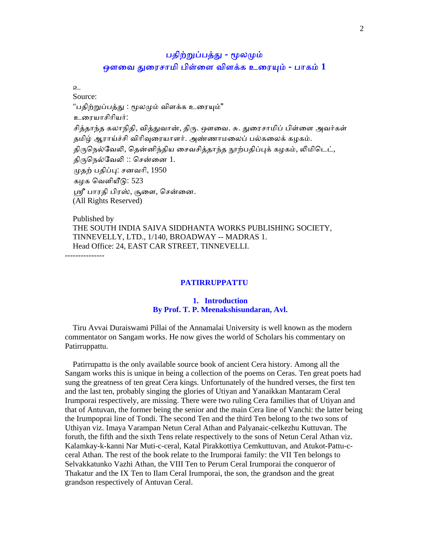# பதிற்றுப்பத்து - மூலமும் ஒளவை துரைசாமி பிள்ளை விளக்க உரையும் - பாகம்  $1$

 $\Omega$ 

 Source: "பதிற்றுப்பத்து : மூலமும் விளக்க உரையும்" உைரயாசிாியர்: சித்தாந்த கலாநிதி, வித்துவான், திரு. ஔவை. சு. துரைசாமிப் பிள்ளை அவர்கள் தமிழ் ஆராய்ச்சி விரிவுரையாளர். அண்ணாமலைப் பல்கலைக் கழகம். திருநெல்வேலி, தென்னிந்திய சைவசித்தாந்த நூற்பதிப்புக் கழகம், லிமிடெட், திருநெல்வேலி  $::$  சென்னை  $1$ . ᾙதற் பதிப்ᾗ: சனவாி, 1950 கழக ெவளியீᾌ: 523 ஸ்ரீ பாரதி பிரஸ், சூளை, சென்னை. (All Rights Reserved)

 Published by THE SOUTH INDIA SAIVA SIDDHANTA WORKS PUBLISHING SOCIETY, TINNEVELLY, LTD., 1/140, BROADWAY -- MADRAS 1. Head Office: 24, EAST CAR STREET, TINNEVELLI.

---------------

### **PATIRRUPPATTU**

### **1. Introduction By Prof. T. P. Meenakshisundaran, Avl.**

 Tiru Avvai Duraiswami Pillai of the Annamalai University is well known as the modern commentator on Sangam works. He now gives the world of Scholars his commentary on Patirruppattu.

 Patirrupattu is the only available source book of ancient Cera history. Among all the Sangam works this is unique in being a collection of the poems on Ceras. Ten great poets had sung the greatness of ten great Cera kings. Unfortunately of the hundred verses, the first ten and the last ten, probably singing the glories of Utiyan and Yanaikkan Mantaram Ceral Irumporai respectively, are missing. There were two ruling Cera families that of Utiyan and that of Antuvan, the former being the senior and the main Cera line of Vanchi: the latter being the Irumpoprai line of Tondi. The second Ten and the third Ten belong to the two sons of Uthiyan viz. Imaya Varampan Netun Ceral Athan and Palyanaic-celkezhu Kuttuvan. The foruth, the fifth and the sixth Tens relate respectively to the sons of Netun Ceral Athan viz. Kalamkay-k-kanni Nar Muti-c-ceral, Katal Pirakkottiya Cemkuttuvan, and Atukot-Pattu-cceral Athan. The rest of the book relate to the Irumporai family: the VII Ten belongs to Selvakkatunko Vazhi Athan, the VIII Ten to Perum Ceral Irumporai the conqueror of Thakatur and the IX Ten to Ilam Ceral Irumporai, the son, the grandson and the great grandson respectively of Antuvan Ceral.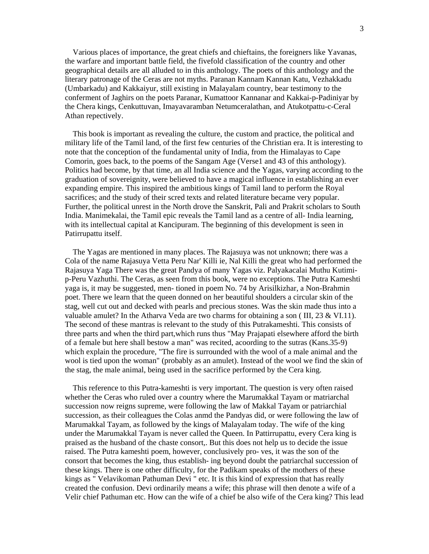Various places of importance, the great chiefs and chieftains, the foreigners like Yavanas, the warfare and important battle field, the fivefold classification of the country and other geographical details are all alluded to in this anthology. The poets of this anthology and the literary patronage of the Ceras are not myths. Paranan Kannam Kannan Katu, Vezhakkadu (Umbarkadu) and Kakkaiyur, still existing in Malayalam country, bear testimony to the conferment of Jaghirs on the poets Paranar, Kumattoor Kannanar and Kakkai-p-Padiniyar by the Chera kings, Cenkuttuvan, Imayavaramban Netumceralathan, and Atukotpattu-c-Ceral Athan repectively.

 This book is important as revealing the culture, the custom and practice, the political and military life of the Tamil land, of the first few centuries of the Christian era. It is interesting to note that the conception of the fundamental unity of India, from the Himalayas to Cape Comorin, goes back, to the poems of the Sangam Age (Verse1 and 43 of this anthology). Politics had become, by that time, an all India science and the Yagas, varying according to the graduation of sovereignity, were believed to have a magical influence in establishing an ever expanding empire. This inspired the ambitious kings of Tamil land to perform the Royal sacrifices; and the study of their scred texts and related literature became very popular. Further, the political unrest in the North drove the Sanskrit, Pali and Prakrit scholars to South India. Manimekalai, the Tamil epic reveals the Tamil land as a centre of all- India learning, with its intellectual capital at Kancipuram. The beginning of this development is seen in Patirrupattu itself.

 The Yagas are mentioned in many places. The Rajasuya was not unknown; there was a Cola of the name Rajasuya Vetta Peru Nar' Killi ie, Nal Killi the great who had performed the Rajasuya Yaga There was the great Pandya of many Yagas viz. Palyakacalai Muthu Kutimip-Peru Vazhuthi. The Ceras, as seen from this book, were no exceptions. The Putra Kameshti yaga is, it may be suggested, men- tioned in poem No. 74 by Arisilkizhar, a Non-Brahmin poet. There we learn that the queen donned on her beautiful shoulders a circular skin of the stag, well cut out and decked with pearls and precious stones. Was the skin made thus into a valuable amulet? In the Atharva Veda are two charms for obtaining a son ( III, 23 & VI.11). The second of these mantras is relevant to the study of this Putrakameshti. This consists of three parts and when the third part,which runs thus "May Prajapati elsewhere afford the birth of a female but here shall bestow a man" was recited, acoording to the sutras (Kans.35-9) which explain the procedure, "The fire is surrounded with the wool of a male animal and the wool is tied upon the woman" (probably as an amulet). Instead of the wool we find the skin of the stag, the male animal, being used in the sacrifice performed by the Cera king.

 This reference to this Putra-kameshti is very important. The question is very often raised whether the Ceras who ruled over a country where the Marumakkal Tayam or matriarchal succession now reigns supreme, were following the law of Makkal Tayam or patriarchial succession, as their colleagues the Colas anmd the Pandyas did, or were following the law of Marumakkal Tayam, as followed by the kings of Malayalam today. The wife of the king under the Marumakkal Tayam is never called the Queen. In Pattirrupattu, every Cera king is praised as the husband of the chaste consort,. But this does not help us to decide the issue raised. The Putra kameshti poem, however, conclusively pro- ves, it was the son of the consort that becomes the king, thus establish- ing beyond doubt the patriarchal succession of these kings. There is one other difficulty, for the Padikam speaks of the mothers of these kings as " Velavikoman Pathuman Devi " etc. It is this kind of expression that has really created the confusion. Devi ordinarily means a wife; this phrase will then denote a wife of a Velir chief Pathuman etc. How can the wife of a chief be also wife of the Cera king? This lead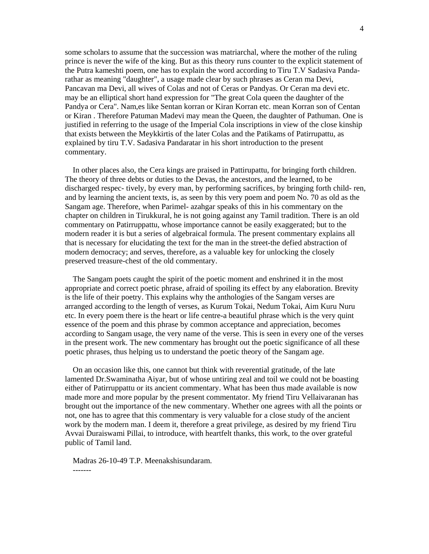some scholars to assume that the succession was matriarchal, where the mother of the ruling prince is never the wife of the king. But as this theory runs counter to the explicit statement of the Putra kameshti poem, one has to explain the word according to Tiru T.V Sadasiva Pandarathar as meaning "daughter", a usage made clear by such phrases as Ceran ma Devi, Pancavan ma Devi, all wives of Colas and not of Ceras or Pandyas. Or Ceran ma devi etc. may be an elliptical short hand expression for "The great Cola queen the daughter of the Pandya or Cera". Nam,es like Sentan korran or Kiran Korran etc. mean Korran son of Centan or Kiran . Therefore Patuman Madevi may mean the Queen, the daughter of Pathuman. One is justified in referring to the usage of the Imperial Cola inscriptions in view of the close kinship that exists between the Meykkirtis of the later Colas and the Patikams of Patirrupattu, as explained by tiru T.V. Sadasiva Pandaratar in his short introduction to the present commentary.

 In other places also, the Cera kings are praised in Pattirupattu, for bringing forth children. The theory of three debts or duties to the Devas, the ancestors, and the learned, to be discharged respec- tively, by every man, by performing sacrifices, by bringing forth child- ren, and by learning the ancient texts, is, as seen by this very poem and poem No. 70 as old as the Sangam age. Therefore, when Parimel- azahgar speaks of this in his commentary on the chapter on children in Tirukkural, he is not going against any Tamil tradition. There is an old commentary on Patirruppattu, whose importance cannot be easily exaggerated; but to the modern reader it is but a series of algebraical formula. The present commentary explains all that is necessary for elucidating the text for the man in the street-the defied abstraction of modern democracy; and serves, therefore, as a valuable key for unlocking the closely preserved treasure-chest of the old commentary.

 The Sangam poets caught the spirit of the poetic moment and enshrined it in the most appropriate and correct poetic phrase, afraid of spoiling its effect by any elaboration. Brevity is the life of their poetry. This explains why the anthologies of the Sangam verses are arranged according to the length of verses, as Kurum Tokai, Nedum Tokai, Aim Kuru Nuru etc. In every poem there is the heart or life centre-a beautiful phrase which is the very quint essence of the poem and this phrase by common acceptance and appreciation, becomes according to Sangam usage, the very name of the verse. This is seen in every one of the verses in the present work. The new commentary has brought out the poetic significance of all these poetic phrases, thus helping us to understand the poetic theory of the Sangam age.

 On an occasion like this, one cannot but think with reverential gratitude, of the late lamented Dr.Swaminatha Aiyar, but of whose untiring zeal and toil we could not be boasting either of Patirruppattu or its ancient commentary. What has been thus made available is now made more and more popular by the present commentator. My friend Tiru Vellaivaranan has brought out the importance of the new commentary. Whether one agrees with all the points or not, one has to agree that this commentary is very valuable for a close study of the ancient work by the modern man. I deem it, therefore a great privilege, as desired by my friend Tiru Avvai Duraiswami Pillai, to introduce, with heartfelt thanks, this work, to the over grateful public of Tamil land.

 Madras 26-10-49 T.P. Meenakshisundaram. -------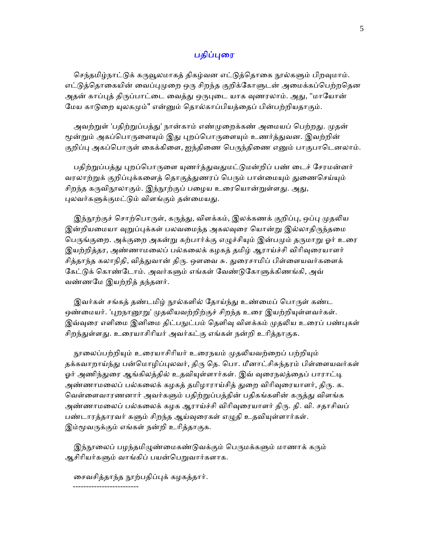### பதிப்புரை

செந்தமிழ்நாட்டுக் கருவூலமாகத் திகழ்வன எட்டுத்தொகை நூல்களும் பிறவுமாம். எட்டுத்தொகையின் வைப்புமுறை ஒரு சிறந்த குறிக்கோளுடன் அமைக்கப்பெற்றதென அதன் காப்புத் திருப்பாட்டை வைத்து ஒருபுடை யாக வுணரலாம். அது, "மாயோன் மேய காடுறை யுலகமும்" என்னும் தொல்காப்பியத்தைப் பின்பற்றியதாகும்.

அவற்றுள் 'பதிற்றுப்பத்து' நான்காம் எண்முறைக்கண் அமையப் பெற்றது. முதன் மூன்றும் அகப்பொருளையும் இது புறப்பொருளையும் உணர்த்துவன. இவற்றின் குறிப்பு அகப்பொருள் கைக்கிளை, ஐந்திணை பெருந்திணை எனும் பாகுபாடெனலாம்.

பதிற்றுப்பத்து புறப்பொருளை யுணர்த்துவதுமட்டுமன்றிப் பண் டைச் சேரமன்னர் வரலாற்றுக் குறிப்புக்களைத் தொகுத்துணரப் பெரும் பான்மையும் துணைசெய்யும் சிறந்த கருவிநூலாகும். இந்நூற்குப் பழைய உரையொன்றுள்ளது. அது, புலவர்களுக்குமட்டும் விளங்கும் தன்மையது.

இந்நூற்குச் சொற்பொருள், கருத்து, விளக்கம், இலக்கணக் குறிப்பு, ஒப்பு முதலிய இன்றியமையா வுறுப்புக்கள் பலவமைந்த அகலவுரை யொன்று இல்லாதிருந்தமை பெருங்குறை. அக்குறை அகன்று கற்பார்க்கு எழுச்சியும் இன்பமும் தருமாறு ஓர் உரை இயற்றித்தர, அண்ணாமலைப் பல்கலைக் கழகத் தமிழ் ஆராய்ச்சி விரிவுரையாளர் சித்தாந்த கலாநிதி, வித்துவான் திரு. ஔவை சு. துரைசாமிப் பிள்ளையவர்களைக் கேட்டுக் கொண்டோம். அவர்களும் எங்கள் வேண்டுகோளுக்கிணங்கி, அவ் வண்ணேம இயற்றித் தந்தனர்.

இவர்கள் சங்கத் தண்டமிழ் நூல்களில் தோய்ந்து உண்மைப் பொருள் கண்ட ஒண்மையர். 'புறநானூறு' முதலியவற்றிற்குச் சிறந்த உரை இயற்றியுள்ளவர்கள். இவ்வுரை எளிமை இனிமை திட்பநுட்பம் தெளிவு விளக்கம் முதலிய உரைப் பண்புகள் சிறந்துள்ளது. உரையாசிரியர் அவர்கட்கு எங்கள் நன்றி உரித்தாகுக.

நூலைப்பற்றியும் உரையாசிரியர் உரைநயம் முதலியவற்றைப் பற்றியும் தக்கவாறாய்ந்து பன்மொழிப்புலவர், திரு தெ. பொ. மீனாட்சிசுந்தரம் பிள்ளையவர்கள் ஓர் அணிந்துரை ஆங்கிலத்தில் உதவியுள்ளார்கள். இவ் வரைநலத்தைப் பாராட்டி அண்ணாமலைப் பல்கலைக் கழகத் தமிழாராய்சித் துறை விரிவுரையாளர், திரு. க. வெள்ளைவாரணனார் அவர்களும் பதிற்றுப்பத்தின் பதிகங்களின் கருத்து விளங்க அண்ணாமலைப் பல்கலைக் கழக ஆராய்ச்சி விரிவுரையாளர் திரு. தி. வி. சதாசிவப் பண்டாரத்தாரவர் களும் சிறந்த ஆய்வுரைகள் எழுதி உதவியுள்ளார்கள். இம்மூவருக்கும் எங்கள் நன்றி உரித்தாகுக.

இந்நூலைப் பழந்தமிழுண்மைகண்டுவக்கும் பெருமக்களும் மாணாக் கரும் ஆசிரியர்களும் வாங்கிப் பயன்பெறுவார்களாக.

ைசவசித்தாந்த ᾓற்பதிப்ᾗக் கழகத்தார்.

-------------------------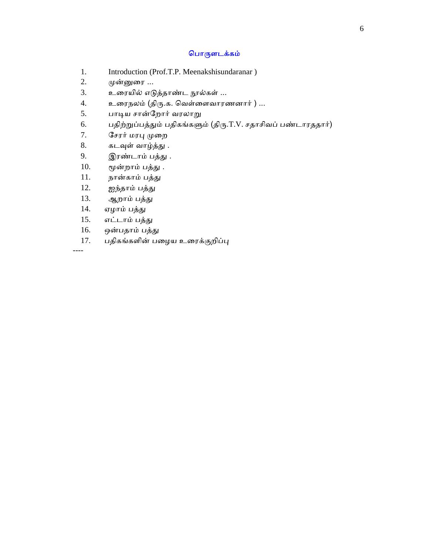### ெபாᾞளடக்கம்

- 1. Introduction (Prof.T.P. Meenakshisundaranar )
- 2. முன்னுரை ...
- 3. உரையில் எடுத்தாண்ட நூல்கள் ...
- 4. உரைநலம் (திரு.க. வெள்ளைவாரணனார் ) ...
- 5. பாடிய சான்றோர் வரலாறு
- 6. பதிற்றுப்பத்தும் பதிகங்களும் (திரு.T.V. சதாசிவப் பண்டாரததார்)
- 7. சேரர் மரபு முறை
- 8. கடவுள் வாழ்த்து .
- 9. இரண்டாம் பத்து .
- $10.$  மூன்றாம் பத்து.
- 11. நான்காம் பத்து
- 12. ஐந்தாம் பத்து
- 13. ஆறாம் பத்து
- 14. ஏழாம் பத்து
- 15. எட்டாம் பத்ᾐ
- 16. ஒன்பதாம் பத்து
- 17. பதிகங்களின் பழைய உரைக்குறிப்பு

----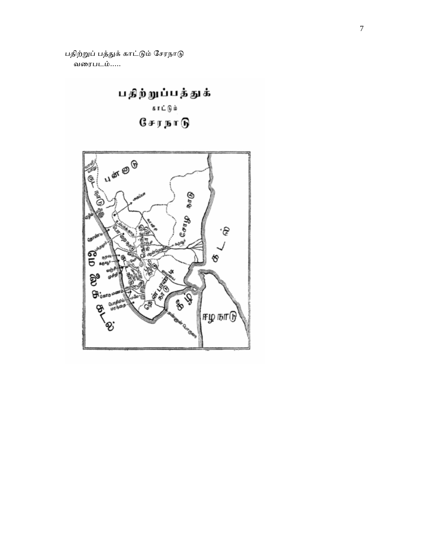பதிற்றுப் பத்துக் காட்டும் சேரநாடு வைரபடம்.....



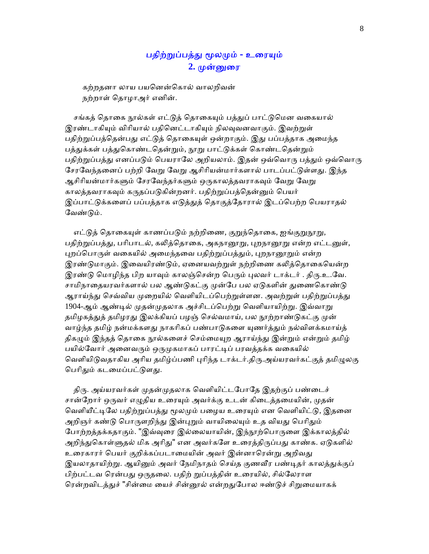# பதிற்றுப்பத்து மூலமும் - உரையும் 2. முன்னுரை

 கற்றதனா லாய பயெனன்ெகால் வாலறிவன் நற்றாள் ெதாழாஅர் எனின்.

சங்கத் தொகை நூல்கள் எட்டுத் தொகையும் பத்துப் பாட்டுமென வகையால் இரண்டாகியும் விரியால் பதினெட்டாகியும் நிலவுவனவாகும். இவற்றுள் பதிற்றுப்பத்தென்பது எட்டுத் தொகையுள் ஒன்றாகும். இது பப்பத்தாக அமைந்த பத்துக்கள் பத்துகொண்டதென்றும், நூறு பாட்டுக்கள் கொண்டதென்றும் பதிற்றுப்பத்து எனப்படும் பெயராலே அறியலாம். இதன் ஒவ்வொரு பத்தும் ஒவ்வொரு சேரவேந்தனைப் பற்றி வேறு வேறு ஆசிரியன்மார்களால் பாடப்பட்டுள்ளது. இந்த ஆசிரியன்மார்களும் சேரவேந்தர்களும் ஒருகாலத்தவராகவும் வேறு வேறு காலத்தவராகவும் கருதப்படுகின்றனர். பதிற்றுப்பத்தென்னும் பெயர் இப்பாட்டுக்களைப் பப்பத்தாக எடுத்துத் தொகுத்தோரால் இடப்பெற்ற பெயராதல் வேண்டும்.

எட்டுத் தொகையுள் காணப்படும் நற்றிணை, குறுந்தொகை, ஐங்குறுநூறு, பதிற்றுப்பத்து, பரிபாடல், கலித்தொகை, அகநானூறு, புறநானூறு என்ற எட்டனுள், புறப்பொருள் வகையில் அமைந்தவை பதிற்றுப்பத்தும், புறநானூறும் என்ற இரண்டுமாகும். இவையிரண்டும், ஏனையவற்றுள் நற்றிணை கலித்தொகையென்ற இரண்டு மொழிந்த பிற யாவும் காலஞ்சென்ற பெரும் புலவர் டாக்டர் . திரு.உ.வே. சாமிநாதையரவர்களால் பல ஆண்டுகட்கு முன்பே பல ஏடுகளின் துணைகொண்டு ஆராய்ந்து செவ்விய முறையில் வெளியிடப்பெற்றுள்ளன. அவற்றுள் பதிற்றுப்பத்து 1904-ஆம் ஆண்டில் முதன்முதலாக அச்சிடப்பெற்று வெளியாயிற்று. இவ்வாறு தமிழகத்துத் தமிழரது இலக்கியப் பழஞ் செல்வமாய், பல நூற்றாண்டுகட்கு முன் வாழ்ந்த தமிழ் நன்மக்களது நாகரிகப் பண்பாடுகளை யுணர்த்தும் நல்விளக்கமாய்த் திகழும் இந்தத் தொகை நூல்களைச் செம்மையுற ஆராய்ந்து இன்றும் என்றும் தமிழ் பயில்வோர் அனைவரும் ஒருமுகமாகப் பாரட்டிப் பரவத்தக்க வகையில் வெளியிடுவதாகிய அரிய தமிழ்ப்பணி புரிந்த டாக்டர்.திரு.அய்யரவர்கட்குத் தமிழுலகு பெரிதும் கடமைப்பட்டுளது.

திரு. அய்யரவர்கள் முதன்முதலாக வெளியிட்டபோதே இதற்குப் பண்டைச் சான்றோர் ஒருவர் எழுதிய உரையும் அவர்க்கு உடன் கிடைத்தமையின், முதன் வெளியீட்டிலே பதிற்றுப்பத்து மூலமும் பழைய உரையும் என வெளியிட்டு, இதனை அறிஞர் கண்டு பொருளறிந்து இன்புறும் வாயிலையும் உத வியது பெரிதும் போற்றத்தக்கதாகும். "இவ்வுரை இல்லையாயின், இந்நூற்பொருளை இக்காலத்தில் அறிந்துகொள்ளுதல் மிக அரிது" என அவர்களே உரைத்திருப்பது காண்க. ஏடுகளில் உரைகாரர் பெயர் குறிக்கப்படாமையின் அவர் இன்னாரென்று அறிவது இயலாதாயிற்று. ஆயினும் அவர் நேமிநாதம் செய்த குணவீர பண்டிதர் காலத்துக்குப் பிற்பட்டவ ரென்பது ஒருதலை. பதிற் றுப்பத்தின் உரையில், சில்லேராள ரென்றவிடத்துச் "சின்மை யைச் சின்னூல் என்றதுபோல ஈண்டுச் சிறுமையாகக்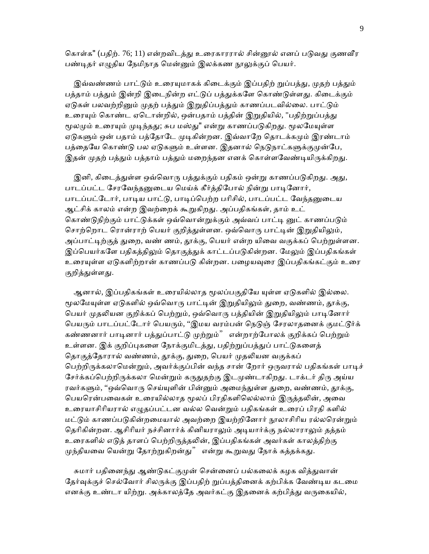கொள்க" (பதிற். 76; 11) என்றவிடத்து உரைகாரரால் சின்னூல் எனப் படுவது குணவீர பண்டிதர் எழுதிய நேமிநாத மென்னும் இலக்கண நூலுக்குப் பெயர்.

இவ்வண்ணம் பாட்டும் உரையுமாகக் கிடைக்கும் இப்பதிற் றுப்பத்து, முதற் பத்தும் பத்தாம் பத்தும் இன்றி இடைநின்ற எட்டுப் பத்துக்களே கொண்டுள்ளது. கிடைக்கும் ஏடுகள் பலவற்றினும் முதற் பத்தும் இறுதிப்பத்தும் காணப்படவில்லை. பாட்டும் உரையும் கொண்ட ஏடொன்றில், ஒன்பதாம் பத்தின் இறுதியில், "பதிற்றுப்பத்து மூலமும் உரையும் முடிந்தது; சுப மஸ்து" என்று காணப்படுகிறது. மூலமேயுள்ள ஏடுகளும் ஒன் பதாம் பத்தோடே முடிகின்றன. இவ்வாறே தொடக்கமும் இரண்டாம் பத்தையே கொண்டு பல ஏடுகளும் உள்ளன. இதனால் நெடுநாட்களுக்குமுன்பே, இதன் முதற் பத்தும் பத்தாம் பத்தும் மறைந்தன எனக் கொள்ளவேண்டியிருக்கிறது.

இனி, கிடைத்துள்ள ஒவ்வொரு பத்துக்கும் பதிகம் ஒன்று காணப்படுகிறது. அது, பாடப்பட்ட சேரவேந்தனுடைய மெய்க் கீர்த்திபோல் நின்று பாடினோர், பாடப்பட்டோர், பாடிய பாட்டு, பாடிப்பெற்ற பரிசில், பாடப்பட்ட வேந்தனுடைய ஆட்சிக் காலம் என்ற இவற்றைக் கூறுகிறது. அப்பதிகங்கள், தாம் உட் கொண்டுநிற்கும் பாட்டுக்கள் ஒவ்வொன்றுக்கும் அவ்வப் பாட்டி னுட் காணப்படும் சொற்றொட ரொன்ராற் பெயர் குறித்துள்ளன. ஒவ்வொரு பாட்டின் இறுதியிலும், அப்பாட்டிற்குத் துறை, வண் ணம், தூக்கு, பெயர் என்ற யிவை வகுக்கப் பெற்றுள்ளன. இப்பெயர்களே பதிகத்திலும் தொகுத்துக் காட்டப்படுகின்றன. மேலும் இப்பதிகங்கள் உரையுள்ள ஏடுகளிற்றான் காணப்படு கின்றன. பழையவுரை இப்பதிகங்கட்கும் உரை குறித்துள்ளது.

ஆனால், இப்பதிகங்கள் உரையில்லாத மூலப்பகுதியே யுள்ள ஏடுகளில் இல்லை. மூலமேயுள்ள ஏடுகளில் ஒவ்வொரு பாட்டின் இறுதியிலும் துறை, வண்ணம், தூக்கு, பெயர் முதலியன குறிக்கப் பெற்றும், ஒவ்வொரு பத்தியின் இறுதியிலும் பாடினோர் பெயரும் பாடப்பட்டோர் பெயரும், ''இமய வரம்பன் நெடுஞ் சேரலாதனைக் குமட்டூர்க் கண்ணனார் பாடினார் பத்துப்பாட்டு முற்றும்" என்றாற்போலக் குறிக்கப் பெற்றும் உள்ளன. இக் குறிப்புகளை நோக்குமிடத்து, பதிற்றுப்பத்துப் பாட்டுகளைத் தொகுத்தோரால் வண்ணம், தூக்கு, துறை, பெயர் முதலியன வகுக்கப் பெற்றிருக்கலாமென்றும், அவர்க்குப்பின் வந்த சான் றோர் ஒருவரால் பதிகங்கள் பாடிச் சேர்க்கப்பெற்றிருக்கலா மென்றும் கருதுதற்கு இடமுண்டாகிறது. டாக்டர் திரு அய்ய ரவர்களும், "ஒவ்வொரு செய்யுளின் பின்னும் அமைந்துள்ள துறை, வண்ணம், தூக்கு, பெயரென்பவைகள் உரையில்லாத மூலப் பிரதிகளிலெல்லாம் இருத்தலின், அவை உைரயாசிாியரால் எᾨதப்பட்டன வல்ல ெவன்ᾠம் பதிகங்கள் உைரப் பிரதி களில் மட்டும் காணப்படுகின்றமையால் அவற்றை இயற்றினோர் நூலாசிரிய ரல்லரென்றும் தெரிகின்றன. ஆசிரியர் நச்சினார்க் கினியராலும் அடியார்க்கு நல்லாராலும் தத்தம் உரைகளில் எடுத் தாளப் பெற்றிருத்தலின், இப்பதிகங்கள் அவர்கள் காலத்திற்கு முந்தியவை யென்று தோற்றுகிறன்து" என்று கூறுவது நோக் கத்தக்கது.

சுமார் பதினைந்து ஆண்டுகட்குமுன் சென்னைப் பல்கலைக் கழக வித்துவான் தேர்வுக்குச் செல்வோர் சிலருக்கு இப்பதிற் றுப்பத்தினைக் கற்பிக்க வேண்டிய கடமை எனக்கு உண்டா யிற்று. அக்காலத்தே அவர்கட்கு இதனைக் கற்பித்து வருகையில்,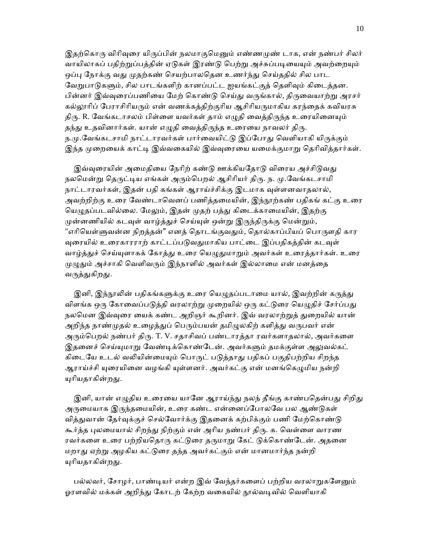இதற்கொரு விரிவுரை யிருப்பின் நலமாகுமெனும் எண்ணமுண் டாக, என் நண்பர் சிலர் வாயிலாகப் பதிற்றுப்பத்தின் ஏடுகள் இரண்டு பெற்று அச்சுப்படியையும் அவற்றையும் ஒப்பு நோக்கு வது முதற்கண் செயற்பாலதென உணர்ந்து செய்ததில் சில பாட வேறுபாடுகளும், சில பாடங்களிற் கானப்பட்ட ஐயங்கட்குத் தெளிவும் கிடைத்தன. பின்னர் இவ்வுரைப்பணியை மேற் கொண்டு செய்து வருங்கால், திருவையாற்று அரசர் கல்லூரிப் பேராசிரியரும் என் வணக்கத்திற்குரிய ஆசிரியருமாகிய கரந்தைக் கவியரசு திரு. R. வேங்கடாசலம் பிள்ளை யவர்கள் தாம் எழுதி வைத்திருந்த உரையினையும் தந்து உதவினார்கள். யான் எழுதி வைத்திருந்த உரையை நாவலர் திரு. ந.மு.வேங்கடசாமி நாட்டாரவர்கள் பார்வையிட்டு இப்போது வெளியாகி யிருக்கும் இந்த முறையைக் காட்டி இவ்வகையில் இவ்வுரையை யமைக்குமாறு தெரிவித்தார்கள்.

இவ்வுரையின் அமைதியை நேரிற் கண்டு ஊக்கியதோடு விரைய அச்சிடுவது நலமென்று தெருட்டிய எங்கள் அரும்பெறல் ஆசிரியர் திரு. ந. மு.வேங்கடசாமி நாட்டாரவர்கள், இதன் பதி கங்கள் ஆராய்ச்சிக்கு இடமாக வுள்ளனவாதலால், அவற்றிற்கு உரை வேண்டாவெனப் பணித்தமையின், இந்நூற்கண் பதிகங் கட்கு உரை யெழுதப்படவில்லை. மேலும், இதன் முதற் பத்து கிடைக்காமையின், இதற்கு முன்னணியில் கடவுள் வாழ்த்துச் செய்யுள் ஒன்று இருந்திருக்கு மென்றும், "எரியெள்ளுவன்ன நிறத்தன்" எனத் தொடங்குவதும், தொல்காப்பியப் பொருளதி கார வுரையில் உரைகாரராற் காட்டப்படுவதுமாகிய பாட்டை இப்பதிகத்தின் கடவுள் வாழ்த்துச் செய்யுளாகக் கோத்து உரை யெழுதுமாறும் அவர்கள் உரைத்தார்கள். உரை முழுதும் அச்சாகி வெளிவரும் இந்நாளில் அவர்கள் இல்லாமை என் மனத்தை வருத்துகிறது.

இனி, இந்நூலின் பதிகங்களுக்கு உரை யெழுதப்படாமை யால், இவற்றின் கருத்து விளங்க ஒரு கோவைப்படுத்தி வரலாற்று முறையில் ஒரு கட்டுரை யெழுதிச் சேர்ப்பது நலமென இவ்வுரை யைக் கண்ட அறிஞர் கூறினர். இவ் வரலாற்றுத் துறையில் யான் அறிந்த நாண்முதல் உழைத்துப் பெரும்பயன் தமிழுலகிற் களித்து வருபவர் என் அரும்பெறல் நண்பர் திரு. T. V. சதாசிவப் பண்டாரத்தா ரவர்களாதலால், அவர்களை இதனைச் செய்யுமாறு வேண்டிக்கொண்டேன். அவர்களும் தமக்குள்ள அலுவல்கட் கிடையே உடல் வலியின்மையும் பொருட் படுத்தாது பதிகப் பகுதிபற்றிய சிறந்த ஆராய்ச்சி யுரையினை வழங்கி யுள்ளனர். அவர்கட்கு என் மனங்கெழுமிய நன்றி யுரியதாகின்றது.

இனி, யான் எழுதிய உரையை யானே ஆராய்ந்து நலந் தீங்கு காண்பதென்பது சிறிது அருமையாக இருந்தமையின், உரை கண்ட என்னைப்போலவே பல ஆண்டுகள் வித்துவான் தேர்வுக்குச் செல்வோர்க்கு இதனைக் கற்பிக்கும் பணி மேற்கொண்டு கூர்த்த புலமையால் சிறந்து நிற்கும் என் அரிய நண்பர் திரு. க. வெள்ளை வாரண ரவர்களை உரை பற்றியதொரு கட்டுரை தருமாறு கேட் டுக்கொண்டேன். அதனை மறாᾐ ஏற்ᾠ அழகிய கட்ᾌைர தந்த அவர்கட்கும் என் மானமார்ந்த நன்றி யுரியதாகின<u>்றத</u>ு.

பல்லவர், சோழர், பாண்டியர் என்ற இவ் வேந்தர்களைப் பற்றிய வரலாறுகளேனும் ஓரளவில் மக்கள் அறிந்து கோடற் கேற்ற வகையில் நூல்வடிவில் வெளியாகி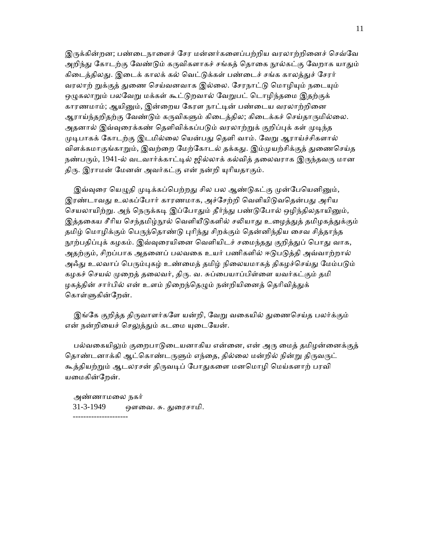இருக்கின்றன; பண்டைநாளைச் சேர மன்னர்களைப்பற்றிய வரலாற்றினைச் செவ்வே அறிந்து கோடற்கு வேண்டும் கருவிகளாகச் சங்கத் தொகை நூல்கட்கு வேறாக யாதும் கிடைத்திலது. இடைக் காலக் கல் வெட்டுக்கள் பண்டைச் சங்க காலத்துச் சேரர் வரலாற் றுக்குத் துணை செய்வனவாக இல்லை. சேரநாட்டு மொழியும் நடையும் ஒழுகலாறும் பலவேறு மக்கள் கூட்டுறவால் வேறுபட் டொழிந்தமை இதற்குக் காரணமாம்; ஆயினும், இன்றைய கேரள நாட்டின் பண்டைய வரலாற்றினை ஆராய்ந்தறிதற்கு வேண்டும் கருவிகளும் கிடைத்தில; கிடைக்கச் செய்தாருமில்லை. அதனால் இவ்வுரைக்கண் தெளிவிக்கப்படும் வரலாற்றுக் குறிப்புக் கள் முடிந்த முடிபாகக் கோடற்கு இடமில்லை யென்பது தெளி வாம். வேறு ஆராய்ச்சிகளால் விளக்கமாகுங்காறும், இவற்றை மேற்கோடல் தக்கது. இம்முயற்சிக்குத் துணைசெய்த நண்பரும், 1941-ல் வடவார்க்காட்டில் ஜில்லாக் கல்வித் தலைவராக இருந்தவரு மான திரு. இராமன் மேனன் அவர்கட்கு என் நன்றி யுரியதாகும்.

இவ்வரை யெமுதி முடிக்கப்பெற்றது சில பல ஆண்டுகட்கு முன்பேயெனினும், இரண்டாவது உலகப்போர் காரணமாக, அச்சேற்றி வெளியிடுவதென்பது அரிய செயலாயிற்று. அந் நெருக்கடி இப்போதும் தீர்ந்து பண்டுபோல் ஒழிந்திலதாயினும், இத்தகைய சீரிய செந்தமிழ்நூல் வெளியீடுகளில் சலியாது உழைத்துத் தமிழகத்துக்கும் தமிழ் மொழிக்கும் பெருந்தொண்டு புரிந்து சிறக்கும் தென்னிந்திய சைவ சித்தாந்த நூற்பதிப்புக் கழகம். இவ்வுரையினை வெளியிடச் சமைந்தது குறித்துப் பொது வாக, அதற்கும், சிறப்பாக அதனைப் பலவகை உயர் பணிகளில் ஈடுபடுத்தி அவ்வாற்றால் அஃது உலவாப் பெரும்புகழ் உண்மைத் தமிழ் நிலையமாகத் திகழச்செய்து மேம்படும் கழகச் செயல் முறைத் தலைவர், திரு. வ. சுப்பையாப்பிள்ளை யவர்கட்கும் தமி ழகத்தின் சார்பில் என் உளம் நிறைந்தெழும் நன்றியினைத் தெரிவித்துக் கொள்ளுகின்றேன்.

இங்கே குறித்த திருவாளர்களே யன்றி, வேறு வகையில் துணைசெய்த பலர்க்கும் என் நன்றியைச் செலுத்தும் கடமை யுடையேன்.

பல்வகையிலும் குறைபாடுடையனாகிய என்னை, என் அரு மைத் தமிழன்னைக்குத் தொண்டனாக்கி ஆட்கொண்டருளும் எந்தை, தில்லை மன்றில் நின்று திருவருட் கூத்தியற்றும் ஆடலரசன் திருவடிப் போதுகளை மனமொழி மெய்களாற் பரவி யமைகின்றேன்.

 அண்ணாமைல நகர் 31-3-1949 ஔைவ. சு. ᾐைரசாமி. ---------------------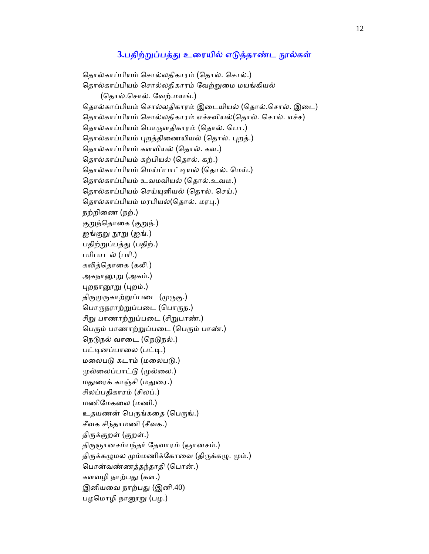## 3.பதிற்றுப்பத்து உரையில் எடுத்தாண்ட நூல்கள்

தொல்காப்பியம் சொல்லதிகாரம் (தொல். சொல்.) தொல்காப்பியம் சொல்லதிகாரம் வேற்றுமை மயங்கியல் (ெதால்.ெசால். ேவற்.மயங்.) தொல்காப்பியம் சொல்லதிகாரம் இடையியல் (தொல்.சொல். இடை) தொல்காப்பியம் சொல்லதிகாரம் எச்சவியல்(தொல். சொல். எச்ச) தொல்காப்பியம் பொருளதிகாரம் (தொல். பொ.) தொல்காப்பியம் புறத்திணையியல் (தொல். புறத்.) ெதால்காப்பியம் களவியல் (ெதால். கள.) ெதால்காப்பியம் கற்பியல் (ெதால். கற்.) தொல்காப்பியம் மெய்ப்பாட்டியல் (தொல். மெய்.) ெதால்காப்பியம் உவமவியல் (ெதால்.உவம.) தொல்காப்பியம் செய்யுளியல் (தொல். செய்.) தொல்காப்பியம் மரபியல்(தொல். மரபு.) நற்றிைண (நற்.) குறுந்தொகை (குறுந்.) ஐங்குறு நூறு (ஐங்.) பதிற்றுப்பத்து (பதிற்.) பாிபாடல் (பாி.) கலித்தொகை (கலி.) அகநானூறு (அகம்.) புறநானூறு (புறம்.) திருமுருகாற்றுப்படை (முருகு.) பொருநராற்றுப்படை (பொருந.) சிறு பாணாற்றுப்படை (சிறுபாண்.) பெரும் பாணாற்றுப்படை (பெரும் பாண்.) நெடுநல் வாடை (நெடுநல்.) பட்டினப்பாலை (பட்டி.) மலைபடு கடாம் (மலைபடு.) முல்லைப்பாட்டு (முல்லை.) மதுரைக் காஞ்சி (மதுரை.) சிலப்பதிகாரம் (சிலப்.) மணிேமகைல (மணி.) உதயணன் பெருங்கதை (பெருங்.) சீவக சிந்தாமணி (சீவக.) திருக்குறள் (குறள்.) திருஞானசம்பந்தர் தேவாரம் (ஞானசம்.) திருக்கமுமல மும்மணிக்கோவை (திருக்கழு. மும்.) ெபான்வண்ணத்தந்தாதி (ெபான்.) களவழி நாற்பᾐ (கள.) இனியவை நாற்பது (இனி.40) பழமொழி நானூறு (பழ.)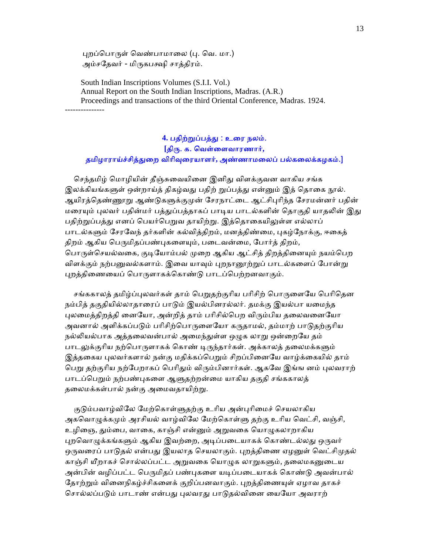புறப்பொருள் வெண்பாமாலை (பு. வெ. மா.) அம்சதேவர் - மிருகபக்ஷி சாத்திரம்.

 South Indian Inscriptions Volumes (S.I.I. Vol.) Annual Report on the South Indian Inscriptions, Madras. (A.R.) Proceedings and transactions of the third Oriental Conference, Madras. 1924. ---------------

## **4.** பதிற்ᾠப்பத்ᾐ : உைர நலம். **[**திᾞ. க. ெவள்ைளவாரணார்**,**  தமிழாராய்ச்சித்ᾐைற விாிᾫைரயாளர்**,** அண்ணாமைலப் பல்கைலக்கழகம்.]

செந்தமிழ் மொழியின் தீஞ்சுவையினை இனிது விளக்குவன வாகிய சங்க இலக்கியங்களுள் ஒன்றாய்த் திகழ்வது பதிற் றுப்பத்து என்னும் இத் தொகை நூல். ஆயிரத்தெண்ணூறு ஆண்டுகளுக்குமுன் சேரநாட்டை ஆட்சிபுரிந்த சேரமன்னர் பதின் மரையும் புலவர் பதின்மர் பத்துப்பத்தாகப் பாடிய பாடல்களின் தொகுதி யாதலின் இது பதிற்றுப்பத்து எனப் பெயர்பெறுவ தாயிற்று. இத்தொகையிலுள்ள எல்லாப் பாடல்களும் சேரவேந் தர்களின் கல்வித்திறம், மனத்திண்மை, புகழ்நோக்கு, ஈகைத் திறம் ஆகிய பெருமிதப்பண்புகளையும், படைவன்மை, போர்த் திறம், பொருள்செயல்வகை, குடியோம்பல் முறை ஆகிய ஆட்சித் திறத்தினையும் நயம்பெற விளக்கும் நற்பனுவல்களாம். இவை யாவும் புறநானூற்றுப் பாடல்களைப் போன்று புறத்திணையைப் பொருளாகக்கொண்டு பாடப்பெற்றனவாகும்.

சங்ககாலத் தமிழ்ப்புலவர்கள் தாம் பெறுதற்குரிய பரிசிற் பொருளையே பெரிதென நம்பித் தகுதியில்லாதாரைப் பாடும் இயல்பினரல்லர். தமக்கு இயல்பா யமைந்த புலமைத்திறத்தி னையோ, அன்றித் தாம் பரிசில்பெற விரும்பிய தலைவனையோ அவனால் அளிக்கப்படும் பரிசிற்பொருளையோ கருதாமல், தம்மாற் பாடுதற்குரிய நல்லியல்பாக அத்தலைவன்பால் அமைந்துள்ள ஒழுக லாறு ஒன்றையே தம் பாடலுக்குரிய நற்பொருளாகக் கொண் டிருந்தார்கள். அக்காலத் தலைமக்களும் இத்தகைய புலவர்களால் நன்கு மதிக்கப்பெறும் சிறப்பினையே வாழ்க்கையில் தாம் பெறு தற்குரிய நற்பேறாகப் பெரிதும் விரும்பினார்கள். ஆகவே இங்ங னம் புலவராற் பாடப்பெறும் நற்பண்புகளை ஆளுதற்றன்மை யாகிய தகுதி சங்ககாலத் தலைமக்கள்பால் நன்கு அமைவதாயிற்று.

குடும்பவாழ்விலே மேற்கொள்ளுதற்கு உரிய அன்புரிமைச் செயலாகிய அகவொழுக்கமும் அரசியல் வாழ்விலே மேற்கொள்ளு தற்கு உரிய வெட்சி, வஞ்சி, உழிஞை, தும்பை, வாகை, காஞ்சி என்னும் அறுவகை யொழுகலாறாகிய புறவொழுக்கங்களும் ஆகிய இவற்றை, அடிப்படையாகக் கொண்டல்லது ஒருவர் ஒருவரைப் பாடுதல் என்பது இயலாத செயலாகும். புறத்திணை ஏழனுள் வெட்சிமுதல் காஞ்சி யீறாகச் சொல்லப்பட்ட அறுவகை யொழுக லாறுகளும், தலைமகனுடைய அன்பின் வழிப்பட்ட பெருமிதப் பண்புகளை யடிப்படையாகக் கொண்டு அவன்பால் தோற்றும் வினைநிகழ்ச்சிகளைக் குறிப்பனவாகும். புறத்திணையுள் ஏழாவ தாகச் சொல்லப்படும் பாடாண் என்பது புலவரது பாடுதல்வினை யையோ அவராற்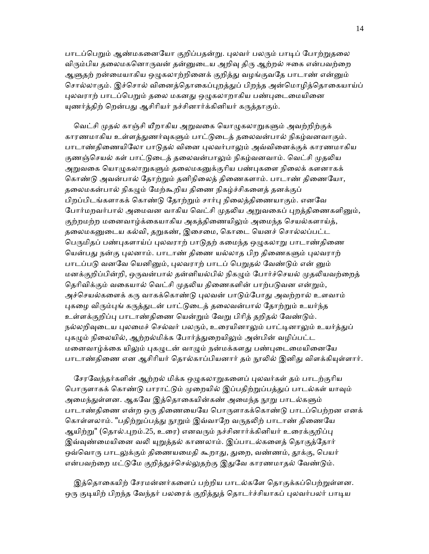பாடப்பெறும் ஆண்மகனையோ குறிப்பதன்று. புலவர் பலரும் பாடிப் போற்றுதலை விரும்பிய தலைமகனொருவன் தன்னுடைய அறிவு திரு ஆற்றல் ஈகை என்பவற்றை ஆளுதற் றன்மையாகிய ஒழுகலாற்றினைக் குறித்து வழங்குவதே பாடாண் என்னும் சொல்லாகும். இச்சொல் வினைத்தொகைப்புறத்துப் பிறந்த அன்மொழித்தொகையாய்ப் புலவராற் பாடப்பெறும் தலை மகனது ஒழுகலாறாகிய பண்புடைமையினை யுணர்த்திற் றென்பது ஆசிரியர் நச்சினார்க்கினியர் கருத்தாகும்.

வெட்சி முதல் காஞ்சி யீறாகிய அறுவகை யொழுகலாறுகளும் அவற்றிற்குக் காரணமாகிய உள்ளத்துணர்வுகளும் பாட்டுடைத் தலைவன்பால் நிகழ்வனவாகும். பாடாண்திணையிலோ பாடுதல் வினை புலவர்பாலும் அவ்வினைக்குக் காரணமாகிய குணஞ்செயல் கள் பாட்டுடைத் தலைவன்பாலும் நிகழ்வனவாம். வெட்சி முதலிய அறுவகை யொழுகலாறுகளும் தலைமகனுக்குரிய பண்புகளை நிலைக் களனாகக் ெகாண்ᾌ அவன்பால் ேதாற்ᾠம் தனிநிைலத் திைணகளாம். பாடாண் திைணேயா, தலைமகன்பால் நிகமும் மேற்கூறிய திணை நிகழ்ச்சிகளைத் தனக்குப் பிறப்பிடங்களாகக் கொண்டு தோற்றும் சார்பு நிலைத்திணையாகும். எனவே போர்மறவர்பால் அமைவன வாகிய வெட்சி முதலிய அறுவகைப் புறத்திணைகளினும், குற்றமற்ற மனைவாழ்க்கையாகிய அகத்திணையிலும் அமைந்த செயல்களாய்த், தலைமகனுடைய கல்வி, தறுகண், இசைமை, கொடை யெனச் சொல்லப்பட்ட பெருமிதப் பண்புகளாய்ப் புலவராற் பாடுதற் கமைந்த ஒழுகலாறு பாடாண்திணை யென்பது நன்கு புலனாம். பாடாண் திணை யல்லாத பிற திணைகளும் புலவராற் பாடப்படு வனவே யெனினும், புலவராற் பாடப் பெறுதல் வேண்டும் என் னும் மனக்குறிப்பின்றி, ஒருவன்பால் தன்னியல்பில் நிகழும் போர்ச்செயல் முதலியவற்றைத் தெரிவிக்கும் வகையால் வெட்சி முதலிய திணைகளின் பாற்படுவன என்றும், அச்செயல்களைக் கரு வாகக்கொண்டு புலவன் பாடும்போது அவற்றால் உளவாம் புகழை விரும்புங் கருத்துடன் பாட்டுடைத் தலைவன்பால் தோற்றும் உயர்ந்த உள்ளக்குறிப்பு பாடாண்திணை யென்றும் வேறு பிரித் தறிதல் வேண்டும். நல்லறிவுடைய புலமைச் செல்வர் பலரும், உரையினாலும் பாட்டினாலும் உயர்த்துப் புகழும் நிலையில், ஆற்றல்மிக்க போர்த்துறையிலும் அன்பின் வழிப்பட்ட மனைவாழ்க்கை யிலும் புகழுடன் வாழும் நன்மக்களது பண்புடைமையினையே பாடாண்திணை என ஆசிரியர் தொல்காப்பியனார் தம் நூலில் இனிது விளக்கியுள்ளார்.

சேரவேந்தர்களின் ஆற்றல் மிக்க ஒழுகலாறுகளைப் புலவர்கள் தம் பாடற்குரிய பொருளாகக் கொண்டு பாராட்டும் முறையில் இப்பதிற்றுப்பத்துப் பாடல்கள் யாவும் அமைந்துள்ளன. ஆகவே இத்தொகையின்கண் அமைந்த நூறு பாடல்களும் பாடாண்திணை என்ற ஒரு திணையையே பொருளாகக்கொண்டு பாடப்பெற்றன எனக் கொள்ளலாம். "பதிற்றுப்பத்து நூறும் இவ்வாறே வருதலிற் பாடாண் திணையே ஆயிற்று" (தொல்.புறம்.25, உரை) எனவரும் நச்சினார்க்கினியர் உரைக்குறிப்பு இவ்வுண்மையினை வலி யுறுத்தல் காணலாம். இப்பாடல்களைத் தொகுத்தோர் ஒவ்வொரு பாடலுக்கும் திணையமைதி கூறாது, துறை, வண்ணம், தூக்கு, பெயர் என்பவற்றை மட்டுமே குறித்துச்செல்லுதற்கு இதுவே காரணமாதல் வேண்டும்.

இத்தொகையிற் சேரமன்னர்களைப் பற்றிய பாடல்களே தொகுக்கப்பெற்றுள்ளன. ஒரு குடியிற் பிறந்த வேந்தர் பலரைக் குறித்துத் தொடர்ச்சியாகப் புலவர்பலர் பாடிய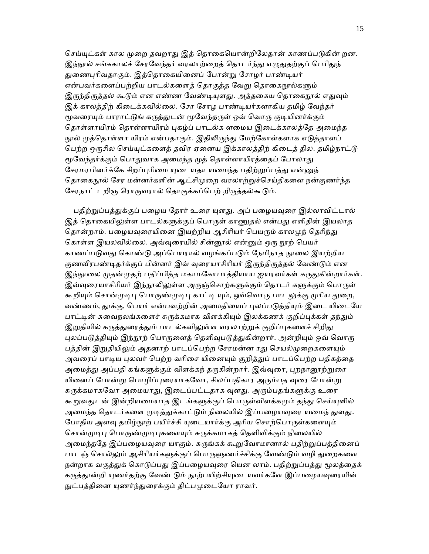செய்யுட்கள் கால முறை தவறாது இத் தொகையொன்றிலேதான் காணப்படுகின் றன. இந்நூல் சங்ககாலச் சேரவேந்தர் வரலாற்றைத் தொடர்ந்து எழுதுதற்குப் பெரிதுந் துணைபுரிவதாகும். இத்தொகையினைப் போன்று சோழர் பாண்டியர் என்பவர்களைப்பற்றிய பாடல்களைத் தொகுத்த வேறு தொகைநூல்களும் இருந்திருத்தல் கூடும் என எண்ண வேண்டியுளது. அத்தகைய தொகைநூல் எதுவும் இக் காலத்திற் கிடைக்கவில்லை. சேர சோழ பாண்டியர்களாகிய தமிழ் வேந்தர் மூவரையும் பாராட்டுங் கருத்துடன் மூவேந்தருள் ஒவ் வொரு குடியினர்க்கும் தொள்ளாயிரம் தொள்ளாயிரம் புகழ்ப் பாடல்க ளமைய இடைக்காலத்தே அமைந்த நூல் முத்தொள்ளா யிரம் என்பதாகும். இதிலிருந்து மேற்கோள்களாக எடுத்தாளப் பெற்ற ஒருசில செய்யுட்களைத் தவிர ஏனைய இக்காலத்திற் கிடைத் தில. தமிழ்நாட்டு மூவேந்தர்க்கும் பொதுவாக அமைந்த முத் தொள்ளாயிரத்தைப் போலாது சேரமரபினர்க்கே சிறப்புரிமை யுடையதா யமைந்த பதிற்றுப்பத்து என்னுந் தொகைநூல் சேர மன்னர்களின் ஆட்சிமுறை வரலாற்றுச்செய்திகளை நன்குணர்ந்த சேரநாட் டறிஞ ரொருவரால் தொகுக்கப்பெற் றிருத்தல்கூடும்.

பதிற்றுப்பத்துக்குப் பழைய தோர் உரை யுளது. அப் பழையவுரை இல்லாவிட்டால் இத் தொகையிலுள்ள பாடல்களுக்குப் பொருள் காணுதல் என்பது எளிதின் இயலாத தொன்றாம். பழையவுரையினை இயற்றிய ஆசிரியர் பெயரும் காலமுந் தெரிந்து கொள்ள இயலவில்லை. அவ்வுரையில் சின்னூல் என்னும் ஒரு நூற் பெயர் காணப்படுவது கொண்டு அப்பெயரால் வழங்கப்படும் நேமிநாத நூலை இயற்றிய குணவீரபண்டிதர்க்குப் பின்னர் இவ் வுரையாசிரியர் இருந்திருத்தல் வேண்டும் என இந்நூலை முதன்முதற் பதிப்பித்த மகாமகோபாத்தியாய ஐயரவர்கள் கருதுகின்றார்கள். இவ்வுரையாசிரியர் இந்நூலிலுள்ள அருஞ்சொற்களுக்கும் தொடர் களுக்கும் பொருள் கூறியும் சொன்முடிபு பொருண்முடிபு காட்டி யும், ஒவ்வொரு பாடலுக்கு முரிய துறை, வண்ணம், தூக்கு, பெயர் என்பவற்றின் அமைதியைப் புலப்படுத்தியும் இடை யிடையே பாட்டின் சுவைநலங்களைச் சுருக்கமாக விளக்கியும் இலக்கணக் குறிப்புக்கள் தந்தும் இறுதியில் கருத்துரைத்தும் பாடல்களிலுள்ள வரலாற்றுக் குறிப்புகளைச் சிறிது புலப்படுத்தியும் இந்நூற் பொருளைத் தெளிவுபடுத்துகின்றார். அன்றியும் ஒவ் வொரு பத்தின் இறுதியிலும் அதனாற் பாடப்பெற்ற சேரமன்ன ரது செயல்முறைகளையும் அவரைப் பாடிய புலவர் பெற்ற வரிசை யினையும் குறித்துப் பாடப்பெற்ற பதிகத்தை அமைத்து அப்பதி கங்களுக்கும் விளக்கந் தருகின்றார். இவ்வுரை, புறநானூற்றுரை யினைப் போன்று பொழிப்புரையாகவோ, சிலப்பதிகார அரும்பத வுரை போன்று சுருக்கமாகவோ அமையாது, இடைப்பட்டதாக வுளது. அரும்பதங்களுக்கு உரை கூறுவதுடன் இன்றியமையாத இடங்களுக்குப் பொருள்விளக்கமும் தந்து செய்யுளில் அமைந்த தொடர்களை முடித்துக்காட்டும் நிலையில் இப்பழையவுரை யமைந் துளது. போதிய அளவு தமிழ்நூற் பயிர்ச்சி யுடையார்க்கு அரிய சொற்பொருள்களையும் சொன்முடிபு பொருண்முடிபுகளையும் சுருக்கமாகத் தெளிவிக்கும் நிலையில் அமைந்ததே இப்பழையவுரை யாகும். சுருங்கக் கூறுவோமானால் பதிற்றுப்பத்தினைப் பாடஞ் சொல்லும் ஆசிரியர்களுக்குப் பொருளுணர்ச்சிக்கு வேண்டும் வழி துறைகளை நன்றாக வகுத்துக் கொடுப்பது இப்பழையவுரை யென லாம். பதிற்றுப்பத்து மூலத்தைக் கருத்தூன்றி யுணர்தற்கு வேண் டும் நூற்பயிற்சியடையவர்களே இப்பழையவுரையின் நுட்பத்தினை யுணர்ந்துரைக்கும் திட்பமுடையோ ராவர்.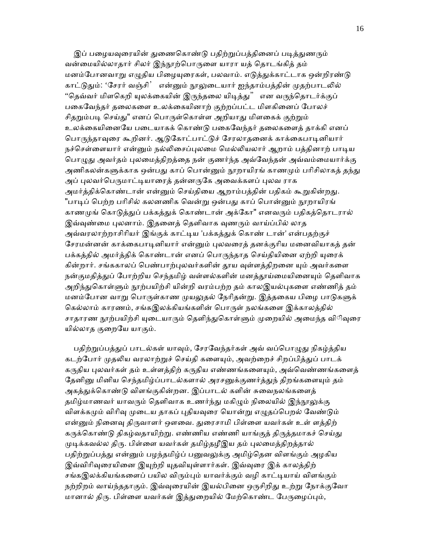இப் பழையவுரையின் துணைகொண்டு பதிற்றுப்பத்தினைப் படித்துணரும் வன்மையில்லாதார் சிலர் இந்நூற்பொருளை யாரா யத் தொடங்கித் தம் மனம்போனவாறு எழுதிய பிழையுரைகள், பலவாம். எடுத்துக்காட்டாக ஒன்றிரண்டு காட்டுதும்: 'சேரர் வஞ்சி' என்னும் நூலுடையார் ஐந்தாம்பத்தின் முதற்பாடலில் "தெவ்வர் மிளகெறி யுலக்கையின் இருந்தலை யிடித்து" என வருந்தொடர்க்குப் பகைவேந்தர் தலைகளை உலக்கையினாற் குற்றப்பட்ட மிளகினைப் போலச் சிதறும்படி செய்து" எனப் பொருள்கொள்ள அறியாது மிளகைக் குற்றும் உலக்கையினையே படையாகக் கொண்டு பகைவேந்தர் தலைகளைக் தாக்கி எனப் பொருந்தாவுரை கூறினர். ஆடுகோட்பாட்டுச் சேரலாதனைக் காக்கைபாடினியார் நச்செள்ளையார் என்னும் நல்லிசைப்புலமை மெல்லியலார் ஆறாம் பத்தினாற் பாடிய பொழுது அவர்தம் புலமைத்திறத்தை நன் குணர்ந்த அவ்வேந்தன் அவ்வம்மையார்க்கு அணிகலன்களுக்காக ஒன்பது காப் பொன்னும் நூறாயிரங் காணமும் பரிசிலாகக் கந்து அப் புலவர்பெருமாட்டியாரைத் தன்னருகே அவைக்களப் புலவ ராக அமர்த்திக்கொண்டான் என்னும் செய்தியை ஆறாம்பத்தின் பதிகம் கூறுகின்றது. "பாடிப் பெற்ற பரிசில் கலனணிக வென்று ஒன்பது காப் பொன்னும் நூறாயிரங் காணமுங் கொடுத்துப் பக்கத்துக் கொண்டான் அக்கோ" எனவரும் பதிகத்தொடரால் இவ்வுண்மை புலனாம். இதனைத் தெளிவாக வுணரும் வாய்ப்பில் லாத அவ்வரலாற்றாசிரியர் இங்குக் காட்டிய 'பக்கத்துக் கொண் டான்' என்பதற்குச் சேரமன்னன் காக்கைபாடினியார் என்னும் புலவரைத் தனக்குரிய மனைவியாகத் தன் பக்கத்தில் அமர்த்திக் கொண்டான் எனப் பொருந்தாத செய்தியினை ஏற்றி யுரைக் கின்றார். சங்ககாலப் பெண்பாற்புலவர்களின் தூய வுள்ளத்திறனை யும் அவர்களை நன்குமதித்துப் போற்றிய செந்தமிழ் வள்ளல்களின் மனத்தூய்மையினையும் தெளிவாக அறிந்துகொள்ளும் நூற்பயிற்சி யின்றி வரம்பற்ற தம் காலஇயல்புகளை எண்ணித் தம் மனம்போன வாறு பொருள்காண முயலுதல் நேரிதன்று. இத்தகைய பிழை பாடுகளுக் கெல்லாம் காரணம், சங்கஇலக்கியங்களின் பொருள் நலங்களை இக்காலத்தில் சாதாரண நூற்பயிற்சி யுடையாரும் தெளிந்துகொள்ளும் முறையில் அமைந்த விிவுரை யில்லாக குறையே யாகும்.

பதிற்றுப்பத்துப் பாடல்கள் யாவும், சேரவேந்தர்கள் அவ் வப்பொழுது நிகழ்த்திய கடற்போர் முதலிய வரலாற்றுச் செய்தி களையும், அவற்றைச் சிறப்பித்துப் பாடக் கருதிய புலவர்கள் தம் உள்ளத்திற் கருதிய எண்ணங்களையும், அவ்வெண்ணங்களைத் தேனினு மினிய செந்தமிழ்ப்பாடல்களால் அரசனுக்குணர்த்துந் திறங்களையும் தம் அகத்துக்கொண்டு விளங்குகின்றன. இப்பாடல் களின் சுவைநலங்களைத் தமிழ்மாணவர் யாவரும் தெளிவாக உணர்ந்து மகிழும் நிலையில் இந்நூலுக்கு விளக்கமும் விரிவு முடைய தாகப் புதியவுரை யொன்று எழுதப்பெறல் வேண்டும் என்னும் நினைவு திருவாளர் ஔவை. துரைசாமி பிள்ளை யவர்கள் உள் ளத்திற் கருக்கொண்டு திகழ்வதாயிற்று. எண்ணிய எண்ணி யாங்குத் திருத்தமாகச் செய்து முடிக்கவல்ல திரு. பிள்ளை யவர்கள் தமிழ்தழீஇய தம் புலமைத்திறத்தால் பதிற்றுப்பத்து என்னும் பழந்தமிழ்ப் பனுவலுக்கு அமிழ்தென விளங்கும் அழகிய இவ்விரிவுரையினை இயுற்றி யுதவியுள்ளார்கள். இவ்வுரை இக் காலத்திற் சங்கஇலக்கியங்களைப் பயில விரும்பும் யாவர்க்கும் வழி காட்டியாய் விளங்கும் நற்றிறம் வாய்ந்ததாகும். இவ்வுரையின் இயல்பினை ஒருசிறிது உற்று நோக்குவோ மானால் திரு. பிள்ளை யவர்கள் இத்துறையில் மேற்கொண்ட பேருழைப்பும்,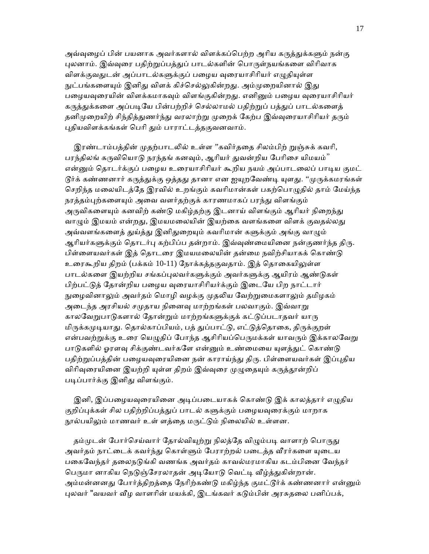அவ்வுழைப் பின் பயனாக அவர்களால் விளக்கப்பெற்ற அரிய கருத்துக்களும் நன்கு புலனாம். இவ்வுரை பதிற்றுப்பத்துப் பாடல்களின் பொருள்நயங்களை விரிவாக விளக்குவதுடன் அப்பாடல்களுக்குப் பழைய வுரையாசிரியர் எழுதியுள்ள நுட்பங்களையும் இனிது விளக் கிச்செல்லுகின்றது. அம்முறையினால் இது பழையவுரையின் விளக்கமாகவும் விளங்குகின்றது. எனினும் பழைய வுரையாசிரியர் கருத்துக்களை அப்படியே பின்பற்றிச் செல்லாமல் பதிற்றுப் பத்துப் பாடல்களைத் தனிமுறையிற் சிந்தித்துணர்ந்து வரலாற்று முறைக் கேற்ப இவ்வுரையாசிரியர் தரும் புதியவிளக்கங்கள் பெரி தும் பாராட்டத்தகுவனவாம்.

இரண்டாம்பத்தின் முதற்பாடலில் உள்ள ''கவிர்ததை சிலம்பிற் றுஞ்சுக் கவரி, பரந்திலங் கருவியொடு நரந்தங் கனவும், ஆரியர் துவன்றிய பேரிசை யிமயம்" என்னும் தொடர்க்குப் பழைய உரையாசிரியர் கூறிய நயம் அப்பாடலைப் பாடிய குமட்  $\mathfrak{G}$ ர்க் கண்ணனார் கருத்துக்கு ஒத்தது தானா என ஐயுறவேண்டி யுளது. ''முருக்கமரங்கள் செறிந்த மலையிடத்தே இரவில் உறங்கும் கவரிமான்கள் பகற்பொழுதில் தாம் மேய்ந்த நரத்தம்புற்களையும் அவை வளர்தற்குக் காரணமாகப் பரந்து விளங்கும் அருவிகளையும் கனவிற் கண்டு மகிழ்தற்கு இடனாய் விளங்கும் ஆரியர் நிறைந்து வாழும் இமயம் என்றது, இமயமலையின் இயற்கை வளங்களை விளக் குவதல்லது அவ்வளங்களைத் துய்த்து இனிதுறையும் கவரிமான் களுக்கும் அங்கு வாழும் ஆரியர்களுக்கும் தொடர்பு கற்பிப்ப தன்றாம். இவ்வுண்மையினை நன்குணர்ந்த திரு. பிள்ளையவர்கள் இத் தொடரை இமயமலையின் தன்மை நவிற்சியாகக் கொண்டு உரைகூறிய திறம் (பக்கம் 10-11) நோக்கத்தகுவதாம். இத் தொகையிலுள்ள பாடல்களை இயற்றிய சங்கப்புலவர்களுக்கும் அவர்களுக்கு ஆயிரம் ஆண்டுகள் பிற்பட்டுத் தோன்றிய பழைய வுரையாசிரியர்க்கும் இடையே பிற நாட்டார் நுழைவினாலும் அவர்தம் மொழி வழக்கு முதலிய வேற்றுமைகளாலும் தமிழகம் அடைந்த அரசியல் சமுதாய நினைவு மாற்றங்கள் பலவாகும். இவ்வாறு காலவேறுபாடுகளால் தோன்றும் மாற்றங்களுக்குக் கட்டுப்படாதவர் யாரு மிருக்கமுடியாது. தொல்காப்பியம், பத் துப்பாட்டு, எட்டுத்தொகை, திருக்குறள் என்பவற்றுக்கு உரை யெழுதிப் போந்த ஆசிரியப்பெருமக்கள் யாவரும் இக்காலவேறு பாடுகளில் ஓரளவு சிக்குண்டவர்களே என்னும் உண்மையை யுளத்துட் கொண்டு பதிற்றுப்பத்தின் பழையவுரையினை நன் காராய்ந்து திரு. பிள்ளையவர்கள் இப்புதிய விரிவுரையினை இயற்றி யுள்ள திறம் இவ்வுரை முழுதையும் கருத்தூன்றிப் படிப்பார்க்கு இனிது விளங்கும்.

இனி, இப்பழையவுரையினை அடிப்படையாகக் கொண்டு இக் காலத்தார் எழுதிய குறிப்புக்கள் சில பதிற்றிப்பத்துப் பாடல் களுக்கும் பழையவுரைக்கும் மாறாக நூல்பயிலும் மாணவர் உள் ளத்தை மருட்டும் நிலையில் உள்ளன.

தம்முடன் போர்செய்வார் தோல்வியுற்று நிலத்தே விழும்படி வாளாற் பொருது அவர்தம் நாட்டைக் கவர்ந்து கொள்ளும் பேராற்றல் படைத்த வீரர்களை யுடைய பகைவேந்தர் தலைநடுங்கி வணங்க அவர்தம் காவல்மரமாகிய கடம்பினை வேந்தர் பெருமா னாகிய நெடுஞ்சேரலாதன் அடியோடு வெட்டி வீழ்த்துகின்றான். அம்மன்னனது போர்த்திறத்தை நேரிற்கண்டு மகிழ்ந்த குமட்டூர்க் கண்ணனார் என்னும் புலவர் "வயவர் வீழ வாளரின் மயக்கி, இடங்கவர் கடும்பின் அரசுதலை பனிப்பக்,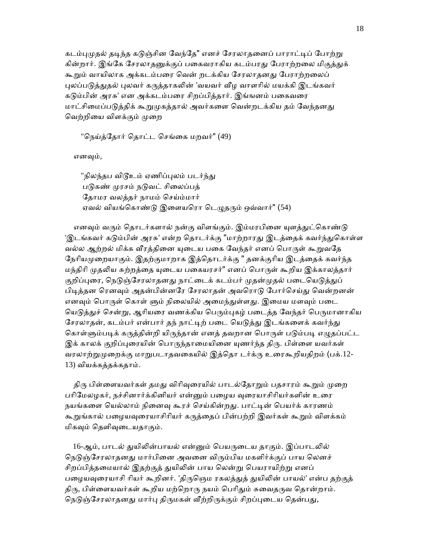கடம்புமுதல் தடிந்த கடுஞ்சின வேந்தே" எனச் சேரலாதனைப் பாராட்டிப் போற்று கின்றார். இங்கே சேரலாதனுக்குப் பகைவராகிய கடம்பரது பேராற்றலை மிகுத்துக் கூறும் வாயிலாக அக்கடம்பரை வென் றடக்கிய சேரலாதனது பேராற்றலைப் புலப்படுத்துதல் புலவர் கருத்தாகலின் 'வயவர் வீழ வாளரில் மயக்கி இடங்கவர் கடும்பின் அரசு' என அக்கடம்பரை சிறப்பித்தார். இங்ஙனம் பகைவரை மாட்சிமைப்படுத்திக் கூறுமுகத்தால் அவர்களை வென்றடக்கிய தம் வேந்தனது வெற்றியை விளக்கும் முறை

"நெய்த்தோர் தொட்ட செங்கை மறவர்" (49)

எனᾫம்,

"நிலந்தப விடூஉம் ஏணிப்புலம் படர்ந்து படுகண் முரசம் நடுவட் சிலைப்பத் ேதாமர வலத்தர் நாமம் ெசய்ம்மார் ஏவல் வியங்கொண்டு இளையரொ டெழுதரும் ஒவ்வார்" (54)

எனவும் வரும் தொடர்களால் நன்கு விளங்கும். இம்மரபினை யுளத்துட்கொண்டு 'இடங்கவர் கடும்பின் அரசு' என்ற தொடர்க்கு "மாற்றாரது இடத்தைக் கவர்ந்துகொள்ள வல்ல ஆற்றல் மிக்க வீரத்தினை யுடைய பகை வேந்தர் எனப் பொருள் கூறுவதே நேரியமுறையாகும். இதற்குமாறாக இத்தொடர்க்கு " தனக்குரிய இடத்தைக் கவர்ந்த மந்திரி முதலிய சுற்றத்தை யுடைய பகையரசர்" எனப் பொருள் கூறிய இக்காலத்தார் குறிப்புரை, நெடுஞ்சேரலாதனது நாட்டைக் கடம்பர் முதன்முதல் படையெடுத்துப் பிடித்தன ரெனவும் அதன்பின்னரே சேரலாதன் அவரொடு போர்செய்து வென்றனன் எனவும் பொருள் கொள் ளும் நிலையில் அமைந்துள்ளது. இமைய மளவும் படை யெடுத்துச் சென்று, ஆரியரை வணக்கிய பெரும்புகழ் படைத்த வேந்தர் பெருமானாகிய சேரலாதன், கடம்பர் என்பார் தந் நாட்டிற் படை யெடுத்து இடங்களைக் கவர்ந்து கொள்ளும்படிக் கருத்தின்றி யிருந்தான் எனத் தவறான பொருள் படும்படி எழுதப்பட்ட இக் காலக் குறிப்புரையின் பொருந்தாமையினை யுணர்ந்த திரு. பிள்ளை யவர்கள் வரலாற்றுமுறைக்கு மாறுபடாதவகையில் இத்தொ டர்க்ரு உரைகூறியதிறம் (பக்.12-13) வியக்கத்தக்கதாம்.

திரு பிள்ளையவர்கள் தமது விரிவுரையில் பாடல்தோறும் பதசாரம் கூறும் முறை பரிமேலழகர், நச்சினார்க்கினியர் என்னும் பழைய வுரையாசிரியர்களின் உரை நயங்களை யெல்லாம் நினைவு கூரச் செய்கின்றது. பாட்டின் பெயர்க் காரணம் கூறுங்கால் பழையவுரையாசிரியர் கருத்தைப் பின்பற்றி இவர்கள் கூறும் விளக்கம் மிகᾫம் ெதளிᾫைடயதாகும்.

16-ஆம், பாடல் துயிலின்பாயல் என்னும் பெயருடைய தாகும். இப்பாடலில் நெடுஞ்சேரலாதனது மார்பினை அவனை விரும்பிய மகளிர்க்குப் பாய லெனச் சிறப்பித்தமையால் இதற்குத் துயிலின் பாய லென்று பெயராயிற்று எனப் பழையவுரையாசி ரியர் கூறினர். 'திருஞெம ரகலத்துத் துயிலின் பாயல்' என்ப தற்குத் திரு, பிள்ளையவர்கள் கூறிய மற்றொரு நயம் பெரிதும் சுவைதருவ தொன்றாம். நெடுஞ்சேரலாதனது மார்பு திருமகள் வீற்றிருக்கும் சிறப்புடைய தென்பது,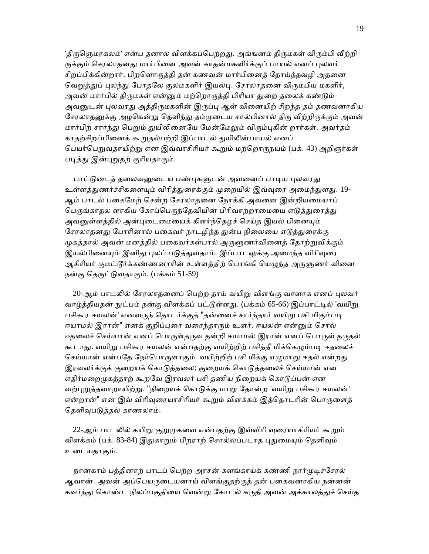'திருஞெமரகலம்' என்ப தனால் விளக்கப்பெற்றது. அங்ஙனம் திருமகள் விரும்பி வீற்றி ருக்கும் செரலாதனது மார்பினை அவன் காதன்மகளிர்க்குப் பாயல் எனப் புலவர் சிறப்பிக்கின்றார். பிறளொருத்தி தன் கணவன் மார்பினைத் தோய்ந்தவழி அதனை வெறுத்துப் புலந்து போதலே குலமகளிர் இயல்பு. சேரலாதனை விரும்பிய மகளிர், அவன் மார்பில் திருமகள் என்னும் மற்றொருத்தி பிரியா துறை தலைக் கண்டும் அவனுடன் புலவரது அத்திருமகளின் இருப்பு ஆள் வினையிற் சிறந்த தம் தணவனாகிய சேரலாதனுக்கு அழகென்று தெளிந்து தம்முடைய சால்பினால் திரு வீற்றிருக்கும் அவன் மார்பிற் சார்ந்து பெறும் துயிலினையே மேன்மேலும் விரும்புகின் றார்கள். அவர்தம் காதற்சிறப்பினைக் கூறுதல்பற்றி இப்பாடல் துயிலின்பாயல் எனப் பெயர்பெறுவதாயிற்று என இவ்வாசிரியர் கூறும் மற்றொருநயம் (பக். 43) அறிஞர்கள் படித்து இன்புறுதற் குரியதாகும்.

பாட்டுடைத் தலைவனுடைய பண்புகளுடன் அவனைப் பாடிய புலவரது உள்ளத்துணர்ச்சிகளையும் விரித்துரைக்கும் முறையில் இவ்வரை அமைந்துளது. 19-ஆம் பாடல் பைகேமற் ெசன்ற ேசரலாதைன ேநாக்கி அவைன இன்றியைமயாப் பெருங்காதல ளாகிய கோப்பெருந்தேவியின் பிரிவாற்றாமையை எடுத்துரைத்து அவனுள்ளத்தில் அன்புடைமையைக் கிளர்ந்தெழச் செய்த இயல் பினையும் சேரலாதனது போரினால் பகைவர் நாடழிந்த துன்ப நிலையை எடுத்துரைக்கு முகத்தால் அவன் மனத்தில் பகைவர்கள்பால் அருளுணர்வினைத் தோற்றுவிக்கும் இயல்பினையும் இனிது புலப் படுத்துவதாம். இப்பாடலுக்கு அமைந்த விரிவுரை ஆசிரியர் குமட்டூர்க்கண்ணனாரின் உள்ளத்திற் பொங்கி யெமுந்த அருளுணர் வினை நன்கு தெருட்டுவதாகும். (பக்கம் 51-59)

20-ஆம் பாடலில் சேரலாதனைப் பெற்ற தாய் வயிறு விளங்கு வாளாக எனப் புலவர் வாழ்த்தியதன் நுட்பம் நன்கு விளக்கப் பட்டுள்ளது. (பக்கம் 65-66) இப்பாட்டில் 'வயிறு பசிகூர ஈயலன்' எனவருந் தொடர்க்குத் "தன்னைச் சார்ந்தார் வயிறு பசி மிகும்படி ஈயாமல் இரான்" எனக் குறிப்புரை வரைந்தாரும் உளர். ஈயலன் என்னும் சொல் ஈதலைச் செய்யான் எனப் பொருள்தருவ தன்றி ஈயாமல் இரான் எனப் பொருள் தருதல் கூடாது. வயிறு பசிகூர ஈயலன் என்பதற்கு வயிற்றிற் பசித்தீ மிக்கெழும்படி ஈதலைச் செய்யான் என்பதே நேர்பொருளாகும். வயிற்றிற் பசி மிக்கு எழுமாறு ஈதல் என்றது இரவலர்க்குக் குறையக் கொடுத்தலை; குறையக் கொடுத்தலைச் செய்யான் என எதிர்மறைமுகத்தாற் கூறவே இரவலர் பசி தணிய நிறையக் கொடுப்பன் என வற்புறுத்தவாறாயிற்று. "நிறையக் கொடுக்கு மாறு தோன்ற 'வயிறு பசிகூர ஈயலன்' என்றான்" என இவ் விரிவுரையாசிரியர் கூறும் விளக்கம் இத்தொடரின் பொருளைத் தெளிவுபடுத்தல் காணலாம்.

22-ஆம் பாடலில் கயிறு குறுமுகவை என்பதற்கு இவ்விரி வுரையாசிரியர் கூறும் விளக்கம் (பக். 83-84) இதுகாறும் பிறராற் சொல்லப்படாத புதுமையும் தெளிவும் உைடயதாகும்.

நான்காம் பத்தினாற் பாடப் பெற்ற அரசன் களங்காய்க் கண்ணி நார்முடிச்சேரல் ஆவான். அவன் அப்ெபயᾞைடயனாய் விளங்குதற்குத் தன் பைகவனாகிய நன்னன் கவர்ந்து கொண்ட நிலப்பகுதியை வென்று கோடல் கருதி அவன் அக்காலத்துச் செய்த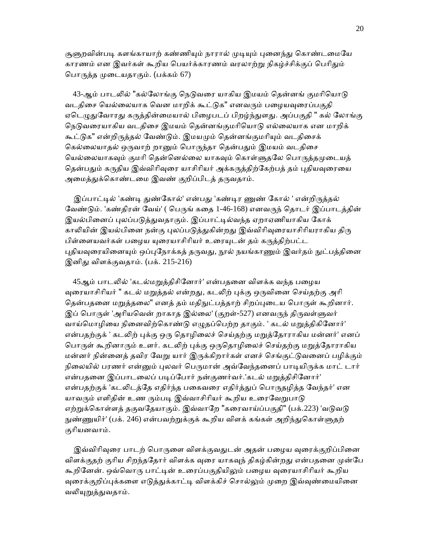சூளுறவின்படி களங்காயாற் கண்ணியும் நாரால் முடியும் புனைந்து கொண்டமையே காரணம் என இவர்கள் கூறிய பெயர்க்காரணம் வரலாற்று நிகழ்ச்சிக்குப் பெரிதும் ெபாᾞத்த ᾙைடயதாகும். (பக்கம் 67)

43-ஆம் பாடலில் "கல்லோங்கு நெடுவரை யாகிய இமயம் தென்னங் குமரியொடு வடதிசை யெல்லையாக வென மாறிக் கூட்டுக" எனவரும் பமையவரைப்பகுதி ஏடெழுதுவோரது கருத்தின்மையால் பிழைபடப் பிறழ்ந்துளது. அப்பகுதி " கல் லோங்கு நெடுவரையாகிய வடதிசை இமயம் தென்னங்குமரியொடு எல்லையாக என மாறிக் கூட்டுக" என்றிருத்தல் வேண்டும். இமயமும் தென்னங்குமரியும் வடதிசைக் கெல்லையாதல் ஒருவாற் றானும் பொருந்தா தென்பதும் இமயம் வடதிசை யெல்லையாகவும் குமரி தென்னெல்லை யாகவும் கொள்ளுதலே பொருத்தமுடையத் தென்பதும் கருதிய இவ்விரிவுரை யாசிரியர் அக்கருத்திற்கேற்பத் தம் புதியவுரையை அமைத்துக்கொண்டமை இவண் குறிப்பிடத் தருவதாம்.

இப்பாட்டில் 'கண்டி துண்கோல்' என்பது 'கண்டிர ணுண் கோல் ' என்றிருத்தல் வேண்டும். 'கண்திரன் வேய்' ( பெருங் கதை 1-46-168) எனவருந் தொடர் இப்பாடத்தின் இயல்பினைப் புலப்படுத்துவதாகும். இப்பாட்டில்வந்த ஏறாஏணியாகிய கோக் காலியின் இயல்பினை நன்கு புலப்படுத்துகின்றது இவ்விரிவுரையாசிரியராகிய திரு பிள்ளையவர்கள் பழைய யுரையாசிரியர் உரையுடன் தம் கருத்திற்பட்ட புதியவுரையினையும் ஒப்புநோக்கத் தருவது, நூல் நயங்காணும் இவர்தம் நுட்பத்தினை இனிᾐ விளக்குவதாம். (பக். 215-216)

45ஆம் பாடலில் 'கடல்மறுத்திசினோர்' என்பதனை விளக்க வந்த பழைய வுரையாசிரியர் " கடல் மறுத்தல் என்றது, கடலிற் புக்கு ஒருவினை செய்தற்கு அரி தென்பதனை மறுத்தலை" எனத் தம் மதிநுட்பத்தாற் சிறப்புடைய பொருள் கூறினார். இப் பொருள் 'அரியவென் றாகாத இல்லை' (குறள்-527) எனவருந் திருவள்ளுவர் வாய்ெமாழிைய நிைனவிற்ெகாண்ᾌ எᾨதப்ெபற்ற தாகும். ' கடல் மᾠத்திகிேனார்' என்பதற்குக் ' கடலிற் புக்கு ஒரு தொழிலைச் செய்தற்கு மறுத்தோராகிய மன்னர்' எனப் பொருள் கூறினாரும் உளர். கடலிற் புக்கு ஒருதொழிலைச் செய்தற்கு மறுத்தோராகிய மன்னர் நின்னைத் தவிர வேறு யார் இருக்கிறார்கள் எனச் செங்குட்டுவனைப் பழிக்கும் நிலையில் பரணர் என்னும் புலவர் பெருமான் அவ்வேந்தனைப் பாடியிருக்க மாட் டார் என்பதனை இப்பாடலைப் படிப்போர் நன்குணர்வர்.'கடல் மறுத்திசினோர்' என்பதற்குக் 'கடலிடத்தே எதிர்ந்த பகைவரை எதிர்த்துப் பொருதழித்த வேந்தர்' என யாவரும் எளிதின் உண ரும்படி இவ்வாசிரியர் கூறிய உரைவேறுபாடு எற்றுக்கொள்ளத் தகுவதேயாகும். இவ்வாறே "கரைவாய்ப்பகுதி" (பக்.223) 'வடுவடு நுண்ணுயிர்' (பக். 246) என்பவற்றுக்குக் கூறிய விளக் கங்கள் அறிந்துகொள்ளுதற் குாியனவாம்.

இவ்விரிவுரை பாடற் பொருளை விளக்குவதுடன் அதன் பழைய வுரைக்குறிப்பினை விளக்குதற் குரிய சிறந்ததோர் விளக்க வுரை யாகவுந் திகழ்கின்றது என்பதனை முன்பே கூறினேன். ஒவ்வொரு பாட்டின் உரைப்பகுதியிலும் பழைய வுரையாசிரியர் கூறிய வுரைக்குறிப்புக்களை எடுத்துக்காட்டி விளக்கிச் சொல்லும் முறை இவ்வுண்மையினை வலியுறுத்துவதாம்.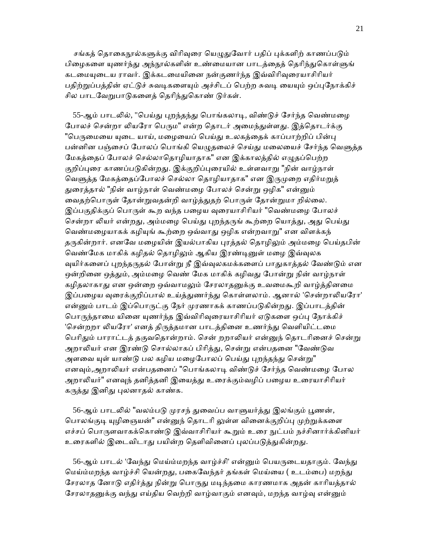சங்கத் தொகைநூல்களுக்கு விரிவுரை யெழுதுவோர் பதிப் புக்களிற் காணப்படும் பிழைகளை யுணர்ந்து அந்நூல்களின் உண்மையான பாடத்தைத் தெரிந்துகொள்ளுங் கடமையுடைய ராவர். இக்கடமையினை நன்குணர்ந்த இவ்விரிவுரையாசிரியர் பதிற்றுப்பத்தின் ஏட்டுச் சுவடிகளையும் அச்சிடப் பெற்ற சுவடி யையும் ஒப்புநோக்கிச் சில பாடவேறுபாடுகளைத் தெரிந்துகொண் டுர்கள்.

55-ஆம் பாடலில், "பெய்து புறந்தந்து பொங்கலாடி, விண்டுச் சேர்ந்த வெண்மழை போலச் சென்றா லியரோ பெரும" என்ற தொடர் அமைந்துள்ளது. இத்தொடர்க்கு "பெருமையை யுடை யாய், மழையைப் பெய்து உலகத்தைக் காப்பாற்றிப் பின்பு பன்னின பஞ்சைப் போலப் பொங்கி யெமுகலைச் செய்து மலையைச் சேர்ந்த வெளுக்க மேகத்தைப் போலச் செல்லாதொழியாதாக" என இக்காலத்தில் எழுதப்பெற்ற குறிப்புரை காணப்படுகின்றது. இக்குறிப்புரையில் உள்ளவாறு "நின் வாழ்நாள் வெளுத்த மேகத்தைப்போலச் செல்லா தொழியாதாக" என இருமுறை எதிர்மறுத் துரைத்தால் "நின் வாழ்நாள் வெண்மழை போலச் சென்று ஒழிக" என்னும் வைதற்பொருள் தோன்றுவதன்றி வாழ்த்துதற் பொருள் தோன்றுமா றில்லை. இப்பகுதிக்குப் பொருள் கூற வந்த பழைய வுரையாசிரியர் "வெண்மழை போலச் சென்றா லியர் என்றது, அம்மழை பெய்து புறந்தருங் கூற்றை யொத்து, அது பெய்து வெண்மழையாகக் கழியுங் கூற்றை ஒவ்வாது ஒழிக என்றவாறு" என விளக்கந் தருகின்றார். எனவே மழையின் இயல்பாகிய புரத்தல் தொழிலும் அம்மழை பெய்தபின் வெண்மேக மாகிக் கழிதல் தொழிலும் ஆகிய இரண்டினுள் மழை இவ்வுலக வுயிர்களைப் புறந்தருதல் போன்று நீ இவ்வுலகமக்களைப் பாதுகாத்தல் வேண்டும் என ஒன்றினை ஒத்தும், அம்மழை வெண் மேக மாகிக் கழிவது போன்று நின் வாழ்நாள் கழிதலாகாது என ஒன்றை ஒவ்வாமலும் சேரலாதனுக்கு உவமைகூறி வாழ்த்தினமை இப்பழைய வுரைக்குறிப்பால் உய்த்துணர்ந்து கொள்ளலாம். ஆனால் 'சென்றாலியரோ' என்னும் பாடம் இப்பொருட்கு நேர் முரணாகக் காணப்படுகின்றது. இப்பாடத்தின் பொருந்தாமை யினை யுணர்ந்த இவ்விரிவுரையாசிரியர் ஏடுகளை ஒப்பு நோக்கிச் 'சென்றறா லியரோ' எனத் திருத்தமான பாடத்தினை உணர்ந்து வெளியிட்டமை பெரிதும் பாராட்டத் தகுவதொன்றாம். சென் றறாலியர் என்னுந் தொடரினைச் சென்று அறாலியர் என இரண்டு சொல்லாகப் பிரித்து, சென்று என்பதனை "வேண்டுவ அளவை யுள் யாண்டு பல கழிய மழைபோலப் பெய்து புறந்தந்து சென்று" எனவும்,அறாலியர் என்பதனைப் "பொங்கலாடி விண்டுச் சேர்ந்த வெண்மழை போல அறாலியர்" எனவுந் தனித்தனி இயைத்து உரைக்கும்வழிப் பழைய உரையாசிரியர் கருத்து இனிது புலனாதல் காண்க.

56-ஆம் பாடலில் "வலம்படு முரசந் துவைப்ப வாளுயர்த்து இலங்கும் பூணன், பொலங்குடி யுழிஞையன்" என்னுந் தொடரி லுள்ள வினைக்குறிப்பு முற்றுக்களை எச்சப் பொருளவாகக்கொண்டு இவ்வாசிரியர் கூறும் உரை நுட்பம் நச்சினார்க்கினியர் உரைகளில் இடைவிடாது பயின்ற தெளிவினைப் புலப்படுத்துகின்றது.

56-ஆம் பாடல் 'வேந்து மெய்ம்மறந்த வாழ்ச்சி' என்னும் பெயருடையதாகும். வேந்து மெய்ம்மறந்த வாழ்ச்சி யென்றது, பகைவேந்தர் தங்கள் மெய்யை ( உடம்பை) மறந்து சேரலாத னோடு எதிர்த்து நின்று பொருது மடிந்தமை காரணமாக அதன் காரியத்தால் சேரலாதனுக்கு வந்து எய்திய வெற்றி வாழ்வாகும் எனவும், மறந்த வாழ்வு என்னும்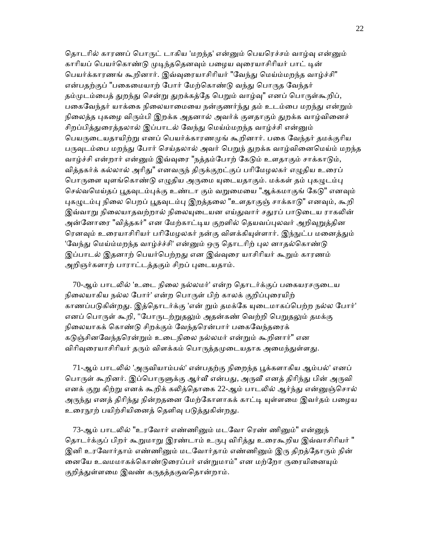தொடரில் காரணப் பொருட் டாகிய 'மறந்த' என்னும் பெயரெச்சம் வாழ்வு என்னும் காரியப் பெயர்கொண்டு முடிந்ததெனவும் பழைய வுரையாசிரியர் பாட் டின் பெயர்க்காரணங் கூறினார். இவ்வுரையாசிரியர் "வேந்து மெய்ம்மறந்த வாழ்ச்சி" என்பதற்குப் "பகைமையாற் போர் மேற்கொண்டு வந்து பொருத வேந்தர் தம்முடம்பைத் துறந்து சென்று துறக்கத்தே பெறும் வாழ்வு" எனப் பொருள்கூறிப், பகைவேந்தர் யாக்கை நிலையாமையை நன்குணர்ந்து தம் உடம்பை மறந்து என்றும் நிலைத்த புகழை விரும்பி இறக்க அதனால் அவர்க் குளதாகும் துறக்க வாழ்வினைச் சிறப்பித்துரைத்தலால் இப்பாடல் வேந்து மெய்ம்மறந்த வாழ்ச்சி என்னும் பெயருடையதாயிற்று எனப் பெயர்க்காரணமுங் கூறினார். பகை வேந்தர் தமக்குரிய பருவுடம்பை மறந்து போர் செய்தலால் அவர் பெறுந் துறக்க வாழ்வினைமெய்ம் மறந்த வாழ்ச்சி என்றார் என்னும் இவ்வுரை "நத்தம்போற் கேடும் உளதாகும் சாக்காடும், வித்தகர்க் கல்லால் அரிது" எனவருந் திருக்குறட்குப் பரிமேழலகர் எழுதிய உரைப் பொருளை யுளங்கொண்டு எழுதிய அருமை யுடையதாகும். மக்கள் தம் புகழுடம்பு செல்வமெய்தப் பூதவுடம்புக்கு உண்டா கும் வறுமையை "ஆக்கமாகுங் கேடு" எனவும் புகழுடம்பு நிலை பெறப் பூதவுடம்பு இறத்தலை "உளதாகுஞ் சாக்காடு" எனவும், கூறி இவ்வாறு நிலையாதவற்றால் நிலையுடையன எய்துவார் சதுரப் பாடுடைய ராகலின் அன்னோரை "வித்தகர்" என மேற்காட்டிய குறளில் தெயவப்புலவர் அறிவுறுத்தின ரெனவும் உரையாசிரியர் பரிமேழலகர் நன்கு விளக்கியுள்ளார். இந்நுட்ப மனைத்தும் 'வேந்து மெய்ம்மறந்த வாழ்ச்ச்சி' என்னும் ஒரு தொடரிற் புல னாதல்கொண்டு இப்பாடல் இதனாற் பெயர்பெற்றது என இவ்வுரை யாசிரியர் கூறும் காரணம் அறிஞர்களாற் பாராட்டத்தகும் சிறப் புடையதாம்.

70-ஆம் பாடலில் 'உடை நிலை நல்லமர்' என்ற தொடர்க்குப் பகையரசருடைய நிலையாகிய நல்ல போர்' என்ற பொருள் பிற் காலக் குறிப்புரையிற் காணப்படுகின்றது. இத்தொடர்க்கு 'என் றும் தமக்கே யுடைமாகப்பெற்ற நல்ல போர்' எனப் பொருள் கூறி, "போருடற்றுதலும் அதன்கண் வெற்றி பெறுதலும் தமக்கு நிலையாகக் கொண்டு சிறக்கும் வேந்தரென்பார் பகைவேந்தரைக் கடுஞ்சினவேந்தரென்றும் உடைநிலை நல்லமர் என்றும் கூறினார்" என விரிவுரையாசிரியர் தரும் விளக்கம் பொருத்தமுடையதாக அமைந்துள்ளது.

71-ஆம் பாடலில் 'அருவியாம்பல்' என்பதற்கு நிறைந்த பூக்களாகிய ஆம்பல்' எனப் பொருள் கூறினர். இப்பொருளுக்கு ஆர்வீ என்பது, அருவீ எனத் திரிந்து பின் அருவி எனக் குறு கிற்று எனக் கூறிக் கலித்தொகை 22-ஆம் பாடலில் ஆர்ந்து என்னுஞ்சொல் அருந்து எனத் திரிந்து நின்றதனை மேற்கோளாகக் காட்டி யுள்ளமை இவர்தம் பழைய உரைநூற் பயிற்சியினைத் தெளிவு படுத்துகின்றது.

73-ஆம் பாடலில் "உரவோர் எண்ணினும் மடவோ ரெண் ணினும்" என்னுந் தொடர்க்குப் பிறர் கூறுமாறு இரண்டாம் உருபு விரித்து உரைகூறிய இவ்வாசிரியர் " இனி உரவோர்தாம் எண்ணினும் மடவோர்தாம் எண்ணினும் இரு திறத்தோரும் நின் னையே உவமமாகக்கொண்டுரைப்பர் என்றுமாம்" என மற்றோ ருரையினையும் குறித்துள்ளமை இவண் கருதத்தகுவதொன்றாம்.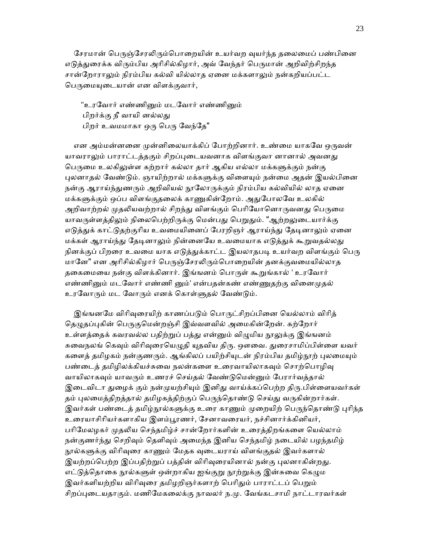சேரமான் பெருஞ்சேரலிரும்பொறையின் உயர்வற வுயர்ந்த தலைமைப் பண்பினை எடுத்துரைக்க விரும்பிய அரிசில்கிழார், அவ் வேந்தர் பெருமான் அறிவிற்சிறந்த சான்றோராலும் நிரம்பிய கல்வி யில்லாத ஏனை மக்களாலும் நன்கறியப்பட்ட பெருமையுடையான் என விளக்குவார்,

"உரவோர் எண்ணினும் மடவோர் எண்ணினும் பிறர்க்கு நீ வாயி னல்லது பிறர் உவமமாகா ஒரு பெரு வேந்தே"

என அம்மன்னனை முன்னிலையாக்கிப் போற்றினார். உண்மை யாகவே ஒருவன் யாவராலும் பாராட்டத்தகும் சிறப்புடையவனாக விளங்குவா னானால் அவனது பெருமை உலகிலுள்ள கற்றார் கல்லா தார் ஆகிய எல்லா மக்களுக்கும் நன்கு புலனாதல் வேண்டும். ஞாயிற்றால் மக்களுக்கு விளையும் நன்மை அதன் இயல்பினை நன்கு ஆராய்ந்துணரும் அறிவியல் நூலோருக்கும் நிரம்பிய கல்வியில் லாத ஏனை மக்களுக்கும் ஒப்ப விளங்குதலைக் காணுகின்றோம். அதுபோலவே உலகில் அறிவாற்றல் முதலியவற்றால் சிறந்து விளங்கும் பெரியோனொருவனது பெருமை யாவருள்ளத்திலும் நிலைபெற்றிருக்கு மென்பது பெறுதும். "ஆற்றலுடையார்க்கு எடுத்துக் காட்டுதற்குரிய உவமையினைப் பேரறிஞர் ஆராய்ந்து தேடினாலும் ஏனை மக்கள் ஆராய்ந்து தேடினாலும் நின்னையே உவமையாக எடுத்துக் கூறுவதல்லது நினக்குப் பிறரை உவமை யாக எடுத்துக்காட்ட இயலாதபடி உயர்வற விளங்கும் பெரு மானே" என அரிசில்கிழார் பெருஞ்சேரலிரும்பொறையின் தனக்குவமையில்லாத தகைமையை நன்கு விளக்கினார். இங்ஙனம் பொருள் கூறுங்கால் ' உரவோர் எண்ணினும் மடவோர் எண்ணி னும்' என்பதன்கண் எண்ணுதற்கு வினைமுதல் உரவோரும் மட வோரும் எனக் கொள்ளுதல் வேண்டும்.

இங்ஙனமே விரிவரையிற் காணப்படும் பொருட்சிறப்பினை யெல்லாம் விரித் தெழுதப்புகின் பெருகுமென்றஞ்சி இவ்வளவில் அமைகின்றேன். கற்றோர் உள்ளத்தைக் கவரவல்ல பதிற்றுப் பத்து என்னும் விழுமிய நூலுக்கு இங்ஙனம் சுவைநலங் கெவும் விரிவுரையெழுதி யுதவிய திரு. ஔவை. துரைசாமிப்பிள்ளை யவர் களைத் தமிழகம் நன்குணரும். ஆங்கிலப் பயிற்சியுடன் நிரம்பிய தமிழ்நூற் புலமையும் பண்டைத் தமிழிலக்கியச்சுவை நலன்களை உரைவாயிலாகவும் சொற்பொழிவு வாயிலாகவும் யாவரும் உணரச் செய்தல் வேண்டுமென்னும் பேரார்வத்தால் இடைவிடா துழைக் கும் நன்முயற்சியும் இனிது வாய்க்கப்பெற்ற திரு.பிள்ளையவர்கள் தம் புலமைத்திறத்தால் தமிழகத்திற்குப் பெருந்தொண்டு செய்து வருகின்றார்கள். இவர்கள் பண்டைத் தமிழ்நூல்களுக்கு உரை காணும் முறையிற் பெருந்தொண்டு புரிந்த உரையாசிரியர்களாகிய இளம்பூரணர், சேனாவரையர், நச்சினார்க்கினியர், பரிமேலழகர் முதலிய செந்தமிழ்ச் சான்றோர்களின் உரைத்திறங்களை யெல்லாம் நன்குணர்ந்து செறிவும் தெளிவும் அமைந்த இனிய செந்தமிழ் நடையில் பழந்தமிழ் நூல்களுக்கு விரிவுரை காணும் மேதக வுடையராய் விளங்குதல் இவர்களால் இயற்றப்பெற்ற இப்பதிற்றுப் பத்தின் விரிவுரையினால் நன்கு புலனாகின்றது. எட்டுத்தொகை நூல்களுள் ஒன்றாகிய ஐங்குறு நூற்றுக்கு இன்சுவை கெழும இவர்களியற்றிய விரிவுரை தமிழறிஞர்களாற் பெரிதும் பாராட்டப் பெறும் சிறப்புடையதாகும். மணிமேகலைக்கு நாவலர் ந.மு. வேங்கடசாமி நாட்டாரவர்கள்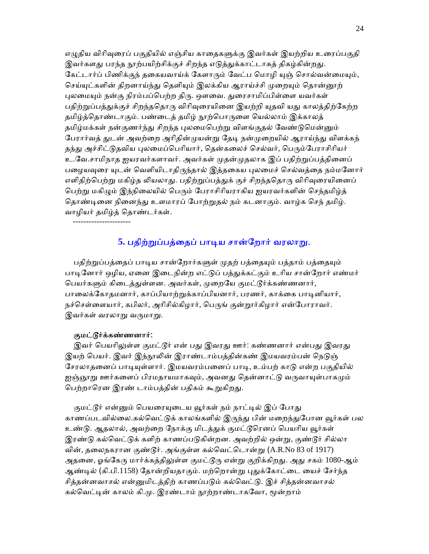எழுதிய விரிவுரைப் பகுதியில் எஞ்சிய காதைகளுக்கு இவர்கள் இயற்றிய உரைப்பகுதி இவர்களது பரந்த நூற்பயிற்சிக்குச் சிறந்த எடுத்துக்காட்டாகத் திகழ்கின்றது. கேட்டார்ப் பிணிக்குந் தகையவாய்க் கேளாரும் வேட்ப மொழி யுஞ் சொல்வன்மையும், செய்யுட்களின் திறனாய்ந்து தெளியும் இலக்கிய ஆராய்ச்சி முறையும் தொன்னூற் புலமையும் நன்கு நிரம்பப்பெற்ற திரு. ஔவை. துரைசாமிப்பிள்ளை யவர்கள் பதிற்றுப்பத்துக்குச் சிறந்ததொரு விரிவுரையினை இயற்றி யுதவி யது காலத்திற்கேற்ற தமிழ்த்தொண்டாகும். பண்டைத் தமிழ் நூற்பொருளை யெல்லாம் இக்காலத் தமிழ்மக்கள் நன்குணர்ந்து சிறந்த புலமைபெற்று விளங்குதல் வேண்டுமென்னும் பேரார்வத் துடன் அவற்றை அரிதின்முயன்று தேடி நன்முறையில் ஆராய்ந்து விளக்கந் தந்து அச்சிட்டுதவிய புலமைப்பெரியார், தென்கலைச் செல்வர், பெரும்பேராசிரியர் உ.வே.சாமிநாத ஐயரவர்களாவர். அவர்கள் முதன்முதலாக இப் பதிற்றுப்பத்தினைப் பழையவுரை யுடன் வெளியிடாதிருந்தால் இத்தகைய புலமைச் செல்வத்தை நம்மனோர் எளிதிற்பெற்று மகிழ்த லியலாது. பதிற்றுப்பத்துக் குச் சிறந்ததொரு விரிவுரையினைப் பெற்று மகிழும் இந்நிலையில் பெரும் பேராசிரியராகிய ஐயரவர்களின் செந்தமிழ்த் தொண்டினை நினைந்து உளமாரப் போற்றுதல் நம் கடனாகும். வாழ்க செந் தமிழ். வாழியர் தமிழ்த் ெதாண்டர்கள்.

----------------------

## 5. பதிற்றுப்பத்தைப் பாடிய சான்றோர் வரலாறு.

பதிற்றுப்பத்தைப் பாடிய சான்றோர்களுள் முதற் பத்தையும் பத்தாம் பத்தையும் பாடினோர் ஒழிய, ஏனை இடைநின்ற எட்டுப் பத்துக்கட்கும் உரிய சான்றோர் எண்மர் பெயர்களும் கிடைத்துள்ளன. அவர்கள், முறையே குமட்டூர்க்கண்ணனார், பாலைக்கோதமனார், காப்பியாற்றுக்காப்பியனார், பரணர், காக்கை பாடினியார், நச்செள்ளையார், கபிலர், அரிசில்கிழார், பெருங் குன்றூர்கிழார் என்போராவர். இவர்கள் வரலாறு வருமாறு.

#### குமட்ᾍர்க்கண்ணனார்:

இவர் பெயரிலுள்ள குமட்டூர் என் பது இவரது ஊர்: கண்ணனார் என்பது இவரது இயற் பெயர். இவர் இந்நூலின் இராண்டாம்பத்தின்கண் இமயவரம்பன் நெடுஞ் சேரலாதனைப் பாடியுள்ளார். இமயவரம்பனைப் பாடி, உம்பற் காடு என்ற பகுதியில் ஐஞ்ஞூறு ஊர்களைப் பிரமதாயமாகவும், அவனது தென்னாட்டு வருவாயுள்பாகமும் பெற்றாரென இரண் டாம்பத்தின் பதிகம் கூறுகிறது.

குமட்டூர் என்னும் பெயரையுடைய வூர்கள் நம் நாட்டில் இப் போது காணப்படவில்லை.கல்வெட்டுக் காலங்களில் இருந்து பின் மறைந்துபோன வூர்கள் பல உண்டு. ஆதலால், அவற்றை நோக்கு மிடத்துக் குமட்டூரெனப் பெயரிய வூர்கள் இரண்டு கல்வெட்டுக் களிற் காணப்படுகின்றன. அவற்றில் ஒன்று, குண்டூர் சில்லா வின், தைலநகரான குண்ᾍர். அங்குள்ள கல்ெவட்ெடான்ᾠ (A.R.No 83 of 1917) அதனை, ஓங்கேரு மார்க்கத்திலுள்ள குமட்டூரு என்று குறிக்கிறது. அது சகம் 1080-ஆம் ஆண்டில் (கி.பி.1158) தோன்றியதாகும். மற்றொன்று புதுக்கோட்டை யைச் சேர்ந்த சிக்கன்னவாசல் என்றையிடக்கிற் காணப்படும் கல்வெட்டு. இச் சிக்கன்னவாசல் கல்வெட்டின் காலம் கி.மு. இரண்டாம் நூற்றாண்டாகவோ, மூன்றாம்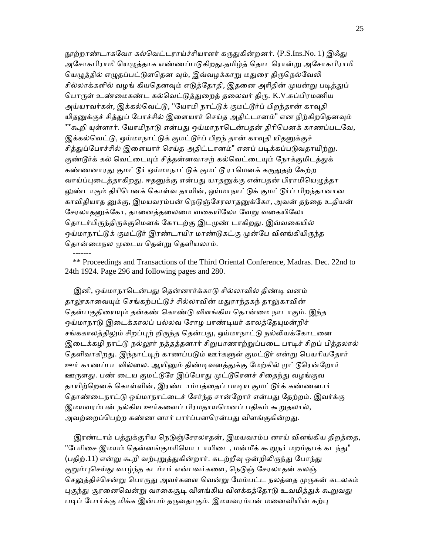நூற்றாண்டாகவோ கல்வெட்டராய்ச்சியாளர் கருதுகின்றனர். (P.S.Ins.No. 1) இஃது அசோகபிராமி யெழுத்தாக எண்ணப்படுகிறது.தமிழ்த் தொடரொன்று அசோகபிராமி யெழுத்தில் எழுதப்பட்டுளதென வும், இவ்வழக்காறு மதுரை திருநெல்வேலி சில்லாக்களில் வழங் கியதெனவும் எடுத்தோதி, இதனை அரிதின் முயன்று படித்துப் பொருள் உண்மைகண்ட கல்வெட்டுத்துறைத் தலைவர் திரு. K.V.சுப்பிரமணிய அய்யரவர்கள், இக்கல்வெட்டு, "யோமி நாட்டுக் குமட்டூர்ப் பிறந்தான் காவுதி யிதனுக்குச் சித்துப் போச்சில் இளையார் செய்த அதிட்டானம்" என நிற்கிறதெனவும் \*\*கூறி யுள்ளார். யோமிநாடு என்பது ஒய்மாநாடென்பதன் திரிபெனக் காணப்படவே, இக்கல்வெட்டு, ஒய்மாநாட்டுக் குமட்டூர்ப் பிறந் தான் காவுதி யிதனுக்குச் சித்துப்போச்சில் இளையார் செய்த அதிட்டானம்" எனப் படிக்கப்படுவதாயிற்று. குண்டூர்க் கல் வெட்டையும் சித்தன்னவாசற் கல்வெட்டையும் நோக்குமிடத்துக் கண்ணனாரது குமட்டூர் ஒய்மாநாட்டுக் குமட்டூ ராமெனக் கருதுதற் கேற்ற வாய்ப்புடைத்தாகிறது. ஈதனுக்கு என்பது யாதனுக்கு என்பதன் பிராமியெழுத்தா லுண்டாகும் திரிபெனக் கொள்வ தாயின், ஒய்மாநாட்டுக் குமட்டூர்ப் பிறந்தானான காவிதியாத னுக்கு, இமயவரம்பன் நெடுஞ்சேரலாதனுக்கோ, அவன் தந்தை உதியன் சேரலாதனுக்கோ, தானைத்தலைமை வகையிலோ வேறு வகையிலோ தொடர்பிருந்திருக்குமெனக் கோடற்கு இடமுண் டாகிறது. இவ்வகையில் ஒய்மாநாட்டுக் குமட்டூர் இரண்டாயிர மாண்டுகட்கு முன்பே விளங்கியிருந்த தொன்மைநல முடைய கென்று தெளியலாம்.

 \*\* Proceedings and Transactions of the Third Oriental Conference, Madras. Dec. 22nd to 24th 1924. Page 296 and following pages and 280.

-------

இனி, ஒய்மாநாடென்பது தென்னார்க்காடு சில்லாவில் திண்டி வனம் தாலூகாவையும் செங்கற்பட்டுச் சில்லாவின் மதுராந்தகந் தாலுகாவின் தென்பகுதியையும் தன்கண் கொண்டு விளங்கிய தொன்மை நாடாகும். இந்த ஒய்மாநாடு இடைக்காலப் பல்லவ சோழ பாண்டியர் காலத்தேயுமன்றிச் சங்ககாலத்திலும் சிறப்புற் றிருந்த தென்பது, ஒய்மாநாட்டு நல்லியக்கோடனை இடைக்கழி நாட்டு நல்லூர் நத்தத்தனார் சிறுபாணாற்றுப்படை பாடிச் சிறப் பித்தலால் தெளிவாகிறது. இந்நாட்டிற் காணப்படும் ஊர்களுள் குமட்டூர் என்று பெயரியதோர் ஊர் காணப்படவில்லை. ஆயினும் திண்டிவனத்துக்கு மேற்கில் முட்டூரென்றோர் ஊருளது. பண் டைய குமட்டூரே இப்போது முட்டூரெனச் சிதைந்து வழங்குவ தாயிற்றெனக் கொள்ளின், இரண்டாம்பத்தைப் பாடிய குமட்டூர்க் கண்ணனார் தொண்டைநாட்டு ஒய்மாநாட்டைச் சேர்ந்த சான்றோர் என்பது தேற்றம். இவர்க்கு இமயவரம்பன் நல்கிய ஊர்களைப் பிரமதாயமெனப் பதிகம் கூறுதலால், அவற்றைப்பெற்ற கண்ண னார் பார்ப்பனரென்பது விளங்குகின்றது.

இரண்டாம் பத்துக்குரிய நெடுஞ்சேரலாதன், இமயவரம்ப னாய் விளங்கிய திறத்தை, "பேரிசை இமயம் தென்னங்குமரியொ டாயிடை, மன்மீக் கூறுநர் மறம்தபக் கடந்து" (பதிற்.11) என்று கூறி வற்புறுத்துகின்றார். கடற்றீவு ஒன்றிலிருந்து போந்து குறும்புசெய்து வாழ்ந்த கடம்பர் என்பவர்களை, நெடுஞ் சேரலாதன் கலஞ் செலுத்திச்சென்று பொருது அவர்களை வென்று மேம்பட்ட நலத்தை முருகன் கடலகம் புகுந்து சூரனைவென்று வாகைசூடி விளங்கிய விளக்கத்தோடு உவமித்துக் கூறுவது படிப் போர்க்கு மிக்க இன்பம் தருவதாகும். இமயவரம்பன் மனைவியின் கற்பு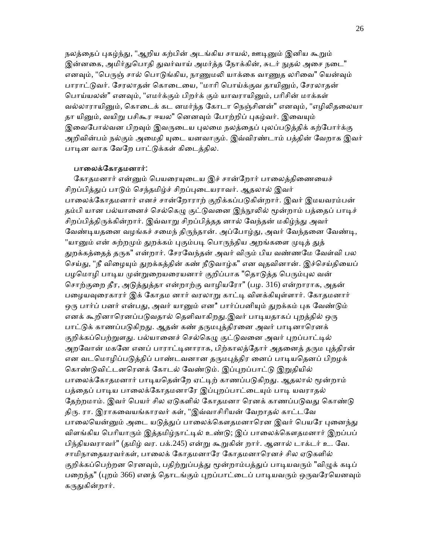நலத்தைப் புகழ்ந்து, "ஆறிய கற்பின் அடங்கிய சாயல், ஊடினும் இனிய கூறும் இன்னகை, அமிர்துபொதி துவர்வாய் அமர்த்த நோக்கின், சுடர் நுதல் அசை நடை" எனவும், "பெருஞ் சால் பொடுங்கிய, நாணுமலி யாக்கை வாணுத லரிவை" யென்வும் பாராட்டுவர். சேரலாதன் கொடையை, "மாரி பொய்க்குவ தாயினும், சேரலாதன் பொய்யலன்" எனவும், "எமர்க்கும் பிறர்க் கும் யாவராயினும், பரிசின் மாக்கள் வல்லாராயினும், கொடைக் கட னமர்ந்த கோடா நெஞ்சினன்" எனவும், "எழிலிதலையா தா யினும், வயிறு பசிகூர ஈயல" னெனவும் போற்றிப் புகழ்வர். இவையும் இவைபோல்வன பிறவும் இவருடைய புலமை நலத்தைப் புலப்படுத்திக் கற்போர்க்கு அறிவின்பம் நல்கும் அமைதி யுடை யனவாகும். இவ்விரண்டாம் பத்தின் வேறாக இவர் பாடின வாக வேறே பாட்டுக்கள் கிடைத்தில.

#### பாலைக்கோதமனார்:

கோதமனார் என்னும் பெயரையுடைய இச் சான்றோர் பாலைத்திணையைச் சிறப்பித்துப் பாடும் செந்தமிழ்ச் சிறப்புடையராவர். ஆதலால் இவர் பாலைக்கோதமனார் எனச் சான்றோராற் குறிக்கப்படுகின்றார். இவர் இமயவரம்பன் தம்பி யான பல்யானைச் செல்கெழு குட்டுவனை இந்நூலில் மூன்றாம் பத்தைப் பாடிச் சிறப்பித்திருக்கின்றார். இவ்வாறு சிறப்பித்தத னால் வேந்தன் மகிழ்ந்து அவர் வேண்டியதனை வழங்கச் சமைந் திருந்தான். அப்போழ்து, அவர் வேந்தனை வேண்டி, "யானும் என் சுற்றமும் துறக்கம் புகும்படி பொருந்திய அறங்களை முடித் துத் துறக்கத்தைத் தருக" என்றார். சேரவேந்தன் அவர் விரும் பிய வண்ணமே வேள்வி பல செய்து, "நீ விழையும் துறக்கத்தின் கண் நீடுவாழ்க" என வுதவினான். இச்செய்தியைப் பழமொழி பாடிய முன்றுறையரையனார் குறிப்பாக "தொடுத்த பெரும்புல வன் சொற்குறை தீர, அடுத்துத்தா என்றாற்கு வாழியரோ" (பழ. 316) என்றாராக, அதன் பழையவுரைகாரர் இக் கோதம னார் வரலாறு காட்டி விளக்கியுள்ளார். கோதமனார் ஒரு பார்ப் பனர் என்பது, அவர் யானும் என\* பார்ப்பனியும் துறக்கம் புக வேண்டும் எனக் கூறினாரெனப்படுவதால் தெளிவாகிறது.இவர் பாடியதாகப் புறத்தில் ஒரு பாட்டுக் காணப்படுகிறது. ஆதன் கண் தருமபுத்திரனை அவர் பாடினாரெனக் குறிக்கப்பெற்றுளது. பல்யானைச் செல்கெழு குட்டுவனை அவர் புறப்பாட்டில் அறவோன் மகனே எனப் பாராட்டினாராக, பிற்காலத்தோர் அதனைத் தரும புத்திரன் என வடமொழிப்படுத்திப் பாண்டவனான தருமபுத்திர னைப் பாடியதெனப் பிறழக் கொண்டுவிட்டனரெனக் கோடல் வேண்டும். இப்புறப்பாட்டு இறுதியில் பாலைக்கோதமனார் பாடியதென்றே ஏட்டிற் காணப்படுகிறது. ஆதலால் மூன்றாம் பத்தைப் பாடிய பாலைக்கோதமனாரே இப்புறப்பாட்டையும் பாடி யவராதல் தேற்றமாம். இவர் பெயர் சில ஏடுகளில் கோதமனா ரெனக் காணப்படுவது கொண்டு திᾞ. ரா. இராகைவயங்காரவர் கள், "இவ்வாசிாியன் ேவறாதல் காட்டேவ பாலையென்னும் அடை யடுத்துப் பாலைக்கௌதமனாரென இவர் பெயரே புனைந்து விளங்கிய பெரியாரும் இத்தமிழ்நாட்டில் உண்டு; இப் பாலைக்கௌதமனார் இறப்பப் பிந்தியவராவர்" (தமிழ் வர. பக்.245) என்ᾠ கூᾠகின் றார். ஆனால் டாக்டர் உ. ேவ. சாமிநாதையரவர்கள், பாலைக் கோதமனாரே கோதமனாரெனச் சில ஏடுகளில் குறிக்கப்பெற்றன ரெனவும், பதிற்றுப்பத்து மூன்றாம்பத்துப் பாடியவரும் "விழுக் கடிப் பறைந்த" (புறம் 366) எனத் தொடங்கும் புறப்பாட்டைப் பாடியவரும் ஒருவரேயெனவும் கருதுகின்றார்.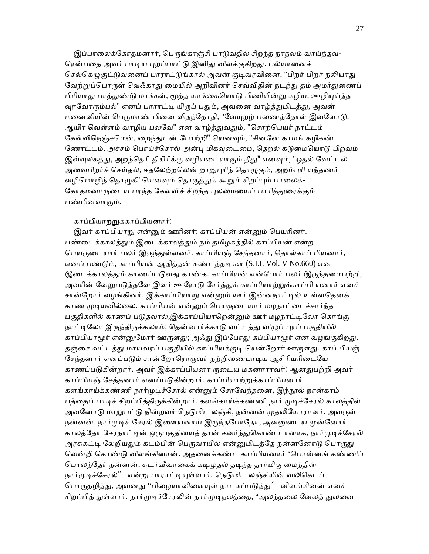இப்பாலைக்கோதமனார், பெருங்காஞ்சி பாடுவதில் சிறந்த நாநலம் வாய்ந்தவ-ரென்பதை அவர் பாடிய புறப்பாட்டு இனிது விளக்குகிறது. பல்யானைச் செல்கெழுகுட்டுவனைப் பாராட்டுங்கால் அவன் குடிவரவினை, "பிறர் பிறர் நலியாது வேற்றுப்பொருள் வெஃகாது மையில் அறிவினர் செவ்விதின் நடந்து தம் அமர்துணைப் பிரியாது பாத்துண்டு மாக்கள், மூத்த யாக்கையொடு பிணியின்று கழிய, ஊழியுய்த்த வுரவோரும்பல்" எனப் பாராட்டி யிருப் பதும், அவனை வாழ்த்துமிடத்து, அவன் மனைவியின் பெருமாண் பினை விதந்தோதி, "வேயுறழ் பணைத்தோள் இவளோடு, ஆயிர வெள்ளம் வாழிய பலவே" என வாழ்த்துவதும், "சொற்பெயர் நாட்டம் கேள்விநெஞ்சமென், றைந்துடன் போற்றி" யெனவும், "சினனே காமங் கழிகண் ணோட்டம், அச்சம் பொய்ச்சொல் அன்பு மிகவுடைமை, தெறல் கடுமையொடு பிறவும் இவ்வுலகத்து, அறந்தெரி திகிரிக்கு வழியடையாகும் தீது" எனவும், "ஓதல் வேட்டல் அவைபிறர்ச் செய்தல், ஈதலேற்றலென் றாறுபுரிந் தொழுகும், அறம்புரி யந்தணர் வழிமொழிந் தொழுகி' யெனவும் தொகுத்துக் கூறும் சிறப்பும் பாலைக்-கோதமனாருடைய பரந்த கேளவிச் சிறந்த புலமையைப் பாரித்துரைக்கும் பண்பினவாகும்.

### காப்பியாற்ᾠக்காப்பியனார்:

இவர் காப்பியாறு என்னும் ஊரினர்; காப்பியன் என்னும் பெயரினர். பண்டைக்காலத்தும் இடைக்காலத்தும் நம் தமிழகத்தில் காப்பியன் என்ற பெயருடையார் பலர் இருந்துள்ளனர். காப்பியஞ் சேந்தனார், தொல்காப் பியனார், எனப் பண்டும், காப்பியன் ஆதித்தன் கண்டத்தடிகள் (S.I.I. Vol. V No.660) என இடைக்காலத்தும் காணப்படுவது காண்க. காப்பியன் என்போர் பலர் இருந்தமைபற்றி, அவரின் வேறுபடுத்தவே இவர் ஊரோடு சேர்த்துக் காப்பியாற்றுக்காப்பி யனார் எனச் சான்றோர் வழங்கினர். இக்காப்பியாறு என்னும் ஊர் இன்னநாட்டில் உள்ளதெனக் காண முடியவில்லை. காப்பியன் என்னும் பெயருடையார் மழநாட்டைச்சார்ந்த பகுதிகளில் காணப் படுதலால்,இக்காப்பியாறென்னும் ஊர் மழநாட்டிலோ கொங்கு நாட்டிலோ இருந்திருக்கலாம்; தென்னார்க்காடு வட்டத்து விழுப் புரப் பகுதியில் காப்பியாமூர் என்னுமோர் ஊருளது; அஃது இப்போது கப்பியாமூர் என வழங்குகிறது. தஞ்சை வட்டத்து மாயவரப் பகுதியில் காப்பியக்குடி யென்றோர் ஊருளது. காப் பியஞ் சேந்தனார் எனப்படும் சான்றோரொருவர் நற்றிணைபாடிய ஆசிரியரிடையே காணப்படுகின்றார். அவர் இக்காப்பியனா ருடைய மகனாராவர்: ஆனதுபற்றி அவர் காப்பியஞ் சேத்தனார் எனப்படுகின்றார். காப்பியாற்றுக்காப்பியனார் களங்காய்க்கண்ணி நார்முடிச்சேரல் என்னும் சேரவேந்தனை, இந்நூல் நான்காம் பத்தைப் பாடிச் சிறப்பித்திருக்கின்றார். களங்காய்க்கண்ணி நார் முடிச்சேரல் காலத்தில் அவனோடு மாறுபட்டு நின்றவர் நெடுமிட லஞ்சி, நன்னன் முதலியோராவர். அவருள் நன்னன், நார்முடிச் சேரல் இளையனாய் இருந்தபோதோ, அவனுடைய முன்னோர் காலத்தோ சேரநாட்டின் ஒருபகுதியைத் தான் கவர்ந்துகொண் டானாக, நார்முடிச்சேரல் அரசுகட்டி லேறியதும் கடம்பின் பெருவாயில் என்னுமிடத்தே நன்னனோடு பொருது வென்றி கொண்டு விளங்கினான். அதனைக்கண்ட காப்பியனார் 'பொன்னங் கண்ணிப் பொலந்தேர் நன்னன், சுடர்வீவாகைக் கடிமுதல் தடிந்த தார்மிகு மைந்தின் நார்முடிச்சேரல்" என்று பாராட்டியுள்ளார். நெடுமிட லஞ்சியின் வலிகெடப் பொருதழித்து, அவனது ''பிழையாவிளையுள் நாடகப்படுத்து'' விளங்கினன் எனச் சிறப்பித் துள்ளார். நார்முடிச்சேரலின் நார்முடிநலத்தை, ''அலந்தலை வேலத் துலவை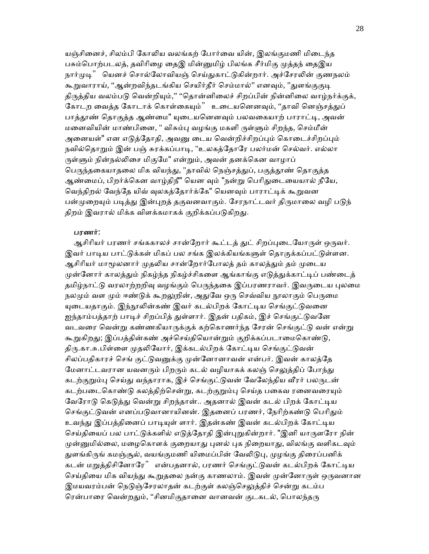யஞ்சினைச், சிலம்பி கோலிய வலங்கற் போர்வை யின், இலங்குமணி மிடைந்த பசும்பொற்படலத், தவிரிழை தைஇ மின்னுமிழ் பிலங்க சீர்மிகு முத்தந் தைஇய நார்முடி" யெனச் சொல்லோவியஞ் செய்துகாட்டுகின்றார். அச்சேரலின் குணநலம் கூறுவாராய், ''ஆன்றவிந்தடங்கிய செயிர்தீர் செம்மால்'' எனவும், ''துளங்குகுடி திருத்திய வலம்படு வென்றியும்,'' ''தொன்னிலைச் சிறப்பின் நின்னிலை வாழ்நர்க்குக், கோடற வைத்த கோடாக் கொள்கையும்" உடையனெனவும், ''தாவி னெஞ்சத்துப் பாக்தூண் கொகுக்க ஆண்மை" யுடையனெனவும் பலவகையாற் பாராட்டி, அவன் மனைவியின் மாண்பினை, " விசும்பு வழங்கு மகளி ருள்ளும் சிறந்த, செம்மீன் அனையள்" என எடுத்தோதி, அவனு டைய வென்றிச்சிறப்பும் கொடைச்சிறப்பும் நவில்தொறும் இன் பஞ் சுரக்கப்பாடி, "உலகத்தோரே பலர்மன் செல்வர். எல்லா ருள்ளும் நின்நல்லிசை மிகுமே" என்றும், அவன் தனக்கென வாழாப் பெருந்தகையாதலை மிக வியந்து, "தாவில் நெஞ்சத்துப், பகுத்தூண் தொகுத்த ஆண்மைப், பிறர்க்கென வாழ்திநீ" யென வும் "நன்று பெரிதுடையையால் நீயே, வெந்திறல் வேந்தே யிவ் வுலகத்தோர்க்கே" யெனவும் பாராட்டிக் கூறுவன பன்முறையும் படித்து இன்புறத் தகுவனவாகும். சேரநாட்டவர் திருமாலை வழி படுந் திறம் இவரால் மிக்க விளக்கமாகக் குறிக்கப்படுகிறது.

### பரணர்:

ஆசிரியர் பரணர் சங்ககாலச் சான்றோர் கூட்டத் துட் சிறப்புடையோருள் ஒருவர். இவர் பாடிய பாட்டுக்கள் மிகப் பல சங்க இலக்கியங்களுள் தொகுக்கப்பட்டுள்ளன. ஆசிரியர் மாமூலனார் முதலிய சான்றோர்போலத் தம் காலத்தும் தம் முடைய முன்னோர் காலத்தும் நிகழ்ந்த நிகழ்ச்சிகளை ஆங்காங்கு எடுத்துக்காட்டிப் பண்டைத் தமிழ்நாட்டு வரலாற்றறிவு வழங்கும் பெருந்தகை இப்பரணராவர். இவருடைய புலமை நலமும் வள மும் ஈண்டுக் கூறலுறின், அதுவே ஒரு செவ்விய நூலாகும் பெருமை யுடையதாகும். இந்நூலின்கண் இவர் கடல்பிறக் கோட்டிய செங்குட்டுவனை ஐந்தாம்பத்தாற் பாடிச் சிறப்பித் துள்ளார். இதன் பதிகம், இச் செங்குட்டுவனே வடவரை வென்று கண்ணகியாருக்குக் கற்கொணர்ந்த சேரன் செங்குட்டு வன் என்று கூறுகிறது; இப்பத்தின்கண் அச்செய்தியொன்றும் குறிக்கப்படாமைகொண்டு, திரு.கா.சு.பிள்ளை முதலியோர், இக்கடல்பிறக் கோட்டிய செங்குட்டுவன் சிலப்பதிகாரச் செங் குட்டுவனுக்கு முன்னோனாவன் என்பர். இவன் காலத்தே மேனாட்டவரான யவனரும் பிறரும் கடல் வழியாகக் கலஞ் செலுத்திப் போந்து கடற்குறும்பு செய்து வந்தாராக, இச் செங்குட்டுவன் வேலேந்திய வீரர் பலருடன் கடற்படைகொண்டு கலத்திற்சென்று, கடற்குறும்பு செய்த பகைவ ரனைவரையும் வேரோடு கெடுத்து வென்று சிறந்தான்.. அதனால் இவன் கடல் பிறக் கோட்டிய செங்குட்டுவன் எனப்படுவானாயினன். இதனைப் பரணர், நேரிற்கண்டு பெரிதும் உவந்து இப்பத்தினைப் பாடியுள் ளார். இதன்கண் இவன் கடல்பிறக் கோட்டிய செய்தியைப் பல பாட்டுக்களில் எடுத்தோதி இன்புறுகின்றார். "இனி யாருளரோ நின் முன்னுமில்லை, மழைகொளக் குறையாது புனல் புக நிறையாது, விலங்கு வளிகடவும் துளங்கிருங் கமஞ்சூல், வயங்குமணி யிமைப்பின் வேலிடுபு, முழங்கு திரைப்பனிக் கடன் மறுத்திசினோரே" என்பதனால், பரணர் செங்குட்டுவன் கடல்பிறக் கோட்டிய செய்தியை மிக வியந்து கூறுதலை நன்கு காணலாம். இவன் முன்னோருள் ஒருவனான இமயவரம்பன் நெடுஞ்சேரலாதன் கடற்குள் கலஞ்செலுத்திச் சென்று கடம்ப ரென்பாரை வென்றதும், ''சினமிகுதானை வானவன் குடகடல், பொலந்தரு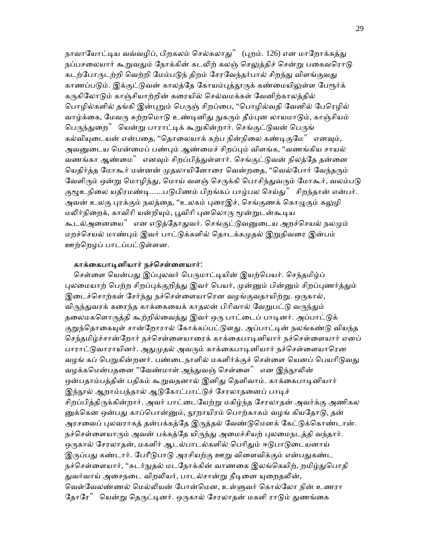நாவாயோட்டிய வவ்வழிப், பிறகலம் செல்கலாது" (புறம். 126) என மாறோக்கத்து நப்பசலையார் கூறுவதும் நோக்கின் கடலிற் கலஞ் செலுக்கிச் சென்று பகைவரொடு கடற்போருடற்றி வெற்றி மேம்படுந் திறம் சேரவேந்தர்பால் சிறந்து விளங்குவது காணப்படும். இக்குட்டுவன் காலத்தே கோயம்புத்தூருக் கண்மையிலுள்ள பேரூர்க் கருகிலோடும் காஞ்சியாற்றின் கரையில் செல்வமக்கள் வேனிற்காலத்தில் பொழில்களில் தங்கி இன்புறும் பெருஞ் சிறப்பை, ''பொழில்வதி வேனில் பேரெழில் வாழ்க்கை, மேவரு சுற்றமொடு உண்டினிது நுகரும் தீம்புன லாயமாடும், காஞ்சியம் பெருந்துறை" யென்று பாராட்டிக் கூறுகின்றார். செங்குட்டுவன் பெருங் கல்வியுடையன் என்பதை, ''தொலையாக் கற்ப நின்நிலை கண்டிகுமே'' எனவும், அவனுடைய மென்மைப் பண்பும் ஆண்மைச் சிறப்பும் விளங்க, ''வணங்கிய சாயல் வணங்கா ஆண்மை" எனவும் சிறப்பித்துள்ளார். செங்குட்டுவன் நிலத்தே தன்னை யெதிர்த்த மோகூர் மன்னன் முதலாயினோரை வென்றதை, ''வெல்போர் வேந்தரும் வேளிரும் ஒன்று மொழிந்து, மொய் வளஞ் செருக்கி பொசிந்துவரும் மோகூர், வலம்படு குழூஉநிலை யதிரமண்டி......படுபிணம் பிறங்கப் பாழ்பல செய்து" சிறந்தான் என்பர். அவன் உலகு புரக்கும் நலத்தை, ''உலகம் புரைஇச், செங்குணக் கொழுகும் கலுழி மலிர்நிறைக், காவிரி யன்றியும், பூவிரி புனலொரு மூன்றுடன்கூடிய கூடல்அனையை" என எடுத்தோதுவர். செங்குட்டுவனுடைய அறச்செயல் நலமும் மறச்செயல் மாண்பும் இவர் பாட்டுக்களில் தொடக்கமுதல் இறுதிவரை இன்பம் ஊற்ெறழப் பாடப்பட்ᾌள்ளன.

#### காக்ைகபாᾊனியார் நச்ெசள்ைளயார்:

செள்ளை யென்பது இப்புலவர் பெருமாட்டியின் இயற்பெயர். செந்தமிழ்ப் புலமையாற் பெற்ற சிறப்புக்குறிக்கு இவர் பெயர், முன்னும் பின்னும் சிறப்புணர்க்கும் இடைச்சொற்கள் சேர்ந்து நச்செள்ளையாரென வழங்குவதாயிற்று. ஒருகால், விருந்துவரக் கரைந்த காக்கையைக் காதலன் பிரிவால் வேறுபட்டு வருந்தும் தலைமகளொருத்தி கூற்றில்வைத்து இவர் ஒரு பாட்டைப் பாடினர். அப்பாட்டுக் குறுந்தொகையுள் சான்றோரால் கோக்கப்பட்டுளது. அப்பாட்டின் நலங்கண்டு வியந்த செந்தமிழ்ச்சான்றோர் நச்செள்ளையாரைக் காக்கைபாடினியார் நச்செள்ளையார் எனப் பாராட்டுவாராயினர். அதுமுதல் அவரும் காக்கைபாடினியார் நச்செள்ளையாரென வழங் கப் பெறுகின்றனர். பண்டைநாளில் மகளிர்க்குச் செள்ளை யெனப் பெயரிடுவது வழக்கமென்பதனை "வேண்மாள் அந்துவஞ் செள்ளை" என இந்நூலின் ஒன்பதாம்பத்தின் பதிகம் கூறுவதனால் இனிது தெளிவாம். காக்கைபாடினியார் இந்நூல் ஆறாம்பத்தால் ஆடுகோட்பாட்டுச் சேரலாதனைப் பாடிச் சிறப்பித்திருக்கின்றார். அவர் பாட்டையேற்று மகிழ்ந்த சேரலாதன் அவர்க்கு அணிகல னுக்கென ஒன்பது காப்பொன்னும், நூறாயிரம் பொற்காசும் வழங் கியதோடு, தன் அரசவைப் புலவராகத் தன்பக்கத்தே இருத்தல் வேண்டுமெனக் கேட்டுக்கொண்டான். நச்செள்ளையாரும் அவன் பக்கத்தே யிருந்து அமைச்சியற் புலமைநடத்தி வந்தார். ஒருகால் சேரலாதன், மகளிர் ஆடல்பாடல்களில் பெரிதும் ஈடுபாடுடையனாய் இருப்பது கண்டார். பேரீடுபாடு அரசியற்கு ஊறு விளைவிக்கும் என்பதுகண்ட நச்செள்ளையார், ''சுடர்நுதல் மடநோக்கின் வாணகை இலங்கெயிற், றமிழ்துபொதி துவர்வாய் அசைநடை விறலியர், பாடல்சான்று நீடினை யுறைதலின், வெள்வேலண்ணல் மெல்லியன் போன்மென, உள்ளுவர் கொல்லோ நின் உணரா தோரே" யென்று தெருட்டினர். ஒருகால் சேரலாதன் மகளி ராடும் துணங்கை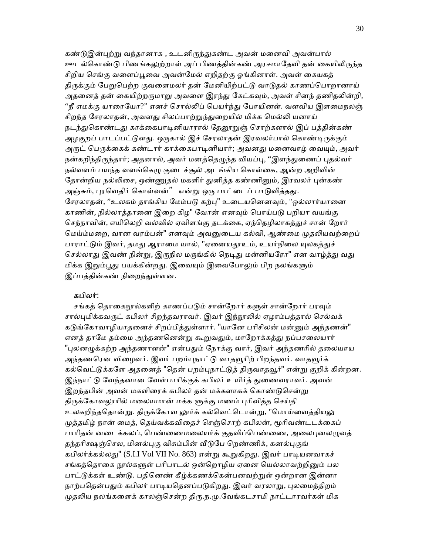கண்டுஇன்புற்று வந்தானாக , உடனிருந்துகண்ட அவன் மனைவி அவன்பால் ஊடல்கொண்டு பிணங்கலுற்றாள் அப் பிணத்தின்கண் அரசமாதேவி தன் கையிலிருந்த சிறிய ெசங்கு வைளப்ᾘைவ அவன்ேமல் எறிதற்கு ஓங்கினாள். அவள் ைகயகத் திருக்கும் பேறுபெற்ற குவளைமலர் தன் மேனியிற்பட்டு வாடுதல் காணப்பொறானாய் அதனைத் தன் கையிற்றருமாறு அவளை இரந்து கேட்கவும், அவள் சினந் தணிதலின்றி, "நீ எமக்கு யாரையோ?'' எனச் சொல்லிப் பெயர்ந்து போயினள். வளவிய இளமைநலஞ் சிறந்த சேரலாதன், அவளது சிலப்பாற்றுந்துறையில் மிக்க மெல்லி யனாய் நடந்துகொண்டது காக்கைபாடினியாரால் தேனூறுஞ் சொற்களால் இப் பத்தின்கண் அழகுறப் பாடப்பட்டுளது. ஒருகால் இச் சேரலாதன் இரவலர்பால் கொண்டிருக்கும் அருட் பெருக்கைக் கண்டார் காக்கைபாடினியார்; அவனது மனைவாழ் வையும், அவர் நன்கறிந்திருந்தார்; அதனால், அவர் மனத்தெழுந்த வியப்பு, ''இளந்துணைப் புதல்வர் நல்வளம் பயந்த வளங்கெழு குடைச்சூல் அடங்கிய கொள்கை, ஆன்ற அறிவின் தோன்றிய நல்லிசை, ஒண்ணுதல் மகளிர் துனித்த கண்ணினும், இரவலர் புன்கண் அஞ்சும், புரவெதிர் கொள்வன்" என்று ஒரு பாட்டைப் பாடுவித்தது. சேரலாதன், ''உலகம் தாங்கிய மேம்படு கற்பு" உடையனெனவும், "ஒல்லார்யானை காணின், நில்லாத்தானை இறை கிழ" வோன் எனவும் பொய்படு பறியா வயங்கு செந்நாவின், எயிலெறி வல்வில் ஏவிளங்கு தடக்கை, ஏந்தெழிலாகத்துச் சான் றோர் மெய்ம்மறை, வான வரம்பன்" எனவும் அவனுடைய கல்வி, ஆண்மை முதலியவற்றைப் பாராட்டும் இவர், தமது ஆராமை யால், "ஏனையதூஉம், உயர்நிலை யுலகத்துச் செல்லாது இவண் நின்று, இருநில மருங்கில் நெடிது மன்னியரோ" என வாழ்த்து வது மிக்க இறும்பூது பயக்கின்றது. இவையும் இவைபோலும் பிற நலங்களும் இப்பத்தின்கண் நிறைந்துள்ளன.

#### கபிலர்:

சங்கத் தொகைநூல்களிற் காணப்படும் சான்றோர் களுள் சான்றோர் பரவும் சால்புமிக்கவருட் கபிலர் சிறந்தவராவர். இவர் இந்நூலில் ஏழாம்பத்தால் செல்வக் கடுங்கோவாழியாதனைச் சிறப்பித்துள்ளார். "யானே பரிசிலன் மன்னும் அந்தணன்" எனத் தாமே தம்மை அந்தணனென்று கூறுவதும், மாறோக்கத்து நப்பசலையார் "புலனழுக்கற்ற அந்தணாளன்" என்பதும் நோக்கு வார், இவர் அந்தணரில் தலையாய அந்தணரென விழைவர். இவர் பறம்புநாட்டு வாதவூரிற் பிறந்தவர். வாதவூர்க் கல்வெட்டுக்களே அதனைத் "தென் பறம்புநாட்டுத் திருவாதவூர்" என்று குறிக் கின்றன. இந்நாட்டு வேந்தனான வேள்பாரிக்குக் கபிலர் உயிர்த் துணைவராவர். அவன் இறந்தபின் அவன் மகளிரைக் கபிலர் தன் மக்களாகக் கொண்டுசென்று திருக்கோவலூரில் மலையமான் மக்க ளுக்கு மணம் புரிவித்த செய்தி உலகறிந்ததொன்று. திருக்கோவ லூர்க் கல்வெட்டொன்று, "மொய்வைத்தியலு முத்தமிழ் நான் மைத், தெய்வக்கவிதைச் செஞ்சொற் கபிலன், மூரிவண்டடக்கைப் பாரிதன் னடைக்கலப், பெண்ணைமலையர்க் குதவிப்பெண்ணை, அலைபுனலழுவத் தந்தரிக்ஷஞ்செல, மினல்புகு விசும்பின் வீடுபே றெண்ணிக், கனல்புகுங் கபிலர்க்கல்லது" (S.I.I Vol VII No. 863) என்று கூறுகிறது. இவர் பாடியனவாகச் சங்கத்தொகை நூல்களுள் பரிபாடல் ஒன்றொழிய ஏனை யெல்லாவற்றினும் பல பாட்டுக்கள் உண்டு. பதினெண் கீழ்க்கணக்கென்பனவற்றுள் ஒன்றான இன்னா நாற்பதென்பதும் கபிலர் பாடியதெனப்படுகிறது. இவர் வரலாறு, புலமைத்திறம் முதலிய நலங்களைக் காலஞ்சென்ற திரு.ந.மு.வேங்கடசாமி நாட்டாரவர்கள் மிக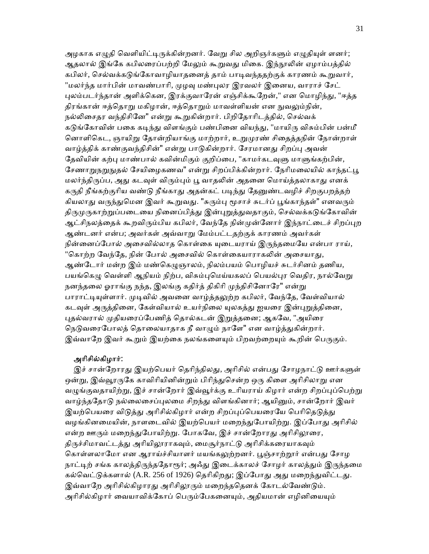அழகாக எழுதி வெளியிட்டிருக்கின்றனர். வேறு சில அறிஞர்களும் எழுதியுள் ளனர்; ஆதலால் இங்கே கபிலரைப்பற்றி மேலும் கூறுவது மிகை. இந்நூலின் ஏழாம்பத்தில் கபிலர், செல்வக்கடுங்கோவாழியாதனைத் தாம் பாடிவந்ததற்குக் காரணம் கூறுவார், "மலர்ந்த மார்பின் மாவண்பாரி, முழவு மண்புலர இரவலர் இனைய, வாராச் சேட் புலம்படர்ந்தான் அளிக்கென, இரக்குவாரேன் எஞ்சிக்கூறேன்," என மொழிந்து, "ஈத்த திரங்கான் ஈத்தொறு மகிழான், ஈத்தொறும் மாவள்ளியன் என நுவலும்நின், நல்லிசைதர வந்திசினே" என்று கூறுகின்றார். பிறிதோரிடத்தில், செல்வக் கடுங்கோவின் பகை கடிந்து விளங்கும் பண்பினை வியந்து, "மாயிரு விசும்பின் பன்மீ னொளிகெட, ஞாயிறு தோன்றியாங்கு மாற்றார், உறுமுரண் சிதைத்தநின் நோன்றாள் வாழ்த்திக் காண்குவந்திசின்" என்று பாடுகின்றார். சேரமானது சிறப்பு அவன் தேவியின் கற்பு மாண்பால் கவின்மிகும் குறிப்பை, "காமர்கடவுளு மாளுங்கற்பின், சேணாறுநறுநுதல் சேயிழைகணவ" என்று சிறப்பிக்கின்றார். நேரிமலையில் காந்தட்பூ மலர்ந்திருப்ப, அது கடவுள் விரும்பும் பூ வாதலின் அதனை மொய்த்தலாகாது எனக் கருதி நீங்கற்குரிய வண்டு நீங்காது அதன்கட் படிந்து தேனுண்டவழிச் சிறகுபறத்தற் கியலாது வருந்துமென இவர் கூறுவது. "சுரும்பு மூசாச் சுடர்ப் பூங்காந்தள்" எனவரும் திருமுருகாற்றுப்படையை நினைப்பிக்து இன்புறுக்துவதாகும், செல்வக்கடுங்கோவின் ஆட்சிநலத்தைக் கூறவிரும்பிய கபிலர், வேந்தே நின்முன்னோர் இந்நாட்டைச் சிறப்புற ஆண்டனர் என்ப; அவர்கள் அவ்வாᾠ ேமம்பட்டதற்குக் காரணம் அவர்கள் நின்னைப்போல் அசைவில்லாத கொள்கை யுடையராய் இருந்தமையே என்பா ராய், "கொற்ற வேந்தே, நின் போல் அசைவில் கொள்கையாராகலின் அசையாது, ஆண்டோர் மன்ற இம் மண்கெழுஞாலம், நிலம்பயம் பொழியச் சுடர்சினம் தணிய, பயங்கெழு வெள்ளி ஆநியம் நிற்ப, விசும்புமெய்யகலப் பெயல்புர வெதிர, நால்வேறு நனந்தலை ஓராங்கு நந்த, இலங்கு கதிர்த் திகிரி முந்திசினோரே" என்று பாராட்டியுள்ளார். முடிவில் அவனை வாழ்த்தலுற்ற கபிலர், வேந்தே, வேள்வியால் கடவுள் அருத்தினை, கேள்வியால் உயர்நிலை யுலகத்து ஐயரை இன்புறுத்தினை, புதல்வரால் முதியரைப்பேணித் தொல்கடன் இறுத்தனை; ஆகவே, "அயிரை நெடுவரைபோலத் தொலையாதாக நீ வாழும் நாளே" என வாழ்த்துகின்றார். இவ்வாறே இவர் கூறும் இயற்கை நலங்களையும் பிறவற்றையும் கூறின் பெருகும்.

### அாிசில்கிழார்:

இச் சான்றோரது இயற்பெயர் தெரிந்திலது, அரிசில் என்பது சோழநாட்டு ஊர்களுள் ஒன்று, இவ்வூரருகே காவிரியினின்றும் பிரிந்துசென்ற ஒரு கிளை அரிசிலாறு என வழுங்குவதாயிற்று, இச் சான்றோர் இவ்வூர்க்கு உரியராய் கிழார் என்ற சிறப்புப்பெற்று வாழ்ந்ததோடு நல்லைசைப்புலமை சிறந்து விளங்கினார்; ஆயினும், சான்றோர் இவர் இயற்பெயரை விடுத்து அரிசில்கிழார் என்ற சிறப்புப்பெயரையே பெரிதெடுத்து வழங்கினமையின், நாளடைவில் இயற்பெயர் மறைந்துபோயிற்று. இப்போது அரிசில் என்ற ஊரும் மறைந்துபோயிற்று. போகவே, இச் சான்றோரது அரிசிலூரை, திருச்சிமாவட்டத்து அரியிலூராகவும், மைசூர்நாட்டு அரிசிக்கரையாகவும் கொள்ளலாமோ என ஆராய்ச்சியாளர் மயங்கலுற்றனர். பூஞ்சாற்றூர் என்பது சோழ நாட்டிற் சங்க காலத்திருந்ததோரூர்; அஃது இடைக்காலச் சோழர் காலத்தும் இருந்தமை கல்வெட்டுக்களால் (A.R. 256 of 1926) தெரிகிறது; இப்போது அது மறைந்துவிட்டது. இவ்வாறே அரிசில்கிழாரது அரிசிலூரும் மறைந்ததெனக் கோடல்வேண்டும். அரிசில்கிழார் வையாவிக்கோப் பெரும்பேகனையும், அதியமான் எழினியையும்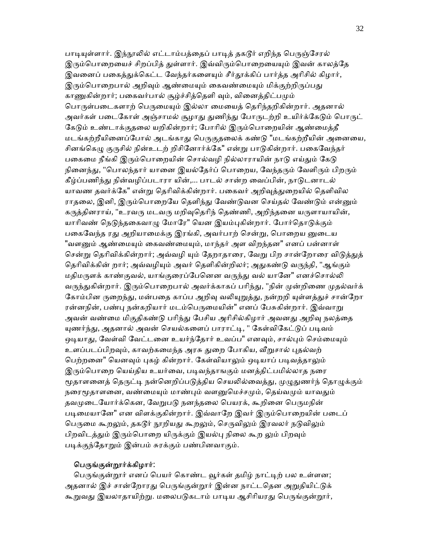பாடியுள்ளார். இந்நூலில் எட்டாம்பத்தைப் பாடித் தகடூர் எறிந்த பெருஞ்சேரல் இரும்பொறையைச் சிறப்பித் துள்ளார். இவ்விரும்பொறையையும் இவன் காலத்தே இவனைப் பகைத்துக்கெட்ட வேந்தர்களையும் சீர்தூக்கிப் பார்த்த அரிசில் கிழார், இரும்பொறைபால் அறிவும் ஆண்மையும் கைவண்மையும் மிக்குற்றிருப்பது காணுகின்றார்; பகைவர்பால் சூழ்ச்சித்தெளி வும், வினைத்திட்பமும் பொருள்படைகளாற் பெருமையும் இல்லா மையைத் தெரிந்தறிகின்றார். அதனால் அவர்கள் படைகோள் அஞ்சாமல் சூழாது துணிந்து போருடற்றி உயிர்க்கேடும் பொருட் கேடும் உண்டாக்குதலை யறிகின்றார்; போரில் இரும்பொறையின் ஆண்மைத்தீ மடங்கற்றீயினைப்போல் அடங்காது பெருகுதலைக் கண்டு "மடங்கற்றீயின் அனையை, சினங்கெழு குருசில் நின்உடற் றிசினோர்க்கே" என்று பாடுகின்றார். பகைவேந்தர் பகைமை நீங்கி இரும்பொறையின் சொல்வழி நில்லாராயின் நாடு எய்தும் கேடு நினைந்து, "பொலந்தார் யானை இயல்தேர்ப் பொறைய, வேந்தரும் வேளிரும் பிறரும் கீழ்ப்பணிந்து நின்வழிப்படாரா யின்,... பாடல் சான்ற வைப்பின், நாடுடனாடல் யாவண தவர்க்கே" என்று தெரிவிக்கின்றார். பகைவர் அறிவுத்துறையில் தெளிவில ராதலை, இனி, இரும்பொறையே தெளிந்து வேண்டுவன செய்தல் வேண்டும் என்னும் கருத்தினராய், "உரவரு மடவரு மறிவுதெரிந் தெண்ணி, அறிந்தனை யருளாயாயின், யாரிவண் நெடுந்தகைவாழு மோரே" யென இயம்புகின்றார். போர்தொடுக்கும் பகைவேந்த ரது அறியாமைக்கு இரங்கி, அவர்பாற் சென்று, பொறைய னுடைய "வளனும் ஆண்மையும் கைவண்மையும், மாந்தர் அள விறந்தன" எனப் பன்னாள் சென்று தெரிவிக்கின்றார்; அவ்வழி யும் தேறாதாரை, வேறு பிற சான்றோரை விடுத்துத் தெரிவிக்கின் றார்; அவ்வழியும் அவர் தெளிகின்றிலர்; அதுகண்டு வருந்தி, "ஆங்கும் மதிமருளக் காண்குவல், யாங்குரைப்பேனென வருந்து வல் யானே" எனச்சொல்லி வருந்துகின்றார். இரும்பொறைபால் அவர்க்காகப் பரிந்து, "நின் முன்றிணை முதல்வர்க் கோம்பின ருறைந்து, மன்பதை காப்ப அறிவு வலியுறுத்து, நன்றறி யுள்ளத்துச் சான்றோ ரன்னநின், பண்பு நன்கறியார் மடம்பெருமையின்" எனப் பேசுகின்றார். இவ்வாறு அவன் வண்மை மிகுதிகண்டு பரிந்து பேசிய அரிசில்கிழார் அவனது அறிவு நலத்தை யுணர்ந்து, அதனால் அவன் செயல்களைப் பாராட்டி, " கேள்விகேட்டுப் படிவம் ஒடியாது, வேள்வி வேட்டனை உயர்ந்தோர் உவப்ப" எனவும், சால்பும் செம்மையும் உளப்படப்பிறவும், காவற்கமைந்த அரசு துறை போகிய, வீறுசால் புதல்வற் பெற்றனை" யெனவும் புகழ் கின்றார். கேள்வியாலும் ஒடியாப் படிவத்தாலும் இரும்பொறை யெய்திய உயர்வை, படிவந்தாஙகும் மனத்திட்பமில்லாத நரை மூதாளனைத் தெருட்டி நன்னெறிப்படுத்திய செயலில்வைத்து, முழுதுணர்ந் தொழுக்கும் நரைமூதாளனை, வண்மையும் மாண்பும் வளனுமெச்சமும், தெய்வமும் யாவதும் தவமுடையோர்க்கென, வேறுபடு நனந்தலை பெயரக், கூறினை பெருமநின் படிமையானே" என விளக்குகின்றார். இவ்வாறே இவர் இரும்பொறையின் படைப் பெருமை கூறலும், தகடூர் நூறியது கூறலும், செருவிலும் இரவலர் நடுவிலும் பிறவிடத்தும் இரும்பொறை யிருக்கும் இயல்பு நிலை கூற லும் பிறவும் படிக்குந்தோறும் இன்பம் சுரக்கும் பண்பினவாகும்.

### பெருங்குன்றூர்க்கிழார்:

பெருங்குன்றூர் எனப் பெயர் கொண்ட வூர்கள் தமிழ் நாட்டிற் பல உள்ளன; அதனால் இச் சான்றோரது பெருங்குன்றூர் இன்ன நாட்டதென அறுதியிட்டுக் கூறுவது இயலாதாயிற்று. மலைபடுகடாம் பாடிய ஆசிரியரது பெருங்குன்றூர்,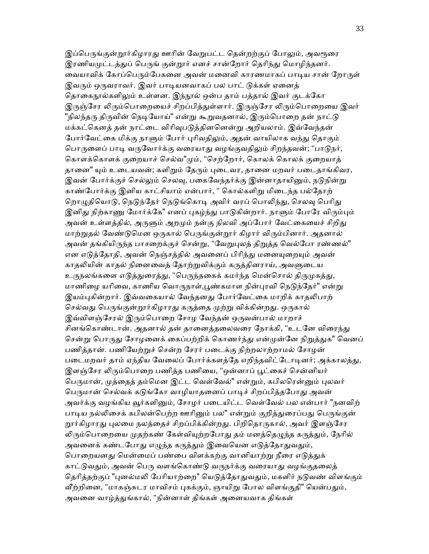இப்பெருங்குன்றூர்கிழாரது ஊரின் வேறுபட்ட தென்றற்குப் போலும், அவரூரை இரணியமுட்டத்துப் பெருங் குன்றூர் எனச் சான்றோர் தெரிந்து மொழிந்தனர். வையாவிக் கோப்பெரும்பேகனை அவன் மனைவி காரணமாகப் பாடிய சான் றோருள் இவரும் ஒருவராவர். இவர் பாடியனவாகப் பல பாட் டுக்கள் ஏனைத் தொகைநூல்களிலும் உள்ளன. இந்நூல் ஒன்ப தாம் பத்தால் இவர் குடக்கோ இருஞ்சேர லிரும்பொறையைச் சிறப்பித்துள்ளார். இருஞ்சேர லிரும்பொறையை இவர் "நிலந்தரு திருவின் நெடியோய்" என்று கூறுவதனால், இரும்பொறை தன் நாட்டு மக்கட்கெனத் தன் நாட்டை விரிவுபடுத்தினனென்று அறியலாம். இவ்வேந்தன் போர்வேட்கை மிக்கு நாளும் போர் புரிவதிலும், அதன் வாயிலாக வந்து தொகும் பொருளைப் பாடி வருவோர்க்கு வரையாது வழங்குவதிலும் சிறந்தவன்; "பாடுநர், கொளக்கொளக் குறையாச் செல்வ"மும், "செற்றோர், கொலக் கொலக் குறையாத் தானை" யும் உடையவன்; களிறும் தேரும் புடைவர, தானை மறவர் படைதாங்கிவர, இவன் போர்க்குச் செல்லும் செலவு, பகைவேந்தர்க்கு இன்னாதாயினும், நடுநின்று காண்போர்க்கு இனிய காட்சியாம் என்பார், " கொல்களிறு மிடைந்த பல்தோற் றொழுதியொடு, நெடுந்தேர் நெடுங்கொடி அவிர் வரப் பொலிந்து, செலவு பெரிது இனிது நிற்காணு மோர்க்கே" எனப் புகழ்ந்து பாடுகின்றார். நாளும் போரே விரும்பும் அவன் உள்ளத்தில், அருளும் அறமும் நன்கு நிலவி அப்போர் வேட்கையைச் சிறிது மாற்றுதல் வேண்டுமென ஒருகால் பெருங்குன்றூர் கிழார் விரும்பினார். அதனால் அவன் தங்கியிருந்த பாசறைக்குச் சென்று, "வேறுபுலத் திறுத்த வெல்போ ரண்ணல்" என எடுத்தோதி, அவன் நெஞ்சத்தில் அவனைப் பிரிந்து மனையுறையும் அவன் காதலியின் காதல் நினைவைத் தோற்றுவிக்கும் கருத்தினராய், அவளுடைய உருநலங்களை எடுத்துரைத்து, "பெருந்தகைக் கமர்ந்த மென்சொல் திருமுகத்து, மாணிழை யரிவை, காணிய வொருநாள்,பூண்கமாள நின்புரவி நெடுந்தேர்" என்று இயம்புகின்றார். இவ்வகையால் வேந்தனது போர்வேட்கை மாறிக் காதலிபாற் செல்வது பெருங்குன்றூர்கிழாரது கருத்தை முற்று விக்கின்றது. ஒருகால் இவ்விளஞ்சேரல் இரும்பொறை சோழ வேந்தன் ஒருவன்பால் மாறாச் சினங்கொண்டான். அதனால் தன் தானைத்தலைவரை நோக்கி, "உடனே விரைந்து சென்று பொருது சோழனைக் கைப்பற்றிக் கொணர்ந்து என்முன்னே நிறுத்துக" வெனப் பணித்தான். பணிேயற்ᾠச் ெசன்ற ேசரர் பைடக்கு நிற்றலாற்றாமல் ேசாழன் படைமறவர் தாம் ஏந்திய வேலைப் போர்க்களத்தே எறிந்தவிட்டோடினர்; அக்காலத்து, இளஞ்சேர லிரும்பொறை பணித்த பணியை, "ஒன்னாப் பூட்கைச் சென்னியர் பெருமான், முத்தைத் தம்மென இட்ட வெள்வேல்" என்றும், கபிலரென்னும் புலவர் பெருமான் செல்வக் கடுங்கோ வாழியாதனைப் பாடிச் சிறப்பித்தபோது அவன் அவர்க்கு வழங்கிய வூர்களினும், சோழர் படையிட்ட வெள்வேல் பல என்பார் "நனவிற் பாடிய நல்லிசைக் கபிலன்பெற்ற ஊரினும் பல" என்றும் குறித்துரைப்பது பெருங்குன் றூர்கிழாரது புலமை நலத்தைச் சிறப்பிக்கின்றது. பிறிதொருகால், அவர் இளஞ்சேர லிரும்பொறையை முதற்கண் கேள்வியுற்றபோது தம் மனத்தெழுந்த கருத்தும், நேரில் அவனைக் கண்டபோது எழுந்த கருத்தும் இவையென எடுத்தோதுவதும், பொறையனது மென்மைப் பண்பை விளக்கற்கு வானியாற்று நீரை எடுக்குக் காட்டுவதும், அவன் பெரு வளங்கொண்டு வருநர்க்கு வரையாது வழங்குதலைத் தெரித்தற்குப் "புனல்மலி பேரியாற்றை" யெடுத்தோதுவதும், மகளிர் நடுவண் விளங்கும் வீற்றினை, "மாகஞ்சுடர மாவிசம் புகக்கும், ஞாயிறு போல விளங்குதி" யென்பதும், அவனை வாழ்த்துங்கால், "நின்னாள் திங்கள் அனையவாக திங்கள்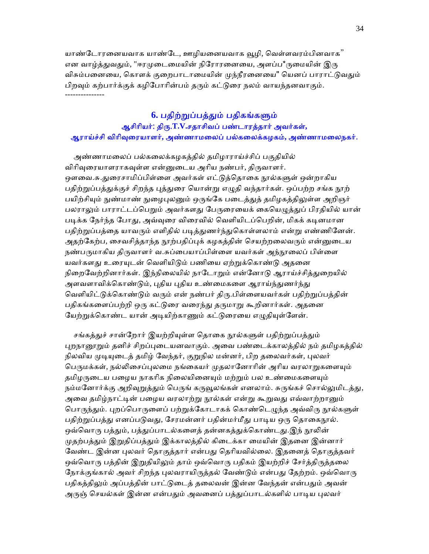யாண்டோரனையவாக யாண்டே, ஊழியனையவாக வூழி, வெள்ளவரம்பினவாக" என வாழ்த்துவதும், "ஈரமுடைமையின் நிரோரனையை, அளப்ப\*ருமையின் இரு விசும்பனையை, கொளக் குறைபாடாமையின் முந்நீரனையை" யௌப் பாராட்டுவதும் பிறவும் கற்பார்க்குக் கழிபோரின்பம் தரும் கட்டுரை நலம் வாயந்தனவாகும். ---------------

## **6.** பதிற்ᾠப்பத்ᾐம் பதிகங்கᾦம்

## ஆசிாியர்: திᾞ.**T.V.**சதாசிவப் பண்டாரத்தார் அவர்கள்**,**  ஆராய்ச்சி விாிᾫைரயாளர்**,** அண்ணாமைலப் பல்கைலக்கழகம்**,** அண்ணாமைலநகர்.

 அண்ணாமைலப் பல்கைலக்கழகத்தில் தமிழாராய்ச்சிப் பகுதியில் விரிவுரையாளராகவுள்ள என்னுடைய அரிய நண்பர், திருவாளர். ஔவை.சு.துரைசாமிப்பிள்ளை அவர்கள் எட்டுத்தொகை நூல்களுள் ஒன்றாகிய பதிற்றுப்பத்துக்குச் சிறந்த புத்துரை யொன்று எழுதி வந்தார்கள். ஒப்பற்ற சங்க நூற் பயிற்சியும் நுண்மாண் நுழைபுலனும் ஒருங்கே படைத்துத் தமிழகத்திலுள்ள அறிஞர் பலராலும் பாராட்டப்பெறும் அவர்களது பேருரையைக் கையெழுத்துப் பிரதியில் யான் படிக்க நேர்ந்த போது, அவ்வுரை விரைவில் வெளியிடப்பெறின், மிகக் கடினமான பதிற்றுப்பத்தை யாவரும் எளிதில் படித்துணர்ந்துகொள்ளலாம் என்று எண்ணினேன். அதற்கேற்ப, சைவசித்தாந்த நூற்பதிப்புக் கழகத்தின் செயற்றலைவரும் என்னுடைய நண்பருமாகிய திருவாளர் வ.சுப்பையாப்பிள்ளை யவர்கள் அந்நூலைப் பிள்ளை யவர்களது உரையுடன் வெளியிடும் பணியை ஏற்றுக்கொண்டு அதனை நிறைவேற்றினார்கள். இந்நிலையில் நாடோறும் என்னோடு ஆராய்ச்சித்துறையில் அளவளாவிக்கொண்டும், புதிய புதிய உண்மைகளை ஆராய்ந்துணர்ந்து வெளியிட்டுக்கொண்டும் வரும் என் நண்பர் திரு.பிள்ளையவர்கள் பதிற்றுப்பத்தின் பதிகங்களைப்பற்றி ஒரு கட்டுரை வரைந்து தருமாறு கூறினார்கள். அதனை யேற்றுக்கொண்ட யான் அடியிற்காணும் கட்டுரையை எழுதியுள்ளேன்.

சங்கத்துச் சான்றோர் இயற்றியுள்ள தொகை நூல்களுள் பதிற்றுப்பத்தும் புறநானூறும் தனிச் சிறப்புடையனவாகும். அவை பண்டைக்காலத்தில் நம் தமிழகத்தில் நிலவிய முடியுடைத் தமிழ் வேந்தர், குறுநில மன்னர், பிற தலைவர்கள், புலவர் பெருமக்கள், நல்லிசைப்புலமை நங்கையர் முதலானோரின் அரிய வரலாறுகளையும் தமிழருடைய பழைய நாகரிக நிலையினையும் மற்றும் பல உண்மைகளையும் நம்மனோர்க்கு அறிவுறுத்தும் பெருங் கருவூலங்கள் எனலாம். சுருங்கச் சொல்லுமிடத்து, அவை தமிழ்நாட்டின் பழைய வரலாற்று நூல்கள் என்று கூறுவது எவ்வாற்றானும் பொருந்தும். புறப்பொருளைப் பற்றுக்கோடாகக் கொண்டெழுந்த அவ்விரு நூல்களுள் பதிற்றுப்பத்து எனப்படுவது, சேரமன்னர் பதின்மர்மீது பாடிய ஒரு தொகைநூல். ஒவ்வொரு பத்தும், பத்துப்பாடல்களைத் தன்னகத்துக்கொண்டது.இந் நூலின் முதற்பக்தும் இறுதிப்பக்தும் இக்காலத்தில் கிடைக்கா மையின் இதனை இன்னார் வேண்ட இன்ன புலவர் தொகுத்தார் என்பது தெரியவில்லை. இதனைத் தொகுத்தவர் ஒவ்வொரு பத்தின் இறுதியிலும் தாம் ஒவ்வொரு பதிகம் இயற்றிச் சேர்த்திருத்தலை நோக்குங்கால் அவர் சிறந்த புலவராயிருத்தல் வேண்டும் என்பது தேற்றம். ஒவ்வொரு பதிகத்திலும் அப்பத்தின் பாட்டுடைத் தலைவன் இன்ன வேந்தன் என்பதும் அவன் அருஞ் செயல்கள் இன்ன என்பதும் அவனைப் பத்துப்பாடல்களில் பாடிய புலவர்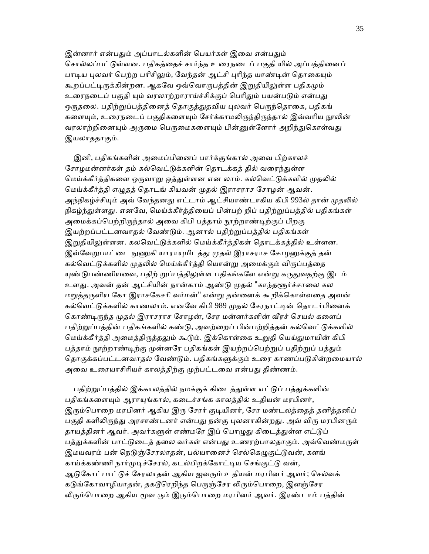இன்னார் என்பதும் அப்பாடல்களின் பெயர்கள் இவை என்பதும் சொல்லப்பட்டுள்ளன. பதிகத்தைச் சார்ந்த உரைநடைப் பகுதி யில் அப்பத்தினைப் பாடிய புலவர் பெற்ற பரிசிலும், வேந்தன் ஆட்சி புரிந்த யாண்டின் தொகையும் கூறப்பட்டிருக்கின்றன. ஆகவே ஒவ்வொருபத்தின் இறுதியிலுள்ள பதிகமும் உரைநடைப் பகுதி யும் வரலாற்றாராய்ச்சிக்குப் பெரிதும் பயன்படும் என்பது ஒருதலை. பதிற்றுப்பத்தினைத் தொகுத்துதவிய புலவர் பெருந்தொகை, பதிகங் களையும், உரைநடைப் பகுதிகளையும் சேர்க்காமலிருந்திருந்தால் இவ்வரிய நூலின் வரலாற்றினையும் அருமை பெருமைகளையும் பின்னுள்ளோர் அறிந்துகொள்வது இயலாததாகும்.

இனி, பதிகங்களின் அமைப்பினைப் பார்க்குங்கால் அவை பிற்காலச் சோழமன்னர்கள் தம் கல்வெட்டுக்களின் தொடக்கத் தில் வரைந்துள்ள மெய்க்கீர்த்திகளை ஒருவாறு ஒத்துள்ளன என லாம். கல்வெட்டுக்களில் முதலில் ெமய்க்கீர்த்தி எᾨதத் ெதாடங் கியவன் ᾙதல் இராசராச ேசாழன் ஆவன். அந்நிகழ்ச்சியும் அவ் வேந்தனது எட்டாம் ஆட்சியாண்டாகிய கிபி 993ல் தான் முதலில் நிகழ்ந்துள்ளது. எனவே, மெய்க்கீர்த்தியைப் பின்பற் றிப் பதிற்றுப்பத்தில் பதிகங்கள் அமைக்கப்பெற்றிருந்தால் அவை கிபி பத்தாம் நூற்றாண்டிற்குப் பிறகு இயற்றப்பட்டனவாதல் வேண்டும். ஆனால் பதிற்றுப்பத்தில் பதிகங்கள் இறுதியிலுள்ளன. கலவெட்டுக்களில் மெய்க்கீர்த்திகள் தொடக்கத்தில் உள்ளன. இவ்வேறுபாட்டை நுணுகி யாராயுமிடத்து முதல் இராசராச சோழனுக்குத் தன் கல்வெட்டுக்களில் முதலில் மெய்க்கீர்த்தி யொன்று அமைக்கும் விருப்பத்தை யுண்டுபண்ணியவை, பதிற் றுப்பத்திலுள்ள பதிகங்களே என்று கருதுவதற்கு இடம் உளது. அவன் தன் ஆட்சியின் நான்காம் ஆண்டு முதல் "காந்தளூர்ச்சாலை கல மறுத்தருளிய கோ இராசகேசரி வர்மன்" என்று தன்னைக் கூறிக்கொள்வதை அவன் கல்வெட்டுக்களில் காணலாம். எனவே கிபி 989 முதல் சேரநாட்டின் தொடர்பினைக் கொண்டிருந்த முதல் இராசராச சோழன், சேர மன்னர்களின் வீரச் செயல் களைப் பதிற்றுப்பத்தின் பதிகங்களில் கண்டு, அவற்றைப் பின்பற்றித்தன் கல்வெட்டுக்களில் மெய்க்கீர்த்தி அமைத்திருத்தலும் கூடும். இக்கொள்கை உறுதி யெய்துமாயின் கிபி பத்தாம் நூற்றாண்டிற்கு முன்னரே பதிகங்கள் இயற்றப்பெற்றுப் பதிற்றுப் பத்தும் தொகுக்கப்பட்டனவாதல் வேண்டும். பதிகங்களுக்கும் உரை காணப்படுகின்றமையால் அவை உரையாசிரியர் காலத்திற்கு முற்பட்டவை என்பது திண்ணம்.

பதிற்றுப்பத்தில் இக்காலத்தில் நமக்குக் கிடைத்துள்ள எட்டுப் பத்துக்களின் பதிகங்களையும் ஆராயுங்கால், கடைச்சங்க காலத்தில் உதியன் மரபினர், இரும்பொறை மரபினர் ஆகிய இரு சேரர் குடியினர், சேர மண்டலத்தைத் தனித்தனிப் பகுதி களிலிருந்து அரசாண்டனர் என்பது நன்கு புலனாகின்றது. அவ் விரு மரபினரும் தாயத்தினர் ஆவர். அவர்களுள் எண்மரே இப் பொழுது கிடைத்துள்ள எட்டுப் பத்துக்களின் பாட்டுடைத் தலை வர்கள் என்பது உணரற்பாலதாகும். அவ்வெண்மருள் இமயவரம் பன் நெடுஞ்சேரலாதன், பல்யானைச் செல்கெழுகுட்டுவன், களங் காய்க்கண்ணி நார்முடிச்சேரல், கடல்பிறக்கோட்டிய செங்குட்டு வன், ஆடுகோட்பாட்டுச் சேரலாதன் ஆகிய ஐவரும் உதியன் மரபினர் ஆவர்; செல்வக் கடுங்கோவாழியாதன், தகடூரெறிந்த பெருஞ்சேர லிரும்பொறை, இளஞ்சேர லிரும்பொறை ஆகிய மூவ ரும் இரும்பொறை மரபினர் ஆவர். இரண்டாம் பத்தின்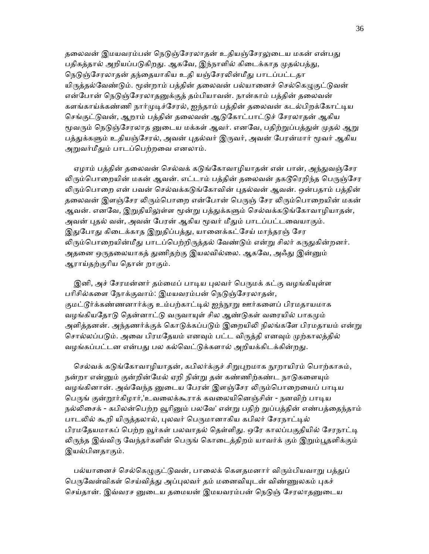தலைவன் இமயவரம்பன் நெடுஞ்சேரலாதன் உதியஞ்சேரலுடைய மகன் என்பது பதிகத்தால் அறியப்படுகிறது. ஆகவே, இந்நாளில் கிடைக்காத முதல்பத்து, நெடுஞ்சேரலாதன் தந்தையாகிய உதி யஞ்சேரலின்மீது பாடப்பட்டதா யிருத்தல்வேண்டும். மூன்றாம் பத்தின் தலைவன் பல்யானைச் செல்கெழுகுட்டுவன் என்போன் நெடுஞ்சேரலாதனுக்குத் தம்பியாவன். நான்காம் பத்தின் தலைவன் களங்காய்க்கண்ணி நார்முடிச்சேரல், ஐந்தாம் பத்தின் தலைவன் கடல்பிறக்கோட்டிய செங்குட்டுவன், ஆறாம் பத்தின் தலைவன் ஆடுகோட்பாட்டுச் சேரலாதன் ஆகிய மூவரும் நெடுஞ்சேரலாத னுடைய மக்கள் ஆவர். எனவே, பதிற்றுப்பத்துள் முதல் ஆறு பத்துக்களும் உதியஞ்சேரல், அவன் புதல்வர் இருவர், அவன் பேரன்மார் மூவர் ஆகிய அறுவர்மீதும் பாடப்பெற்றவை எனலாம்.

ஏழாம் பத்தின் தலைவன் செல்வக் கடுங்கோவாழியாதன் என் பான், அந்துவஞ்சேர லிரும்பொறையின் மகன் ஆவன். எட்டாம் பத்தின் தலைவன் தகடூரெறிந்த பெருஞ்சேர லிரும்பொறை என் பவன் செல்வக்கடுங்கோவின் புகல்வன் ஆவன். ஒன்பதாம் பக்கின் தலைவன் இளஞ்சேர லிரும்பொறை என்போன் பெருஞ் சேர லிரும்பொறையின் மகன் ஆவன். எனவே, இறுதியிலுள்ள மூன்று பத்துக்களும் செல்வக்கடுங்கோவாழியாதன், அவன் புதல் வன், அவன் பேரன் ஆகிய மூவர் மீதும் பாடப்பட்டவையாகும். இதுபோது கிடைக்காத இறுதிப்பத்து, யானைக்கட்சேய் மாந்தரஞ் சேர லிரும்பொறையின்மீது பாடப்பெற்றிருத்தல் வேண்டும் என்று சிலர் கருதுகின்றனர். அதனை ஒருதலையாகத் துணிதற்கு இயலவில்லை. ஆகவே, அஃது இன்னும் ஆராய்தற்குாிய ெதான் றாகும்.

இனி, அச் சேரமன்னர் தம்மைப் பாடிய புலவர் பெருமக் கட்கு வழங்கியுள்ள பரிசில்களை நோக்குவாம்: இமயவரம்பன் நெடுஞ்சேரலாதன், குமட்டூர்க்கண்ணனார்க்கு உம்பற்காட்டில் ஐந்நூறு ஊர்களைப் பிரமதாயமாக வழங்கியதோடு தென்னாட்டு வருவாயுள் சில ஆண்டுகள் வரையில் பாகமும் அளித்தனன். அந்தணர்க்குக் கொடுக்கப்படும் இறையிலி நிலங்களே பிரமதாயம் என்று சொல்லப்படும். அவை பிரமதேயம் எனவும் பட்ட விருத்தி எனவும் முற்காலத்தில் வழங்கப்பட்டன என்பது பல கல்வெட்டுக்களால் அறியக்கிடக்கின்றது.

செல்வக் கடுங்கோவாழியாதன், கபிலர்க்குச் சிறுபுறமாக நூறாயிரம் பொற்காசும், நன்றா என்னும் குன்றின்மேல் ஏறி நின்று தன் கண்ணிற்கண்ட நாடுகளையும் வழங்கினான். அவ்வேந்த னுடைய பேரன் இளஞ்சேர லிரும்பொறையைப் பாடிய பெருங் குன்றூர்கிழார்,'உவலைக்கூராக் கவலையினெஞ்சின் - நனவிற் பாடிய நல்லிசைக் - கபிலன்பெற்ற வூரினும் பலவே' என்று பதிற் றுப்பத்தின் எண்பத்தைந்தாம் பாடலில் கூறி யிருத்தலால், புலவர் பெருமானாகிய கபிலர் சேரநாட்டில் பிரமதேயமாகப் பெற்ற வூர்கள் பலவாதல் தெள்ளிது. ஒரே காலப்பகுதியில் சேரநாட்டி லிருந்த இவ்விரு வேந்தர்களின் பெருங் கொடைத்திறம் யாவர்க் கும் இறும்பூதளிக்கும் இயல்பினதாகும்.

பல்யானைச் செல்கெழுகுட்டுவன், பாலைக் கௌதமனார் விரும்பியவாறு பத்துப் பெருவேள்விகள் செய்வித்து அப்புலவர் தம் மனைவியுடன் விண்ணுலகம் புகச் செய்தான். இவ்வரச னுடைய தமையன் இமயவரம்பன் நெடுஞ் சேரலாதனுடைய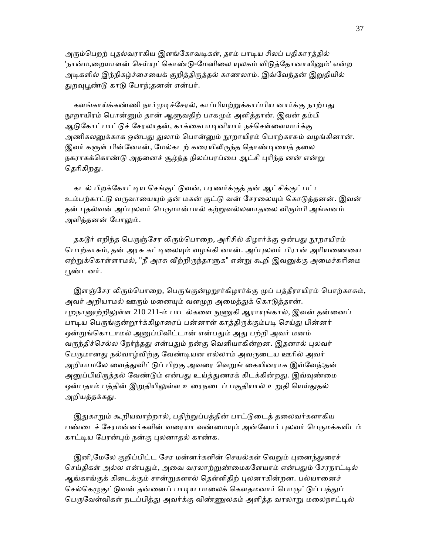அரும்பெறற் புதல்வராகிய இளங்கோவடிகள், தாம் பாடிய சிலப் பதிகாரத்தில் 'நான்ம,றையாளன் செய்யுட்கொண்டு-மேனிலை யுலகம் விடுத்தோனாயினும்' என்ற அடிகளில் இந்நிகழ்ச்சையைக் குறித்திருத்தல் காணலாம். இவ்வேந்தன் இறுதியில் துறவுபூண்டு காடு போந்;தனன் என்பர்.

களங்காய்க்கண்ணி நார்முடிச்சேரல், காப்பியற்றுக்காப்பிய னார்க்கு நாற்பது நூறாயிரம் பொன்னும் தான் ஆளுவதிற் பாகமும் அளித்தான். இவன் தம்பி ஆடுகோட்பாட்டுச் சேரலாதன், காக்கைபாடினியார் நச்செள்ளையார்க்கு அணிகலனுக்காக ஒன்பது துலாம் பொன்னும் நூறாயிரம் பொற்காசும் வழங்கினான். இவர் களுள் பின்னோன், மேல்கடற் கரையிலிருந்த தொண்டியைத் தலை நகராகக்கொண்டு அதனைச் சூழ்ந்த நிலப்பரப்பை ஆட்சி புரிந்த னன் என்று தெரிகிறது.

கடல் பிறக்கோட்டிய செங்குட்டுவன், பரணர்க்குத் தன் ஆட்சிக்குட்பட்ட உம்பற்காட்டு வருவாயையும் தன் மகன் குட்டு வன் சேரலையும் கொடுத்தனன். இவன் தன் புதல்வன் அப்புலவர் பெருமான்பால் கற்றுவல்லனாதலை விரும்பி அங்ஙனம் அளித்தனன் போலும்.

தகடூர் எறிந்த பெருஞ்சேர லிரும்பொறை, அரிசில் கிழார்க்கு ஒன்பது நூறாயிரம் பொற்காசும், தன் அரசு கட்டிலையும் வழங்கி னான். அப்புலவர் பிரான் அரியணையை ஏற்றுக்கொள்ளாமல், "நீ அரசு வீற்றிருந்தாளுக" என்று கூறி இவனுக்கு அமைச்சுரிமை ᾘண்டனர்.

இளஞ்சேர லிரும்பொறை, பெருங்குன்ழறூர்கிழார்க்கு முப் பத்தீராயிரம் பொற்காசும், அவர் அறியாமல் ஊரும் மனையும் வளமுற அமைத்துக் கொடுத்தான். புறநானூற்றிலுள்ள 210 211-ம் பாடல்களை நுணுகி ஆராயுங்கால், இவன் தன்னைப் பாடிய பெருங்குன்றூர்க்கிழாரைப் பன்னாள் காத்திருக்கும்படி செய்து பின்னர் ஒன்றுங்கொடாமல் அனுப்பிவிட்டான் என்பதும் அது பற்றி அவர் மனம் வருந்திச்செல்ல நேர்ந்தது என்பதும் நன்கு வெளியாகின்றன. இதனால் புலவர் பெருமானது நல்வாழ்விற்கு வேண்டியன எல்லாம் அவருடைய ஊரில் அவர் அறியாமலே வைத்துவிட்டுப் பிறகு அவரை வெறுங் கையினராக இவ்வேந்;தன் அனுப்பியிருத்தல் வேண்டும் என்பது உய்த்துணரக் கிடக்கின்றது. இவ்வுண்மை ஒன்பதாம் பத்தின் இறுதியிலுள்ள உரைநடைப் பகுதியால் உறுதி யெய்துதல் அறியத்தக்கது.

இதுகாறும் கூறியவாற்றால், பதிற்றுப்பத்தின் பாட்டுடைத் தலைவர்களாகிய பண்டைச் சேரமன்னர்களின் வரையா வண்மையும் அன்னோர் புலவர் பெருமக்களிடம் காட்ᾊய ேபரன்ᾗம் நன்கு ᾗலனாதல் காண்க.

இனி,மேலே குறிப்பிட்ட சேர மன்னர்களின் செயல்கள் வெறும் புனைந்துரைச் செய்திகள் அல்ல என்பதும், அவை வரலாற்றுண்மைகளேயாம் என்பதும் சேரநாட்டில் ஆங்காங்குக் கிடைக்கும் சான்றுகளால் தெள்ளிதிற் புலனாகின்றன. பல்யானைச் செல்கெழுகுட்டுவன் தன்னைப் பாடிய பாலைக் கௌதமனார் பொருட்டுப் பத்துப் பெருவேள்விகள் நடப்பித்து அவர்க்கு விண்ணுலகம் அளித்த வரலாறு மலைநாட்டில்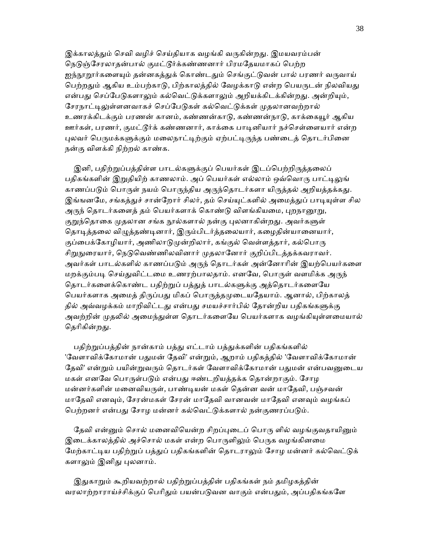இக்காலத்தும் செவி வழிச் செய்தியாக வழங்கி வருகின்றது. இமயவரம்பன் நெடுஞ்சேரலாதன்பால் குமட்டூர்க்கண்ணனார் பிரமதேயமாகப் பெற்ற ஐந்நூறூர்களையும் தன்னகத்துக் கொண்டதும் செங்குட்டுவன் பால் பரணர் வருவாய் பெற்றதும் ஆகிய உம்பற்காடு, பிற்காலத்தில் வேழக்காடு என்ற பெயருடன் நிலவியது என்பது செப்பேடுகளாலும் கல்வெட்டுக்களாலும் அறியக்கிடக்கின்றது. அன்றியும், சேரநாட்டிலுள்ளனவாகச் செப்பேடுகள் கல்வெட்டுக்கள் முதலானவற்றால் உணரக்கிடக்கும் பரணன் கானம், கண்ணன்காடு, கண்ணன்நாடு, காக்கையூர் ஆகிய ஊர்கள், பரணர், குமட்டூர்க் கண்ணனார், காக்கை பாடினியார் நச்செள்ளையார் என்ற புலவர் பெருமக்களுக்கும் மலைநாட்டிற்கும் ஏற்பட்டிருந்த பண்டைத் தொடர்பினை நன்கு விளக்கி நிற்றல் காண்க.

இனி, பதிற்றுப்பத்திள்ள பாடல்களுக்குப் பெயர்கள் இடப்பெற்றிருத்தலைப் பதிகங்களின் இறுதியிற் காணலாம். அப் பெயர்கள் எல்லாம் ஒவ்வொரு பாட்டிலுங் காணப்படும் பொருள் நயம் பொருந்திய அருந்தொடர்களா யிருத்தல் அறியத்தக்கது. இங்ஙனமே, சங்கத்துச் சான்றோர் சிலர், தம் செய்யுட்களில் அமைத்துப் பாடியுள்ள சில அருந் தொடர்களைத் தம் பெயர்களாக் கொண்டு விளங்கியமை, புறநானூறு, குறுந்தொகை முதலான சங்க நூல்களால் நன்கு புலனாகின்றது. அவர்களுள் தொடித்தலை விழுத்தண்டினார், இரும்பிடர்த்தலையார், கழைதின்யானையார், குப்பைக்கோழியார், அணிலாடுமுன்றிலார், கங்குல் வெள்ளத்தார், கல்பொரு சிறுநுரையார், நெடுவெண்ணிலவினார் முதலானோர் குறிப்பிடத்தக்கவராவர். அவர்கள் பாடல்களில் காணப்படும் அருந் தொடர்கள் அன்னோரின் இயற்பெயர்களை மறக்கும்படி செய்துவிட்டமை உணரற்பாலதாம். எனவே, பொருள் வளமிக்க அருந் தொடர்களைக்கொண்ட பதிற்றுப் பத்துத் பாடல்களுக்கு அத்தொடர்களையே பெயர்களாக அமைத் திருப்பது மிகப் பொருத்தமுடையதேயாம். ஆனால், பிற்காலத் தில் அவ்வழக்கம் மாறிவிட்டது என்பது சமயச்சார்பில் தோன்றிய பதிகங்களுக்கு அவற்றின் முதலில் அமைந்துள்ள தொடர்களையே பெயர்களாக வழங்கியுள்ளமையால் தெரிகின்றது.

பதிற்றுப்பத்தின் நான்காம் பத்து எட்டாம் பத்துக்களின் பதிகங்களில் 'வேளாவிக்கோமான் பதுமன் தேவி' என்றும், ஆறாம் பதிகத்தில் 'வேளாவிக்கோமான் தேவி' என்றும் பயின்றுவரும் தொடர்கள் வேளாவிக்கோமான் பதுமன் என்பவனுடைய மகள் எனவே பொருள்படும் என்பது ஈண்டறியத்தக்க தொன்றாகும். சோழ மன்னர்களின் மனைவியருள், பாண்டியன் மகள் தென்ன வன் மாதேவி, பஞ்சவன் மாதேவி எனவும், சேரன்மகள் சேரன் மாதேவி வானவன் மாதேவி எனவும் வழங்கப் பெற்றனர் என்பது சோழ மன்னர் கல்வெட்டுக்களால் நன்குணரப்படும்.

தேவி என்னும் சொல் மனைவியென்ற சிறப்புடைப் பொரு ளில் வழங்குவதாயினும் இடைக்காலத்தில் அச்சொல் மகள் என்ற பொருளிலும் பெருக வழங்கினமை மேற்காட்டிய பதிற்றுப் பத்துப் பதிகங்களின் தொடராலும் சோழ மன்னர் கல்வெட்டுக் களாலும் இனிது புலனாம்.

இதுகாறும் கூறியவற்றால் பதிற்றுப்பத்தின் பதிகங்கள் நம் தமிழகத்தின் வரலாற்றாராய்ச்சிக்குப் பெரிதும் பயன்படுவன வாகும் என்பதும், அப்பதிகங்களே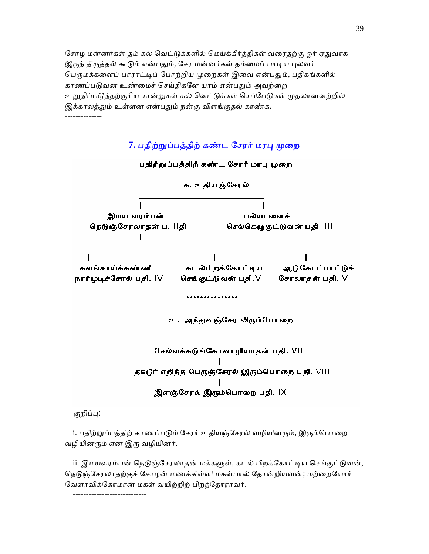சோழ மன்னர்கள் தம் கல் வெட்டுக்களில் மெய்க்கீர்த்திகள் வரைதற்கு ஓர் ஏதுவாக இருந் திருத்தல் கூடும் என்பதும், சேர மன்னர்கள் தம்மைப் பாடிய புலவர் பெருமக்களைப் பாராட்டிப் போற்றிய முறைகள் இவை என்பதும், பதிகங்களில் காணப்படுவன உண்மைச் செய்திகளே யாம் என்பதும் அவற்றை உறுதிப்படுத்தற்குரிய சான்றுகள் கல் வெட்டுக்கள் செப்பேடுகள் முதலானவற்றில் இக்காலத்தும் உள்ளன என்பதும் நன்கு விளங்குதல் காண்க. --------------

## 7. பதிற்றுப்பத்திற் கண்ட சேரர் மரபு முறை



குறிப்பு:

----------------------------

i. பதிற்றுப்பத்திற் காணப்படும் சேரர் உதியஞ்சேரல் வழியினரும், இரும்பொறை வழியினᾞம் என இᾞ வழியினர்.

ii. இமயவரம்பன் நெடுஞ்சேரலாதன் மக்களுள், கடல் பிறக்கோட்டிய செங்குட்டுவன், நெடுஞ்சேரலாதற்குச் சோழன் மணக்கிள்ளி மகள்பால் தோன்றியவன்; மற்றையோர் ேவளாவிக்ேகாமான் மகள் வயிற்றிற் பிறந்ேதாராவர்.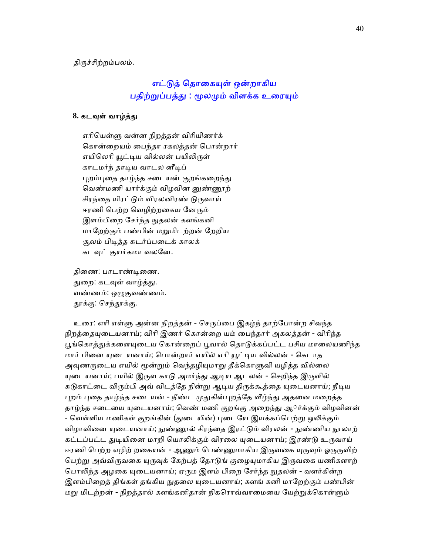திருச்சிற்றம்பலம்.

# எட்டுத் தொகையுள் ஒன்றாகிய பதிற்றுப்பத்து : மூலமும் விளக்க உரையும்

### 8. கடவுள் வாழ்த்து

 எாிெயள்ᾦ வன்ன நிறத்தன் விாியிணர்க் ெகான்ைறயம் ைபந்தா ரகலத்தன் ெபான்றார் எயிலெரி யூட்டிய வில்லன் பயிலிருள் காடமர்ந் தாᾊய வாடல னீᾊப் புறம்புதை தாழ்ந்த சடையன் குறங்கறைந்து வெண்மணி யார்க்கும் விழவின னுண்ணூற் சிரந்தை யிரட்டும் விரலனிரண் டுருவாய் ஈரணி பெற்ற வெழிற்றகைய னேரும் இளம்பிறை சேர்ந்த நுதலன் களங்கனி மாேறற்கும் பண்பின் மᾠமிடற்றன் ேறறிய சூலம் பிடித்த சுடர்ப்படைக் காலக் கடவுட் குயர்கமா வலனே.

திணை: பாடாண்டிணை. துறை: கடவுள் வாழ்த்து. வண்ணம்: ஒழுகுவண்ணம். தூக்கு: செந்தூக்கு.

உரை: எரி எள்ளு அன்ன நிறத்தன் - செருப்பை இகழ்ந் தாற்போன்ற சிவந்த நிறத்தையுடையனாய்; விரி இணர் கொன்றை யம் பைந்தார் அகலத்தன் - விரிந்த பூங்கொத்துக்களையுடைய கொன்றைப் பூவால் தொடுக்கப்பட்ட பசிய மாலையணிந்த மார் பினை யுடையனாய்; பொன்றார் எயில் எரி யூட்டிய வில்லன் - கெடாத அவுணருடைய எயில் மூன்றும் வெந்தழியுமாறு தீக்கொளுவி யழித்த வில்லை யுடையனாய்; பயில் இருள காடு அமர்ந்து ஆடிய ஆடலன் - செறிந்த இருளில் சுடுகாட்டை விரும்பி அவ் விடத்தே நின்று ஆடிய திருக்கூத்தை யுடையனாய்; நீடிய புறம் புதை தாழ்ந்த சடையன் - நீண்ட முதுகின்புறத்தே வீழ்ந்து அதனை மறைத்த தாழ்ந்த சடையை யுடையனாய்; வெண் மணி குறங்கு அறைந்து ஆ்ர்க்கும் விழவினன் - வெள்ளிய மணிகள் குறங்கின் (துடையின்) புடையே இயக்கப்பெற்று ஒலிக்கும் விழாவினை யுடையனாய்; நுண்ணூல் சிரந்தை இரட்டும் விரலன் - நுண்ணிய நூலாற் கட்டப்பட்ட துடியினை மாறி யொலிக்கும் விரலை யுடையனாய்; இரண்டு உருவாய் ஈரணி பெற்ற எழிற் றகையன் - ஆணும் பெண்ணுமாகிய இருவகை யுருவும் ஓருருவிற் பெற்று அவ்விருவகை யுருவுக் கேற்பத் தோடுங் குழையுமாகிய இருவகை யணிகளாற் பொலிந்த அழகை யுடையனாய்; ஏரும இளம் பிறை சேர்ந்த நுதலன் - வளர்கின்ற இளம்பிறைத் திங்கள் தங்கிய நுதலை யுடையனாய்; களங் கனி மாறேற்கும் பண்பின் மறு மிடற்றன் - நிறத்தால் களங்கனிதான் நிகரொவ்வாமையை யேற்றுக்கொள்ளும்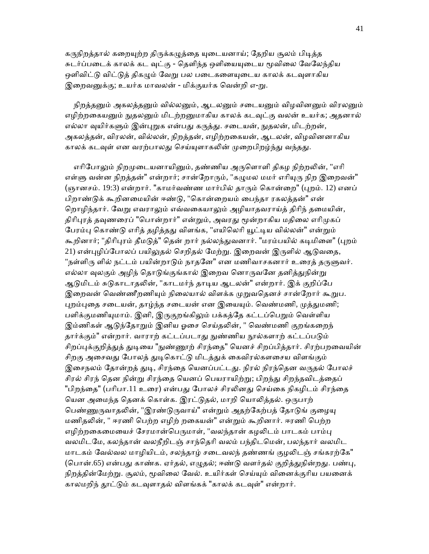கருநிறத்தால் கறையுற்ற திருக்கழுத்தை யுடையனாய்; தேறிய சூலம் பிடித்த சுடர்ப்படைக் காலக் கட வுட்கு - தெளிந்த ஒளியையுடைய மூவிலை வேலேந்திய ஒளிவிட்டு விட்டுத் திகழும் வேறு பல படைகளையுடைய காலக் கடவுளாகிய இறைவனுக்கு; உயர்க மாவலன் - மிக்குயர்க வென்றி எ-று.

நிறத்தனும் அகலத்தனும் வில்லனும், ஆடலனும் சடையனும் விழவினனும் விரலனும் எழிற்றகையனும் நுதலனும் மிடற்றனுமாகிய காலக் கடவுட்கு வலன் உயர்க; அதனால் எல்லா வுயிர்களும் இன்புறுக என்பது கருத்து. சடையன், நுதலன், மிடற்றன், அகலத்தன், விரலன், வில்லன், நிறத்தன், எழிற்றைகயன், ஆடலன், விழவினனாகிய காலக் கடவுள் என வரற்பாலது செய்யுளாகலின் முறைபிறழ்ந்து வந்தது.

எரிபோலும் நிறமுடையனாயினும், தண்ணிய அருளொளி திகழ நிற்றலின், "எரி எள்ளு வன்ன நிறத்தன்" என்றார்; சான்றோரும், "கழுமல மமர் எரியுரு நிற இறைவன்" (ஞானசம். 19:3) என்றார். "காமர்வண்ண மார்பில் தாரும் கொன்றை" (புறம். 12) எனப் பிறாண்ᾌக் கூறினைமயின் ஈண்ᾌ, "ெகான்ைறயம் ைபந்தா ரகலத்தன்" என் றொழிந்தார். வேறு எவராலும் எவ்வகையாலும் அழியாதவராய்த் திரிந் தமையின், திரிபுரத் தவுணரைப் "பொன்றார்" என்றும், அவரது மூன்றாகிய மதிலை எரிமுகப் பேரம்பு கொண்டு எரித் தழித்தது விளங்க, "எயிலெரி யூட்டிய வில்லன்" என்றும் கூறினார்; "திரிபுரம் தீமடுத்" தென் றார் நல்லந்துவனார். "மரம்பயில் கடிமிளை" (புறம் 21) என்புழிப்போலப் பயிலுதல் செறிதல் மேற்று. இறைவன் இருளில் ஆடுவதை, "நள்ளிரு ளில் நட்டம் பயின்றாடும் நாதனே" என மணிவாசகனார் உரைத் தருளுவர். எல்லா வுலகும் அழிந் தொடுங்குங்கால் இறைவ னொருவனே தனித்துநின்று ஆடுமிடம் சுடுகாடாதலின், "காடமர்ந் தாடிய ஆடலன்" என்றார். இக் குறிப்பே இறைவன் வெண்ணீறணியும் நிலையால் விளக்க முறுவதெனச் சான்றோர் கூறுப. புறம்புதை சடையன், தாழ்ந்த சடையன் என இயையும். வெண்மணி, முத்துமணி; பளிக்குமணியுமாம். இனி, இருகுறங்கிலும் பக்கத்தே கட்டப்பெறும் வெள்ளிய இம்ணிகள் ஆடுந்தோறும் இனிய ஓசை செய்தலின், " வெண்மணி குறங்கறைந் தார்க்கும்" என்றார். வாராற் கட்டப்படாது நுண்ணிய நூல்களாற் கட்டப்படும் சிறப்புக்குறித்துத் துடியை "நுண்ணூற் சிரந்தை" யெனச் சிறப்பித்தார். சிரற்பறவையின் சிறகு அசைவது போலத் துடிகொட்டு மிடத்துக் கைவிரல்களசைய விளங்கும் இசைநலம் தோன்றத் துடி, சிரந்தை யெனப்பட்டது. நிரல் நிரந்தென வருதல் போலச் சிரல் சிரந் தென நின்று சிரந்தை யெனப் பெயராயிற்று; பிறந்து சிறந்தவிடத்தைப் "பிறந்தை" (பரிபா.11 உரை) என்பது போலச் சிரலினது செய்கை நிகழிடம் சிரந்தை யென அமைந்த தெனக் கொள்க. இரட்டுதல், மாறி யொலித்தல். ஒருபாற் பெண்ணுருவாதலின், "இரண்டுருவாய்" என்றும் அதற்கேற்பத் தோடுங் குழையு மணிதலின், " ஈரணி பெற்ற எழிற் றகையன்" என்றும் கூறினார். ஈரணி பெற்ற எழிற்றகைமையைச் சேரமான்பெருமாள், "வலந்தான் கழலிடம் பாடகம் பாம்பு வலமிடேம, கலந்தான் வலநீறிடஞ் சாந்ெதாி வலம் பந்திடெமன், பலந்தார் வலமிட மாடகம் வேல்வல மாழியிடம், சலந்தாழ் சடைவலந் தண்ணங் குழலிடஞ் சங்கரற்கே" (பொன்.65) என்பது காண்க. ஏர்தல், எழுதல்; ஈண்டு வளர்தல் குறித்துநின்றது. பண்பு, நிறத்தின்மேற்று. சூலம், மூவிலை வேல். உயிர்கள் செய்யும் வினைக்குரிய பயனைக் காலமறிந் தூட்டும் கடவுளாதல் விளங்கக் "காலக் கடவுள்" என்றார்.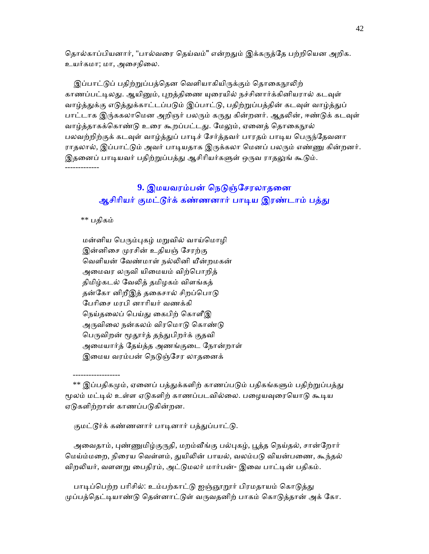தொல்காப்பியனார், "பால்வரை தெய்வம்" என்றதும் இக்கருத்தே பற்றியென அறிக. உயர்கமா; மா, அைசநிைல.

இப்பாட்டுப் பதிற்றுப்பத்தென வெளியாகியிருக்கும் தொகைநூலிற் காணப்பட்டிலது. ஆயினும், புறத்திணை யுரையில் நச்சினார்க்கினியரால் கடவுள் வாழ்த்துக்கு எடுத்துக்காட்டப்படும் இப்பாட்டு, பதிற்றுப்பத்தின் கடவுள் வாழ்த்துப் பாட்டாக இரு்ககலாமென அறிஞர் பலரும் கருது கின்றனர். ஆதலின், ஈண்டுக் கடவுள் வாழ்த்தாகக்கொண்டு உரை கூறப்பட்டது. மேலும், ஏனைத் தொகைநூல் பலவற்றிற்குக் கடவுள் வாழ்த்துப் பாடிச் சேர்த்தவர் பாரதம் பாடிய பெருந்தேவனா ராதலால், இப்பாட்டும் அவர் பாடியதாக இருக்கலா மெனப் பலரும் எண்ணு கின்றனர். இதனைப் பாடியவர் பதிற்றுப்பத்து ஆசிரியர்களுள் ஒருவ ராதலுங் கூடும். -------------

# 9. இமயவரம்பன் நெடுஞ்சேரலாதனை ஆசிரியர் குமட்டூர்க் கண்ணனார் பாடிய இரண்டாம் பத்து

 $**$  பகிகம்

------------------

மன்னிய பெரும்புகழ் மறுவில் வாய்மொழி இன்னிசை முரசின் உதியஞ் சேரற்கு ெவளியன் ேவண்மாள் நல்ᾢனி யீன்றமகன் அமைவர லருவி யிமையம் விற்பொறித் திமிழ்கடல் ேவᾢத் தமிழகம் விளங்கத் தன்கோ னிறீஇத் தகைசால் சிறப்பொடு ேபாிைச மரபி னாாியர் வணக்கி நெய்தலைப் பெய்து கைபிற் கொளீஇ அருவிலை நன்கலம் விரமொடு கொண்டு பெருவிறன் மூதூர்த் தந்துபிறர்க் குதவி அைமயார்த் ேதய்த்த அணங்குைட ேநான்றாள் இமைய வரம்பன் நெடுஞ்சேர லாதனைக்

குமட்டூர்க் கண்ணனார் பாடினார் பத்துப்பாட்டு.

அவைதாம், புண்ணுமிழ்குருதி, மறம்வீங்கு பல்புகழ், பூத்த நெய்தல், சான்றோர் மெய்ம்மறை, நிரைய வெள்ளம், துயிலின் பாயல், வலம்படு வியன்பணை, கூந்தல் விறலியர், வளனறு பைதிரம், அட்டுமலர் மார்பன்- இவை பாட்டின் பதிகம்.

பாடிப்பெற்ற பரிசில்: உம்பற்காட்டு ஐஞ்ஞூறூர் பிரமதாயம் கொடுத்து முப்பத்தெட்டியாண்டு தென்னாட்டுள் வருவதனிற் பாகம் கொடுத்தான் அக் கோ.

 $^{**}$  இப்பதிகமும், ஏனைப் பத்துக்களிற் காணப்படும் பதிகங்களும் பதிற்றுப்பத்து மூலம் மட்டில் உள்ள ஏடுகளிற் காணப்படவில்லை. பழையவுரையொடு கூடிய ஏடுகளிற்றான் காணப்படுகின்றன.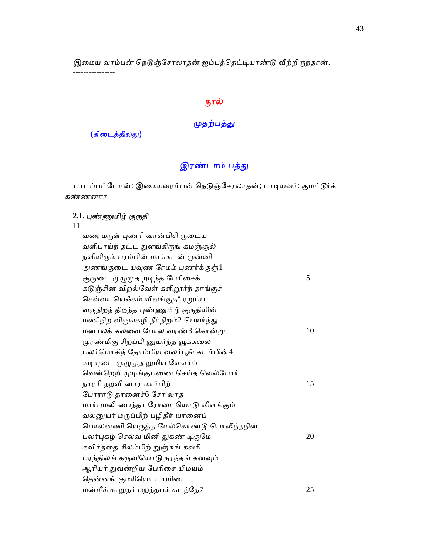இமைய வரம்பன் நெடுஞ்சேரலாதன் ஐம்பத்தெட்டியாண்டு வீற்றிருந்தான்.

----------------

## நூல்

## முதற்பத்து

(கிடைத்திலது)

# இரண்டாம் பத்து

பாடப்பட்டோன்: இமையவரம்பன் நெடுஞ்சேரலாதன்; பாடியவர்: குமட்டூர்க் கண்ணனார்

## **2.1.** ᾗண்ᾎமிழ் குᾞதி

#### 11

| வரைமருள் புணரி வான்பிசி ருடைய         |    |
|---------------------------------------|----|
| வளிபாய்ந் தட்ட துளங்கிருங் கமஞ்சூல்   |    |
| நளியிரும் பரம்பின் மாக்கடன் முன்னி    |    |
| அணங்குடை யவுண ரேமம் புணர்க்குஞ்1      |    |
| சூருடை முழுமுத றடிந்த பேரிசைக்        | 5  |
| கடுஞ்சின விறல்வேள் களிறூர்ந் தாங்குச் |    |
| செவ்வா யெஃகம் விலங்குந* ரறுப்ப        |    |
| வருநிறந் திறந்த புண்ணுமிழ் குருதியின் |    |
| மணிநிற விருங்கழி நீர்நிறம்2 பெயர்ந்து |    |
| மனாலக் கலவை போல வரண்3 கொன்று          | 10 |
| முரண்மிகு சிறப்பி னுயர்ந்த வூக்கலை    |    |
| பலர்மொசிந் தோம்பிய வலர்பூங் கடம்பின்4 |    |
| கடியுடை முழுமுத றுமிய வேஎய்5          |    |
| வென்றெறி முழங்குபணை செய்த வெல்போர்    |    |
| நாரரி நறவி னார மார்பிற்               | 15 |
| போராடு தானைச்6 சேர லாத                |    |
| மார்புமலி பைந்தா ரோடையொடு விளங்கும்   |    |
| வலனுயர் மருப்பிற் பழிதீர் யானைப்      |    |
| பொலனணி யெருத்த மேல்கொண்டு பொலிந்தநின் |    |
| பலர்புகழ் செல்வ மினி துகண் டிகுமே     | 20 |
| கவிர்ததை சிலம்பிற் றுஞ்சுங் கவரி      |    |
| பரந்திலங் கருவியொடு நரந்தங் கனவும்    |    |
| ஆரியர் துவன்றிய பேரிசை யிமயம்         |    |
| தென்னங் குமரியொ டாயிடை                |    |
| மன்மீக் கூறுநர் மறந்தபக் கடந்தே7      | 25 |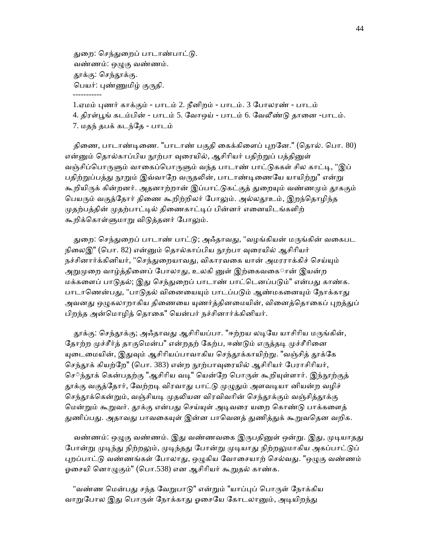துறை: செந்துறைப் பாடாண்பாட்டு. வண்ணம்: ஒᾨகு வண்ணம். தூக்கு: செந்தூக்கு. பெயர்: புண்ணுமிழ் குருதி. -----------

 1.ஏமம் ᾗணர் காக்கும் - பாடம் 2. நீனிறம் - பாடம். 3 ேபாலரண் - பாடம் 4. திரள்பூங் கடம்பின் - பாடம் 5. வோஒய் - பாடம் 6. வேலீண்டு தானை -பாடம். 7. மதந் தபக் கடந்ேத - பாடம்

திணை, பாடாண்டிணை. "பாடாண் பகுதி கைக்கிளைப் புறனே." (தொல். பொ. 80) என்னும் தொல்காப்பிய நூற்பா வுரையில், ஆசிரியர் பதிற்றுப் பத்தினுள் வஞ்சிப்பொருளும் வாகைப்பொருளும் வந்த பாடாண் பாட்டுககள் சில காட்டி, "இப் பதிற்றுப்பத்து நூறும் இவ்வாறே வருதலின், பாடாண்டிணையே யாயிற்று" என்று கூறியிருக் கின்றனர். அதனாற்றான் இப்பாட்டுகட்குத் துறையும் வண்ணமும் தூககும் பெயரும் வகுத்தோர் திணை கூறிற்றிலர் போலும். அல்லதூஉம், இறந்தொழிந்த முதற்பத்தின் முதற்பாட்டில் திணைகாட்டிப் பின்னர் எனையிடங்களிற் கூறிக்கொள்ளுமாறு விடுத்தனர் போலும்.

துறை: செந்துறைப் பாடாண் பாட்டு; அஃதாவது, "வழங்கியன் மருங்கின் வகைபட நிலைஇ" (பொ. 82) என்னும் தொல்காப்பிய நூற்பா வுரையில் ஆசிரியர் நச்சினார்க்கினியர், "செந்துறையாவது, விகாரவகை யான் அமரராக்கிச் செய்யும் அறுமுறை வாழ்த்தினைப் போலாது, உலகி னுள் இற்கைவகைான் இயன்ற மக்களைப் பாடுதல்; இது செந்துறைப் பாடாண் பாட்டெனப்படும்" என்பது காண்க. பாடாணென்பது, "பாடுதல் வினையையும் பாடப்படும் ஆண்மகனையும் நோக்காது அவனது ஒழுகலாறாகிய திணையை யுணர்த்தினமையின், வினைத்தொகைப் புறத்துப் பிறந்த அன்மொழித் தொகை" யென்பர் நச்சினார்க்கினியர்.

தூக்கு: செந்தூக்கு; அஃதாவது ஆசிரியப்பா. "ஈற்றய லடியே யாசிரிய மருங்கின், தோற்ற முச்சீர்த் தாகுமென்ப" என்றதற் கேற்ப, ஈண்டும் எருத்தடி முச்சீரினை யுடைமையின், இதுவும் ஆசிரியப்பாவாகிய செந்தூக்காயிற்று. "வஞ்சித் தூக்கே செந்தூக் கியற்றே" (பொ. 383) என்ற நூற்பாவுரையில் ஆசிரியர் பேராசிரியர், செ்ந்தூக் கென்பதற்கு "ஆசிரிய வடி" யென்றே பொருள் கூறியுள்ளார். இந்நூற்குத் தூக்கு வகுத்தோர், வேற்றடி விரவாது பாட்டு முழுதும் அளவடியா னியன்ற வழிச் செந்தூக்கென்றும், வஞ்சியடி முதலியன விரவிவரின் செந்தூக்கும் வஞ்சித்தூக்கு மென்றும் கூறுவர். தூக்கு என்பது செய்யுள் அடிவரை யறை கொண்டு பாக்களைத் துணிப்பது. அதாவது பாவகையுள் இன்ன பாவெனத் துணித்துக் கூறுவதென வறிக.

வண்ணம்: ஒழுகு வண்ணம். இது வண்ணவகை இருபதினுள் ஒன்று. இது, முடியாதது போன்று முடிந்து நிற்றலும், முடிந்தது போன்று முடியாது நிற்றலுமாகிய அகப்பாட்டுப் புறப்பாட்டு வண்ணங்கள் போலாது, ஒழுகிய வோசையாற் செல்வது. "ஒழுகு வண்ணம் ஓசையி னொழுகும்" (பொ.538) என ஆசிரியர் கூறுதல் காண்க.

"வண்ண மென்பது சந்த வேறுபாடு" என்றும் "யாப்புப் பொருள் நோக்கிய வாறுபோல இது பொருள் நோக்காது ஓசையே கோடலானும், அடியிறந்து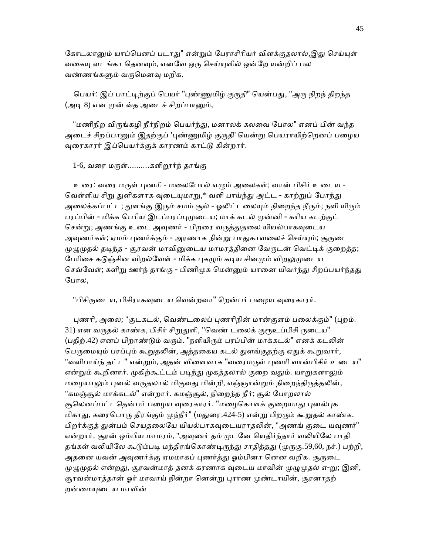கோடலானும் யாப்பெனப் படாது" என்றும் பேராசிரியர் விளக்குதலால்,இது செய்யுள் வகையு ளடங்கா தெனவும், எனவே ஒரு செய்யுளில் ஒன்றே யன்றிப் பல வண்ணங்கᾦம் வᾞெமனᾫ மறிக.

பெயர்: இப் பாட்டிற்குப் பெயர் "புண்ணுமிழ் குருதி" யென்பது, "அரு நிறந் திறந்த (அடி 8) என முன் வ்த அடைச் சிறப்பானும்,

"மணிநிற விருங்கழி நீர்நிறம் பெயர்ந்து, மனாலக் கலவை போல" எனப் பின் வந்த அடைச் சிறப்பானும் இதற்குப் 'புண்ணுமிழ் குருதி' யென்று பெயராயிற்றெனப் பழைய வுரைகாரர் இப்பெயர்க்குக் காரணம் காட்டு கின்றார்.

### $1$ -6, வரை மருள்...........களிறூர்ந் தாங்கு

உரை: வரை மருள் புணரி - மலைபோல் எழும் அலைகள்; வான் பிசிர் உடைய -வெள்ளிய சிறு துளிகளாக வுடையுமாறு,\* வளி பாய்ந்து அட்ட - காற்றுப் போந்து அலைக்கப்பட்ட; துளங்கு இரும் சமம் சூல் - ஓலிட்டலையும் நிறைந்த நீரும்; நளி யிரும் பரப்பின் - மிக்க பெரிய இடப்பரப்புமுடைய; மாக் கடல் முன்னி - கரிய கடற்குட் சென்று; அணங்கு உடை அவுணர் - பிறரை வருத்துதலை யியல்பாகவுடைய அவுணர்கள்; ஏமம் புணர்க்கும் - அரணாக நின்று பாதுகாவலைச் செய்யும்; சூருடை முழுமுதல் தடிந்த - சூரவன் மாவினுடைய மாமரத்தினை வேருடன் வெட்டிக் குறைத்த; பேரிசை கடுஞ்சின விறல்வேள் - மிக்க புகழும் கடிய சினமும் விறலுமுடைய செவ்வேள்; களிறு ஊர்ந் தாங்கு - பிணிமுக மென்னும் யானை யிவர்ந்து சிறப்பயர்ந்தது ேபால,

"பிசிருடைய, பிசிராகவுடைய வென்றவா" றென்பர் பழைய வுரைகாரர்.

புணரி, அலை; "குடகடல், வெண்டலைப் புணரிநின் மான்குளம் பலைக்கும்" (புறம். 31) என வருதல் காண்க, பிசிர் சிறுதுளி, "வெண் டலைக் குரூஉப்பிசி ருடைய" (பதிற்.42) எனப் பிறாண்டும் வரும். "நளியிரும் பரப்பின் மாக்கடல்" எனக் கடலின் பெருமையும் பரப்பும் கூறுதலின், அத்தகைய கடல் துளங்குதற்கு ஏதுக் கூறுவார், "வளிபாய்ந் தட்ட" என்றும், அதன் விளைவாக "வரைமருள் புணரி வான்பிசிர் உடைய" என்றும் கூறினார். முகிற்கூட்டம் படிந்து முகத்தலால் குறை வதும். யாறுகளாலும் மழையாலும் புனல் வருதலால் மிகுவது மின்றி, எஞ்ஞான்றும் நிறைந்திருத்தலின், "கமஞ்சூல் மாக்கடல்" என்றார். கமஞ்சூல், நிறைந்த நீர்; சூல் போறலால் சூலெனப்பட்டதென்பர் பழைய வுரைகாரர். "மழைகொளக் குறையாது புனல்புக மிகாது, கரைபொரு திரங்கும் முந்நீர்" (மதுரை.424-5) என்று பிறரும் கூறுதல் காண்க. பிறர்க்குத் துன்பம் செயதலையே யியல்பாகவுடையராதலின், "அணங் குடை யவுணர்" என்றார். சூரன் ஒம்பிய மாமரம், "அவுணர் தம் முடனே யெதிர்ந்தார் வலியிலே பாதி தங்கள் வலியிலே கூடும்படி மந்திரங்கொண்டிருந்து சாதித்தது (முருகு.59,60, நச்.) பற்றி, அதனை யவன் அவுணர்க்கு ஏமமாகப் புணர்த்து ஓம்பினா னென வறிக. சூருடை முழுமுதல் என்றது, சூரவன்மாத் தனக் கரணாக வுடைய மாவின் முழுமுதல் எ-று; இனி, சூரவன்மாத்தான் ஓர் மாவாய் நின்றா னென்று புராண முண்டாயின், சூரனாதற் றன்மையுடைய மாவின்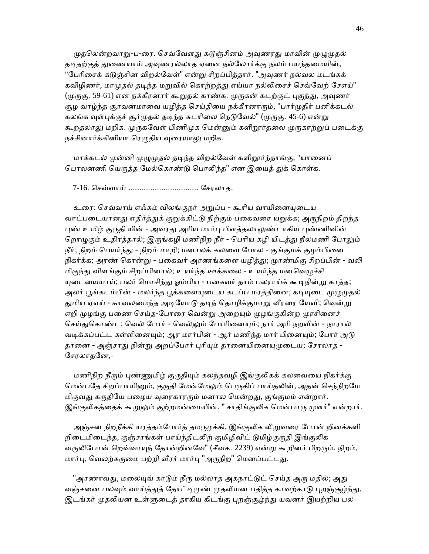முதலென்றவாறு-ப-ரை. செவ்வேளது கடுஞ்சினம் அவுணரது மாவின் முழுமுதல் தடிதற்குத் துணையாய் அவுணரல்லாத ஏனை நல்லோர்க்கு நலம் பயந்தமையின், "பேரிசைக் கடுஞ்சின விறல்வேள்" என்று சிறப்பித்தார். "அவுணர் நல்வல மடங்கக் கவிழிணர், மாமுதல் தடிந்த மறுவில் கொற்றத்து எய்யா நல்லிசைச் செவ்வேற் சேஎய்" (முருகு. 59-61) என நக்கீரனார் கூறுதல் காண்க. முருகன் கடற்குட் புகுந்து, அவுணர் சூழ வாழ்ந்த சூரவன்மாவை யழித்த செய்தியை நக்கீரனாரும், "பார்முதிர் பனிக்கடல் கலங்க வுள்புக்குச் சூர்முதல் தடிந்த சுடரிலை நெடுவேல்" (முருகு. 45-6) என்று கூறதலாலு மறிக. முருகவேள் பிணிமுக மென்னும் களிறூர்தலை முருகாற்றுப் படைக்கு நச்சினார்க்கினியா ரெழுதிய வுரையாலு மறிக.

மாக்கடல் முன்னி முழுமுதல் தடிந்த விறல்வேள் களிறூர்ந்தாங்கு, "யானைப் பொலனணி யெருத்த மேல்கொண்டு பொலிந்த" என இயைத் துக் கொள்க.

7-16. ெசவ்வாய் ................................ ேசரலாத.

உரை: செவ்வாய் எஃகம் விலங்குநர் அறுப்ப - கூரிய வாயினையுடைய வாட்படையானது எதிர்த்துக் குறுக்கிட்டு நிற்கும் பகைவரை யறுக்க; அருநிறம் திறந்த புண் உமிழ் குருதி யின் - அவரது அரிய மார்பு பிளத்தலாலுண்டாகிய புண்ணினின் றொழுகும் உதிரத்தால்; இருங்கழி மணிநிற நீர் - பெரிய கழி யிடத்து நீலமணி போலும் நீர்; நிறம் பெயர்ந்து - நிறம் மாறி; மனாலக் கலவை போல - குங்குமக் குழம்பினை நிகர்க்க; அரண் கொன்று - பகைவர் அரணங்களை யழித்து; முரண்மிகு சிறப்பின் - வலி மிகுந்து விளங்கும் சிறப்பினால்; உயர்ந்த ஊக்கலை - உயர்ந்த மனவெழுச்சி யுடையையாய்; பலர் மொசிந்து ஓம்பிய - பகைவர் தாம் பலராய்க் கூடிநின்று காத்த; அலர் பூங்கடம்பின் - மலர்ந்த பூக்களையுடைய கடப்ப மரத்தினை; கடியுடை முழுமுதல் துமிய ஏஎய் - காவலமைந்த அடியோடு தடிந் தொழிக்குமாறு வீரரை யேவி; வென்று எறி முழங்கு பணை செய்த-போரை வென்று அறையும் முழங்குகின்ற முரசினைச் செய்துகொண்ட; வெல் போர் - வெல்லும் போரினையும்; நார் அரி நறவின் - நாரால் வடிக்கப்பட்ட கள்ளினையும்; ஆர மார்பின் - ஆர் மணிந்த மார் பினையும்; போர் அடு தானை - அஞ்சாது நின்று அறப்போர் புரியும் தானையினையுமுடைய; சேரலாத -ேசரலாதேன,-

மணிநிற நீரும் புண்ணுமிழ் குருதியும் கலந்தவழி இங்குலிகக் கலவையை நிகர்க்கு மென்பதே சிறப்பாயினும், குருதி மேன்மேலும் பெருகிப் பாய்தலின், அதன் செந்நிறமே மிகுவது கருதியே பழைய வுரைகாரரும் மனால மென்றது, குங்குமம் என்றார். இங்குலிகத்தைக் கூறுலும் குற்றமன்மையின். " சாதிங்குலிக மென்பாரு முளர்" என்றார்.

அஞ்சன நிறநீக்கி யரத்தம்போர்த் தமருழக்கி, இங்குலிக லிறுவரை போன் றினக்களி றிடைமிடைந்த, குஞ்சரங்கள் பாய்ந்திடலிற் குமிழிவிட் டுமிழ்குருதி இங்குலிக வருலிபோன் றெவ்வாயுந் தோன்றினவே" (சீவக. 2239) என்று கூறினர் பிறரும். நிறம், மார்பு, வெலற்கருமை பற்றி வீரர் மார்பு "அருநிற" மெனப்பட்டது.

"அரணாவது, மலையுங் காடும் நீரு மல்லாத அகநாட்டுட் செய்த அரு மதில்; அது வஞ்சனை பலவும் வாய்த்துத் தோட்டிமுண் முதலியன பதித்த காவற்காடு புறஞ்சூழ்ந்து, இடங்கர் முதலியன உள்ளுடைத் தாகிய கிடங்கு புறஞ்சூழ்ந்து யவனர் இயற்றிய பல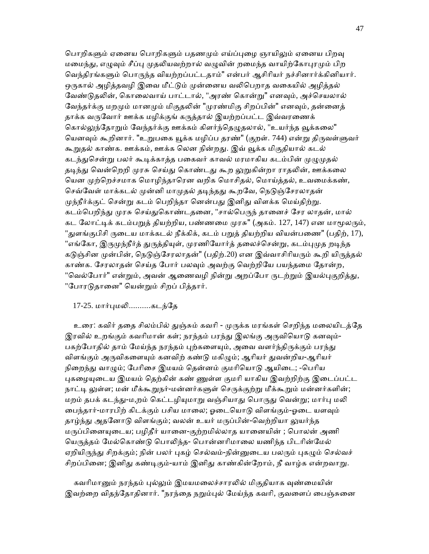பொறிகளும் ஏனைய பொறிகளும் பதணமும் எய்ப்புழை ஞாயிலும் ஏனைய பிறவு மமைந்து, எழுவும் சீப்பு முதலியவற்றால் வழுவின் றமைந்த வாயிற்கோபுரமும் பிற வெந்திரங்களும் பொருந்த வியற்றப்பட்டதாம்" என்பர் ஆசிரியர் நச்சினார்க்கினியார். ஒருகால் அழித்தவழி இவை மீட்டும் முன்னைய வலிபெறாக வகையில் அழித்தல் வேண்டுதலின், கொலைவாய் பாட்டால், "அரண் கொன்று" எனவும், அச்செயலால் வேந்தர்க்கு மறமும் மானமும் மிகுதலின் "முரண்மிகு சிறப்பின்" எனவும், தன்னைத் தாக்க வருவோர் ஊக்க மழிக்குங் கருத்தால் இயற்றப்பட்ட இவ்வரணைக் கொல்லுந்தோறும் வேந்தர்க்கு ஊக்கம் கிளர்ந்தெழுதலால், "உயர்ந்த வூக்கலை" யெனவும் கூறினார். "உறுபகை யூக்க மழிப்ப தரண்" (குறள். 744) என்று திருவள்ளுவர் கூறுதல் காண்க. ஊக்கம், ஊக்க லென நின்றது. இவ் வூக்க மிகுதியால் கடல் கடந்துசென்று பலர் கூடிக்காத்த பகைவர் காவல் மரமாகிய கடம்பின் முழுமுதல் தடிந்து வென்றெறி முரசு செய்து கொண்டது கூற லுறுகின்றா ராதலின், ஊக்கலை யென முற்றெச்சமாக மொழிந்தாரென வறிக மொசிதல், மொய்த்தல், உவமைக்கண், செவ்வேள் மாக்கடல் முன்னி மாமுதல் தடிந்தது கூறவே, நெடுஞ்சேரலாதன் முந்நீர்க்குட் சென்று கடம் பெறிந்தா னென்பது இனிது விளக்க மெய்திற்று. கடம்பெறிந்து முரசு செய்துகொண்டதனை, "சால்பெருந் தானைச் சேர லாதன், மால் கட லோட்டிக் கடம்பறுத் தியற்றிய, பண்ணமை முரசு" (அகம். 127, 147) என மாமூலரும், "துளங்குபிசி ருடைய மாக்கடல் நீக்கிக், கடம் பறுத் தியற்றிய வியன்பணை" (பதிற், 17), "எங்கோ, இருமுந்நீர்த் துருத்தியுள், முரணியோர்த் தலைச்சென்று, கடம்புமுத றடிந்த கடுஞ்சின முன்பின், நெடுஞ்சேரலாதன்" (பதிற்.20) என இவ்வாசிரியரும் கூறி யிருத்தல் காண்க. சேரலாதன் செய்த போர் பலவும் அவற்கு வெற்றியே பயந்தமை தோன்ற, "வெல்போர்" என்றும், அவன் ஆணைவழி நின்று அறப்போ ருடற்றும் இயல்புகுறித்து, "போரடுதானை" யென்றும் சிறப் பித்தார்.

### 17-25. மார்ᾗமᾢ..........கடந்ேத

உரை: கவிர் ததை சிலம்பில் துஞ்சும் கவரி - முருக்க மரங்கள் செறிந்த மலையிடத்தே இரவில் உறங்கும் கவரிமான் கள்; நரந்தம் பரந்து இலங்கு அருவியொடு கனவும்-பகற்போதில் தாம் மேய்ந்த நரந்தம் புற்களையும், அவை வளர்ந்திருக்கும் பரந்து விளங்கும் அருவிகளையும் கனவிற் கண்டு மகிழும்; ஆரியர் துவன்றிய-ஆரியர் நிறைந்து வாழும்; பேரிசை இமயம் தென்னம் குமரியொடு ஆயிடை; -பெரிய புகழையுடைய இமயம் கெற்கின் கண் ணுள்ள குமரி யாகிய இவற்றிற்கு இடைப்பட்ட நாட்டி லுள்ள; மன் மீக்கூறுநர்-மன்னர்களுள் செருக்குற்று மீக்கூறும் மன்னர்களின்; மறம் தபக் கடந்து-ம,றம் கெட்டழியுமாறு வஞ்சியாது பொருது வென்று; மார்பு மலி பைந்தார்-மாரபிற் கிடக்கும் பசிய மாலை; ஓடையொடு விளங்கும்-ஓடை யளவும் தாழ்ந்து அதனோடு விளங்கும்; வலன் உயர் மருப்பின்-வெற்றியா லுயர்ந்த மருப்பினையுடைய; பழிதீர் யானை-குற்றமில்லாத யானையின் ; பொலன் அணி யெருத்தம் மேல்கொண்டு பொலிந்த- பொன்னரிமாலை யணிந்த பிடரின்மேல் ஏறியிருந்து சிறக்கும்; நின் பலர் புகழ் செல்வம்-நின்னுடைய பலரும் புகழும் செல்வச் சிறப்பினை; இனிது கண்டிகும்-யாம் இனிது காண்கின்றோம், நீ வாழ்க என்றவாறு.

கவரிமானும் நரந்தம் புல்லும் இமயமலைச்சாரலில் மிகுதியாக வுண்மையின் இவற்றை விதந்தோதினார். "நரந்தை நறும்புல் மேய்ந்த கவரி, குவளைப் பைஞ்சுனை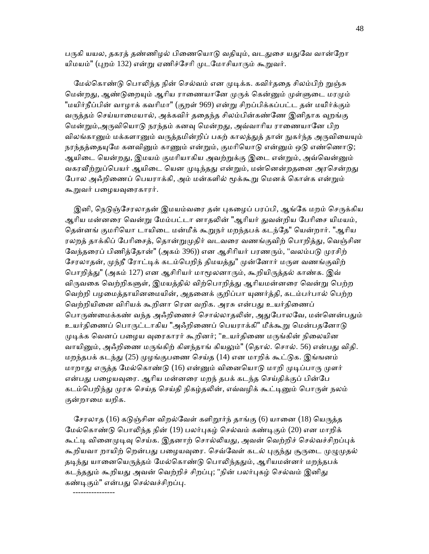பருகி யயல, தகரத் தண்ணிழல் பிணையொடு வதியும், வடதுசை யதுவே வான்றோ யிமயம்" (புறம் 132) என்று ஏணிச்சேரி முடமோசியாரும் கூறுவர்.

மேல்கொண்டு பொலிந்த நின் செல்வம் என முடிக்க. கவிர்ததை சிலம்பிற் றுஞ்சு மென்றது, ஆண்டுறையும் ஆரிய ராணையானே முருக் கென்னும் முள்ளுடை மரமும் "மயிர்நீப்பின் வாழாக் கவாிமா" (குறள் 969) என்ᾠ சிறப்பிக்கப்பட்ட தன் மயி்ர்க்கும் வருத்தம் செய்யாமையால், அக்கவிர் ததைந்த சிலம்பின்கண்ணே இனிதாக வுறங்கு மென்றும்,அருவியொடு நரந்தம் கனவு மென்றது, அவ்வாரிய ராணையானே பிற விலங்கானும் மக்களானும் வருத்தமின்றிப் பகற் காலத்துத் தான் நுகர்ந்த அருவியையும் நரந்தத்தையுமே கனவினும் காணும் என்றும், குமரியொடு என்னும் ஒடு எண்ணொடு; ஆயிடை யென்றது, இமயம் குமரியாகிய அவற்றுக்கு இடை என்றும், அவ்வென்னும் வகரவீற்றுப்பெயர் ஆயிடை யென முடிந்தது என்றும், மன்னென்றதனை அரசென்றது போல அஃறிணைப் பெயராக்கி, அம் மன்களில் மூக்கூறு மெனக் கொள்க என்றும் கூறுவர் பழையவுரைகாரர்.

இனி, நெடுஞ்சேரலாதன் இமயம்வரை தன் புகழைப் பரப்பி, ஆங்கே மறம் செருக்கிய ஆரிய மன்னரை வென்று மேம்பட்டா னாதலின் "ஆரியர் துவன்றிய பேரிசை யிமயம், தென்னங் குமரியொ டாயிடை மன்மீக் கூறுநர் மறந்தபக் கடந்தே" யென்றார். "ஆரிய ரலறத் தாக்கிப் பேரிசைத், தொன்றுமுதிர் வடவரை வணங்குவிற் பொறித்து, வெஞ்சின வேந்தரைப் பிணித்தோன்" (அகம் 396)) என ஆசிரியர் பரணரும், "வலம்படு முரசிற் சேரலாதன், முந்நீ ரோட்டிக் கடம்பெறிந் திமயத்து" முன்னோர் மருள வணங்குவிற் பொறித்து" (அகம் 127) என ஆசிரியர் மாமூலனாரும், கூறியிருத்தல் காண்க. இவ் விருவகை வெற்றிகளுள், இமயத்தில் விற்பொறித்து ஆரியமன்னரை வென்று பெற்ற வெற்றி பழமைத்தாயினமையின், அதனைக் குறிப்பா யுணர்த்தி, கடம்பர்பால் பெற்ற வெற்றியினை விரியக் கூறினா ரென வறிக. அரசு என்பது உயர்திணைப் பொருண்மைக்கண் வந்த அஃறிணைச் சொல்லாதலின், அதுபோலவே, மன்னென்பதும் உயர்திணைப் பொருட்டாகிய "அஃறிணைப் பெயராக்கி" மீக்கூறு மென்பதனோடு முடிக்க வெனப் பழைய வுரைகாரர் கூறினர்; "உயர்திணை மருங்கின் நிலையின வாயினும், அஃறிணை மருங்கிற் கிளந்தாங் கியலும்" (தொல். சொல். 56) என்பது விதி. மறந்தபக் கடந்து (25) முழங்குபணை செய்த (14) என மாறிக் கூட்டுக. இங்ஙனம் மாறாது எருத்த மேல்கொண்டு (16) என்னும் வினையொடு மாறி முடிப்பாரு முளர் என்பது பழையவுரை. ஆரிய மன்னரை மறந் தபக் கடந்த செய்திக்குப் பின்பே கடம்பெறிந்து முரசு செய்த செய்தி நிகழ்தலின், எவ்வழிக் கூட்டினும் பொருள் நலம் குன்றாைம யறிக.

சேரலாத (16) கடுஞ்சின விறல்வேள் களிறூர்ந் தாங்கு (6) யானை (18) யெருத்த மேல்கொண்டு பொலிந்த நின் (19) பலர்புகழ் செல்வம் கண்டிகும் (20) என மாறிக் கூட்டி வினைமுடிவு செய்க. இதனாற் சொல்லியது, அவன் வெற்றிச் செல்வச்சிறப்புக் கூறியவா றாயிற் றென்பது பழையவுரை. செவ்வேள் கடல் புகுந்து சூருடை முழுமுதல் தடிந்து யானையெருத்தம் மேல்கொண்டு பொலிந்ததும், ஆரியமன்னர் மறந்தபக் கடந்ததும் கூறியது அவன் வெற்றிச் சிறப்பு; "நின் பலர்புகழ் செல்வம் இனிது கண்டிகும்" என்பது செல்வச்சிறப்பு.

----------------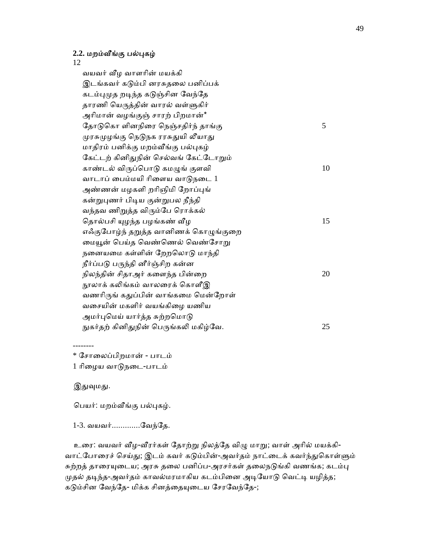### **2.2.** மறம்ᾪங்கு பல்ᾗகழ்

12

 வயவர் ᾪழ வாளாின் மயக்கி இடங்கவர் கடும்பி னரசுதலை பனிப்பக் கடம்புமுத றடிந்த கடுஞ்சின வேந்தே தாரணி யெருத்தின் வாரல் வள்ளுகிர் அாிமான் வழங்குஞ் சாரற் பிறமான்\* தோடுகொ ளினநிரை நெஞ்சதிர்ந் தாங்கு $5$ முரசுமுழங்கு நெடுநக ரரசுதுயி லீயாது மாதிரம் பனிக்கு மறம்ᾪங்கு பல்ᾗகழ் கேட்டற் கினிதுநின் செல்வங் கேட்டோறும் காண்டல் விருப்பொடு கமழுங் குளவி  $10$ வாடாப் பைம்மயி ரிளைய வாடுநடை 1 அண்ணன் மழகளி றரிஞிமி றோப்பங் கன்றுபுணர் பிடிய குன்றுபல நீந்தி வந்தவ ணிᾠத்த விᾞம்ேப ெராக்கல் ெதால்பசி ᾜழந்த பழங்கண் ᾪழ 15 எஃகுபோழ்ந் தறுத்த வானிணக் கொழுங்குறை மையூன் பெய்த வெண்ணெல் வெண்சோறு நைனயைம கள்ளின் ேறறெலாᾌ மாந்தி நீர்ப்படு பருந்தி னீர்ஞ்சிற கன்ன நிலந்தின் சிதாஅர் களைந்த பின்றை  $20$ நூலாக் கலிங்கம் வாலரைக் கொளீஇ வணரிருங் கதுப்பின் வாங்கமை மென்றோள் வைசயின் மகளிர் வயங்கிைழ யணிய அமர்புமெய் யார்த்த சுற்றமொடு நுகர்தற் கினிதுநின் பெருங்கலி மகிழ்வே.  $25$ 

\* ேசாைலப்பிறமான் - பாடம்

1 ாிைழய வாᾌநைட-பாடம்

இதுவுமது.

--------

ெபயர்: மறம்ᾪங்கு பல்ᾗகழ்.

1-3. வயவர்.............ேவந்ேத.

உரை: வயவர் வீழ-வீரர்கள் தோற்று நிலத்தே விழு மாறு; வாள் அரில் மயக்கி-வாட்போரைச் செய்து; இடம் கவர் கடும்பின்-அவர்தம் நாட்டைக் கவர்ந்துகொள்ளும் சுற்றத் தாரையுடைய; அரசு தலை பனிப்ப-அரசர்கள் தலைநடுங்கி வணங்க; கடம்பு முதல் தடிந்த-அவர்தம் காவல்மரமாகிய கடம்பினை அடியோடு வெட்டி யழித்த; கடும்சின வேந்தே- மிக்க சினத்தையுடைய சேரவேந்தே-;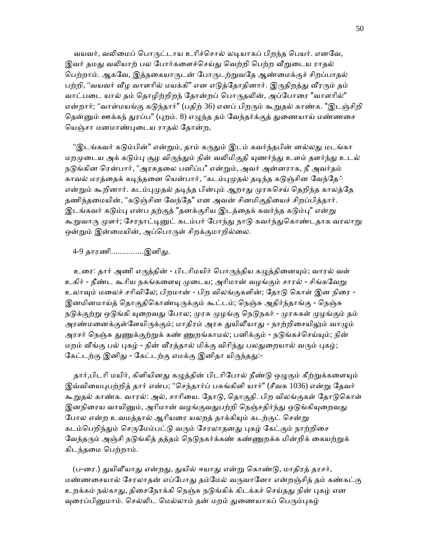வயவர், வலிமைப் பொருட்டாய உரிச்சொல் லடியாகப் பிறந்த பெயர். எனவே, இவர் தமது வலியாற் பல போர்களைச்செய்து வெற்றி பெற்ற வீறுடைய ராதல் ெபற்றாம். ஆகேவ, இத்தைகயாᾞடன் ேபாᾞடற்ᾠவேத ஆண்ைமக்குச் சிறப்பாதல் பற்றி, "வயவர் வீழ வாளரில் மயக்கி" என எடுத்தோதினார். இருதிறத்து வீரரும் தம் வாட்படை யால் தம் தொழிற்றிறந் தோன்றப் பொருதலின், அப்போரை "வாளரில்" என்றார்; "வாள்மயங்கு கடுந்தார்" (பதிற் 36) எனப் பிறரும் கூறுதல் காண்க. "இடஞ்சிறி தென்னும் ஊக்கந் துரப்ப" (புறம். 8) எழுந்த தம் வேந்தர்க்குத் துணையாய் மண்ணசை ெயஞ்சா மனமாண்ᾗைடய ராதல் ேதான்ற,

"இடங்கவர் கடும்பின்" என்றும், தாம் கருதும் இடம் கவர்ந்தபின் னல்லது மடங்கா மறமுடைய அக் கடும்பு சூழ விருந்தும் நின் வலிமிகுதி யுணர்ந்து உளம் தளர்ந்து உடல் நடுங்கின ரென்பார், "அரசுதலை பனிப்ப" என்றும், அவர் அன்னராக, நீ அவர்தம் காவல் மரத்தைக் கடிந்தனை யென்பார், "கடம்புமுதல் தடிந்த கடுஞ்சின வேந்தே் என்றும் கூறினார். கடம்புமுதல் தடிந்த பின்பும் ஆறாது முரசுசெய் தெறிந்த காலத்தே தணிந்தமையின், "கடுஞ்சின வேந்தே" என அவன் சினமிகுதியைச் சிறப்பித்தார். இடங்கவர் கடும்பு என்ப தற்குத் "தனக்குரிய இடத்தைக் கவர்ந்த கடும்பு" என்று கூறுவாரு முளர்; சேரநாட்டினுட் கடம்பர் போந்து நாடு கவர்ந்துகொண்டதாக வரலாறு ஒன்றும் இன்மையின், அப்பொருள் சிறக்குமாறில்லை.

4-9 தாரணி...............இனிது.

உரை: தார் அணி எருத்தின் - பிடரிமயிர் பொருந்திய கழுத்தினையும்; வாரல் வள் உகிர் - நீண்ட கூரிய நகங்களையு முடைய; அரிமான் வழங்கும் சாரல் - சிங்கவேறு உலாவும் மலைச் சரிவிலே; பிறமான் - பிற விலங்குகளின்; தோடு கொள் இன நிரை -இனமினமாய்த் தொகுதிகொண்டிருக்கும் கூட்டம்; நெஞ்சு அதிர்ந்தாங்கு - நெஞ்சு நடுக்குற்று ஒடுங்கி யுறைவது போல; முரசு முழங்கு நெடுநகர் - முரசுகள் முழங்கும் தம் அரண்மனைக்குள்ளேயிருக்கும்; மாதிரம் அரசு துயிலீயாது - நாற்றிசையிலும் வாழும் அரசர் நெஞ்சு துணுக்குற்றுக் கண் ணுறங்காமல்; பனிக்கும் - நடுங்கச்செய்யும்; நின் மறம் வீங்கு பல் புகழ் - நின் வீரத்தால் மிக்கு விரிந்து பலதுறையால் வரும் புகழ்; கேட்டற்கு இனிது - கேட்டற்கு எமக்கு இனிதா யிருந்தது:-

தார்,பிடரி மயிர், கிளியினது கழுத்தின் பிடரிபோல் நீண்டு ஒழுகும் கீற்றுக்களையும் இவ்வியைபுபற்றித் தார் என்ப; "செந்தார்ப் பசுங்கிளி யார்" (சீவக 1036) என்று தேவர் கூறுதல் காண்க. வாரல்: அல், சாரியை. தோடு, தொகுதி. பிற விலங்குகள் தோடுகொள் இனநிரைய வாயினும், அரிமான் வழங்குவதுபற்றி நெஞ்சதிர்ந்து ஒடுங்கியுறைவது போல என்ற உவமத்தால் ஆரியரை யலறத் தாக்கியும் கடற்குட் சென்று கடம்பெறிந்தும் செருமேம்பட்டு வரும் சேரலாதனது புகழ் கேட்கும் நாற்றிசை வேந்தரும் அஞ்சி நடுங்கித் தத்தம் நெடுநகர்க்கண் கண்ணுறக்க மின்றிக் கையற்றுக் கிடந்தைம ெபற்றாம்.

(ப-ரை.) துயிலீயாது என்றது, துயில் ஈயாது என்று கொண்டு, மாதிரத் தரசர், மண்ணசையால் சேரலாதன் எப்போது தம்மேல் வருவானோ என்றஞ்சித் தம் கண்கட்கு உறக்கம் நல்காது, திசைநோக்கி நெஞ்சு நடுங்கிக் கிடக்கச் செய்தது நின் புகழ் என வுரைப்பினுமாம். செல்லிட மெல்லாம் தன் மறம் துணையாகப் பெரும்புகழ்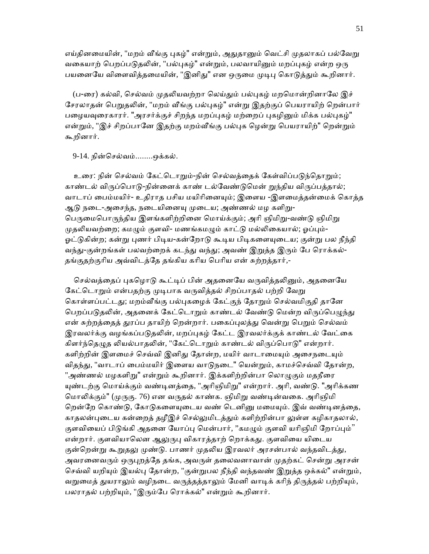எய்தினமையின், "மறம் வீங்கு புகழ்" என்றும், அதுதானும் வெட்சி முதலாகப் பல்வேறு வகையாற் பெறப்படுதலின், "பல்புகழ்" என்றும், பலவாயினும் மறப்புகழ் என்ற ஒரு பயனையே விளைவித்தமையின், "இனிது" என ஒருமை முடிபு கொடுத்தும் கூறினார்.

(ப-ரை) கல்வி, செல்வம் முதலியவற்றா லெய்தும் பல்புகழ் மறமொன்றினாலே இச் சேரலாதன் பெறுதலின், "மறம் வீங்கு பல்புகழ்" என்று இதற்குப் பெயராயிற் றென்பார் பழையவுரைகாரர். "அரசர்க்குச் சிறந்த மறப்புகழ் மற்றைப் புகழினும் மிக்க பல்புகழ்" என்றும், "இச் சிறப்பானே இதற்கு மறம்வீங்கு பல்புக ழென்று பெயராயிற்" றென்றும் கூறினார்.

9-14. நின்ெசல்வம்........ஒக்கல்.

உரை: நின் செல்வம் கேட்டொறும்-நின் செல்வத்தைக் கேள்விப்படுந்தொறும்; காண்டல் விருப்பொடு-நின்னைக் காண் டல்வேண்டுமென் றுந்திய விருப்பத்தால்; வாடாப் பைம்மயிர்- உதிராத பசிய மயிரினையும்; இளைய -இளமைத்தன்மைக் கொத்த ஆடு நடை-அசைந்த, நடையினையு முடைய; அண்ணல் மழ களிறு-பெருமைபொருந்திய இளங்களிற்றினை மொய்க்கும்; அரி ஞிமிறு-வண்டு ஞிமிறு முதலியவற்றை; கமழும் குளவி- மணங்கமழும் காட்டு மல்லிகையால்; ஓப்பும்-ஓட்டுகின்ற; கன்று புணர் பிடிய-கன்றோடு கூடிய பிடிகளையுடைய; குன்று பல நீந்தி வந்து-குன்றங்கள் பலவற்றைக் கடந்து வந்து; அவண் இறுத்த இரும் பே ரொக்கல்-தங்குதற்குாிய அவ்விடத்ேத தங்கிய காிய ெபாிய என் சுற்றத்தார்,-

செல்வத்தைப் புகழொடு கூட்டிப் பின் அதனையே வருவித்தலினும், அதனையே கேட்டொறும் என்பதற்கு முடிபாக வருவித்தல் சிறப்பாதல் பற்றி வேறு கொள்ளப்பட்டது; மறம்வீங்கு பல்புகழைக் கேட்குந் தோறும் செல்வமிகுதி தானே பெறப்படுதலின், அதனைக் கேட்டொறும் காண்டல் வேண்டு மென்ற விருப்பெழுந்து என் சுற்றத்தைத் துரப்ப தாயிற் றென்றார். பகைப்புலத்து வென்று பெறும் செல்வம் இரவலர்க்கு வழங்கப்படுதலின், மறப்புகழ் கேட்ட இரவலர்க்குக் காண்டல் வேட்கை கிளர்ந்தெழுத லியல்பாதலின், "கேட்டொறும் காண்டல் விருப்பொடு" என்றார். களிற்றின் இளமைச் செவ்வி இனிது தோன்ற, மயிர் வாடாமையும் அசைநடையும் விதந்து, "வாடாப் பைம்மயிர் இளைய வாடுநடை" யென்றும், காமச்செவ்வி தோன்ற, "அண்ணல் மழகளிறு" என்றும் கூறினார். இக்களிற்றின்பா லொழுகும் மதநீரை யுண்டற்கு மொய்க்கும் வண்டினத்தை, "அரிஞிமிறு" என்றார். அரி, வண்டு. "அரிக்கண மொலிக்கும்" (முருகு. 76) என வருதல் காண்க. ஞிமிறு வண்டின்வகை. அரிஞிமி றென்றே கொண்டு, கோடுகளையுடைய வண் டெனினு மமையும். இவ் வண்டினத்தை, காதலன்புடைய கன்றைத் தழீஇச் செல்லுமிடத்தும் களிற்றின்பா லுள்ள கழிகாதலால், குளவியைப் பிடுங்கி அதனை யோப்பு மென்பார், "கமழும் குளவி யரிஞிமி றோப்பும்" என்றார். குளவியாலென ஆலுருபு விகாரத்தாற் றொக்கது. குளவியை யிடைய குன்றென்று கூறுதலு முண்டு. பாணர் முதலிய இரவலர் அரசன்பால் வந்தவிடத்து, அவரனைவரும் ஒருபுறத்தே தங்க, அவருள் தலைவனாவான் முதற்கட் சென்று அரசன் செவ்வி யறியும் இயல்பு தோன்ற, "குன்றுபல நீந்தி வந்தவண் இறுத்த ஒக்கல்" என்றும், வறுமைத் துயராலும் வழிநடை வருத்தத்தாலும் மேனி வாடிக் கரிந் திருத்தல் பற்றியும், பலராதல் பற்றியும், "இரும்பே ரொக்கல்" என்றும் கூறினார்.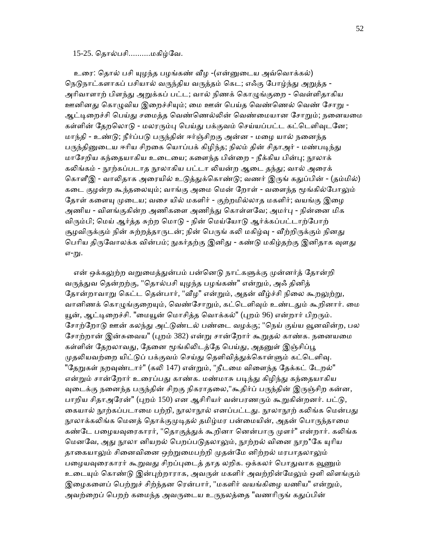#### 15-25. ெதால்பசி..........மகிழ்ேவ.

உரை: தொல் பசி யுழந்த பழங்கண் வீழ -(என்னுடைய அவ்வொக்கல்) நெடுநாட்களாகப் பசியால் வருந்திய வருத்தம் கெட; எஃகு போழ்ந்து அறுத்த -அரிவாளாற் பிளந்து அறுக்கப் பட்ட; வால் நிணக் கொழுங்குறை - வெள்ளிதாகிய ஊனினது கொழுவிய இறைச்சியும்; மை ஊன் பெய்த வெண்ணெல் வெண் சோறு -ஆட்டிறைச்சி பெய்து சமைத்த வெண்ணெல்லின் வெண்மையான சோறும்; நனையமை கள்ளின் தேறலொடு - மலரரும்பு பெய்து பக்குவம் செய்யப்பட்ட கட்டெளிவுடனே; மாந்தி - உண்ᾌ; நீர்ப்பᾌ பᾞந்தின் ஈர்ஞ்சிறகு அன்ன - மைழ யால் நைனந்த பருந்தினுடைய ஈரிய சிறகை யொப்பக் கிழிந்த; நிலம் தின் சிதாஅர் - மண்படிந்து மாசேறிய கந்தையாகிய உடையை; களைந்த பின்றை - நீக்கிய பின்பு; நூலாக் கலிங்கம் - நூற்கப்படாத நூலாகிய பட்டா லியன்ற ஆடை தந்து; வால் அரைக் கொளீஇ - வாலிதாக அரையில் உடுத்துக்கொண்டு; வணர் இருங் கதுப்பின் - (தம்மில்) கடை குழன்ற கூந்தலையும்; வாங்கு அமை மென் றோள் - வளைந்த மூங்கில்போலும் தோள் களையு முடைய; வசை யில் மகளிர் - குற்றமில்லாத மகளிர்; வயங்கு இழை அணிய - விளங்குகின்ற அணிகளை அணிந்து கொள்ளவே; அமர்பு - நின்னை மிக விரும்பி; மெய் ஆர்த்த சுற்ற மொடு - நின் மெய்யோடு ஆர்க்கப்பட்டாற்போற் சூழவிருக்கும் நின் சுற்றத்தாருடன்; நின் பெருங் கலி மகிழ்வு - வீற்றிருக்கும் நினது பெரிய திருவோலக்க வின்பம்; நுகர்தற்கு இனிது - கண்டு மகிழ்தற்கு இனிதாக வுளது எ-று.

என் ஒக்கலுற்ற வறுமைத்துன்பம் பன்னெடு நாட்களுக்கு முன்னர்த் தோன்றி வருத்துவ தென்றற்கு, "தொல்பசி யுழந்த பழங்கண்" என்றும், அஃ தினித் தோன்றாவாறு கெட்ட தென்பார், "வீழ" என்றும், அதன் வீழ்ச்சி நிலை கூறலுற்று, வானிணக் கொழுங்குறையும், வெண்சோறும், கட்டெளிவும் உண்டதும் கூறினார். மை யூன், ஆட்டிறைச்சி. "மையூன் மொசித்த வொக்கல்" (புறம் 96) என்றார் பிறரும். சோற்றோடு ஊன் கலந்து அட்டுண்டல் பண்டை வழக்கு; "நெய் குய்ய வூனவின்ற, பல சோற்றான் இன்சுவைய" (புறம் 382) என்று சான்றோர் கூறுதல் காண்க. நனையமை கள்ளின் தேறலாவது, தேனை மூங்கிலிடத்தே பெய்து, அதனுள் இஞ்சிப்பூ முதலியவற்றை யிட்டுப் பக்குவம் செய்து தெளிவித்துக்கொள்ளும் கட்டெளிவு. "தேறுகள் நறவுண்டார்" (கலி 147) என்றும், "நீடமை விளைந்த தேக்கட் டேறல்" என்றும் சான்றோர் உரைப்பது காண்க. மண்மாசு படிந்து கிழிந்து கந்தையாகிய வுடைக்கு நனைந்த பருந்தின் சிறகு நிகராதலை,"கூதிர்ப் பருந்தின் இருஞ்சிற கன்ன, பாறிய சிதாஅரேன்" (புறம் 150) என ஆசிரியர் வன்பரணரும் கூறுகின்றனர். பட்டு, கையால் நூற்கப்படாமை பற்றி, நூலாநூல் எனப்பட்டது. நூலாநூற் கலிங்க மென்பது நூலாக்கலிங்க மெனத் தொக்குமுடிதல் தமிழ்மர பன்மையின், அதன் பொருந்தாமை கண்டே பழையவுரைகாரர், "தொகுத்துக் கூறினா னென்பாரு முளர்" என்றார். கலிங்க மெனவே, அது நூலா னியறல் பெறப்படுதலாலும், நூற்றல் வினை நூற\*கே யுரிய தாகையாலும் சினைவினை ஒற்றுமைபற்றி முதன்மே னிற்றல் மரபாதலாலும் பழையவுரைகாரர் கூறுவது சிறப்புடைத் தாத லறிக. ஒக்கலர் பொதுவாக வூணும் உடையும் கொண்டு இன்புற்றாராக, அவருள் மகளிர் அவற்றின்மேலும் ஒளி விளங்கும் இழைகளைப் பெற்றுச் சிற்ந்தன ரென்பார், "மகளிர் வயங்கிழை யணிய" என்றும், அவற்றைப் பெறற் கமைந்த அவருடைய உருநலத்தை "வணரிருங் கதுப்பின்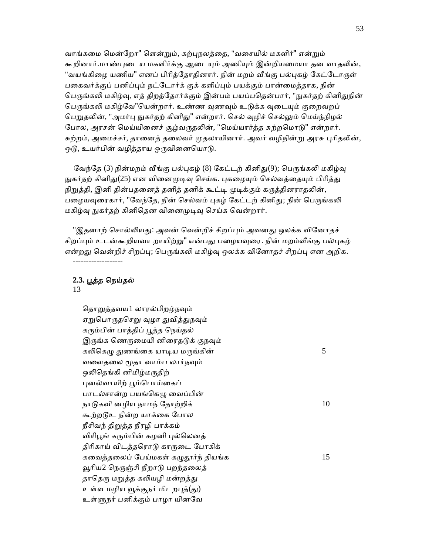வாங்கமை மென்றோ" ளென்றும், கற்புநலத்தை, "வசையில் மகளிர்" என்றும் கூறினார்.மாண்புடைய மகளிர்க்கு ஆடையும் அணியும் இன்றியமையா தன வாதலின், "வயங்கிழை யணிய" எனப் பிரித்தோதினார். நின் மறம் வீங்கு பல்புகழ் கேட்டோருள் பகைவர்க்குப் பனிப்பும் நட்டோர்க் குக் களிப்பும் பயக்கும் பான்மைத்தாக, நின் பெருங்கலி மகிழ்வு, எத் திறத்தோர்க்கும் இன்பம் பயப்பதென்பார், "நுகர்தற் கினிதுநின் பெருங்கலி மகிழ்வே"யென்றார். உண்ண வுணவும் உடுக்க வுடையும் குறைவறப் பெறுதலின், "அமர்பு நுகர்தற் கினிது" என்றார். செல் வுழிச் செல்லும் மெய்ந்நிழல் போல, அரசன் மெய்யினைச் சூழ்வருதலின், "மெய்யார்த்த சுற்றமொடு" என்றார். சுற்றம், அமைச்சர், தானைத் தலைவர் முதலாயினார். அவர் வழிநின்று அரசு புரிதலின், ஒடு, உயர்பின் வழித்தாய ஒருவினையொடு.

வேந்தே (3) நின்மறம் வீங்கு பல்புகழ் (8) கேட்டற் கினிது(9); பெருங்கலி மகிழ்வு நுகர்தற் கினிது(25) என வினைமுடிவு செய்க. புகழையும் செல்வத்தையும் பிரித்து நிறுத்தி, இனி தின்பதனைத் தனித் தனிக் கூட்டி முடிக்கும் கருத்தினராதலின், பழையவுரைகார், "வேந்தே, நின் செல்வம் புகழ் கேட்டற் கினிது; நின் பெருங்கலி மகிழ்வு நுகர்தற் கினிதென வினைமுடிவு செய்க வென்றார்.

"இதனாற் சொல்லியது: அவன் வென்றிச் சிறப்பும் அவனது ஒலக்க வினோதச் சிறப்பும் உடன்கூறியவா றாயிற்று" என்பது பழையவுரை. நின் மறம்வீங்கு பல்புகழ் என்றது வென்றிச் சிறப்பு; பெருங்கலி மகிழ்வு ஒலக்க வினோதச் சிறப்பு என அறிக. -------------------

## **2.3.** ᾘத்த ெநய்தல்

13

தொறுத்தவய1 லாரல்பிறழ்நவும் ஏறுபொருதசெறு வுழா துவித்துநவும் கரும்பின் பாத்திப் பூத்த நெய்தல் இருங்க ணெருமையி னிரைதடுக் குநவும் கலிகெழு துணங்கை யாடிய மருங்கின்  $5$ வளைதலை மூதா வாம்ப லார்நவும் ஒலிதெங்கி னிமிழ்மருதிற் புனல்வாயிற் பூம்பொய்கைப் பாடல்சான்ற பயங்கெமு வைப்பின் நாடுகவி னழிய நாமந் தோற்றிக்  $10$ கூற்றடூஉ நின்ற யாக்கை போல நீசிவந் திᾠத்த நீரழி பாக்கம் விரிபூங் கரும்பின் கழனி புல்லெனத் திரிகாய் விடத்தரொடு காருடை போகிக் கவைத்தலைப் பேய்மகள் கழுதூர்ந் தியங்க  $15$ வூரிய2 நெருஞ்சி நீறாடு பறந்தலைத் தாதெரு மறுத்த கலியழி மன்றத்து உள்ள மழிய வூக்குநர் மிடறபுத்(து) உள்ᾦநர் பனிக்கும் பாழா யினேவ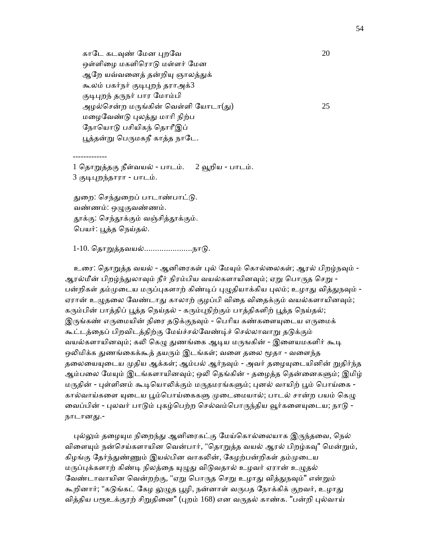காடே கடவுண் மேன புறவே $20$ ஒள்ளிழை மகளிரொடு மள்ளர் மேன ஆறே யவ்வனைத் தன்றியு ஞாலத்துக் கூலம் பகர்நர் குடிபுறந் தராஅக்3 குடிபுறந் தருநர் பார மோம்பி அழல்சென்ற மருங்கின் வெள்ளி யோடா(து)  $25$ மழைவேண்டு புலத்து மாரி நிற்ப நோயொடு பசியிகந் தொரீஇப் பூத்தன்று பெருமகநீ காத்த நாடே.

-------------

1 தொறுத்தகு நீள்வயல் - பாடம். 2 வூறிய - பாடம். 3 குடிபுறந்தாரா - பாடம்.

துறை: செந்துறைப் பாடாண்பாட்டு. வண்ணம்: ஒᾨகுவண்ணம். தூக்கு: செந்தூக்கும் வஞ்சித்தூக்கும். ெபயர்: ᾘத்த ெநய்தல்.

1-10. தொறுத்தவயல்........................நாடு.

உரை: தொறுத்த வயல் - ஆனிரைகள் புல் மேயும் கொல்லைகள்; ஆரல் பிறழ்நவும் -ஆரல்மீன் பிறழ்ந்துலாவும் நீர் நிரம்பிய வயல்களாயினவும்; ஏறு பொருத செறு -பன்றிகள் தம்முடைய மருப்புகளாற் கிண்டிப் புமுகியாக்கிய புலம்; உழாது விக்துநவும் -ஏரான் உழுதலை வேண்டாது காலாற் குழப்பி விதை விதைக்கும் வயல்களாயினவும்; கரும்பின் பாத்திப் பூத்த நெய்தல் - கரும்புநிற்கும் பாத்திகளிற் பூத்த நெய்தல்; இருங்கண் எருமையின் நிரை தடுக்குநவும் - பெரிய கண்களையுடைய எருமைக் கூட்டத்தைப் பிறவிடத்திற்கு மேய்ச்சல்வேண்டிச் செல்லாவாறு தடுக்கும் வயல்களாயினவும்; கலி கெழு துணங்கை ஆடிய மருஙகின் - இளையமகளிர் கூடி ஒலிமிக்க துணங்கைக்கூத் தயரும் இடங்கள்; வளை தலை மூதா - வளைந்த தலையையுடைய முதிய ஆக்கள்; ஆம்பல் ஆர்நவும் - அவர் தழையுடையினின் றுதிர்ந்த ஆம்பலை மேயும் இடங்களாயினவும்; ஒலி தெங்கின் - தழைத்த தென்னைகளும்; இமிழ் மருதின் - புள்ளினம் கூடியொலிக்கும் மருதமரங்களும்; புனல் வாயிற் பூம் பொய்கை -கால்வாய்களை யுடைய பூம்பொய்கைகளு முடைமையால்; பாடல் சான்ற பயம் கெழு வைப்பின் - புலவர் பாடும் புகழ்பெற்ற செல்வம்பொருந்திய வூர்களையுடைய; நாடு -நாடானᾐ.-

புல்லும் தழையும நிறைந்து ஆனிரைகட்கு மேய்கொல்லையாக இருந்தவை, நெல் விளையும் நன்செய்களாயின வென்பார், "தொறுத்த வயல் ஆரல் பிறழ்கவு" மென்றும், கிழங்கு தேர்ந்துண்ணும் இயல்பின வாகலின், கேழற்பன்றிகள் தம்முடைய மருப்புக்களாற் கிண்டி நிலத்தை யுழுது விடுவதால் உழவர் ஏரான் உழுதல் வேண்டாவாயின வென்றற்கு, "ஏறு பொருத செறு உழாது வித்துநவும்" என்றும் கூறினார்; "கடுங்கட் கேழ <u>லு</u>ழுத பூழி, நன்னாள் வருபத நோக்கிக் குறவர், உழாது வித்திய பரூஉக்குரற் சிறுதினை" (புறம் 168) என வருதல் காண்க. "பன்றி புல்வாய்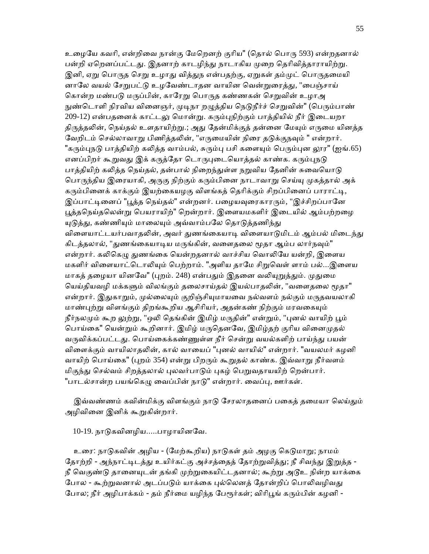உழையே கவரி, என்றிவை நான்கு மேறெனற் குரிய" (தொல் பொரு 593) என்றதனால் பன்றி ஏறெனப்பட்டது. இதனாற் காடழிந்து நாடாகிய முறை தெரிவித்தாராயிற்று. இனி, ஏறு பொருத செறு உழாது வித்துந என்பதற்கு, ஏறுகள் தம்முட் பொருதமையி னாலே வயல் சேறுபட்டு உழவேண்டாதன வாயின வென்றுரைத்து, "பைஞ்சாய் கொன்ற மண்படு மருப்பின், காரேறு பொருத கண்ணகன் செறுவின் உழாஅ நுண்டொளி நிரவிய வினைஞர், முடிநா றழுத்திய நெடுநீர்ச் செறுவின்" (பெரும்பாண் 209-12) என்பதனைக் காட்டலு மொன்று. கரும்புநிற்கும் பாத்தியில் நீர் இடையறா திருத்தலின், நெய்தல் உளதாயிற்று.; அது தேன்மிக்குத் தன்னை மேயும் எருமை யினத்த வேறிடம் செல்லாவாறு பிணித்தலின், "எருமையின் நிரை தடுக்குநவும் " என்றார். "கரும்புநடு பாத்தியிற் கலித்த வாம்பல், சுரும்பு பசி களையும் பெரும்புன லூர" (ஐங்.65) எனப்பிறர் கூறுவது இக் கருத்தோ டொருபுடையொத்தல் காண்க. கரும்புநடு பாத்தியிற் கலித்த நெய்தல், தன்பால் நிறைந்துள்ள நறுவிய தேனின் சுவையொடு பொருந்திய இரையாகி, அருகு நிற்கும் கரும்பினை நாடாவாறு செய்யு முகத்தால் அக் கரும்பினைக் காக்கும் இயற்கையழகு விளங்கத் தெரிக்கும் சிறப்பினைப் பாராட்டி, இப்பாட்டினைப் "பூத்த நெய்தல்" என்றனர். பழையவுரைகாரரும், "இச்சிறப்பானே பூத்தநெய்தலென்று பெயராயிற்" றென்றார். இளையமகளிர் இடையில் ஆம்பற்றழை யுடுத்து, கண்ணியும் மாலையும் அவ்வாம்பலே தொடுத்தணிந்து விளையாட்டயர்பவாதலின், அவர் துணங்கையாடி விளையாடுமிடம் ஆம்பல் மிடைந்து கிடத்தலால், "துணங்கையாடிய மருங்கின், வளைதலை மூதா ஆம்ப லார்நவும்" என்றார். கலிகெழு துணங்கை யென்றதனால் வாச்சிய வொலியே யன்றி, இளைய மகளிர் விளையாட்டொலியும் பெற்றாம். "அளிய தாமே சிறுவெள் ளாம் பல்...இளைய மாகத் தழையா யினவே" (புறம். 248) என்பதும் இதனை வலியுறுத்தும். முதுமை யெய்தியவழி மக்களும் விலங்கும் தலைசாய்தல் இயல்பாதலின், "வளைதலை மூதா" என்றார். இதுகாறும், முல்லையும் குறிஞ்சியுமாயவை நல்வளம் நல்கும் மருதவயலாகி மாண்புற்று விளங்கும் திறங்கூறிய ஆசிரியர், அதன்கண் நிற்கும் மரவகையும் நீர்நலமும் கூற லுற்று, "ஒலி தெங்கின் இமிழ் மருதின்" என்றும், "புனல் வாயிற் பூம் பொய்கை" யென்றும் கூறினார். இமிழ் மருதெனவே, இமிழ்தற் குரிய வினைமுதல் வருவிக்கப்பட்டது. பொய்கைக்கண்ணுள்ள நீர் சென்று வயல்களிற் பாய்ந்து பயன் விளைக்கும் வாயிலாதலின், கால் வாயைப் "புனல் வாயில்" என்றார். "வயலமர் கழனி வாயிற் பொய்கை" (புறம் 354) என்று பிறரும் கூறுதல் காண்க. இவ்வாறு நீர்வளம் மிகுந்து செல்வம் சிறத்தலால் புலவர்பாடும் புகழ் பெறுவதாயயிற் றென்பார். "பாடல்சான்ற பயங்கெழு வைப்பின் நாடு" என்றார். வைப்பு, ஊர்கள்.

இவ்வண்ணம் கவின்மிக்கு விளங்கும் நாடு சேரலாதனைப் பகைத் தமையா லெய்தும் அழிவினை இனிக் கூறுகின்றார்.

10-19. நாᾌகவினழிய.....பாழாயினேவ.

 உைர: நாᾌகவின் அழிய - (ேமற்கூறிய) நாᾌகள் தம் அழகு ெகᾌமாᾠ; நாமம் தோற்றி - அந்நாட்டிடத்து உயிர்கட்கு அச்சத்தைத் தோற்றுவித்து; நீ சிவந்து இறுத்த -நீ வெகுண்டு தானையுடன் தங்கி முற்றுகையிட்டதனால்; கூற்று அடூஉ நின்ற யாக்கை போல - கூற்றுவனால் அடப்படும் யாக்கை புல்லெனத் தோன்றிப் பொலிவழிவது போல; நீர் அழிபாக்கம் - தம் நீர்மை யழிந்த பேரூர்கள்; விரிபூங் கரும்பின் கழனி -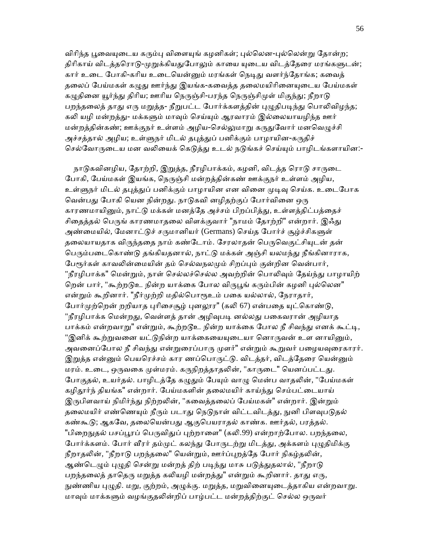விரிந்த பூவையுடைய கரும்பு விளையுங் கழனிகள்; புல்லென-புல்லென்று தோன்ற; திரிகாய் விடத்தரொடு-முறுக்கியதுபோலும் காயை யுடைய விடத்தேரை மரங்களுடன்; கார் உடை போகி-கரிய உடையென்னும் மரங்கள் நெடிது வளர்ந்தோங்க; கவைத் தலைப் பேய்மகள் கழுது ஊர்ந்து இயங்க-கவைத்த தலைமயிரினையுடைய பேய்மகள் கழுதினை யூர்ந்து திரிய; ஊரிய நெருஞ்சி-பரந்த நெருஞ்சிமுள் மிகுந்து; நீறாடு பறந்தலைத் தாது எரு மறுத்த- நீறுபட்ட போர்க்களத்தின் புழுதிபடிந்து பொலிவிழந்த; கலி யழி மன்றத்து- மக்களும் மாவும் செய்யும் ஆரவாரம் இல்லையாயழிந்த ஊர் மன்றத்தின்கண்; ஊக்குநர் உள்ளம் அழிய-செல்லுமாறு கருதுவோர் மனவெழுச்சி அச்சத்தால் அழிய; உள்ளுநர் மிடல் தபுத்துப் பனிக்கும் பாழாயின-கருதிச் செல்வோருடைய மன வலியைக் கெடுத்து உடல் நடுங்கச் செய்யும் பாழிடங்களாயின:-

நாடுகவினழிய, தோற்றி, இறுத்த, நீரழிபாக்கம், கழனி, விடத்த ரொடு சாருடை போகி, பேய்மகள் இயங்க, நெருஞ்சி மன்றத்தின்கண் ஊக்குநர் உள்ளம் அழிய, உள்ளுநர் மிடல் தபுக்துப் பனிக்கும் பாழாயின என வினை முடிவு செய்க. உடைபோக வென்பது போகி யென நின்றது. நாடுகவி னழிதற்குப் போர்வினை ஒரு காரணமாயினும், நாட்டு மக்கள் மனத்தே அச்சம் பிறப்பித்து, உள்ளத்திட்பத்தைச் சிதைத்தல் பெருங் காரணமாதலை விளக்குவார் "நாமம் தோற்றி" என்றார். இஃது அண்மையில், மேனாட்டுச் சருமானியர் (Germans) செய்த போர்ச் சூழ்ச்சிகளுள் தலையாயதாக விருந்ததை நாம் கண்டோம். சேரலாதன் பெருவெகுட்சியுடன் தன் பெரும்படைகொண்டு தங்கியதனால், நாட்டு மக்கள் அஞ்சி யலமந்து நீங்கினாராக, பேரூர்கள் காவலின்மையின் தம் செல்வநலமும் சிறப்பும் குன்றின வென்பார், "நீரழிபாக்க" மென்றும், நாள் செல்லச்செல்ல அவற்றின் பொலிவும் கேய்ந்து பாழாயிற் றென் பார், "கூற்றடுஉ நின்ற யாக்கை போல விருபூங் கரும்பின் கழனி புல்லென" என்றும் கூறினார். "நீர்முற்றி மதில்பொரூஉம் பகை யல்லால், நேராதார், போர்முற்றென் றறியாத புரிசைசூழ் புனலூர" (கலி 67) என்பதை யுட்கொண்டு, "நீரழிபாக்க மென்றது, வெள்ளத் தான் அழிவுபடி னல்லது பகைவரான் அழியாத பாக்கம் என்றவாறு" என்றும், கூற்றடூஉ நின்ற யாக்கை போல நீ சிவந்து எனக் கூட்டி, "இனிக் கூற்றுவனை யட்டுநின்ற யாக்கையையுடையா னொருவன் உள னாயினும், அவனைப்போல நீ சிவந்து என்றுரைப்பாரு முளர்" என்றும் கூறுவர் பழையவுரைகாரர். இறுத்த என்னும் பெயரெச்சம் கார ணப்பொருட்டு. விடத்தர், விடத்தேரை யென்னும் மரம். உடை, ஒருவகை முள்மரம். கருநிறத்தாதலின், "காருடை" யெனப்பட்டது. போகுதல், உயர்தல். பாழிடத்தே கழுதும் பேயும் வாழு மென்ப வாதலின், "பேய்மகள் கழிதூர்ந் தியங்க" என்றார். பேய்மகளின் தலைமயிர் காய்ந்து செம்பட்டையாய் இருபிளவாய் நிமிர்ந்து நிற்றலின், "கவைத்தலைப் பேய்மகள்" என்றார். இன்றும் தலைமயிர் எண்ணெயும் நீரும் படாது நெடுநாள் விட்டவிடத்து, நுனி பிளவுபடுதல் கண்கூடு; ஆகவே, தலையென்பது ஆகுபெயராதல் காண்க. ஊர்தல், பரத்தல். "பிறைநுதல் பசப்பூரப் பெருவிதுப் புற்றாளை" (கலி.99) என்றாற்போல. பறந்தலை, போர்க்களம். போர் வீரர் தம்முட் கலந்து போருடற்று மிடத்து, அக்களம் புழுதிமிக்கு நீறாதலின், "நீறாடு பறந்தலை" யென்றும், ஊர்ப்புறத்தே போர் நிகழ்தலின், ஆண்டெழும் புழுதி சென்று மன்றத் திற் படிந்து மாசு படுத்துதலால், "நீறாடு பறந்தலைத் தாதெரு மறுத்த கலியழி மன்றத்து" என்றும் கூறினார். தாது எரு, நுண்ணிய புழுதி. மறு, குற்றம், அழுக்கு. மறுத்த, மறுவினையுடைத்தாகிய என்றவாறு. மாவும் மாக்களும் வழங்குதலின்றிப் பாழ்பட்ட மன்றத்திற்குட் செல்ல ஒருவர்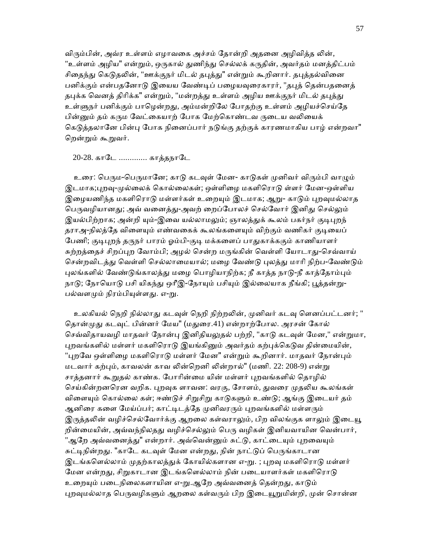விரும்பின், அவ்ர உள்ளம் எழாவகை அச்சம் தோன்றி அதனை அழிவித்த லின், "உள்ளம் அழிய" என்றும், ஒருகால் துணிந்து செல்லக் கருதின், அவர்தம் மனத்திட்பம் சிதைந்து கெடுதலின், "ஊக்குநர் மிடல் தபுத்து" என்றும் கூறினார். தபுத்தல்வினை பனிக்கும் என்பதனோடு இயைய வேண்டிப் பழையவுரைகாரர், "தபுத் தென்பதனைத் தபுக்க வெனத் திரிக்க" என்றும், "மன்றத்து உள்ளம் அழிய ஊக்குநர் மிடல் தபுத்து உள்ளுநர் பனிக்கும் பாழென்றது, அம்மன்றிலே போதற்கு உள்ளம் அழியச்செய்தே பின்னும் தம் கரும வேட்கையாற் போக மேற்கொண்டவ ருடைய வலியைக் கெடுத்தலானே பின்பு போக நினைப்பார் நடுங்கு தற்குக் காரணமாகிய பாழ் என்றவா" ெறன்ᾠம் கூᾠவர்.

### 20-28. காடே ............. காத்தநாடே

உரை: பெரும-பெருமானே; காடு கடவுள் மேன- காடுகள் முனிவர் விரும்பி வாழும் இடமாக;புறவு-முல்லைக் கொல்லைகள்; ஒள்ளிழை மகளிரொடு ள்ளர் மேன-ஒள்ளிய இழையணிந்த மகளிரொடு மள்ளர்கள் உறையும் இடமாக; ஆறு- காடும் புறவுமல்லாத பெருவழியானது; அவ் வனைத்து-அவற் றைப்போலச் செல்வோர் இனிது செல்லும் இயல்பிற்றாக; அன்றி யும்-இவை யல்லாமலும்; ஞாலத்துக் கூலம் பகர்நர் குடிபுறந் தராஅ-நிலத்தே விளையும் எண்வகைக் கூலங்களையும் விற்கும் வணிகர் குடியைப் பேணி; குடிபுறந் தருநர் பாரம் ஓம்பி-குடி மக்களைப் பாதுகாக்ககும் காணியாளர் சுற்றத்தைச் சிறப்புற வோம்பி; அழல் சென்ற மருங்கின் வெள்ளி யோடாது-செவ்வாய் சென்றவிடத்து வெள்ளி செல்லாமையால்; மழை வேண்டு புலத்து மாரி நிற்ப-வேண்டும் புலங்களில் வேண்டுங்காலத்து மழை பொழியாநிற்க; நீ காத்த நாடு-நீ காத்தோம்பும் நாடு; நோயொடு பசி யிகந்து ஒரீஇ-நோயும் பசியும் இல்லையாக நீங்கி; பூத்தன்று-பல்வளமும் நிரம்பியுள்ளது. எ-று.

உலகியல் நெறி நில்லாது கடவுள் நெறி நிற்றலின், முனிவர் கடவு ளெனப்பட்டனர்; " தொன்முது கடவுட் பின்னர் மேய" (மதுரை.41) என்றாற்போல. அரசன் கோல் செவ்விதாயவழி மாதவர் நோன்பு இனிதியலுதல் பற்றி, "காடு கடவுள் மேன," என்றுமா, புறவங்களில் மள்ளர் மகளிரொடு இயங்கினும் அவர்தம் கற்புக்கெடுவ தின்மையின், "புறவே ஒள்ளிழை மகளிரொடு மள்ளர் மேன" என்றும் கூறினார். மாதவர் நோன்பும் மடவார் கற்பும், காவலன் காவ லின்றெனி லின்றால்" (மணி. 22: 208-9) என்று சாத்தனார் கூறுதல் காண்க. போரின்மை யின் மள்ளர் புறவங்களில் தொழில் செய்கின்றனரென வறிக. புறவுக ளாவன: வரகு, சோளம், துவரை முதலிய கூலங்கள் விளையும் கொல்லை கள்; ஈண்டுச் சிறுசிறு காடுகளும் உண்டு; ஆங்கு இடையர் தம் ஆனிரை களை மேய்ப்பர்; காட்டிடத்தே முனிவரரும் புறவங்களில் மள்ளரும் இருத்தலின் வழிச்செல்வோர்க்கு ஆறலை கள்வராலும், பிற விலங்குக ளாலும் இடையூ றின்மையின், அவ்வந்நிலதது வழிச்செல்லும் பெரு வழிகள் இனியவாயின வென்பார், "ஆறே அவ்வனைத்து" என்றார். அவ்வென்னும் சுட்டு, காட்டையும் புறவையும் சுட்டிநின்றது. "காடே கடவுள் மேன என்றது, நின் நாட்டுப் பெருங்காடான இடங்களெல்லாம் முதற்காலத்துக் கோயில்களான எ-று. ; புறவு மகளிரொடு மள்ளர் மேன என்றது, சிறுகாடான இடங்களெல்லாம் நின் படையாளர்கள் மகளிரொடு உறையும் படைநிலைகளாயின எ-று.ஆறே அவ்வனைத் தென்றது, காடும் புறவுமல்லாத பெருவழிகளும் ஆறலை கள்வரும் பிற இடையூறுமின்றி, முன் சொன்ன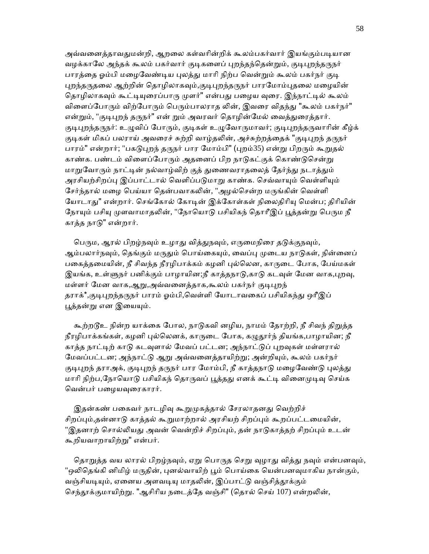அவ்வனைத்தாவதுமன்றி, ஆறலை கள்வரின்றிக் கூலம்பகர்வார் இயங்கும்படியான வழக்காலே அந்தக் கூலம் பகர்வார் குடிகளைப் புறந்தந்தென்றும், குடிபுறந்தருநர் பாரத்தை ஓம்பி மழைவேண்டிய புலத்து மாரி நிற்ப வென்றும் கூலம் பகர்நர் குடி புறந்தருதலை ஆற்றின் தொழிலாகவும்,குடிபுறந்தருநர் பாரமோம்புதலை மழையின் தொழிலாகவும் கூட்டியுரைப்பாரு முளர்" என்பது பழைய வுரை. இந்நாட்டில் கூலம் விளைப்போரும் விற்போரும் பெரும்பாலராத லின், இவரை விதந்து "கூலம் பகர்நர்" என்றும், "குடிபுறந் தருநர்" என் றும் அவரவர் தொழின்மேல் வைத்துரைத்தார். குடிபுறந்தருநர்: உழுவிப் போரும், குடிகள் உழுவோருமாவர்; குடிபுறந்தருவாரின் கீழ்க் குடிகள் மிகப் பலராய் அவரைச் சுற்றி வாழ்தலின், அச்சுற்றத்தைக் "குடிபுறந் தருநர் பாரம்" என்றார்; "பகடுபுறந் தருநர் பார மோம்பி" (புறம்35) என்று பிறரும் கூறுதல் காண்க. பண்டம் விளைப்போரும் அதனைப் பிற நாடுகட்குக் கொண்டுசென்று மாறுவோரும் நாட்டின் நல்வாழ்விற் குத் துணைவராதலைத் தேர்ந்து நடாத்தும் அரசியற்சிறப்பு இப்பாட்டால் வெளிப்படுமாறு காண்க. செவ்வாயும் வெள்ளியும் சேர்ந்தால் மழை பெய்யா தென்பவாகலின், "அழல்சென்ற மருங்கின் வெள்ளி யோடாது" என்றார். செங்கோல் கோடின் இக்கோள்கள் நிலைதிரியு மென்ப; திரியின் நோயும் பசியு முளவாமாதலின், "நோயொடு பசியிகந் தொரீஇப் பூத்தன்று பெரும நீ காத்த நாᾌ" என்றார்.

பெரும, ஆரல் பிறழ்நவும் உழாது வித்துநவும், எருமைநிரை தடுக்குநவும், ஆம்பலார்நவும், தெங்கும் மருதும் பொய்கையும், வைப்பு முடைய நாடுகள், நின்னைப் பகைத்தமையின், நீ சிவந்த நீரழிபாக்கம் கழனி புல்லென, காருடை போக, பேய்மகள் இயங்க, உள்ளுநர் பனிக்கும் பாழாயின;நீ காத்தநாடு,காடு கடவுள் மேன வாக,புறவு, மள்ளர் மேன வாக,ஆறு,அவ்வனைத்தாக,கூலம் பகர்நர் குடிபுறந் தராக்\*,குடிபுறந்தருநர் பாரம் ஓம்பி,வெள்ளி யோடாவகைப் பசியிகந்து ஒரீஇப் பூத்தன்று என இயையும்.

கூற்றடூஉ நின்ற யாக்கை போல, நாடுகவி னழிய, நாமம் தோற்றி, நீ சிவந் திறுத்த நீரழிபாக்கங்கள், கழனி புல்லெனக், காருடை போக, கழுதூர்ந் தியங்க,பாழாயின; நீ காத்த நாட்டிற் காடு கடவுளால் மேவப் பட்டன; அந்நாட்டுப் புறவுகள் மள்ளரால் மேவப்பட்டன; அந்நாட்டு ஆறு அவ்வனைத்தாயிற்று; அன்றியும், கூலம் பகர்நர் குடிபுறந் தராஅக், குடிபுறந் தருநர் பார மோம்பி, நீ காத்தநாடு மழைவேண்டு புலத்து மாரி நிற்ப,நோயொடு பசியிகந் தொருவப் பூத்தது எனக் கூட்டி வினைமுடிவு செய்க வென்பர் பழையவுரைகாரர்.

இதன்கண் பகைவர் நாடழிவு கூறுமுகத்தால் சேரலாதனது வெற்றிச் சிறப்பும்,தன்னாடு காத்தல் கூறுமாற்றால் அரசியற் சிறப்பும் கூறப்பட்டமையின், "இதனாற் சொல்லியது அவன் வென்றிச் சிறப்பும், தன் நாடுகாத்தற் சிறப்பும் உடன் கூறியவாறாயிற்ᾠ" என்பர்.

தொறுத்த வய லாரல் பிறழ்நவும், ஏறு பொருத செறு வுழாது வித்து நவும் என்பனவும், "ஒலிதெங்கி னிமிழ் மருதின், புனல்வாயிற் பூம் பொய்கை யென்பனவுமாகிய நான்கும், வஞ்சியடியும், ஏனைய அளவடியு மாதலின், இப்பாட்டு வஞ்சித்தூக்கும் செந்தூக்குமாயிற்று. "ஆசிரிய நடைத்தே வஞ்சி" (தொல் செய் 107) என்றலின்,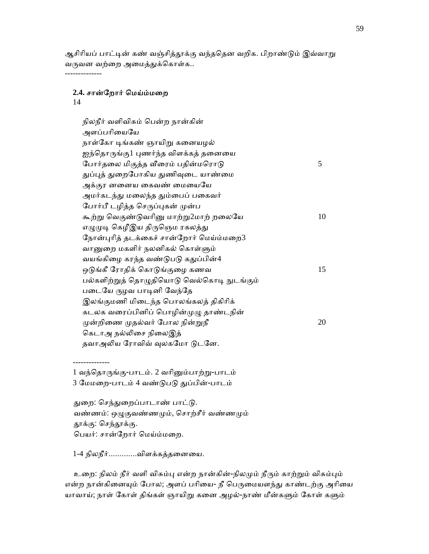ஆசிரியப் பாட்டின் கண் வஞ்சித்தூக்கு வந்ததென வறிக. பிறாண்டும் இவ்வாறு வருவன வற்றை அமைத்துக்கொள்க.. --------------

# **2.4.** சான்ேறார் ெமய்ம்மைற

14

 நிலநீர் வளிவிசும் ெபன்ற நான்கின் அளப்பரியையே நாள்கோ டிங்கண் ஞாயிறு கனையழல் ஐந்தொருங்கு1 புணர்ந்த விளக்கத் தனையை ேபார்தலை மிகுத்த வீரைம் பதின்மரொடு கூடார்க்கை 5 துப்புத் துறைபோகிய துணிவுடை யாண்மை அக்குர னனைய கைவண் மையையே அமர்கடந்து மலைந்த தும்பைப் பகைவர் போர்பீ டழித்த செருப்புகன் முன்ப கூற்று வெகுண்டுவரினு மாற்று $2$ மாற் றலையே  $10$ எழுமுடி கெழீஇய திருஞெம ரகலத்து நோன்புரித் தடக்கைச் சான்றோர் மெய்ம்மறை $3$ வானுறை மகளிர் நலனிகல் கொள்ளும் வயங்கிழை கரந்த வண்டுபடு கதுப்பின்4 ஒடுங்கீ ரோதிக் கொடுங்குழை கணவ $15$ பல்களிற்றுத் தொழுதியொடு வெல்கொடி நுடங்கும் படையே ருழவ பாடினி வேந்தே இலங்குமணி மிைடந்த ெபாலங்கலத் திகிாிக் கடலக வரைப்பினிப் பொழின்முழு தாண்டநின்  $\mu$ ன்றிணை முதல்வர் போல நின்றுநீ  $20$ கெடாஅ நல்லிசை நிலைஇத் தவாஅலிய ரோவிவ் வுலகமோ டுடனே.

 -------------- 1 வந்ெதாᾞங்கு-பாடம். 2 வாிᾔம்பாற்ᾠ-பாடம் 3 ேமமைற-பாடம் 4 வண்ᾌபᾌ ᾐப்பின்-பாடம்

துறை: செந்துறைப்பாடாண் பாட்டு. வண்ணம்: ஒழுகுவண்ணமும், சொற்சீர் வண்ணமும் தூக்கு: செந்தூக்கு. ெபயர்: சான்ேறார் ெமய்ம்மைற.

1-4 நிலநீர்.............விளக்கத்தைனைய.

உறை: நிலம் நீர் வளி விசும்பு என்ற நான்கின்-நிலமும் நீரும் காற்றும் விசும்பும் என்ற நான்கினையும் போல; அளப் பரியை- நீ பெருமையளந்து காண்டற்கு அரியை யாவாய்; நாள் கோள் திங்கள் ஞாயிறு கனை அழல்-நாண் மீன்களும் கோள் களும்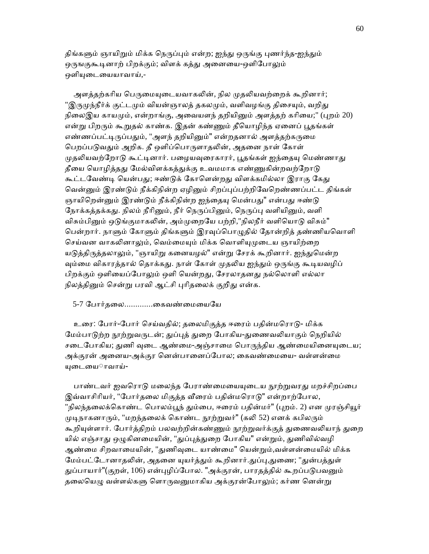திங்களும் ஞாயிறும் மிக்க நெருப்பும் என்ற; ஐந்து ஒருங்கு புணர்ந்த-ஐந்தும் ஒருஙகுகூடினாற் பிறக்கும்; விளக் கத்து அனையை-ஒளிபோலும் ஒளியுடையையாவாய்,-

அளத்தற்கரிய பெருமையுடையவாகலின், நில முதலியவற்றைக் கூறினார்; "இருமுந்நீர்க் குட்டமும் வியன்ஞாலத் தகலமும், வளிவழங்கு திசையும், வறிது நிலைஇய காயமும், என்றாங்கு, அவையளந் தறியினும் அளத்தற் கரியை;" (புறம் 20) என்று பிறரும் கூறுதல் காண்க. இதன் கண்ணும் தீயொழிந்த ஏனைப் பூதங்கள் எண்ணப்பட்டிருப்பதும், "அளந் தறியினும்" என்றதனால் அளத்தற்கருமை பெறப்படுவதும் அறிக. தீ ஒளிப்பொருளாதலின், அதனை நாள் கோள் முதலியவற்றோடு கூட்டினார். பழையவுரைகாரர், பூதங்கள் ஐந்தையு மெண்ணாது தீயை யொழித்தது மேல்விளக்கத்துக்கு உவமமாக எண்ணுகின்றவற்றோடு கூட்டவேண்டி யென்பது; ஈண்டுக் கோளென்றது விளக்கமில்லா இராகு கேது வென்னும் இரண்டும் நீக்கிநின்ற ஏழினும் சிறப்புப்பற்றிவேறெண்ணப்பட்ட திங்கள் ஞாயிறென்னும் இரண்டும் நீக்கிநின்ற ஐந்தையு மென்பது" என்பது ஈண்டு நோக்கத்தக்கது. நிலம் நீரினும், நீர் நெருப்பினும், நெருப்பு வளியினும், வளி விசும்பினும் ஒடுங்குமாகலின், அம்முறையே பற்றி,"நிலநீர் வளியொடு விசும்" பென்றார். நாளும் கோளும் திங்களும் இரவுப்பொழுதில் தோன்றித் தண்ணியவொளி செய்வன வாகலினாலும், வெம்மையும் மிக்க வொளியுமுடைய ஞாயிற்றை யடுத்திருத்தலாலும், "ஞாயிறு கனையழல்" என்று சேரக் கூறினார். ஐந்துமென்ற வம்மை விகாரத்தால் தொக்கது. நாள் கோள் முதலிய ஐந்தும் ஒருங்கு கூடியவழிப் பிறக்கும் ஒளியைப்போலும் ஒளி யென்றது, சேரலாதனது நல்லொளி எல்லா நிலத்தினும் சென்று பரவி ஆட்சி புரிதலைக் குறிது என்க.

#### 5-7 ேபார்தைல.............ைகவண்ைமையேய

 உைர: ேபார்-ேபார் ெசய்வதில்; தைலமிகுத்த ஈைரம் பதின்மெராᾌ- மிக்க மேம்பாடுற்ற நூற்றுவருடன்; துப்புத் துறை போகிய-துணைவலியாகும் நெறியில் சடைபோகிய; துணி வுடை ஆண்மை-அஞ்சாமை பொருந்திய ஆண்மையினையுடைய; அக்குரன் அைனய-அக்குர ெனன்பாைனப்ேபால; ைகவண்ைமைய- வள்ளன்ைம யுடையை**ாவாய்-**

பாண்டவர் ஜவரொடு மலைந்த பேராண்மையையடைய நாற்றுவரது மறச்சிறப்பை இவ்வாசிரியர், "போர்தலை மிகுத்த வீரைம் பதின்மரொடு" என்றாற்போல, "நிலந்தலைக்கொண்ட பொலம்பூந் தும்பை, ஈரைம் பதின்மர்" (புறம். 2) என முரஞ்சியூர் முடிநாகனாரும், "மறந்தலைக் கொண்ட நூற்றுவர்" (கலி 52) எனக் கபிலரும் கூறியுள்ளார். போர்த்திறம் பலவற்றின்கண்ணும் நூற்றுவர்க்குத் துணைவலியாந் துறை யில் எஞ்சாது ஒழுகினமையின், "துப்புத்துறை போகிய" என்றும், துணிவில்வழி ஆண்மை சிறவாமையின், "துணிவுடை யாண்மை" யென்றும்,வள்ளன்மையில் மிக்க மேம்பட்டோனாதலின், அதனை யுயர்த்தும் கூறினார்.துப்பு,துணை; "துன்பத்துள் துப்பாயார்"(குறள், 106) என்புழிப்போல. "அக்குரன், பாரதத்தில் கூறப்படுபவனும் தலையெழு வள்ளல்களு ளொருவனுமாகிய அக்குரன்போலும்; கர்ண னென்று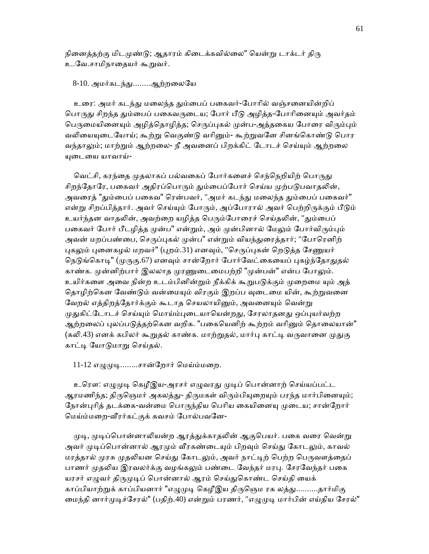நினைத்தற்கு மிடமுண்டு; ஆதாரம் கிடைக்கவில்லை" யென்று டாக்டர் திரு உ.வே.சாமிநாதையர் கூறுவர்.

8-10. அமர்கடந்து........ஆற்றலையே

உரை: அமர் கடந்து மலைந்த தும்பைப் பகைவர்-போரில் வஞ்சனையின்றிப் பொருது சிறந்த தும்பைப் பகைவருடைய; போர் பீடு அழித்த-போரினையும் அவர்தம் பெருமையினையும் அழித்தொழித்த; செருப்புகல் முன்ப-அத்தகைய போரை விரும்பும் வலியையுடையோய்; கூற்று வெகுண்டு வரினும்- கூற்றுவனே சினங்கொண்டு பொர வந்தாலும்; மாற்றும் ஆற்றலை- நீ அவனைப் பிறக்கிட் டோடச் செய்யும் ஆற்றலை யுடையை யாவாய்-

வெட்சி, கரந்தை முதலாகப் பல்வகைப் போர்களைச் செந்நெறியிற் பொருது சிறந்தோரே, பகைவர் அதிரப்பொரும் தும்பைப்போர் செய்ய முற்படுபவாதலின், அவரைத் "தும்பைப் பகைவ" ரென்பவர், "அமர் கடந்து மலைந்த தும்பைப் பகைவர்" என்று சிறப்பித்தார். அவர் செய்யும் போரும், அப்போரால் அவர் பெற்றிருக்கும் பீடும் உயர்ந்தன வாதலின், அவற்றை யழித்த பெரும்போரைச் செய்தலின், "தும்பைப் பகைவர் போர் பீடழித்த முன்ப" என்றும், அம் முன்பினால் மேலும் போர்விரும்பும் அவன் மறப்பண்பை, செருப்புகல் முன்ப" என்றும் வியந்துரைக்கார்; "போரெனிற் புகலும் புனைகழல் மறவர்" (புறம்.31) எனவும், "செருப்புகன் றெடுத்த சேணுயர் நெடுங்கொடி" (முருகு.67) எனவும் சான்றோர் போர்வேட்கையைப் புகழ்ந்தோதுதல் காண்க. முன்னிற்பார் இலலாத முரணுடைமைபற்றி "முன்பன்" என்ப போலும். உயிர்களை அவை நின்ற உடம்பினின்றும் நீக்கிக் கூறுபடுக்கும் முறைமை யும் அத் தொழிற்கென வேண்டும் வன்மையும் விரகும் இறப்ப வுடைமை யின், கூற்றுவனை வேறல் எத்திறத்தோர்க்கும் கூடாத செயலாயினும், அவனையும் வென்று முதுகிட்டோடச் செய்யும் மொய்ம்புடையாயென்றது, சேரலாதனது ஒப்புயர்வற்ற ஆற்றலைப் புலப்படுத்தற்கென வறிக. "பகையெனிற் கூற்றம் வரினும் தொலையான்" (கலி.43) எனக் கபிலர் கூறுதல் காண்க. மாற்றுதல், மார்பு காட்டி வருவானை முதுகு காட்டி யோடுமாறு செய்தல்.

11-12 எழுமுடி........சான்றோர் மெய்ம்மறை.

உரௌ: எழுமுடி கெழீஇய-அரசர் எழுவரது முடிப் பொன்னாற் செய்யப்பட்ட ஆரமணிந்த; திருஞெமர் அகலத்து- திருமகள் விரும்பியுறையும் பரந்த மார்பினையும்; நோன்புரித் தடக்கை-வன்மை பொருந்திய பெரிய கையினையு முடைய; சான்றோர் மெய்ம்மறை-வீரர்கட்குக் கவசம் போல்பவனே-

முடி, முடிப்பொன்னாலியன்ற ஆரத்துக்காதலின் ஆகுபெயர். பகை வரை வென்று அவர் முடிப்பொன்னால் ஆரமும் வீரகண்டையும் பிறவும் செய்து கோடலும், காவல் மரத்தால் முரசு முதலியன செய்து கோடலும், அவர் நாட்டிற் பெற்ற பெருவளத்தைப் பாணர் முதலிய இரவலர்க்கு வழங்கலும் பண்டை வேந்தர் மரபு. சேரவேந்தர் பகை யரசர் எழுவர் திருமுடிப் பொன்னால் ஆரம் செய்துகொண்ட செய்தி யைக் காப்பியாற்றுக் காப்பியனார் "எழுமுடி கெழீஇய திருஞெம ரக லத்து..........தார்மிகு மைந்தி னார்முடிச்சேரல்" (பதிற்.40) என்றும் பரணர், "எழுமுடி மார்பின் எய்திய சேரல்"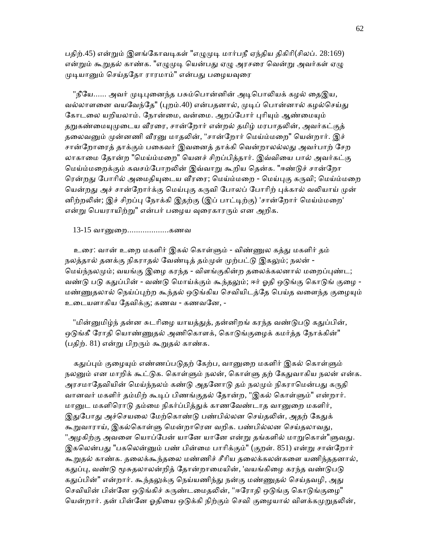பதிற்.45) என்றும் இளங்கோவடிகள் "எழுமுடி மார்பநீ ஏந்திய திகிரி(சிலப். 28:169) என்றும் கூறுதல் காண்க. "எழுமுடி யென்பது ஏழு அரசரை வென்று அவர்கள் ஏழு முடியானும் செய்ததோ ராரமாம்" என்பது பழையவுரை

"நீயே...... அவர் முடிபுனைந்த பசும்பொன்னின் அடிபொலியக் கழல் தைஇய, வல்லாளனை வயவேந்தே" (புறம்.40) என்பதனால், முடிப் பொன்னால் கழல்செய்து கோடலை யறியலாம். நோன்மை, வன்மை. அறப்போர் புரியும் ஆண்மையும் தறுகண்மையுமுடைய வீரரை, சான்றோர் என்றல் தமிழ் மரபாதலின், அவர்கட்குத் தலைவனும் முன்னணி வீரனு மாதலின், "சான்றோர் மெய்ம்மறை" யென்றார். இச் சான்றோரைத் தாக்கும் பகைவர் இவனைத் தாக்கி வென்றாலல்லது அவர்பாற் சேற லாகாைம ேதான்ற "ெமய்ம்மைற" ெயனச் சிறப்பித்தார். இவ்விைய பால் அவர்கட்கு ெமய்ம்மைறக்கும் கவசம்ேபாறᾢன் இவ்வாᾠ கூறிய ெதன்க. "ஈண்ᾌச் சான்ேறா ரென்றது போரில் அமைதியுடைய வீரரை; மெய்ம்மறை - மெய்புகு கருவி; மெய்ம்மறை யென்றது அச் சான்றோர்க்கு மெய்புகு கருவி போலப் போரிற் புக்கால் வலியாய் முன் னிற்றலின்; இச் சிறப்பு நோக்கி இதற்கு (இப் பாட்டிற்கு) 'சான்றோர் மெய்ம்மறை' என்று பெயராயிற்று" என்பர் பழைய வுரைகாரரும் என அறிக.

13-15 வாᾔைற...................கணவ

உரை: வான் உறை மகளிர் இகல் கொள்ளும் - விண்ணுல கத்து மகளிர் தம் நலத்தால் தனக்கு நிகராதல் வேண்டித் தம்முள் முற்பட்டு இகலும்; நலன் -மெய்ந்நலமும்; வயங்கு இழை கரந்த - விளங்குகின்ற தலைக்கலனால் மறைப்புண்ட; வண்டு படு கதுப்பின் - வண்டு மொய்க்கும் கூந்தலும்; ஈர் ஓதி ஒடுங்கு கொடுங் குழை -மண்ணுதலால் நெய்ப்புற்ற கூந்தல் ஒடுங்கிய செவியிடத்தே பெய்த வளைந்த குழையும் உைடயளாகிய ேதவிக்கு; கணவ - கணவேன, -

"மின்னுமிழ்ந் தன்ன சுடரிழை யாயத்துத், தன்னிறங் கரந்த வண்டுபடு கதுப்பின், ஒடுங்கீ ரோதி யொண்ணுதல் அணிகொளக், கொடுங்குழைக் கமர்த்த நோக்கின்" (பதிற். 81) என்று பிறரும் கூறுதல் காண்க.

கதுப்பும் குழையும் எண்ணப்படுகற் கேற்ப, வானுறை மகளிர் இகல் கொள்ளும் நலனும் என மாறிக் கூட்டுக. கொள்ளும் நலன், கொள்ளு தற் கேதுவாகிய நலன் என்க. அரசமாதேவியின் மெய்ந்நலம் கண்டு அதனோடு தம் நலமும் நிகராமென்பது கருதி வானவர் மகளிர் தம்மிற் கூடிப் பிணங்குதல் தோன்ற, "இகல் கொள்ளும்" என்றார். மானுட மகளிரொடு கம்மை நிகர்ப்பிக்குக் காணவேண்டாக வானுறை மகளிர், இதுபோது அச்செயலை மேற்கொண்டு பண்பில்லன செய்தலின், அதற் கேதுக் கூறுவாராய், இகல்கொள்ளு மென்றாரென வறிக. பண்பில்லன செய்தலாவது, "அழகிற்கு அவளை யொப்பேன் யானே யானே என்று தங்களில் மாறுகொள்"ளுவது. இகலென்பது "பகலென்னும் பண் பின்மை பாரிக்கும்" (குறள். 851) என்று சான்றோர் கூறுதல் காண்க. தலைக்கூந்தலை மண்ணிச் சீரிய தலைக்கலன்களை யணிந்ததனால், கதுப்பு, வண்டு மூசுதலாலன்றித் தோன்றாமையின், 'வயங்கிழை கரந்த வண்டுபடு கதுப்பின்" என்றார். கூந்தலுக்கு நெய்யணிந்து நன்கு மண்ணுதல் செய்தவழி, அது செவியின் பின்னே ஒடுங்கிச் சுருண்டமைதலின், "ஈரோதி ஒடுங்கு கொடுங்குழை" யென்றார். தன் பின்னே ஓதியை ஒடுக்கி நிற்கும் செவி குழையால் விளக்கமுறுதலின்,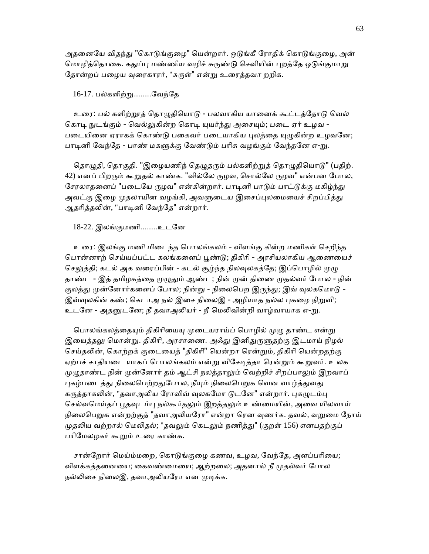அதனையே விதந்து "கொடுங்குழை" யென்றார். ஒடுங்கீ ரோதிக் கொடுங்குழை, அன் மொழித்தொகை. கதுப்பு மண்ணிய வழிச் சுருண்டு செவியின் புறத்தே ஒடுங்குமாறு தோன்றப் பழைய வுரைகாரர், "சுருள்" என்று உரைத்தவா றறிக.

#### 16-17. பல்களிற்ᾠ........ேவந்ேத

உரை: பல் களிற்றூத் தொழுதியொடு - பலவாகிய யானைக் கூட்டத்தோடு வெல் கொடி நுடங்கும் - வெல்லுகின்ற கொடி யுயர்ந்து அசையும்; படை ஏர் உழவ -படையினை ஏராகக் கொண்டு பகைவர் படையாகிய புலத்தை யுழுகின்ற உழவனே; பாடினி வேந்தே - பாண் மகளுக்கு வேண்டும் பரிசு வழங்கும் வேந்தனே எ-று.

தொழுதி, தொகுதி. "இழையணிந் தெழுதரும் பல்களிற்றுத் தொழுதியொடு" (பதிற். 42) எனப் பிறரும் கூறுதல் காண்க. "வில்லே ருழவ, சொல்லே ருழவ" என்பன போல, சேரலாதனைப் "படையே ருழவ" என்கின்றார். பாடினி பாடும் பாட்டுக்கு மகிழ்ந்து அவட்கு இழை முதலாயின வழங்கி, அவளுடைய இசைப்புலமையைச் சிறப்பித்து ஆதரித்தலின், "பாடினி வேந்தே" என்றார்.

#### 18-22. இலங்குமணி........உடேன

 உைர: இலங்கு மணி மிைடந்த ெபாலங்கலம் - விளங்கு கின்ற மணிகள் ெசறிந்த பொன்னாற் செய்யப்பட்ட கலங்களைப் பூண்டு; திகிரி - அரசியலாகிய ஆணையைச் செலுத்தி; கடல் அக வரைப்பின் - கடல் சூழ்ந்த நிலவுலகத்தே; இப்பொழில் முழு தாண்ட - இத் தமிழகத்தை முழுதும் ஆண்ட; நின் முன் திணை முதல்வர் போல - நின் குலத்து முன்னோர்களைப் போல; நின்று - நிலைபெற இருந்து; இவ் வுலகமொடு -இவ்வுலகின் கண்; கெடாஅ நல் இசை நிலைஇ - அழியாத நல்ல புகழை நிறுவி; உடனே - அதனுடனே; நீ தவாஅலியர் - நீ மெலிவின்றி வாழ்வாயாக எ-று.

பொலங்கலத்தையும் திகிரியையு முடையராய்ப் பொழில் முழு தாண்ட என்று இயைத்தலு மொன்று. திகிரி, அரசாணை. அஃது இனிதுருளுதற்கு இடமாய் நிழல் செய்தலின், கொற்றக் குடையைத் "திகிரி" யென்றா ரென்றும், திகிரி யென்றதற்கு ஏற்பச் சாதியடை யாகப் பொலங்கலம் என்று விசேடித்தா ரென்றும் கூறுவர். உலக முழுதாண்ட நின் முன்னோர் தம் ஆட்சி நலத்தாலும் வெற்றிச் சிறப்பாலும் இறவாப் புகழ்படைத்து நிலைபெற்றதுபோல, நீயும் நிலைபெறுக வென வாழ்த்துவது கருத்தாகலின், "தவாஅலிய ரோவிவ் வுலகமோ டுடனே" என்றார். புகழுடம்பு செல்வமெய்தப் பூதவுடம்பு நல்கூர்தலும் இறத்தலும் உண்மையின், அவை யிலவாய் நிலைபெறுக என்றற்குத் "தவாஅலியரோ" என்றா ரென வுணர்க. தவல், வறுமை நோய் முதலிய வற்றால் மெலிதல்; "தவலும் கெடலும் நணித்து" (குறள் 156) எனபதற்குப் பரிமேலழகர் கூறும் உரை காண்க.

சான்றோர் மெய்ம்மறை, கொடுங்குழை கணவ, உழவ, வேந்தே, அளப்பரியை; விளக்கத்தனையை; கைவண்மையை; ஆற்றலை; அதனால் நீ முதல்வர் போல நல்லிசை நிலைஇ, தவாஅலியரோ என முடிக்க.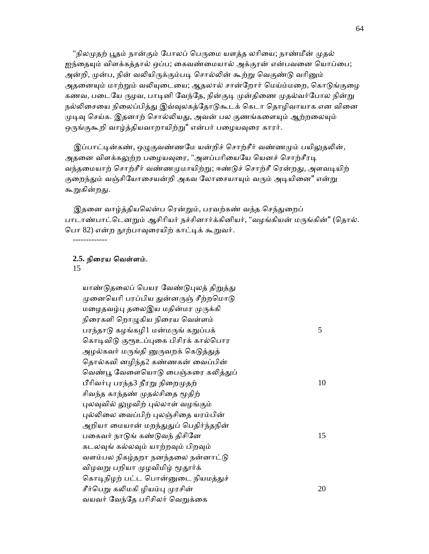"நிலமுதற் பூதம் நான்கும் போலப் பெருமை யளத்த லரியை; நாண்மீன் முதல் ஐந்தையும் விளக்கத்தால் ஒப்ப; கைவண்மையால் அக்குரன் என்பவனை யொப்பை; அன்றி, முன்ப, நின் வலியிருக்கும்படி சொல்லின் கூற்று வெகுண்டு வரினும் அதனையும் மாற்றும் வலியுடையை; ஆதலால் சான்றோர் மெய்ம்மறை, கொடுங்குழை கணவ, படையே ருழவ, பாடினி வேந்தே, நின்குடி முன்திணை முதல்வர்போல நின்று நல்லிசையை நிலைப்பித்து இவ்வுலகத்தோடுகூடக் கெடா தொழிவாயாக என வினை முடிவு செய்க. இதனாற் சொல்லியது, அவன் பல குணங்களையும் ஆற்றலையும் ஒருங்குகூறி வாழ்த்தியவாறாயிற்று" என்பர் பழையவுரை காரர்.

இப்பாட்டின்கண், ஒழுகுவண்ணமே யன்றிச் சொற்சீர் வண்ணமும் பயிலுதலின், அதனை விளக்கலுற்ற பழையவுரை, "அளப்பரியையே யெனச் சொற்சீரடி வந்தமையாற் சொற்சீர் வண்ணமுமாயிற்று; ஈண்டுச் சொற்சீ ரென்றது, அளவடியிற் குறைந்தும் வஞ்சியோசையன்றி அகவ லோசையாயும் வரும் அடியினை" என்று கூறுகின்றது.

இதனை வாழ்த்தியலென்ப ரென்றும், பரவற்கண் வந்த செந்துறைப் பாடாண்பாட்டெனறும் ஆசிரியர் நச்சினார்க்கினியர், "வழங்கியன் மருங்கின்" (தொல். பொ 82) என்ற நூற்பாவுரையிற் காட்டிக் கூறுவர்.

### **2.5.** நிைரய ெவள்ளம்.

#### 15

-------------

யாண்டுதலைப் பெயர வேண்டுபுலத் திறுத்து முனையெரி பரப்பிய துன்னருஞ் சீற்றமொடு மழைதவழ்பு தலைஇய மதின்மர முருக்கி நிைரகளி ெறாᾨகிய நிைரய ெவள்ளம் பரந்தாடு கழங்கழி $1$  மன்மருங் கறுப்பக்  $5$ கொடிவிடு குரூஉப்புகை பிசிரக் கால்பொர அழல்கவர் மருங்தி னுருவறக் கெடுத்துத் ெதால்கவி னழிந்த2 கண்ணகன் ைவப்பின் வெண்பூ வேளையொடு பைஞ்சுரை கலித்துப் பீரிவர்பு பரந்த3 நீரறு நிறைமுதற்  $10$ சிவந்த காந்தண் முதல்சிதை மூதிற் புலவுவில் லுழவிற் புல்லாள் வழங்கும் புல்லிலை வைப்பிற் புலஞ்சிதை யரம்பின் அறியா மையான் மறந்துதுப் பெதிர்ந்தநின் பகைவர் நாடுங் கண்டுவந் திசினே $15$  கடலᾫங் கல்லᾫம் யாற்றᾫம் பிறᾫம் வளம்பல நிகழ்தறா நனந்தலை நன்னாட்டு விழவறு பறியா முழவிமிழ் மூதூர்க் கொடிநிழற் பட்ட பொன்னுடை நியமத்துச் சீர்பெறு கலிமகி ழியம்பு முரசின்  $20$ வயவர் வேந்தே பரிசிலர் வெறுக்கை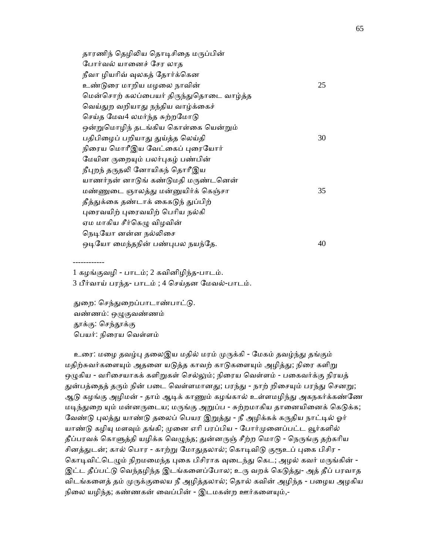| தாரணிந் தெழிலிய தொடிசிதை மருப்பின்      |    |
|-----------------------------------------|----|
| போர்வல் யானைச் சேர லாத                  |    |
| நீவா ழியரிவ் வுலகத் தோர்க்கென           |    |
| உண்டுரை மாறிய மழலை நாவின்               | 25 |
| மென்சொற் கலப்பையர் திருந்துதொடை வாழ்த்த |    |
| வெய்துற வறியாது நந்திய வாழ்க்கைச்       |    |
| செய்த மேவ4 லமர்ந்த சுற்றமோடு            |    |
| ஒன்றுமொழிந் தடங்கிய கொள்கை யென்றும்     |    |
| பதிபிழைப் பறியாது துய்த்த லெய்தி        | 30 |
| நிரைய மொரீஇய வேட்கைப் புரையோர்          |    |
| மேயின ருறையும் பலர்புகழ் பண்பின்        |    |
| நீபுறந் தருதலி னோயிகந் தொரீஇய           |    |
| யாணர்நன் னாடுங் கண்டுமதி மருண்டனென்     |    |
| மண்ணுடை ஞாலத்து மன்னுயிர்க் கெஞ்சா      | 35 |
| தீத்துக்கை தண்டாக் கைகடுந் துப்பிற்     |    |
| புரைவயிற் புரைவயிற் பெரிய நல்கி         |    |
| ஏம மாகிய சீர்கெழு விழவின்               |    |
| நெடியோ னன்ன நல்லிசை                     |    |
| ஒடியோ மைந்தநின் பண்புபல நயந்தே.         | 40 |
|                                         |    |

1 கழங்குவழி - பாடம்; 2 கவினிழிந்த-பாடம்.

3 பீர்வாய் பரந்த- பாடம் ; 4 ெசய்தன ேமவல்-பாடம்.

துறை: செந்துறைப்பாடாண்பாட்டு. வண்ணம்: ஒᾨகுவண்ணம் தூக்கு: செந்தூக்கு ெபயர்: நிைரய ெவள்ளம்

------------

உரை: மழை தவழ்பு தலைஇய மதில் மரம் முருக்கி - மேகம் தவழ்ந்து தங்கும் மதிற்சுவர்களையும் அதனை யடுத்த காவற் காடுகளையும் அழித்து; நிரை களிறு ஒழுகிய - வரிசையாகக் களிறுகள் செல்லும்; நிரைய வெள்ளம் - பகைவர்க்கு நிரயத் துன்பத்தைத் தரும் நின் படை வெள்ளமானது; பரந்து - நாற் றிசையும் பரந்து செனறு; ஆடு கழங்கு அழிமன் - தாம் ஆடிக் காணும் கழங்கால் உள்ளமழிந்து அகநகர்க்கண்ணே மடிந்துறை யும் மன்னருடைய; மருங்கு அறுப்ப - சுற்றமாகிய தானையினைக் கெடுக்க; வேண்டு புலத்து யாண்டு தலைப் பெயர இறுத்து - நீ அழிக்கக் கருதிய நாட்டில் ஓர் யாண்டு கழியு மளவும் தங்கி; முனை எரி பரப்பிய - போர்முனைப்பட்ட வூர்களில் தீப்பரவக் கொளுத்தி யழிக்க வெழுந்த; துன்னருஞ் சீற்ற மொடு - நெருங்கு தற்கரிய சினத்துடன்; கால் பொர - காற்று மோதுதலால்; கொடிவிடு குரூஉப் புகை பிசிர -கொடிவிட்டெழும் நிறமமைந்த புகை பிசிராக வுடைந்து கெட; அழல் கவர் மருங்கின் -இட்ட தீப்பட்டு வெந்தழிந்த இடங்களைப்போல; உரு வறக் கெடுத்து- அத் தீப் பரவாத விடங்களைத் தம் முருக்குலைய நீ அழித்தலால்; தொல் கவின் அழிந்த - பழைய அழகிய நிலை யழிந்த; கண்ணகன் வைப்பின் - இடமகன்ற ஊர்களையும்,-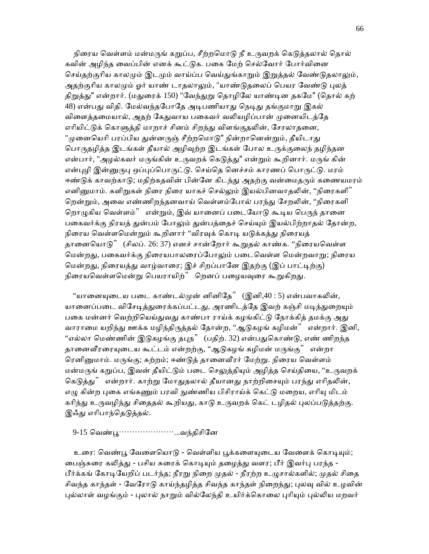நிரைய வெள்ளம் மன்மருங் கறுப்ப, சீற்றமொடு நீ உருவறக் கெடுத்தலால் தொல் கவின் அழிந்த வைப்பின் எனக் கூட்டுக. பகை மேற் செல்வோர் போர்வினை செய்தற்குரிய காலமும் இடமும் வாய்ப்ப வெய்துங்காறும் இறுத்தல் வேண்டுதலாலும், அதற்குரிய காலமும் ஓர் யாண் டாதலாலும், "யாண்டுதலைப் பெயர வேண்டு புலத் திறுத்து" என்றார். (மதுரைக் 150) "வேந்துறு தொழிலே யாண்டின தகமே" (தொல் கற் 48) என்பது விதி. மேல்வந்தபோதே அடிபணியாது நெடிது தங்குமாறு இகல் விளைத்தமையால், அதற் கேதுவாய பகைவர் வலியழிப்பான் முனையிடத்தே எரியிட்டுக் கொளுத்தி மாறாச் சினம் சிறந்து விளங்குதலின், சேரலாதனை, "முனையெரி பரப்பிய துன்னருஞ் சீற்றமொடு" நின்றானென்றும், தீயிடாது பொருதழித்த இடங்கள் தீயால் அழிவுற்ற இடங்கள் போல உருக்குலைந் தழிந்தன என்பார், "அழல்கவர் மருங்கின் உருவறக் கெடுத்து" என்றும் கூறினார். மருங் கின் என்புழி இன்னுருபு ஒப்புப்பொருட்டு. செய்தெ னெச்சம் காரணப் பொருட்டு. மரம் ஈண்டுக் காவற்காடு; மதிற்கதவின் பின்னே கிடந்து அதற்கு வன்மைதரும் கணையமரம் எனினுமாம். களிறுகள் நிரை நிரை யாகச் செல்லும் இயல்பினவாதலின், ''நிரைகளி'' றென்றும், அவை எண்ணிறந்தனவாய் வெள்ளம்போல் பரந்து சேறலின், ''நிரைகளி றொழுகிய வெள்ளம்" என்றும், இவ் யானைப் படையோடு கூடிய பெருந் தானை பகைவர்க்கு நிரயத் துன்பம் போலும் துன்பத்தைச் செய்யும் இயல்பிற்றாதல் தோன்ற, நிரைய வெள்ளமென்றும் கூறினார் ''விரவுக் கொடி யடுக்கத்து நிரையத் தானையொடு" (சிலப். 26: 37) எனச் சான்றோர் கூறுதல் காண்க. ''நிரையவெள்ள மென்றது, பகைவர்க்கு நிரையபாலரைப்போலும் படைவெள்ள மென்றவ<u>ாறு;</u> நிரைய மென்றது, நிரையத்து வாழ்வாரை; இச் சிறப்பானே இதற்கு (இப் பாட்டிற்கு) நிரையவெள்ளமென்று பெயராயிற்" றெனப் பழையவுரை கூறுகிறது.

''யானையுடைய படை காண்டல்முன் னினிதே''  $\,$  (இனி, $40$  : 5) என்பவாகலின், யானைப்படை விசேடித்துரைக்கப்பட்டது, அரணிடத்தே இவற் கஞ்சி மடிந்துறையும் பகை மன்னர் வெற்றியெய்துவது காண்பா ராய்க் கழங்கிட்டு நோக்கித் தமக்கு அது வாராமை யறிந்து ஊக்க மழிந்திருத்தல் தோன்ற, ''ஆடுகழங் கழிமன்'' என்றார். இனி, "எல்லா மெண்ணின் இடுகழங்கு தபுந" (பதிற். 32) என்பதுகொண்டு, எண் ணிறந்த தானைவீரரையுடைய கூட்டம் என்றற்கு, ''ஆடுகழங் கழிமன் மருங்கு'' என்றா ரெனினுமாம். மருங்கு; சுற்றம்; ஈண்டுத் தானைவீரர் மேற்று. நிரைய வெள்ளம் மன்மருங் கறுப்ப, இவன் தீயிட்டும் படை செலுத்தியும் அழித்த செய்தியை, "உருவறக் கெடுத்து" என்றார். காற்று மோதுதலால் தீயானது நாற்றிசையும் பரந்து எரிதலின், எழு கின்ற புகை எங்கணும் பரவி நுண்ணிய பிசிராய்க் கெட்டு மறைய, எரியு மிடம் கரிந்து உருவழிந்து சிதைதல் கூறியது, காடு உருவறக் கெட் டழிதல் புலப்படுத்தற்கு. இஃது எரிபாந்தெடுத்தல்.

#### 9-15 ெவண்ᾘ…………………...வந்திசிேன

உரை: வெண்பூ வேளையொடு - வெள்ளிய பூக்களையுடைய வேளைக் கொடியும்; வைஞ்சுரை கலித்து - பசிய சுரைக் கொடியும் தமைத்து வளர; பீர் இவர்பு பரந்த -பீர்க்கங் கோடியேறிப் படர்ந்த; நீரறு நிறை முதல் - நீரற்ற உழுசால்களில்; முதல் சிதை சிவந்த காந்தள் - வேரோடு காய்ந்தழித்த சிவந்த காந்தள் நிறைந்து; புலவு வில் உழவின் புல்லாள் வழங்கும் - புலால் நாறும் வில்லேந்தி உயிர்க்கொலை புரியும் புல்லிய மறவர்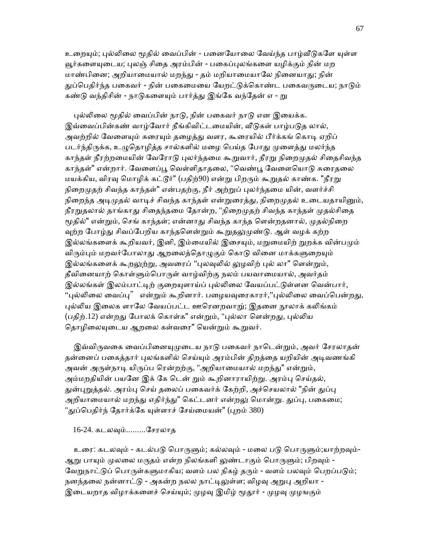உறையும்; புல்லிலை மூதில் வைப்பின் - பனையோலை வேய்ந்த பாழ்வீடுகளே யுள்ள வூர்களையுடைய; புலஞ் சிதை அரம்பின் - பகைப்புலங்களை யழிக்கும் நின் மற மாண்பினை; அறியாமையால் மறந்து - தம் மறியாமையாலே நினையாது; நின் துப்பெகிர்ந்த பகைவர் - நின் பகைமையை யேறட்டுக்கொண்ட பகைவருடைய; நாடும் கண்டு வந்திசின் - நாடுகளையும் பார்த்து இங்கே வந்தேன் எ - று

புல்லிலை மூதில் வைப்பின் நாடு, நின் பகைவர் நாடு என இயைக்க. இவ்வைப்பின்கண் வாழ்வோர் நீங்கிவிட்டமையின், வீடுகள் பாழ்படுத லால், அவற்றில் வேளையும் சுரையும் தழைத்து வளர, கூரையில் பீர்க்கங் கொடி ஏறிப் படர்ந்திருக்க, உழுதொழித்த சால்களில் மழை பெய்த போது முளைத்து மலர்ந்த காந்தள் நீரற்றமையின் வேரோடு புலர்ந்தமை கூறுவார், நீரறு நிறைமுதல் சிதைசிவந்த காந்தள்" என்றார். வேளைப்பூ வெள்ளிதாதலை, "வெண்டி வேளையொடு சுரைகலை மயக்கிய, விரவு மொழிக் கட்டூர்" (பதிற்90) என்று பிறரும் கூறுதல் காண்க. "நீரறு நிறைமுதற் சிவந்த காந்தள்" என்பதற்கு, நீர் அற்றுப் புலர்ந்தமை யின், வளர்ச்சி நிறைந்த அடிமுதல் வாடிச் சிவந்த காந்தள் என்றுரைத்து, நிறைமுதல் உடையதாயினும், நீரறுதலால் தாங்காது சிதைந்தமை தோன்ற, "நிறைமுதற் சிவந்த காந்தள் முதல்சிதை மூதில்" என்றும், செங் காந்தள்; என்னாது சிவந்த காந்த ளென்றதனால், முதல்நிறை வுற்ற போழ்து சிவப்பேறிய காந்தளென்றும் கூறுதலுமுண்டு. ஆள் வழக் கற்ற இல்லங்களைக் கூறியவர், இனி, இம்மையில் இசையும், மறுமையிற் றுறக்க வின்பமும் விரும்பும் மறவர்போலாது ஆறலைத்தொழுகும் கொடு வினை மாக்களுறையும் இல்லங்களைக் கூறலுற்று, அவரைப் ''புலவுலில் லுழவிற் புல் லா" ளென்றும், தீவினையாற் கொள்ளும்பொருள் வாழ்விற்கு நலம் பயவாமையால், அவர்தம் இல்லங்கள் இலம்பாட்டிற் குறையுளாய்ப் புல்லிலை வேயப்பட்டுள்ளன வென்பார், "புல்லிலை வைப்பு" என்றும் கூறினார். பழையவுரைகாரர்,''புல்லிலை வைப்பென்றது, புல்லிய இலைக ளாலே வேயப்பட்ட ஊரெனறவாறு்; இதனை நூலாக் கலிங்கம் (பதிற்.12) என்றது போலக் கொள்க" என்றும், "புல்லா ளென்றது, புல்லிய தொழிலையுடைய ஆறலை கள்வரை" யென்றும் கூறுவர்.

இவ்விருவகை வைப்பினையுமுடைய நாடு பகைவர் நாடென்றும், அவர் சேரலாதன் தன்னைப் பகைத்தார் புலங்களில் செய்யும் அரம்பின் திறத்தை யறியின் அடிவணங்கி அவன் அருள்நாடி யிருப்ப ரென்றற்கு, "அறியாமையால் மறந்து" என்றும், அம்மறதியின் பயனே இக் கே டென் றும் கூறினாராயிற்று. அரம்பு செய்தல், துன்புறுத்தல். அரம்பு செய் தலைப் பகைவர்க் கேற்றி, அச்செயலால் "நின் துப்பு அறியாமையால் மறந்து எதிர்ந்து" கெட்டனர் என்றலு மொன்று. துப்பு, பகைமை; "துப்பெதிர்ந் தோர்க்கே யுள்ளாச் சேய்மையன்" (புறம் 380)

### 16-24. கடலᾫம்.........ேசரலாத

உரை: கடலவும் - கடல்படு பொருளும்; கல்லவும் - மலை படு பொருளும்;யாற்றவும்-ஆறு பாயும் முலலை மருதம் என்ற நிலங்களி லுண்டாகும் பொருளும்; பிறவும் -வேறுநாட்டுப் பொருள்களுமாகிய; வளம் பல நிகழ் தரும் - வளம் பலவும் பெறப்படும்; நனந்தலை நன்னாட்டு - அகன்ற நலல நாட்டிலுள்ள; விழவு அறுபு அறியா -இடையறாத விழாக்களைச் செய்யும்; முழவு இமிழ் மூதூர் - முழவு முழஙகும்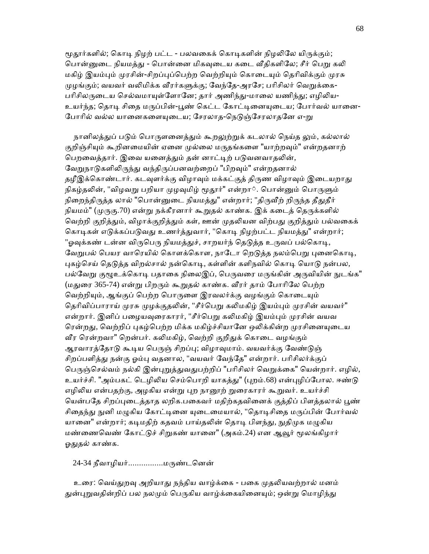மூதூர்களில்; கொடி நிழற் பட்ட - பலவகைக் கொடிகளின் நிழலிலே யிருக்கும்; பொன்னுடை நியமத்து - பொன்னை மிகவுடைய கடை வீதிகளிலே; சீர் பெறு கலி மகிழ் இயம்பும் முரசின்-சிறப்புப்பெற்ற வெற்றியும் கொடையும் தெரிவிக்கும் முரசு முழங்கும்; வயவர் வலிமிக்க வீரர்களுக்கு; வேந்கே-அரசே; பரிசிலர் வெறுக்கை-பரிசிலருடைய செல்வமாயுள்ளோனே; தார் அணிந்து-மாலை யணிந்து; எழிலிய-உயர்ந்த; தொடி சிதை மருப்பின்-பூண் கெட்ட கோட்டினையுடைய; போர்வல் யானை-போரில் வல்ல யானைகளையுடைய; சேரலாத-நெடுஞ்சேரலாதனே எ-<u>ற</u>ு

நானிலத்துப் படும் பொருளனைத்தும் கூறலுற்றுக் கடலால் நெய்த லும், கல்லால் குறிஞ்சியும் கூறினமையின் ஏனை முல்லை மருதங்களை "யாற்றவும்" என்றதனாற் பெறவைத்தார். இவை யனைத்தும் தன் னாட்டிற் படுவனவாதலின், வேறுநாடுகளிலிருந்து வந்திருப்பனவற்றைப் "பிறவும்" என்றதனால் தழீஇக்கொண்டார். கடவுளர்க்கு விழாவும் மக்கட்குத் திருண விழாவும் இடையறாது நிகழ்தலின், "விழவறு பறியா முழவுமிழ் மூதூர்" என்றா். பொன்னும் பொருளும் நிறைந்திருத்த லால் "பொன்னுடை நியமத்து" என்றார்; "திருவீற் றிருந்த தீதுதீர் நியமம்" (முருகு.70) என்று நக்கீரனார் கூறுதல் காண்க. இக் கடைத் தெருக்களில் வெற்றி குறித்தும், விழாக்குறித்தும் கள், ஊன் முதலியன விற்பது குறித்தும் பல்வகைக் கொடிகள் எடுக்கப்படுவது உணர்த்துவார், "கொடி நிழற்பட்ட நியமத்து" என்றார்; "ஓவுக்கண் டன்ன விருபெரு நியமத்துச், சாறயர்ந் தெடுத்த உருவப் பல்கொடி, வேறுபல் பெயர வாரெயில் கொளக்கொள, நாடோ றெடுத்த நலம்பெறு புனைகொடி, புகழ்செய் தெடுத்த விறல்சால் நன்கொடி, கள்ளின் களிநவில் கொடி யொடு நன்பல, பல்வேறு குழூஉக்கொடி பதாகை நிலைஇப், பெருவரை மருங்கின் அருவியின் நுடங்க" (மதுரை 365-74) என்று பிறரும் கூறுதல் காண்க. வீரர் தாம் போரிலே பெற்ற வெற்றியும், ஆங்குப் பெற்ற பொருளை இரவலர்க்கு வழங்கும் கொடையும் தெரிவிப்பாராய் முரசு முழக்குதலின், "சீர்பெறு கலிமகிழ் இயம்பும் முரசின் வயவர்" என்றார். இனிப் பழையவுரைகாரர், "சீர்பெறு கலிமகிழ் இயம்பும் முரசின் வயவ ரென்றது, வெற்றிப் புகழ்பெற்ற மிக்க மகிழ்ச்சியானே ஒலிக்கின்ற முரசினையுடைய வீர ரென்றவா" றென்பர். கலிமகிழ், வெற்றி குறிதுக் கொடை வழங்கும் ஆரவாரத்தோடு கூடிய பெருஞ் சிறப்பு; விழாவுமாம். வயவர்க்கு வேண்டுஞ் சிறப்பளித்து நன்கு ஓம்பு வதனால, "வயவர் வேந்தே" என்றார். பரிசிலர்க்குப் பெருஞ்செல்வம் நல்கி இன்புறுத்துவதுபற்றிப் "பரிசிலர் வெறுக்கை" யென்றார். எழில், உயர்ச்சி. "அம்பகட் டெழிலிய செம்பொறி யாகத்து" (புறம்.68) என்புழிப்போல. ஈண்டு எழிலிய என்பதற்கு, அழகிய என்று புற நானூற் றுரைகாரர் கூறுவர். உயர்ச்சி யென்பதே சிறப்புடைத்தாத லறிக.பகைவர் மதிற்கதவினைக் குத்திப் பிளத்தலால் பூண் சிதைந்து நுனி மழுகிய கோட்டினை யுடைமையால், "தொடிசிதை மருப்பின் போர்வல் யானை" என்றார்; கடிமதிற் கதவம் பாய்தலின் தொடி பிளந்து, நுதிமுக மழுகிய மண்ணைவெண் கோட்டுச் சிறுகண் யானை" (அகம்.24) என ஆவூர் மூலங்கிழார் ஒதுதல் காண்க.

24-34 நீவாழியர்...............மருண்டனென்

உரை: வெய்துறவு அறியாது நந்திய வாழ்க்கை - பகை முதலியவற்றால் மனம் துன்புறுவதின்றிப் பல நலமும் பெருகிய வாழ்க்கையினையும்; ஒன்று மொழிந்து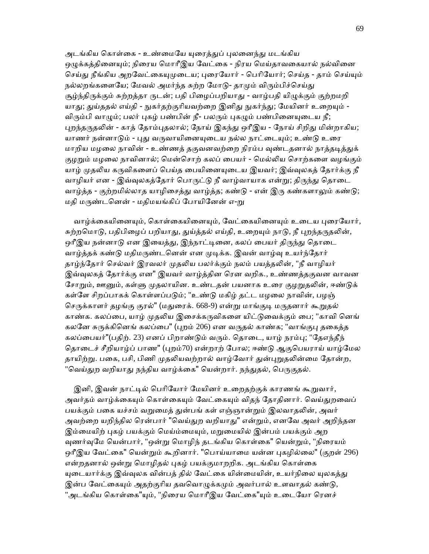அடங்கிய கொள்கை - உண்மையே யுரைத்துப் புலனைந்து மடங்கிய ஒழுக்கத்தினையும்; நிரைய மொரீஇய வேட்கை - நிரய மெய்தாவகையால் நல்வினை செய்து நீங்கிய அறவேட்கையுமுடைய; புரையோர் - பெரியோர்; செய்த - தாம் செய்யும் நல்லறங்களையே; மேவல் அமர்ந்த சுற்ற மோடு- தாமும் விரும்பிச்செய்து சூழ்ந்திருக்கும் சுற்றத்தா ருடன்; பதி பிழைப்பறியாது - வாழ்பதி யிழுக்கும் குற்றமறி யாது; துய்ததல் எய்தி - நுகர்தற்குரியவற்றை இனிது நுகர்ந்து; மேயினர் உறையும் -விரும்பி வாழும்; பலர் புகழ் பண்பின் நீ- பலரும் புகழும் பண்பினையுடைய நீ; புறந்தருதலின் - காத் தோம்புதலால்; நோய் இகந்து ஒரீஇய - நோய் சிறிது மின்றாகிய; யாணர் நன்னாடும் - புது வருவாயினையுடைய நல்ல நாட்டையும்; உண்டு உரை மாறிய மழலை நாவின் - உண்ணத் தகுவனவற்றை நிரம்ப வுண்டதனால் நாத்தடித்துக் குழறும் மழலை நாவினால்; மென்சொற் கலப் பையர் - மெல்லிய சொற்களை வழங்கும் யாழ் முதலிய கருவிகளைப் பெய்த பையினையுடைய இயவர்; இவ்வுலகத் தோர்க்கு நீ வாழியர் என - இவ்வுலகத்தோர் பொருட்டு நீ வாழ்வாயாக என்று; திருந்து தொடை வாழ்த்த - குற்றமில்லாத யாழிசைத்து வாழ்த்த; கண்டு - என் இரு கண்களாலும் கண்டு; மதி மருண்டனென் - மதிமயங்கிப் போயினேன் எ-று

வாழ்க்கையினையும், கொள்கையினையும், வேட்கையினையும் உடைய புரையோர், சுற்றமொடு, பதிபிழைப் பறியாது, துய்த்தல் எய்தி, உறையும் நாடு, நீ புறந்தருதலின், ஒரீஇய நன்னாடு என இயைத்து, இந்நாட்டினை, கலப் பையர் திருந்து தொடை வாழ்த்தக் கண்டு மதிமருண்டனென் என முடிக்க. இவன் வாழ்வு உயர்ந்தோர் தாழ்ந்தோர் செல்வர் இரவலர் முதலிய பலர்க்கும் நலம் பயத்தலின், "நீ வாழியர் இவ்வுலகத் தோர்க்கு என" இயவர் வாழ்த்தின ரென வறிக., உண்ணத்தகுவன வாவன சோறும், ஊனும், கள்ளு முதலாயின. உண்டதன் பயனாக உரை குழறுதலின், ஈண்டுக் கள்ளே சிறப்பாகக் கொள்ளப்படும்; "உண்டு மகிழ் தட்ட மழலை நாவின், பழஞ் செருக்காளர் தழங்கு குரல்" (மதுரைக். 668-9) என்று மாங்குடி மருதனார் கூறுதல் காண்க. கலப்பை, யாழ் முதலிய இசைக்கருவிகளை யிட்டுவைக்கும் பை; "காவி னெங் கலனே சுருக்கினெங் கலப்பை" (புறம் 206) என வருதல் காண்க; "வாங்குபு தகைத்த கலப்பையர்"(பதிற். 23) எனப் பிறாண்டும் வரும். தொடை, யாழ் நரம்பு; "தேஎந்தீந் தொடைச் சீறியாழ்ப் பாண" (புறம்70) என்றாற் போல; ஈண்டு ஆகுபெயராய் யாழ்மேல தாயிற்று. பகை, பசி, பிணி முதலியவற்றால் வாழ்வோர் துன்புறுதலின்மை தோன்ற, "வெய்துற வறியாது நந்திய வாழ்க்கை" யென்றார். நந்துதல், பெருகுதல்.

இனி, இவன் நாட்டில் பெரியோர் மேயினர் உறைதற்குக் காரணங் கூறுவார், அவர்தம் வாழ்க்கையும் கொள்கையும் வேட்கையும் விதந் தோதினார். வெய்துறவைப் பயக்கும் பகை யச்சம் வறுமைத் துன்பங் கள் எஞ்ஞான்றும் இலவாதலின், அவர் அவற்றை யறிந்தில ரென்பார் "வெய்துற வறியாது" என்றும், எனவே அவர் அறிந்தன இம்மையிற் புகழ் பயக்கும் மெய்ம்மையும், மறுமையில் இன்பம் பயக்கும் அற வுணர்வுமே யென்பார், "ஒன்று மொழிந் தடங்கிய கொள்கை" யென்றும், "நிரையம் ஒரீஇய வேட்கை" யென்றும் கூறினார். "பொய்யாமை யன்ன புகழில்லை" (குறள் 296) என்றதனால் ஒன்று மொழிதல் புகழ் பயக்குமாறறிக. அடங்கிய கொள்கை யுடையார்க்கு இவ்வுலக வின்பத் தில் வேட்கை யின்மையின், உயர்நிலை யுலகத்து இன்ப வேட்கையும் அதற்குரிய தவவொழுக்கமும் அவர்பால் உளவாதல் கண்டு, 'அடங்கிய கொள்கை"யும், "நிரைய மொரீஇய வேட்கை"யும் உடையோ ரெனச்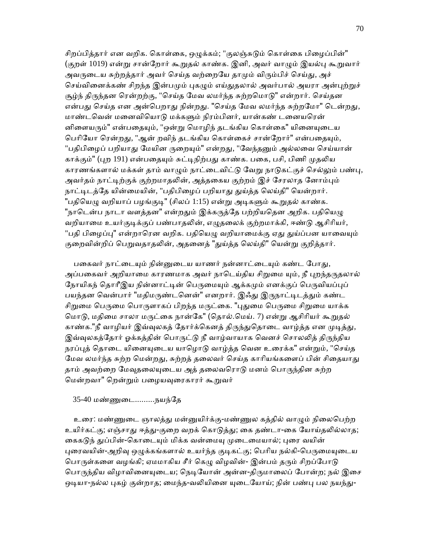சிறப்பித்தார் என வறிக. கொள்கை, ஒழுக்கம்; "குலஞ்சுடும் கொள்கை பிழைப்பின்" (குறள் 1019) என்று சான்றோர் கூறுதல் காண்க. இனி, அவர் வாழும் இயல்பு கூறுவார் அவருடைய சுற்றத்தார் அவர் செய்த வற்றையே தாமும் விரும்பிச் செய்து, அச் செய்வினைக்கண் சிறந்த இன்பமும் புகழும் எய்துதலால் அவர்பால் அயரா அன்புற்றுச் சூழ்ந் திருந்தன ரென்றற்கு, "செய்த மேவ லமர்ந்த சுற்றமொடு" என்றார். செய்தன என்பது செய்த என அன்பெறாது நின்றது. "செய்த மேவ லமர்ந்த சுற்றமோ" டென்றது, மாண்டவென் மனைவியொடு மக்களும் நிரம்பினர், யான்கண் டனையரென் னிளையரும்" என்பதையும், "ஒன்று மொழிந் தடங்கிய கொள்கை" யினையுடைய பெரியோ ரென்றது, "ஆன் றவிந் தடங்கிய கொள்கைச் சான்றோர்" என்பதையும், "பதிபிழைப் பறியாது மேயின ருறையும்" என்றது, "வேந்தனும் அல்லவை செய்யான் காக்கும்" (புற 191) என்பதையும் சுட்டிநிற்பது காண்க. பகை, பசி, பிணி முதலிய காரணங்களால் மக்கள் தாம் வாழும் நாட்டைவிட்டு வேறு நாடுகட்குச் செல்லும் பண்பு, அவர்தம் நாட்டிற்குக் குற்றமாதலின், அத்தகைய குற்றம் இச் சேரலாத னோம்பும் நாட்டிடத்தே யின்மையின், "பதிபிழைப் பறியாது துய்த்த லெய்தி" யென்றார். "பதியெழு வறியாப் பழங்குடி" (சிலப் 1:15) என்று அடிகளும் கூறுதல் காண்க. "நாடென்ப நாடா வளத்தன" என்றதும் இக்கருத்தே பற்றியதென அறிக. பதியெமு வறியாமை உயர்குடிக்குப் பண்பாதலின், எழுதலைக் குற்றமாக்கி, ஈண்டு ஆசிரியர், "பதி பிழைப்பு" என்றாரென வறிக. பதியெழு வறியாமைக்கு ஏது துய்ப்பன யாவையும் குறைவின்றிப் பெறுவதாதலின், அதனைத் "துய்த்த லெய்தி" யென்று குறித்தார்.

பகைவர் நாட்டையும் நின்னுடைய யாணர் நன்னாட்டையும் கண்ட போகு, அப்பகைவர் அறியாமை காரணமாக அவர் நாடெய்திய சிறுமை யும், நீ புறந்தருதலால் நோயிகந் தொரீஇய நின்னாட்டின் பெருமையும் ஆக்கமும் எனக்குப் பெருவியப்புப் பயந்தன வென்பார் "மதிமருண்டனென்" எனறார். இஃது இருநாட்டிடத்தும் கண்ட சிறுமை பெருமை பொருளாகப் பிறந்த மருட்கை. "புதுமை பெருமை சிறுமை யாக்க மொடு, மதிமை சாலா மருட்கை நான்கே" (தொல்.மெய். 7) என்று ஆசிரியர் கூறுதல் காண்க."நீ வாழியர் இவ்வுலகத் தோர்க்கெனத் திருந்துதொடை வாழ்த்த என முடித்து, இவ்வுலகத்தோர் ஓக்கத்தின் பொருட்டு நீ வாழ்வாயாக வெனச் சொலலித் திருந்திய நரப்புத் தொடை யினையுடைய யாழொடு வாழ்த்த வென உரைக்க" என்றும், "செய்த மேவ லமர்ந்த சுற்ற மென்றது, சுற்றத் தலைவர் செய்த காரியங்களைப் பின் சிதையாது தாம் அவற்றை மேவுதலையுடைய அத் தலைவரொடு மனம் பொருந்தின சுற்ற மென்றவா" றென்றும் பழையவுரைகாரர் கூறுவர்

#### 35-40 மண்ணுடை.........நயந்தே

உரை: மண்ணுடை ஞாலத்து மன்னுயிர்க்கு-மண்ணுல கத்தில் வாழும் நிலைபெற்ற உயிர்கட்கு; எஞ்சாது ஈத்து-குறை வறக் கொடுத்து; கை தண்டா-கை யோய்தலில்லாத; கைகடுந் துப்பின்-கொடையும் மிக்க வன்மையு முடைமையால்; புரை வயின் புரைவயின்-அறிவு ஒழுக்கங்களால் உயர்ந்த குடிகட்கு; பெரிய நல்கி-பெருமையுடைய பொருள்களை வழங்கி; ஏமமாகிய சீர் கெழு விழவின்- இன்பம் தரும் சிறப்போடு பொருந்திய விழாவினையுடைய; நெடியோன் அன்ன-திருமாலைப் போன்ற; நல் இசை ஒடியா-நல்ல புகழ் குன்றாத; மைந்த-வலியினை யுடையோய்; நின் பண்பு பல நயந்து-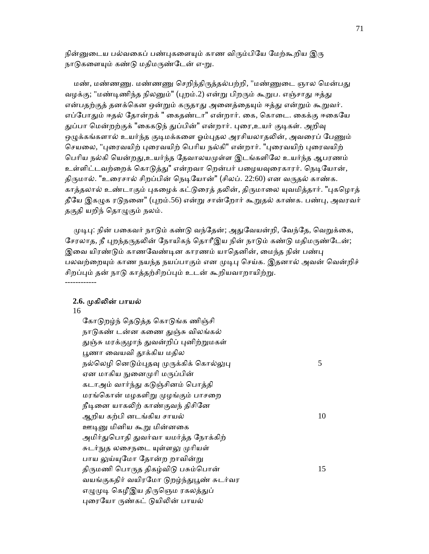நின்னுடைய பல்வகைப் பண்புகளையும் காண விரும்பியே மேற்கூறிய இரு நாடுகளையும் கண்டு மதிமருண்டேன் எ-று.

மண், மண்ணணு. மண்ணணு செறிந்திருத்தல்பற்றி, "மண்ணுடை ஞால மென்பது வழக்கு; "மண்டிணிந்த நிலனும்" (புறம்.2) என்று பிறரும் கூறுப. எஞ்சாது ஈத்து என்பதற்குத் தனக்கென ஒன்றும் கருதாது அனைத்தையும் ஈத்து என்றும் கூறுவர். எப்போதும் ஈதல் தோன்றக் " கைதண்டா" என்றார். கை, கொடை. கைக்கு ஈகையே துப்பா மென்றற்குக் "கைகடுந் துப்பின்" என்றார். புரை,உயர் குடிகள். அறிவு ஒழுக்கங்களால் உயர்ந்த குடிமக்களை ஓம்புதல அரசியலாதலின், அவரைப் பேணும் செயலை, "புரைவயிற் புரைவயிற் பெரிய நல்கி" என்றார். "புரைவயிற் புரைவயிற் பெரிய நல்கி யென்றது,உயர்ந்த தேவாலயமுள்ள இடங்களிலே உயர்ந்த ஆபரணம் உள்ளிட்டவற்றைக் கொடுத்து" என்றவா றென்பர் பழையவுரைகாரர். நெடியோன், திருமால். "உரைசால் சிறப்பின் நெடியோன்" (சிலப். 22:60) என வருதல் காண்க. காக்கலால் உண்டாகும் புகமைக் கட்டுரைக் கலின், கிருமாலை யுவமிக்கார். "புகமொக் தீயே இகழுக ரடுநனை" (புறம்.56) என்று சான்றோர் கூறுதல் காண்க. பண்பு, அவரவர் தகுதி யறிந் தொழுகும் நலம்.

முடிபு: நின் பகைவர் நாடும் கண்டு வந்தேன்; அதுவேயன்றி, வேந்தே, வெறுக்கை, சேரலாத, நீ புறந்தருதலின் நோயிகந் தொரீஇய நின் நாடும் கண்டு மதிமருண்டேன்; இவை யிரண்டும் காணவேண்டின காரணம் யாதெனின், மைந்த நின் பண்பு பலவற்றையும் காண நயந்த நயப்பாகும் என முடிபு செய்க. இதனால் அவன் வென்றிச் சிறப்பும் தன் நாடு காத்தற்சிறப்பும் உடன் கூறியவாறாயிற்று.

#### **2.6.** ᾙகிᾢன் பாயல்

16

------------

கோடுறழ்ந் தெடுத்த கொடுங்க ணிஞ்சி நாடுகண் டன்ன கணை துஞ்சு விலங்கல் துஞ்சு மரக்குழாந் துவன்றிப் புனிற்றுமகள் பூணா வையவி தூக்கிய மதில நல்லெழி னெடும்புதவு முருக்கிக் கொல்லுபு $5$ ஏன மாகிய நுனைமுரி மருப்பின் கடாஅம் வார்ந்து கடுஞ்சினம் பொத்தி மரங்கொன் மழகளிறு முழங்கும் பாசறை நீடினை யாகலிற் காண்குவந் திசினே ஆறிய கற்பி னடங்கிய சாயல் 10 ஊடினு மினிய கூறு மின்னகை அமிர்துபொதி துவர்வா யமர்த்த நோக்கிற் சுடர்நுத லசைநடை யுள்ளலு முரியள் பாய லுய்யுமோ தோன்ற றாவின்று திருமணி பொருத திகழ்விடு பசும்பொன்  $15$ வயங்குகதிர் வயிரமோ டுறழ்ந்துபூண் சுடர்வர எழுமுடி கெழீஇய திருஞெம ரகலத்துப் புரையோ ருண்கட் டுயிலின் பாயல்

71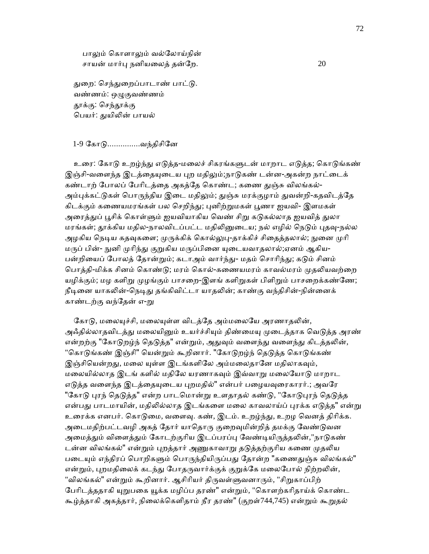பாலும் கொளாலும் வல்லோய்நின் சாயன் மார்பு நனியலைத் தன்றே.  $20$ 

துறை: செந்துறைப்பாடாண் பாட்டு. வண்ணம்: ஒᾨகுவண்ணம் தூக்கு: செந்தூக்கு பெயர்: துயிலின் பாயல்

#### 1-9 ேகாᾌ...............வந்திசிேன

உரை: கோடு உறம்ந்து எடுத்த-மலைச் சிகரங்களுடன் மாறாட எடுத்த; கொடுங்கண் இஞ்சி-வளைந்த இடத்தையுடைய புற மதிலும்;நாடுகண் டன்ன-அகன்ற நாட்டைக் கண்டாற் போலப் பேரிடத்தை அகத்தே கொண்ட; கணை துஞ்சு விலங்கல்-அம்புக்கட்டுகள் பொருந்திய இடை மதிலும்; துஞ்சு மரக்குழாம் துவன்றி-கதவிடத்தே கிடக்கும் கணையமரங்கள் பல செறிந்து; புனிற்றுமகள் பூணா ஐயவி- இளமகள் அரைத்துப் பூசிக் கொள்ளும் ஐயவியாகிய வெண் சிறு கடுகல்லாத ஐயவித் துலா மரங்கள்; தூக்கிய மதில-நாலவிடப்பட்ட மதிலினுடைய; நல் எழில் நெடும் புதவு-நல்ல அழகிய நெடிய கதவுகளை; முருக்கிக் கொல்லுபு-தாக்கிச் சிதைத்தலால்; நுனை முரி மருப் பின்- நுனி முரிந்து குறுகிய மருப்பினை யுடையவாதலால்;ஏனம் ஆகிய-பன்றியைப் போலத் தோன்றும்; கடாஅம் வார்ந்து- மதம் சொரிந்து; கடும் சினம் பொத்தி-மிக்க சினம் கொண்டு; மரம் கொல்-கணையமரம் காவல்மரம் முதலியவற்றை யழிக்கும்; மழ களிறு முழங்கும் பாசறை-இளங் களிறுகள் பிளிறும் பாசறைக்கண்ணே; நீடினை யாகலின்-நெடிது தங்கிவிட்டா யாதலின்; காண்கு வந்திசின்-நின்னைக் காண்டற்கு வந்தேன் எ-று

கோடு, மலையுச்சி, மலையுள்ள விடத்தே அம்மலையே அரணாதலின், அஃதில்லாதவிடத்து மலையினும் உயர்ச்சியும் திண்மையு முடைத்தாக வெடுத்த அரண் என்றற்கு "கோடுறழ்ந் தெடுத்த" என்றும், அதுவும் வளைந்து வளைந்து கிடத்தலின், "கொடுங்கண் இஞ்சி" யென்றும் கூறினார். "கோடுறழ்ந் தெடுத்த கொடுங்கண் இஞ்சியென்றது, மலை யுள்ள இடங்களிலே அம்மலைதானே மதிலாகவும், மைலயில்லாத இடங் களில் மதிேல யரணாகᾫம் இவ்வாᾠ மைலேயாᾌ மாறாட எடுத்த வளைந்த இடத்தையுடைய புறமதில்" என்பர் பழையவுரைகாரர்.; அவரே "கோடு புரந் தெடுத்த" என்ற பாடமொன்று உளதாதல் கண்டு, "கோடுபுரந் தெடுத்த என்பது பாடமாயின், மதிலில்லாத இடங்களை மலை காவலாய்ப் புரக்க எடுத்த" என்று உரைக்க எனபர். கொடுமை, வளைவு. கண், இடம். உறழ்ந்து, உறழ வெனத் திரிக்க. அடைமதிற்பட்டவழி அகத் தோர் யாதொரு குறைவுமின்றித் தமக்கு வேண்டுவன அமைத்தும் விளைத்தும் கோடற்குரிய இடப்பரப்பு வேண்டியிருத்தலின்,"நாடுகண் டன்ன விலங்கல்" என்றும் புறத்தார் அணுகாவாறு தடுத்தற்குரிய கணை முதலிய படையும் எந்திரப் பொறிகளும் பொருந்தியிருப்பது தோன்ற "கணைதுஞ்சு விலங்கல்" என்றும், புறமதிலைக் கடந்து போதருவார்க்குக் குறுக்கே மலைபோல் நிற்றலின், "விலங்கல்" என்றும் கூறினார். ஆசிரியர் திருவள்ளுவனாரும், "சிறுகாப்பிற் பேரிடத்ததாகி யுறுபகை யூக்க மழிப்ப தரண்" என்றும், "கொளற்கரிதாய்க் கொண்ட கூழ்த்தாகி அகத்தார், நிைலக்ெகளிதாம் நீர தரண்" (குறள்744,745) என்ᾠம் கூᾠதல்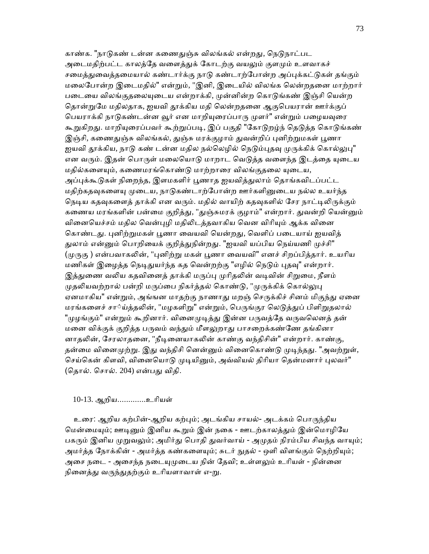காண்க. "நாடுகண் டன்ன கணைதுஞ்சு விலங்கல் என்றது, நெடுநாட்பட அடைமதிற்பட்ட காலத்தே வளைத்துக் கோடற்கு வயலும் குளமும் உளவாகச் சமைத்துவைத்தமையால் கண்டார்க்கு நாடு கண்டாற்போன்ற அப்புக்கட்டுகள் தங்கும் மலைபோன்ற இடைமதில்" என்றும், "இனி, இடையில் விலங்க லென்றதனை மாற்றார் படையை விலங்குதலையுடைய என்றாக்கி, முன்னின்ற கொடுங்கண் இஞ்சி யென்ற தொன்றுமே மதிலதாக, ஐயவி தூக்கிய மதி லென்றதனை ஆகுபெயரான் ஊர்க்குப் பெயராக்கி நாடுகண்டன்ன வூர் என மாறியுரைப்பாரு முளர்" என்றும் பழையவுரை கூறுகிறது. மாறியுரைப்பவர் கூற்றுப்படி, இப் பகுதி "கோடுறழ்ந் தெடுத்த கொடுங்கண் இஞ்சி, கணைதுஞ்சு விலங்கல், துஞ்சு மரக்குழாம் துவன்றிப் புனிற்றுமகள் பூணா ஜயவி தூக்கிய, நாடு கண் டன்ன மதில நல்லெழில் நெடும்புதவு முருக்கிக் கொல்லுபு" என வரும். இதன் பொருள் மலையொடு மாறாட வெடுத்த வளைந்த இடத்தை யுடைய மதில்களையும், கணைமரங்கொண்டு மாற்றாரை விலங்குதலை யுடைய, அப்புக்கூடுகள் நிறைந்த, இளமகளிர் பூணாத ஐயவித்துலாம் தொங்கவிடப்பட்ட மதிற்கதவுகளையு முடைய, நாடுகண்டாற்போன்ற ஊர்களினுடைய நல்ல உயர்ந்த நெடிய கதவுகளைத் தாக்கி என வரும். மதில் வாயிற் கதவுகளில் சேர நாட்டிலிருக்கும் கணைய மரங்களின் பன்மை குறித்து, "துஞ்சுமரக் குழாம்" என்றார். துவன்றி யென்னும் வினையெச்சம் மதில வென்புழி மதிலிடத்தவாகிய வென விரியும் ஆக்க வினை கொண்டது. புனிற்றுமகள் பூணா வையவி யென்றது, வெளிப் படையாய் ஐயவித் துலாம் என்னும் பொறியைக் குறித்துநின்றது. "ஐயவி யப்பிய நெய்யணி முச்சி" (முருகு ) என்பவாகலின், "புனிற்று மகள் பூணா வையவி" எனச் சிறப்பித்தார். உயரிய மணிகள் இழைத்த நெடிதுயர்ந்த கத வென்றற்கு "எழில் நெடும் புதவு" என்றார். இத்துணை வலிய கதவினைத் தாக்கி மருப்பு முரிதலின் வடிவின் சிறுமை, நீளம் முதலியவற்றால் பன்றி மருப்பை நிகர்த்தல் கொண்டு, "முருக்கிக் கொல்லுபு ஏனமாகிய" என்றும், அங்ஙன மாதற்கு நாணாது மறஞ் செருக்கிச் சினம் மிகுந்து ஏனை மரங்களைச் சா்ய்த்தலின், "மழகளிறு" என்றும், பெருங்குர லெடுத்துப் பிளிறுதலால் "முழங்கும்" என்றும் கூறினார். வினைமுடித்து இன்ன பருவத்தே வருவலெனத் தன் மனை விக்குக் குறித்த பருவம் வந்தும் மீளலுறாது பாசறைக்கண்ணே தங்கினா னாதலின், சேரலாதனை, "நீடினையாகலின் காண்கு வந்திசின்" என்றார். காண்கு, தன்மை வினைமுற்று. இது வந்திசி னென்னும் வினைகொண்டு முடிந்தது. "அவற்றுள், செய்கென் கிளவி, வினையொடு முடியினும், அவ்வியல் திரியா தென்மனார் புலவர்" (ெதால். ெசால். 204) என்பᾐ விதி.

#### 10-13. ஆறிய.............உாியள்

உரை: ஆறிய கற்பின்-ஆறிய கற்பும்; அடங்கிய சாயல்- அடக்கம் பொருந்திய மென்மையும்; ஊடினும் இனிய கூறும் இன் நகை - ஊடற்காலத்தும் இன்மொழியே பகரும் இனிய முறுவலும்; அமிர்து பொதி துவர்வாய் - அமுதம் நிரம்பிய சிவந்த வாயும்; அமர்த்த நோக்கின் - அமர்த்த கண்களையும்; சுடர் நுதல் - ஒளி விளங்கும் நெற்றியும்; அசை நடை - அசைந்த நடையுமுடைய நின் தேவி; உள்ளலும் உரியள் - நின்னை நினைத்து வருந்துதற்கும் உரியளாவாள் எ-று.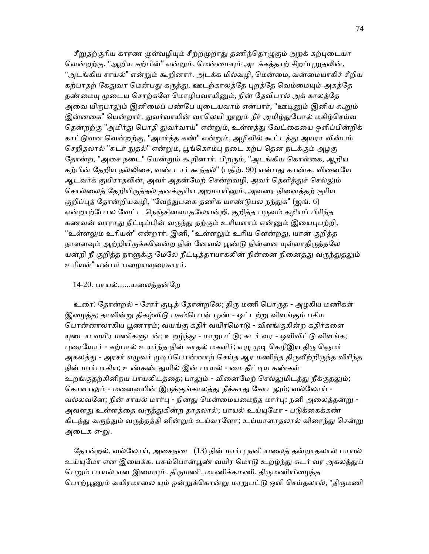சீறுதற்குரிய காரண முள்வழியும் சீற்றமுறாது தணிந்தொழுகும் அறக் கற்புடையா ளென்றற்கு, "ஆறிய கற்பின்" என்றும், மென்மையும் அடக்கத்தாற் சிறப்புறுதலின், "அடங்கிய சாயல்" என்றும் கூறினார். அடக்க மில்வழி, மென்மை, வன்மையாகிச் சீறிய கற்பாதற் கேதுவா மென்பது கருத்து. ஊடற்காலத்தே புறத்தே வெம்மையும் அகத்தே தண்மையு முடைய சொற்களே மொழிபவாயினும், நின் தேவிபால் அக் காலத்தே அவை யிருபாலும் இனிமைப் பண்பே யுடையவாம் என்பார், "ஊடினும் இனிய கூறும் இன்னகை" யென்றார். துவர்வாயின் வாலெயி றூறும் நீர் அமிழ்துபோல் மகிழ்செய்வ தென்றற்கு "அமிர்து பொதி துவர்வாய்" என்றும், உள்ளத்து வேட்கையை ஒளிப்பின்றிக் காட்டுவன வென்றற்கு, "அமர்த்த கண்" என்றும், அழிவில் கூட்டத்து அயரா வின்பம் செறிதலால் "சுடர் நுதல்" என்றும், பூங்கொம்பு நடை கற்ப தென நடக்கும் அழகு தோன்ற, "அசை நடை" யென்றும் கூறினார். பிறரும், "அடங்கிய கொள்கை, ஆறிய கற்பின் தேறிய நல்லிசை, வண் டார் கூந்தல்" (பதிற். 90) என்பது காண்க. வினையே ஆடவர்க் குயிராதலின், அவர் அதன்மேற் சென்றவழி, அவர் தெளித்துச் செல்லும் சொல்லைத் தேறியிருத்தல் தனக்குரிய அறமாயினும், அவரை நினைத்தற் குரிய குறிப்புத் தோன்றியவழி, "வேந்துபகை தணிக யாண்டுபல நந்துக" (ஐங். 6) என்றாற்போல வேட்ட நெஞ்சினளாதலேயன்றி, குறித்த பருவம் கழியப் பிரிந்த கணவன் வாராது நீட்டிப்பின் வருந்து தற்கும் உரியளாம் என்னும் இயைபுபற்றி, "உள்ளலும் உரியள்" என்றார். இனி, "உள்ளலும் உரிய ளென்றது, யான் குறித்த நாளளவும் ஆற்றியிருக்கவென்ற நின் னேவல் பூண்டு நின்னை யுள்ளாதிருத்தலே யன்றி நீ குறித்த நாளுக்கு மேலே நீட்டித்தாயாகலின் நின்னை நினைத்து வருந்துதலும் உரியள்" என்பர் பழையவுரைகாரர்.

#### 14-20. பாயல்......யைலத்தன்ேற

உரை: தோன்றல் - சேரர் குடித் தோன்றலே; திரு மணி பொருத - அழகிய மணிகள் இழைத்த; தாவின்று திகழ்விடு பசும்பொன் பூண் - ஒட்டற்று விளங்கும் பசிய பொன்னாலாகிய பூணாரம்; வயங்கு கதிர் வயிரமொடு - விளங்குகின்ற கதிர்களை யுடைய வயிர மணிகளுடன்; உறழ்ந்து - மாறுபட்டு; சுடர் வர - ஒளிவிட்டு விளங்க; புரையோர் - கற்பால் உயர்ந்த நின் காதல் மகளிர்; எழு முடி கெழீஇய திரு ஞெமர் அகலத்து - அரசர் எழுவர் முடிப்பொன்னாற் செய்த ஆர மணிந்த திருவீற்றிருந்த விரிந்த நின் மார்பாகிய; உண்கண் துயில் இன் பாயல் - மை தீட்டிய கண்கள் உறங்குதற்கினிநய பாயலிடத்தை; பாலும் - வினைமேற் செல்லுமிடத்து நீக்குதலும்; கொளாலும் - மனைவயின் இருக்குங்காலத்து நீக்காது கோடலும்; வல்லோய் -வல்லவனே; நின் சாயல் மார்பு - நினது மென்மையமைந்த மார்பு; நனி அலைத்தன்று -அவளது உள்ளத்தை வருத்துகின்ற தாதலால்; பாயல் உய்யுமோ - படுக்கைக்கண் கிடந்து வருந்தும் வருத்தத்தி னின்றும் உய்வாளோ; உய்யாளாதலால் விரைந்து சென்று அடைக எ-று.

தோன்றல், வல்லோய், அசைநடை (13) நின் மார்பு நனி யலைத் தன்றாதலால் பாயல் உய்யுமோ என இயைக்க. பசும்பொன்பூண் வயிர மொடு உறழ்ந்து சுடர் வர அகலத்துப் பெறும் பாயல் என இயையும். திருமணி, மாணிக்கமணி. திருமணியிழைத்த பொற்பூணும் வயிரமாலை யும் ஒன்றுக்கொன்று மாறுபட்டு ஒளி செய்தலால், "திருமணி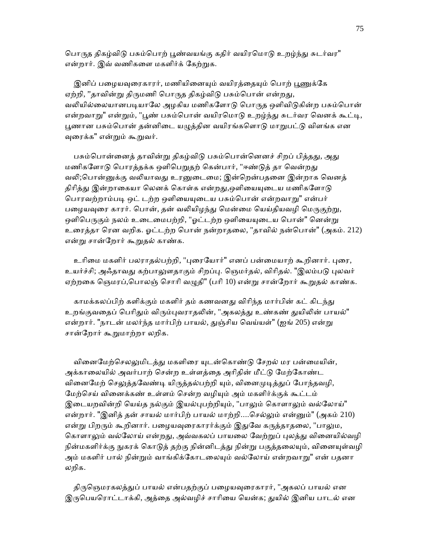பொருத திகழ்விடு பசும்பொற் பூண்வயங்கு கதிர் வயிரமொடு உறழ்ந்து சுடர்வர" என்றார். இவ் வணிகளை மகளிர்க் கேற்றுக.

இனிப் பழையவுரைகாரர், மணியினையும் வயிரத்தையும் பொற் பூணுக்கே ஏற்றி, ''தாவின்று திருமணி பொருத திகழ்விடு பசும்பொன் என்றது, வலியில்லையானபடியாலே அழகிய மணிகளோடு பொருத ஒளிவிடுகின்ற பசும்பொன் என்றவாறு" என்றும், "பூண் பசும்பொன் வயிரமொடு உறழ்ந்து சுடர்வர வெனக் கூட்டி, பூணான பசும்பொன் தன்னிடை யழுத்தின வயிரங்களொடு மாறுபட்டு விளங்க என ᾫைரக்க" என்ᾠம் கூᾠவர்.

பசும்பொன்னைத் தாவின்று திகழ்விடு பசும்பொன்னெனச் சிறப் பித்தது, அது மணிகளோடு பொரத்தக்க ஒளிபெறுதற் கென்பார், "ஈண்டுத் தா வென்றது வலி;பொன்னுக்கு வலியாவது உரனுடைமை; இன்றென்பதனை இன்றாக வெனத் திரித்து இன்றாகையா லெனக் கொள்க என்றது,ஔியையுடைய மணிகளோடு பொரவற்றாம்படி ஒட் டற்ற ஒளியையுடைய பசும்பொன் என்றவாறு" என்பர் பழையவுரை காரர். பொன், தன் வலியிழந்து மென்மை யெய்தியவழி மெருகுற்று, ஒளிபெருகும் நலம் உடைமைபற்றி, "ஓட்டற்ற ஒளியையுடைய பொன்" னென்று உரைத்தா ரென வறிக. ஓட்டற்ற பொன் நன்றாதலை, "தாவில் நன்பொன்" (அகம். 212) என்ᾠ சான்ேறார் கூᾠதல் காண்க.

உரிமை மகளிர் பலராதல்பற்றி, "புரையோர்" எனப் பன்மையாற் கூறினார். புரை, உயர்ச்சி; அஃதாவது கற்பாலுளதாகும் சிறப்பு. நெமர்தல், விரிதல். "இலம்படு புலவர் ஏற்றகை ஞெமரப்,பொலஞ் சொரி வழுதி" (பரி 10) என்று சான்றோர் கூறுதல் காண்க.

காமக்கலப்பிற் களிக்கும் மகளிர் தம் கணவனது விரிந்த மார்பின் கட் கிடந்து உறங்குவதைப் பெரிதும் விரும்புவராதலின், "அகலத்து உண்கண் துயிலின் பாயல்" என்றார். "நாடன் மலர்ந்த மார்பிற் பாயல், துஞ்சிய வெய்யள்" (ஐங் 205) என்று சான்ேறார் கூᾠமாற்றா லறிக.

வினைமேற்செலலுமிடத்து மகளிரை யுடன்கொண்டு சேறல் மர பன்மையின், அக்காலையில் அவர்பாற் சென்ற உள்ளத்தை அரிதின் மீட்டு மேற்கோண்ட வினைமேற் செலுத்தவேண்டி யிருத்தல்பற்றி யும், வினைமுடித்துப் போந்தவழி, மேற்செய் வினைக்கண் உள்ளம் சென்ற வழியும் அம் மகளிர்க்குக் கூட்டம் இடையறவின்றி யெய்த நல்கும் இயல்புபற்றியும், "பாலும் கொளாலும் வல்லோய்" என்றார். "இனித் தன் சாயல் மார்பிற் பாயல் மாற்றி....ெசல்ᾤம் என்ᾔம்" (அகம் 210) என்று பிறரும் கூறினார். பழையவுரைகாரர்க்கும் இதுவே கருத்தாதலை, "பாலும, கொளாலும் வல்லோய் என்றது, அவ்வகலப் பாயலை வேற்றுப் புலத்து வினையில்வழி நின்மகளிர்க்கு நுகரக் கொடுத் தற்கு நின்னிடத்து நின்று பகுத்தலையும், வினையுள்வழி அம் மகளிர் பால் நின்றும் வாங்கிக்கோடலையும் வல்லோய் என்றவாறு" என் பதனா லறிக.

திருஞெமரகலத்துப் பாயல் என்பதற்குப் பழையவுரைகாரர், "அகலப் பாயல் என இருபெயரொட்டாக்கி, அத்தை அல்வழிச் சாரியை யென்க; துயில் இனிய பாடல் என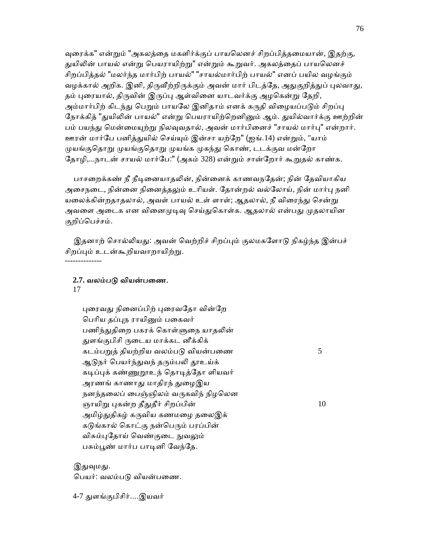வுரைக்க" என்றும் "அகலத்தை மகளிர்க்குப் பாயலௌச் சிறப்பித்தமையான், இதற்கு, துயிலின் பாயல் என்று பெயராயிற்று" என்றும் கூறுவர். அகலத்தைப் பாயலெனச் சிறப்பித்தல் "மலர்ந்த மார்பிற் பாயல்" "சாயல்மார்பிற் பாயல்" எனப் பயில வழங்கும் வழக்கால் அறிக. இனி, திருவீற்றிருக்கும் அவன் மார் பிடத்தே, அதுகுறித்துப் புலவாது, தம் புரையால், திருவின் இருப்பு ஆள்வினை யாடவர்க்கு அழகென்று தேறி, அம்மார்பிற் கிடந்து பெறும் பாயலே இனிதாம் எனக் கருதி விழையப்படும் சிறப்பு நோக்கித் "துயிலின் பாயல்" என்று பெயராயிற்றெனினும் ஆம். துயில்வார்க்கு ஊற்றின் பம் பயந்து மென்மையுற்று நிலவுவதால், அவன் மார்பினைச் "சாயல் மார்பு" என்றார். ஊரன் மார்ேப பனித்ᾐயில் ெசய்ᾜம் இன்சா யற்ேற" (ஐங்.14) என்ᾠம், "யாம் முயங்குதொறு முயங்குதொறு முயங்க முகந்து கொண், டடக்குவ மன்றோ தோழி,...நாடன் சாயல் மார்பே:" (அகம் 328) என்றும் சான்றோர் கூறுதல் காண்க.

பாசறைக்கண் நீ நீடினையாதலின், நின்னைக் காணவநதேன்; நின் தேவியாகிய அசைநடை, நின்னை நினைத்தலும் உரியள். தோன்றல் வல்லோய், நின் மார்பு நனி யலைக்கின்றதாதலால், அவள் பாயல் உள் ளாள்; ஆதலால், நீ விரைந்து சென்று அவளை அடைக என வினைமுடிவு செய்துகொள்க. ஆதலால் என்பது முதலாயின குறிப்ெபச்சம்.

இதனாற் சொல்லியது: அவன் வெற்றிச் சிறப்பும் குலமகளோடு நிகழ்ந்த இன்பச் சிறப்பும் உடன்கூறியவாறாயிற்று. --------------

### 2.7. வலம்படு வியன்பணை.

#### 17

புரைவது நினைப்பிற் புரைவதோ வின்றே பெரிய தப்புந ராயினும் பகைவர் பணிந்துதிறை பகரக் கொள்ளுநை யாதலின் துளங்குபிசி ருடைய மாக்கட னீக்கிக் கடம்பறுத் தியற்றிய வலம்படு வியன்பணை  $5$ ஆடுநர் பெயர்ந்துவந் தரும்பலி தூஉய்க் கடிப்புக் கண்ணுறூஉந் தொடித்தோ ளியவர் அரணங் காணாது மாதிரந் துழைஇய நனந்தலைப் பைஞ்ஞிலம் வருகவிந் நிழலென ஞாயிறு புகன்ற தீதுதீர் சிறப்பின்  $10$ அமிழ்துதிகழ் கருவிய கணமழை தலைஇக் கடுங்கால் கொட்கு நன்பெரும் பரப்பின் விசும்புதோய் வெண்குடை நுவலும் பசும்பூண் மார்ப பாடினி வேந்தே.

இதுவுமது.

பெயர்: வலம்படு வியன்பணை.

4-7 ᾐளங்குபிசிர்....இயவர்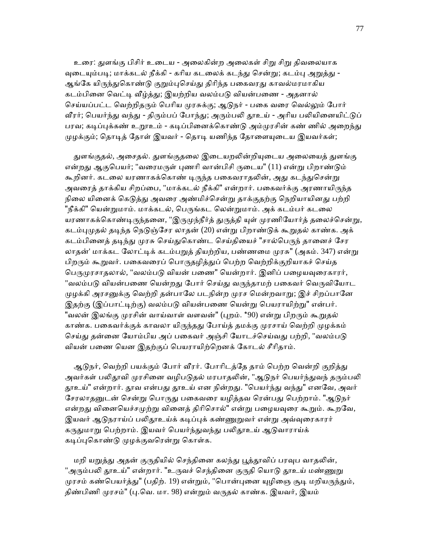உரை: துளங்கு பிசிர் உடைய - அலைகின்ற அலைகள் சிறு சிறு திவலையாக வுடையும்படி; மாக்கடல் நீக்கி - கரிய கடலைக் கடந்து சென்று; கடம்பு அறுத்து -ஆங்கே யிருந்துகொண்டு குறும்புசெய்து திரிந்த பகைவரது காவல்மரமாகிய கடம்பினை வெட்டி வீழ்த்து; இயற்றிய வலம்படு வியன்பணை - அதனால் செய்யப்பட்ட வெற்றிதரும் பெரிய முரசுக்கு; ஆடுநர் - பகை வரை வெல்லும் போர் வீரர்; பெயர்ந்து வந்து - திரும்பப் போந்து; அரும்பலி தூஉய் - அரிய பலியினையிட்டுப் பரவ; கடிப்புக்கண் உறூஉம் - கடிப்பினைக்கொண்டு அம்முரசின் கண் ணில் அறைந்து முழக்கும்; தொடித் தோள் இயவர் - தொடி யணிந்த தோளையுடைய இயவர்கள்;

துளங்குதல், அசைதல். துளங்குதலை இடையறலின்றியுடைய அலையைத் துளங்கு என்றது ஆகுபெயர்; "வரைமருள் புணரி வான்பிசி ருடைய" (11) என்று பிறாண்டும் கூறினர். கடலை யரணாகக்கொண் டிருந்த பகைவராதலின், அது கடந்துசென்று அவரைத் தாக்கிய சிறப்பை, "மாக்கடல் நீக்கி" என்றார். பகைவர்க்கு அரணாயிருந்த நிலை யினைக் கெடுத்து அவரை அண்மிச்சென்று தாக்குதற்கு நெறியாயினது பற்றி "நீக்கி" யென்றுமாம். மாக்கடல், பெருங்கட லென்றுமாம். அக் கடம்பர் கடலை யரணாகக்கொண்டிருந்தனை, "இருமுந்நீர்த் துருத்தி யுள் முரணியோர்த் தலைச்சென்று, கடம்புமுதல் தடிந்த நெடுஞ்சேர லாதன் (20) என்று பிறாண்டுக் கூறுதல் காண்க. அக் கடம்பினைத் தடிந்து முரசு செய்துகொண்ட செய்தியைச் "சால்பெருந் தானைச் சேர லாதன்' மாக்கட லோட்டிக் கடம்பறுத் தியற்றிய, பண்ணமை முரசு" (அகம். 347) என்று பிறரும் கூறுவர். பகைவரைப் பொருதழித்துப் பெற்ற வெற்றிக்குறியாகச் செய்த பெருமுரசாதலால், "வலம்படு வியன் பணை" யென்றார். இனிப் பழையவுரைகாரர், "வலம்படு வியன்பணை யென்றது போர் செய்து வருந்தாமற் பகைவர் வெருவியோட முழக்கி அரசனுக்கு வெற்றி தன்பாலே படநின்ற முரச மென்றவாறு; இச் சிறப்பானே இதற்கு (இப்பாட்டிற்கு) வலம்படு வியன்பணை யென்று பெயராயிற்று" என்பர். "வலன் இலங்கு முரசின் வாய்வாள் வளவன்" (புறம். \*90) என்று பிறரும் கூறுதல் காண்க. பகைவர்க்குக் காவலா யிருந்தது போய்த் தமக்கு முரசாய் வெற்றி முழக்கம் செய்து தன்னை யோம்பிய அப் பகைவர் அஞ்சி யோடச்செய்வது பற்றி, "வலம்படு வியன் பைண ெயன இதற்குப் ெபயராயிற்ெறனக் ேகாடல் சீாிதாம்.

ஆடுநர், வெற்றி பயக்கும் போர் வீரர். போரிடத்தே தாம் பெற்ற வென்றி குறித்து அவர்கள் பலிதூவி முரசினை வழிபடுதல் மரபாதலின், "ஆடுநர் பெயர்ந்துவந் தரும்பலி தூஉய்" என்றார். தூவ என்பது தூஉய் என நின்றது. "பெயர்ந்து வந்து" எனவே, அவர் சேரலாதனுடன் சென்று பொருது பகைவரை யழித்தவ ரென்பது பெற்றாம். "ஆடுநர் என்றது வினையெச்சமுற்று வினைத் திரிசொல்" என்று பழையவுரை கூறும். கூறவே, இயவர் ஆடுநராய்ப் பலிதூஉய்க் கடிப்புக் கண்ணுறுவர் என்று அவ்வுரைகாரர் கருதுமாறு பெற்றாம். இயவர் பெயர்ந்துவந்து பலிதூஉய் ஆடுவாராய்க் கடிப்புகொண்டு முழக்குவரென்று கொள்க.

மறி யறுத்து அதன் குருதியில் செந்தினை கலந்து பூத்தூவிப் பரவுப வாதலின், "அரும்பலி தூஉய்" என்றார். "உருவச் செந்தினை குருதி யொடு தூஉய் மண்ணுறு முரசம் கண்பெயர்த்து" (பதிற். 19) என்றும், "பொன்புனை யுழிஞை சூடி மறியருந்தும், திண்பிணி முரசம்" (பு.வெ. மா. 98) என்றும் வருதல் காண்க. இயவர், இயம்

77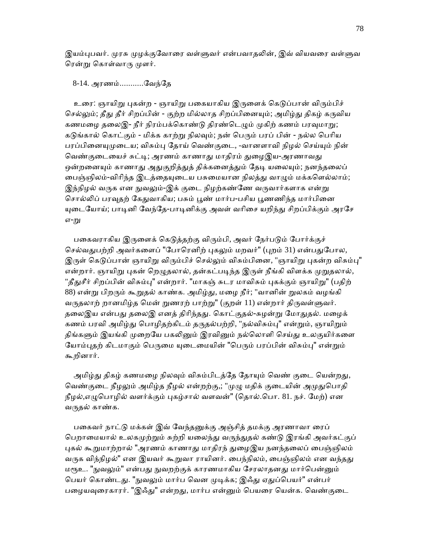இயம்புபவர். முரசு முழக்குவோரை வள்ளுவர் என்பவாதலின், இவ் வியவரை வள்ளுவ ரென்று கொள்வாரு முளர்.

### 8-14. அரணம்...........ேவந்ேத

உரை: ஞாயிறு புகன்ற - ஞாயிறு பகையாகிய இருளைக் கெடுப்பான் விரும்பிச் செல்லும்; தீது தீர் சிறப்பின் - குற்ற மில்லாத சிறப்பினையும்; அமிழ்து திகழ் கருவிய கணமழை தலைஇ- நீர் நிரம்பக்கொண்டு திரண்டெழும் முகிற் கணம் பரவுமாறு; கடுங்கால் கொட்கும் - மிக்க காற்று நிலவும்; நன் பெரும் பரப் பின் - நல்ல பெரிய பரப்பினையுமுடைய; விசும்பு தோய் வெண்குடை, -வானளாவி நிழல் செய்யும் நின் வெண்குடையைச் சுட்டி; அரணம் காணாது மாதிரம் துழைஇய-அரணாவது ஒன்றனையும் காணாது அதுகுறித்துத் திக்கனைத்தும் தேடி யலையும்; நனந்தலைப் பைஞ்ஞிலம்-விரிந்த இடத்தையுடைய பசுமையான நிலத்து வாழும் மக்களெல்லாம்; இந்நிழல் வருக என நுவலும்-இக் குடை நிழற்கண்ணே வருவார்களாக என்று சொல்லிப் பரவுதற் கேதுவாகிய; பசும் பூண் மார்ப-பசிய பூணணிந்த மார்பினை யுடையோய்; பாடினி வேந்தே-பாடினிக்கு அவள் வரிசை யறிந்து சிறப்பிக்கும் அரசே எ-று

பகைவராகிய இருளைக் கெடுத்தற்கு விரும்பி, அவர் நேர்படும் போர்க்குச் செல்வதுபற்றி அவர்களைப் "போரெனிற் புகலும் மறவர்" (புறம் 31) என்பதுபோல, இருள் கெடுப்பான் ஞாயிறு விரும்பிச் செல்லும் விசும்பினை, "ஞாயிறு புகன்ற விசும்பு" என்றார். ஞாயிறு புகன் றெழுதலால், தன்கட்படிந்த இருள் நீங்கி விளக்க முறுதலால், "தீதுசீர் சிறப்பின் விசும்பு" என்றார். "மாகஞ் சுடர மாவிசும் புகக்கும் ஞாயிறு" (பதிற் 88) என்று பிறரும் கூறுதல் காண்க. அமிழ்து, மழை நீர்; "வானின் றுலகம் வழங்கி வருதலாற் றானமிழ்த மென் றுணரற் பாற்று" (குறள் 11) என்றார் திருவள்ளுவர். தலைஇய என்பது தலைஇ எனத் திரிந்தது. கொட்குதல்-சுழன்று மோதுதல். மழைக் கணம் பரவி அமிழ்து பொழிதற்கிடம் தருதல்பற்றி, "நல்விசும்பு" என்றும், ஞாயிறும் திங்களும் இயங்கி முறையே பகலினும் இரவினும் நல்லொளி செய்து உலகுயிர்களை யோம்புதற் கிடமாகும் பெருமை யுடைமையின் "பெரும் பரப்பின் விசும்பு" என்றும் கூறினார்.

அமிழ்து திகழ் கணமழை நிலவும் விசும்பிடத்தே தோயும் வெண் குடை யென்றது, வெண்குடை நீழலும் அமிழ்த நீழல் என்றற்கு,; "முழு மதிக் குடையின் அமுதுபொதி நீழல்,எழுபொழில் வளர்க்கும் புகழ்சால் வளவன்" (தொல்.பொ. 81. நச். மேற்) என வருதல் காண்க.

பகைவர் நாட்டு மக்கள் இவ் வேந்தனுக்கு அஞ்சித் தமக்கு அரணாவா ரைப் பெறாமையால் உலகமுற்றும் சுற்றி யலைந்து வருந்துதல் கண்டு இரங்கி அவர்கட்குப் புகல் கூறுமாற்றால் "அரணம் காணாது மாதிரந் துழைஇய நனந்தலைப் பைஞ்ஞிலம் வருக விந்நிழல்" என இயவர் கூறுவா ராயினர். பைந்நிலம், பைஞ்ஞிலம் என வந்தது மரூஉ. "நுவலும்" என்பது நுவறற்குக் காரணமாகிய சேரலாதனது மார்பென்னும் பெயர் கொண்டது. "நுவலும் மார்ப வென முடிக்க; இஃது ஏதுப்பெயர்" என்பர் பழையவுரைகாரர். "இஃது" என்றது, மார்ப என்னும் பெயரை யென்க. வெண்குடை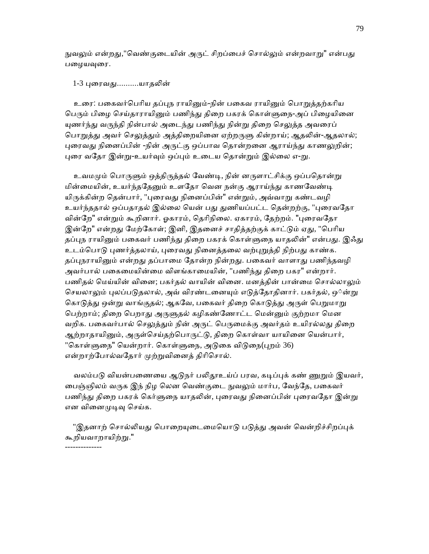நுவலும் என்றது,"வெண்குடையின் அருட் சிறப்பைச் சொல்லும் என்றவாறு" என்பது பழையவுரை.

1-3 புரைவது..........யாதலின்

உரை: பகைவர்பெரிய தப்புந ராயினும்-நின் பகைவ ராயினும் பொறுத்தற்கரிய பெரும் பிழை செய்தாராயினும் பணிந்து திறை பகரக் கொள்ளுநை-அப் பிழையினை யுணர்ந்து வருந்தி நின்பால் அடைந்து பணிந்து நின்று திறை செலுத்த அவரைப் பொறுத்து அவர் செலுத்தும் அத்திறையினை ஏற்றருளு கின்றாய்; ஆதலின்-ஆதலால்; புரைவது நினைப்பின் -நின் அருட்கு ஒப்பாவ தொன்றனை ஆராய்ந்து காணலுறின்; புரை வதோ இன்று-உயர்வும் ஒப்பும் உடைய தொன்றும் இல்லை எ-று.

உவமமும் பொருளும் ஒத்திருத்தல் வேண்டி, நின் னருளாட்சிக்கு ஒப்பதொன்று மின்மையின், உயர்ந்ததேனும் உளதோ வென நன்கு ஆராய்ந்து காணவேண்டி யிருக்கின்ற கென்பார், "புரைவது நினைப்பின்" என்றும், அவ்வாறு கண்டவழி உயர்ந்ததால் ஒப்பதாதல் இல்லை யென் பது துணியப்பட்ட தென்றற்கு, "புரைவதோ வின்றே" என்றும் கூறினார். ஓகாரம், தெரிநிலை. ஏகாரம், தேற்றம். "புரைவதோ இன்றே" என்றது மேற்கோள்; இனி, இதனைச் சாதித்தற்குக் காட்டும் ஏது, "பெரிய தப்புந ராயினும் பகைவர் பணிந்து கிறை பகரக் கொள்ளுநை யாதலின்" என்பது. இஃது உடம்பொடு புணர்த்தலாய், புரைவது நினைத்தலை வற்புறுத்தி நிற்பது காண்க. தப்புநராயினும் என்றது தப்பாமை தோன்ற நின்றது. பகைவர் வாளாது பணிந்தவழி அவர்பால் பகைமையின்மை விளங்காமையின், "பணிந்து திறை பகர" என்றார். பணிதல் மெய்யின் வினை; பகர்தல் வாயின் வினை. மனத்தின் பான்மை சொல்லாலும் செயலாலும் புலப்படுதலால், அவ் விரண்டனையும் எடுத்தோதினார். பகர்தல், ஒ்ன்று கொடுத்து ஒன்று வாங்குதல்; ஆகவே, பகைவர் திறை கொடுத்து அருள் பெறுமாறு பெற்றாம்; திறை பெறாது அருளுதல் கழிகண்ணோட்ட மென்னும் குற்றமா மென வறிக. பகைவர்பால் செலுத்தும் நின் அருட் பெருமைக்கு அவர்தம் உயிரல்லது திறை ஆற்றாதாயினும், அருள்செய்தற்பொருட்டு, திறை கொள்வா யாயினை யென்பார், "கொள்ளுநை" யென்றார். கொள்ளுநை, அடுகை விடுநை(புறம் 36) என்றாற்போல்வதோர் முற்றுவினைத் திரிசொல்.

வலம்படு வியன்பணையை ஆடுநர் பலிதூஉய்ப் பரவ, கடிப்புக் கண் ணுறும் இயவர், பைஞ்ஞிலம் வருக இந் நிழ லென வெண்குடை <u>நுவலு</u>ம் மார்ப, வேந்தே, பகைவர் பணிந்து திறை பகரக் கெர்ளுநை யாதலின், புரைவது நினைப்பின் புரைவதோ இன்று என வினைமுடிவு செய்க.

"இதனாற் சொல்லியது பொறையுடைமையொடு படுத்து அவன் வென்றிச்சிறப்புக் <u>கூறியவாறாயிற்று.</u>"

--------------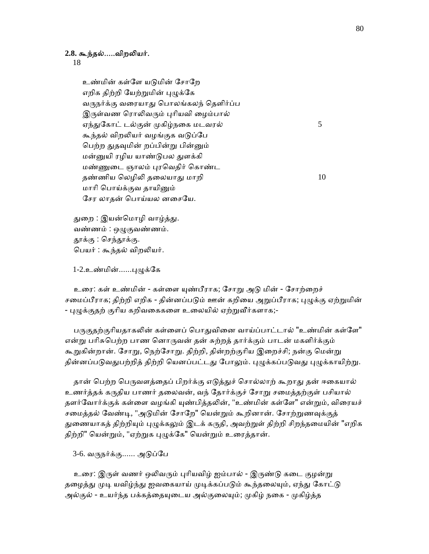# **2.8.** கூந்தல்.....விறᾢயர்.

18

உண்மின் கள்ளே யடுமின் சோறே எறிக திற்றி யேற்றுமின் புழுக்கே வருநர்க்கு வரையாது பொலங்கலந் தெளிர்ப்ப இருள்வண ரொலிவரும் புரியவி ழைம்பால் ஏந்துகோட் டல்குன் முகிழ்நகை மடவரல்  $5$ கூந்தல் விறலியர் வழங்குக வடுப்பே பெற்ற துதவுமின் றப்பின்று பின்னும் மன்னுயி ரழிய யாண்டுபல துளக்கி மண்ணுடை ஞாலம் புரவெதிர் கொண்ட தண்ணிய லெழிலி தலையாது மாறி  $10$  மாாி ெபாய்க்குவ தாயிᾔம் ேசர லாதன் ெபாய்யல னைசேய.

துறை : இயன்மொழி வாழ்த்து. வண்ணம் : ஒᾨகுவண்ணம். தூக்கு : செந்தூக்கு. பெயர் : கூந்தல் விறலியர்.

1-2.உண்மின்......புழுக்கே

உரை: கள் உண்மின் - கள்ளை யுண்பீராக; சோறு அடு மின் - சோற்றைச் சமைப்பீராக; திற்றி எறிக - தின்னப்படும் ஊன் கறியை அறுப்பீராக; புழுக்கு ஏற்றுமின் - புழுக்குதற் குரிய கறிவகைகளை உலையில் ஏற்றுவீர்களாக;-

பருகுதற்குரியதாகலின் கள்ளைப் பொதுவினை வாய்ப்பாட்டால் "உண்மின் கள்ளே" என்ᾠ பாிசுெபற்ற பாண ெனாᾞவன் தன் சுற்றத் தார்க்கும் பாடன் மகளிர்க்கும் கூறுகின்றான். சோறு, நெற்சோறு. திற்றி, தின்றற்குரிய இறைச்சி; நன்கு மென்று தின்னப்படுவதுபற்றித் திற்றி யெனப்பட்டது போலும். புழுக்கப்படுவது புழுக்காயிற்று.

தான் பெற்ற பெருவளக்தைப் பிறர்க்கு எடுக்துச் சொல்லாற் கூறாது தன் ஈகையால் உணர்த்தக் கᾞதிய பாணர் தைலவன், வந் ேதார்க்குச் ேசாᾠ சைமத்தற்குள் பசியால் தளர்வோர்க்குக் கள்ளை வழங்கி யுண்பித்தலின், "உண்மின் கள்ளே" என்றும், விரையச் சமைத்தல் வேண்டி, "அடுமின் சோறே" யென்றும் கூறினான். சோற்றுணவுக்குத் துணையாகத் திற்றியும் புழுக்கலும் இடக் கருதி, அவற்றுள் திற்றி சிறந்தமையின் "எறிக திற்றி" யென்றும், "ஏற்றுக புழுக்கே" யென்றும் உரைத்தான்.

3-6. வᾞநர்க்கு...... அᾌப்ேப

உரை: இருள் வணர் ஒலிவரும் புரியவிழ் ஐம்பால் - இருண்டு கடை குழன்று தழைத்து முடி யவிழ்ந்து ஐவகையாய் முடிக்கப்படும் கூந்தலையும், ஏந்து கோட்டு அல்குல் - உயர்ந்த பக்கத்தையுடைய அல்குலையும்; முகிழ் நகை - முகிழ்த்த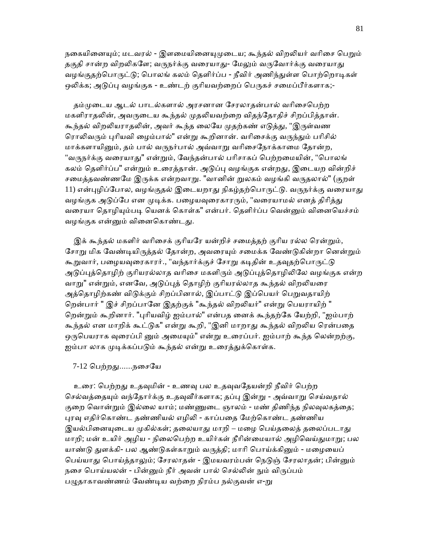நகையினையும்; மடவரல் - இளமையினையுமுடைய; கூந்தல் விறலியர் வரிசை பெறும் தகுதி சான்ற விறலிகளே; வருநர்க்கு வரையாது- மேலும் வருவோர்க்கு வரையாது வழங்குதற்பொருட்டு; பொலங் கலம் தெளிர்ப்ப - நீவிர் அணிந்துள்ள பொற்றொடிகள் ஒலிக்க; அடுப்பு வழங்குக - உண்டற் குரியவற்றைப் பெருகச் சமைப்பீர்களாக;-

தம்முடைய ஆடல் பாடல்களால் அரசனான சோலாகன்பால் வரிசைபெற்ற மகளிராதலின், அவருடைய கூந்தல் முதலியவற்றை விதந்தோதிச் சிறப்பித்தான். கூந்தல் விறலியராதலின், அவர் கூந்த லையே முதற்கண் எடுத்து, "இருள்வண ரொலிவரும் புரியவி ழைம்பால்" என்று கூறினான். வரிசைக்கு வருந்தும் பரிசில் மாக்களாயினும், தம் பால் வருநர்பால் அவ்வாறு வரிசைநோக்காமை கோன்ற, "வருநர்க்கு வரையாது" என்றும், வேந்தன்பால் பரிசாகப் பெற்றமையின், "பொலங் கலம் தெளிர்ப்ப" என்றும் உரைத்தான். அடுப்பு வழங்குக என்றது, இடையற வின்றிச் சமைத்தவண்ணமே இருக்க என்றவாறு. "வானின் றுலகம் வழங்கி வருதலால்" (குறள்  $11$ ) என்புழிப்போல, வழங்குதல் இடையறாது நிகழ்தற்பொருட்டு. வருநர்க்கு வரையாது வழங்குக அடுப்பே என முடிக்க. பழையவுரைகாரரும், "வரையாமல் எனத் திரித்து வரையா தொழியும்படி யெனக் கொள்க" என்பர். தெளிர்ப்ப வென்னும் வினையெச்சம் வழங்குக என்னும் வினைகொண்டது.

இக் கூந்தல் மகளிர் வரிசைக் குரியரே யன்றிச் சமைத்தற் குரிய ரல்ல ரென்றும், சோறு மிக வேண்டியிருத்தல் தோன்ற, அவரையும் சமைக்க வேண்டுகின்றா னென்றும் கூறுவார், பழையவுரைகாரர்., "வந்தார்க்குச் சோறு கடிதின் உதவுதற்பொருட்டு அடுப்புத்தொழிற் குரியரல்லாத வரிசை மகளிரும் அடுப்புத்தொழிலிலே வழங்குக என்ற வாறு" என்றும், எனவே, அடுப்புத் தொழிற் குரியரல்லாத கூந்தல் விறலியரை அத்தொழிற்கண் விடுக்கும் சிறப்பினால், இப்பாட்டு இப்பெயர் பெறுவதாயிற் றென்பார் " இச் சிறப்பானே இதற்குக் "கூந்தல் விறலியர்" என்று பெயராயிற் " றென்றும் கூறினார். "புரியவிழ் ஐம்பால்" என்பத னைக் கூந்தற்கே யேற்றி, "ஐம்பாற் கூந்தல் என மாறிக் கூட்டுக" என்று கூறி, "இனி மாறாது கூந்தல் விறலிய ரென்பதை ஒருபெயராக வுரைப்பி னும் அமையும்" என்று உரைப்பர். ஐம்பாற் கூந்த லென்றற்கு, ஐம்பா லாக முடிக்கப்படும் கூந்தல் என்று உரைத்துக்கொள்க.

#### 7-12 ெபற்றᾐ......நைசேய

உரை: பெற்றது உதவுமின் - உணவு பல உதவுவதேயன்றி நீவிர் பெற்ற செல்வத்தையும் வந்தோர்க்கு உதவுவீர்களாக; தப்பு இன்று - அவ்வாறு செய்வதால் குறை வொன்றும் இல்லை யாம்; மண்ணுடை ஞாலம் - மண் திணிந்த நிலவுலகத்தை; புரவு எதிர்கொண்ட தண்ணியல் எழிலி - காப்பதை மேற்கொண்ட தண்ணிய இயல்பினையுடைய முகில்கள்; தலையாது மாறி – மழை பெய்தலைத் தலைப்படாது மாறி; மன் உயிர் அழிய - நிலைபெற்ற உயிர்கள் நீரின்மையால் அழிவெய்துமாறு; பல யாண்டு துளக்கி- பல ஆண்டுகள்காறும் வருத்தி; மாரி பொய்க்கினும் - மழையைப் பெய்யாது பொய்த்தாலும்; சேரலாதன் - இமயவரம்பன் நெடுஞ் சேரலாதன்; பின்னும் நசை பொய்யலன் - பின்னும் நீர் அவன் பால் செல்லின் நும் விருப்பம் பழுதாகாவண்ணம் வேண்டிய வற்றை நிரம்ப நல்குவன் எ-று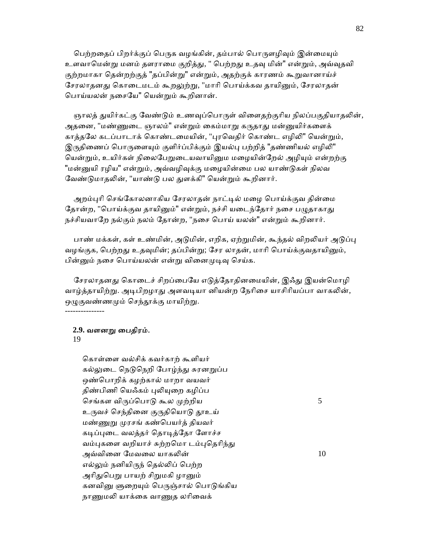பெற்றதைப் பிறர்க்குப் பெருக வழங்கின், தம்பால் பொருளழிவும் இன்மையும் உளவாமென்று மனம் தளராமை குறித்து, " பெற்றது உதவு மின்" என்றும், அவ்வுதவி குற்றமாகா தென்றற்குத் "தப்பின்று" என்றும், அதற்குக் காரணம் கூறுவானாய்ச் சேரலாதனது கொடைமடம் கூறலுற்று, "மாரி பொய்க்கவ தாயினும், சேரலாதன் ெபாய்யலன் நைசேய" ெயன்ᾠம் கூறினான்.

ஞாலத் துயிர்கட்கு வேண்டும் உணவுப்பொருள் விளைதற்குரிய நிலப்பகுதியாதலின், அதனை, "மண்ணுடை ஞாலம்" என்றும் கைம்மாறு கருதாது மன்னுயிர்களைக் காத்தலே கடப்பாடாக் கொண்டமையின், "புரவெதிர் கொண்ட எழிலி" யென்றும், இருதிணைப் பொருளையும் குளிர்ப்பிக்கும் இயல்பு பற்றித் "தண்ணியல் எழிலி" யென்றும், உயிர்கள் நிலைபேறுடையவாயினும மழையின்றேல் அழியும் என்றற்கு "மன்னுயி ரழிய" என்றும், அவ்வழிவுக்கு மழையின்மை பல யாண்டுகள் நிலவ வேண்டுமாதலின், "யாண்டு பல துளக்கி" யென்றும் கூறினார்.

அறம்புரி செங்கோலனாகிய சேரலாதன் நாட்டில் மழை பொய்க்குவ தின்மை தோன்ற, "பொய்க்குவ தாயினும்" என்றும், நச்சி யடைந்தோர் நசை பழுதாகாது நச்சியவாறே நல்கும் நலம் தோன்ற, "நசை பொய் யலன்" என்றும் கூறினார்.

பாண் மக்கள், கள் உண்மின், அடுமின், எறிக, ஏற்றுமின், கூந்தல் விறலியர் அடுப்பு வழங்குக, பெற்றது உதவுமின்; தப்பின்று; சேர லாதன், மாரி பொய்க்குவதாயினும், பின்னும் நசை பொய்யலன் என்று வினைமுடிவு செய்க.

சேரலாதனது கொடைச் சிறப்பையே எடுத்தோதினமையின், இஃது இயன்மொழி வாழ்த்தாயிற்று. அடிபிறழாது அளவடியா னியன்ற நேரிசை யாசிரியப்பா வாகலின், ஒழுகுவண்ணமும் செந்தூக்கு மாயிற்று.

#### **2.9.** வளனᾠ ைபதிரம்.

#### 19

---------------

 ெகாள்ைள வல்சிக் கவர்காற் கூளியர் கல்லுடை நெடுநெறி போழ்ந்து சுரனறுப்ப ஒண்பொறிக் கழற்கால் மாறா வயவர் திண்பிணி யெஃகம் புலியுறை கழிப்ப செங்கள விருப்பொடு கூல முற்றிய  $5$ உருவச் செந்தினை குருதியொடு தூஉய் மண்ணுறு முரசங் கண்பெயர்த் தியவர் கடிப்புடை வலத்தர் தொடித்தோ ளோச்ச வம்புகளை வறியாச் சுற்றமொ டம்புதெரிந்து அவ்வினை மேவலை யாகலின்  $10$ எல்லும் நனியிருந் தெல்லிப் பெற்ற அரிதுபெறு பாயற் சிறுமகி ழானும் கனவினு ளுறையும் பெருஞ்சால் பொடுங்கிய நாணுமலி யாக்கை வாணுத லரிவைக்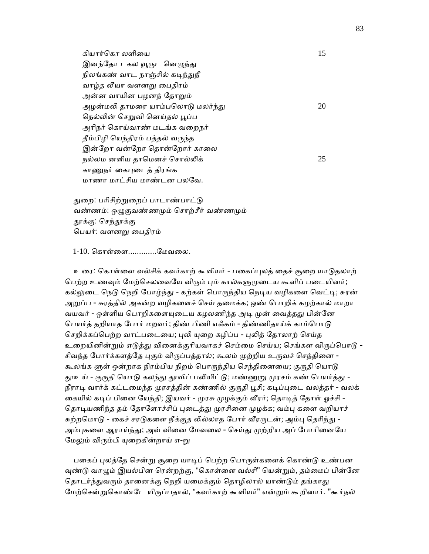கியார்கொ லளியை மாண்டி மாண்டி பிரியார்கொ லளியை இனந்தோ டகல வூருட னெழுந்து நிலங்கண் வாட நாஞ்சில் கடிந்துநீ வாழ்த லீயா வளனᾠ ைபதிரம் அன்ன வாயின பழனந் தோறும் அழன்மலி தாமரை யாம்பலொடு மலர்ந்து  $20$ நெல்லின் செறுவி னெய்தல் பூப்ப அாிநர் ெகாய்வாண் மடங்க வைறநர் தீம்பிழி யெந்திரம் பத்தல் வருந்த இன்றோ வன்றோ தொன்றோர் காலை நல்லம னளிய தாமெனச் சொல்லிக்  $25$ காணுநர் கைபுடைத் திரங்க மாணா மாட்சிய மாண்டன பலேவ.

துறை: பரிசிற்றுறைப் பாடாண்பாட்டு வண்ணம்: ஒழுகுவண்ணமும் சொற்சீர் வண்ணமும் தூக்கு: செந்தூக்கு ெபயர்: வளனᾠ ைபதிரம்

1-10. ெகாள்ைள.............ேமவைல.

உரை: கொள்ளை வல்சிக் கவர்காற் கூளியர் - பகைப்புலத் தைச் சூறை யாடுதலாற் பெற்ற உணவும் மேற்செலவையே விரும் பும் கால்களுமுடைய கூளிப் படையினர்; கல்லுடை நெடு நெறி போழ்ந்து - கற்கள் பொருந்திய நெடிய வழிகளை வெட்டி; சுரன் அறுப்ப - சுரத்தில் அகன்ற வழிகளைச் செய் தமைக்க; ஒண் பொறிக் கழற்கால் மாறா வயவர் - ஒள்ளிய பொறிகளையுடைய கழலணிந்த அடி முன் வைத்தது பின்னே பெயர்த் தறியாத போர் மறவர்; திண் பிணி எஃகம் - திண்ணிதாய்க் காம்பொடு செறிக்கப்பெற்ற வாட்படையை; புலி யுறை கழிப்ப - புலித் தோலாற் செய்த உறையினின்றும் எடுத்து வினைக்குரியவாகச் செம்மை செய்ய; செங்கள விருப்பொடு -சிவந்த போர்க்களத்தே புகும் விருப்பத்தால்; கூலம் முற்றிய உருவச் செந்தினை -கூலங்க ளுள் ஒன்றாக நிரம்பிய நிறம் பொருந்திய செந்தினையை; குருதி யொடு தூஉய் - குருதி யொடு கலந்து தூவிப் பலியிட்டு; மண்ணுறு முரசம் கண் பெயர்த்து -நீராடி வார்க் கட்டமைந்த முரசத்தின் கண்ணில் குருதி பூசி; கடிப்புடை வலத்தர் - வலக் கையில் கடிப் பினை யேந்தி; இயவர் - முரசு முழக்கும் வீரர்; தொடித் தோள் ஓச்சி -தொடியணிந்த தம் தோளோச்சிப் புடைத்து முரசினை முழக்க; வம்பு களை வறியாச் சுற்றமொடு - கைச் சரடுகளை நீக்குத லில்லாத போர் வீரருடன்; அம்பு தெரிந்து -அம்புகளை ஆராய்ந்து; அவ் வினை மேவலை - செய்து முற்றிய அப் போரினையே மேலும் விரும்பி யுறைகின்றாய் எ-று

பகைப் புலத்தே சென்று சூறை யாடிப் பெற்ற பொருள்களைக் கொண்டு உண்பன வுண்டு வாழும் இயல்பின ரென்றற்கு, "கொள்ளை வல்சி" யென்றும், தம்மைப் பின்னே தொடர்ந்துவரும் தானைக்கு நெறி யமைக்கும் தொழிலால் யாண்டும் தங்காது மேற்சென்றுகொண்டே யிருப்பதால், "கவர்காற் கூளியர்" என்றும் கூறினார். "கூர்நல்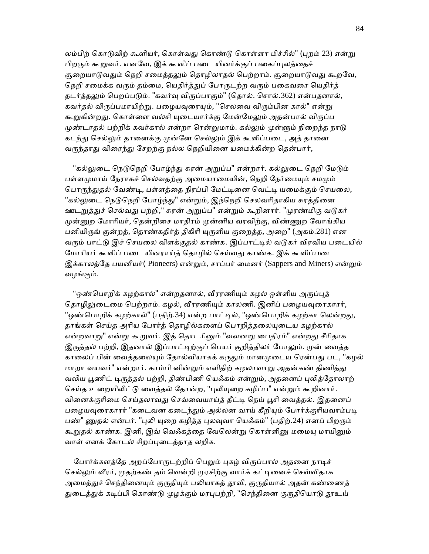லம்பிற் கொடுவிற் கூளியர், கொள்வது கொண்டு கொள்ளா மிச்சில்" (புறம் 23) என்று பிறரும் கூறுவர். எனவே, இக் கூளிப் படை யினர்க்குப் பகைப்புலத்தைச் சூறையாடுவதும் நெறி சமைத்தலும் தொழிலாதல் பெற்றாம். சூறையாடுவது கூறவே, நெறி சமைக்க வரும் தம்மை, யெதிர்த்துப் போருடற்ற வரும் பகைவரை யெதிர்த் தடர்த்தலும் பெறப்படும். "கவர்வு விருப்பாகும்" (தொல். சொல்.362) என்பதனால், கவர்தல் விருப்பமாயிற்று. பழையவுரையும், "செலவை விரும்பின கால்" என்று கூறுகின்றது. கொள்ளை வல்சி யுடையார்க்கு மேன்மேலும் அதன்பால் விருப்ப முண்டாதல் பற்றிக் கவர்கால் என்றா ரென்றுமாம். கல்லும் முள்ளும் நிறைந்த நாடு கடந்து செல்லும் தானைக்கு முன்னே செல்லும் இக் கூளிப்படை, அத் தானை வருந்தாது விரைந்து சேறற்கு நல்ல நெறியினை யமைக்கின்ற தென்பார்,

"கல்லுடை நெடுநெறி போழ்ந்து சுரன் அறுப்ப" என்றார். கல்லுடை நெறி மேடும் பள்ளமுமாய் நேராகச் செல்வதற்கு அமையாமையின், நெறி நேர்மையும் சமமும் பொருந்துதல் வேண்டி, பள்ளத்தை நிரப்பி மேட்டினை வெட்டி யமைக்கும் செயலை, "கல்லுடை நெடுநெறி போழ்ந்து" என்றும், இந்நெறி செலவரிதாகிய சுரத்தினை ஊடறுத்துச் செல்வது பற்றி," சுரன் அறுப்ப" என்றும் கூறினார். "முரண்மிகு வடுகர் முன்னுற மோரியர், தென்றிசை மாதிரம் முன்னிய வரவிற்கு, விண்ணுற வோங்கிய பனியிருங் குன்றத், தொண்கதிர்த் திகிரி யுருளிய குறைத்த, அறை" (அகம்.281) என வரும் பாட்டு இச் செயலை விளக்குதல் காண்க. இப்பாட்டில் வடுகர் விரவிய படையில் மோரியர் கூளிப் படை யினராய்த் தொழில் செய்வது காண்க. இக் கூளிப்படை இக்காலத்தே பயனீயர்( Pioneers) என்றும், சாப்பர் மைனர் (Sappers and Miners) என்றும் வழங்கும்.

"ஒண்பொறிக் கழற்கால்" என்றதனால், வீரரணியும் கழல் ஒள்ளிய அருப்புத் தொழிலுடைமை பெற்றாம். கழல், வீரரணியும் காலணி. இனிப் பழையவுரைகாரர், "ஒண்பொறிக் கழற்கால்" (பதிற்.34) என்ற பாட்டில், "ஒண்பொறிக் கழற்கா லென்றது, தாங்கள் செய்த அரிய போர்த் தொழில்களைப் பொறித்தலையுடைய கழற்கால் என்றவாறு" என்று கூறுவர். இத் தொடரினும் "வளனறு பைதிரம்" என்றது சீரிதாக இருத்தல் பற்றி, இதனால் இப்பாட்டிற்குப் பெயர் குறித்திலர் போலும். முன் வைத்த காலைப் பின் வைத்தலையும் தோல்வியாகக் கருதும் மானமுடைய ரென்பது பட, "கழல் மாறா வயவர்" என்றார். காம்பி னின்றும் எளிதிற் கழலாவாறு அதன்கண் திணித்து வலிய பூணிட் டிருத்தல் பற்றி, திண்பிணி யெஃகம் என்றும், அதனைப் புலித்தோலாற் செய்த உறையிலிட்டு வைத்தல் தோன்ற, "புலியுறை கழிப்ப" என்றும் கூறினார். வினைக்குரிமை செய்தலாவது செவ்வையாய்த் தீட்டி நெய் பூசி வைத்தல். இதனைப் பழையவுரைகாரர் "கடைவன கடைந்தும் அல்லன வாய் கீறியும் போர்க்குரியவாம்படி பண்" ணுதல் என்பர். "புலி யுறை கழித்த புலவுவா யெஃகம்" (பதிற்.24) எனப் பிறரும் கூறுதல் காண்க. இனி, இவ் வெஃகத்தை வேலென்று கொள்ளினு மமையு மாயினும் வாள் எனக் ேகாடல் சிறப்ᾗைடத்தாத லறிக.

போர்க்களத்தே அறப்போருடற்றிப் பெறும் புகழ் விருப்பால் அதனை நாடிச் செல்லும் வீரர், முதற்கண் தம் வென்றி முரசிற்கு வார்க் கட்டினைச் செவ்விதாக அமைத்துச் செந்தினையும் குருதியும் பலியாகத் தூவி, குருதியால் அதன் கண்ணைத் துடைத்துக் கடிப்பி கொண்டு முழக்கும் மரபுபற்றி, "செந்தினை குருதியொடு தூஉய்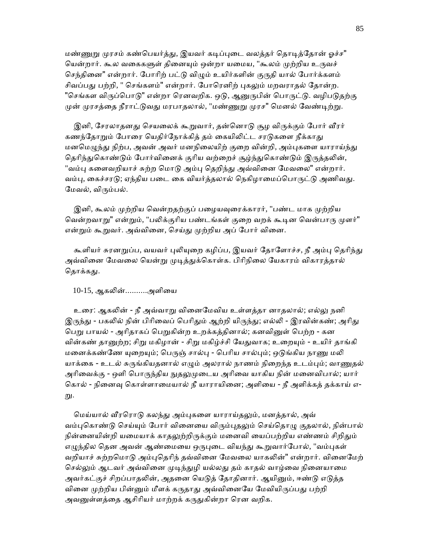மண்ணுறு முரசம் கண்பெயர்த்து, இயவர் கடிப்புடை வலத்தர் தொடித்தோன் ஓச்ச" யென்றார். கூல வகைகளுள் தினையும் ஒன்றா யமைய, "கூலம் முற்றிய உருவச் செந்தினை" என்றார். போரிற் பட்டு விழும் உயிர்களின் குருதி யால் போர்க்களம் சிவப்பது பற்றி, " செங்களம்" என்றார். போரெனிற் புகலும் மறவராதல் தோன்ற. "செங்கள விருப்பொடு" என்றா ரெனவறிக. ஒடு, ஆனுருபின் பொருட்டு. வழிபடுதற்கு முன் முரசத்தை நீராட்டுவது மரபாதலால், "மண்ணுறு முரச" மெனல் வேண்டிற்று.

இனி, சேரலாதனது செயலைக் கூறுவார், தன்னொடு சூழ விருக்கும் போர் வீரர் கணந்தோறும் போரை யெதிர்நோக்கித் தம் கையிலிட்ட சரடுகளை நீக்காது மனமெமுந்து நிற்ப, அவன் அவர் மனநிலையிற் குறை வின்றி, அம்புகளை யாராய்ந்து தெரிந்துகொண்டும் போர்வினைக் குரிய வற்றைச் சூழ்ந்துகொண்டும் இருத்தலின், "வம்பு களைவறியாச் சுற்ற மொடு அம்பு தெறிந்து அவ்வினை மேவலை" என்றார். வம்பு, கைச்சரடு; ஏந்திய படை கை வியர்த்தலால் நெகிழாமைப்பொருட்டு அணிவது. மேவல், விரும்பல்.

இனி, கூலம் முற்றிய வென்றதற்குப் பழையவுரைக்காரர், "பண்ட மாக முற்றிய வென்றவாறு" என்றும், "பலிக்குரிய பண்டங்கள் குறை வறக் கூடின வென்பாரு முளர்" என்றும் கூறுவர். அவ்வினை, செய்து முற்றிய அப் போர் வினை.

கூளியர் சுரனறுப்ப, வயவர் புலியுறை கழிப்ப, இயவர் தோளோச்ச, நீ அம்பு தெரிந்து அவ்வினை மேவலை யென்று முடித்துக்கொள்க. பிரிநிலை யேகாரம் விகாரத்தால் கொக்ககு.

#### $10-15$ , ஆகலின்..........அளியை

உரை: ஆகலின் - நீ அவ்வாறு வினைமேவிய உள்ளத்தா னாதலால்; எல்லு நனி இருந்து - பகலில் நின் பிரிவைப் பெரிதும் ஆற்றி யிருந்து; எல்லி - இரவின்கண்; அரிது பெறு பாயல் - அரிதாகப் பெறுகின்ற உறக்கத்தினால்; கனவினுள் பெற்ற - கன வின்கண் தானுற்ற; சிறு மகிழான் - சிறு மகிழ்ச்சி யேதுவாக; உறையும் - உயிர் தாங்கி மனைக்கண்ணே யுறையும்; பெருஞ் சால்பு - பெரிய சால்பும்; ஒடுங்கிய நாணு மலி யாக்கை - உடல் சுருங்கியதனால் எழும் அலரால் நாணம் நிறைந்த உடம்பும்; வாணுதல் அரிவைக்கு - ஒளி பொருந்திய நுதலுமுடைய அரிவை யாகிய நின் மனைவிபால்; யார் கொல் - நினைவு கொள்ளாமையால் நீ யாராயினை; அளியை - நீ அளிக்கத் தக்காய் எ-று.

மெய்யால் வீரரொடு கலந்து அம்புகளை யாராய்தலும், மனத்தால், அவ் வம்புகொண்டு செய்யும் போர் வினையை விரும்புதலும் செய்தொழு குதலால், நின்பால் நின்னையின்றி யமையாக் காதலுற்றிருக்கும் மனைவி யைப்பற்றிய எண்ணம் சிறிதும் எழுந்தில தென அவன் ஆண்மையை ஒருபுடை வியந்து கூறுவார்போல், "வம்புகள் வறியாச் சுற்றமொடு அம்புதெரிந் தவ்வினை மேவலை யாகலின்" என்றார். வினைமேற் செல்லும் ஆடவர் அவ்வினை முடிந்துழி யல்லது தம் காதல் வாழ்வை நினையாமை அவர்கட்குச் சிறப்பாதலின், அதனை யெடுத் தோதினார். ஆயினும், ஈண்டு எடுத்த வினை முற்றிய பின்னும் மீளக் கருதாது அவ்வினையே மேவியிருப்பது பற்றி அவனுள்ளத்தை ஆசிரியர் மாற்றக் கருதுகின்றா ரென வறிக.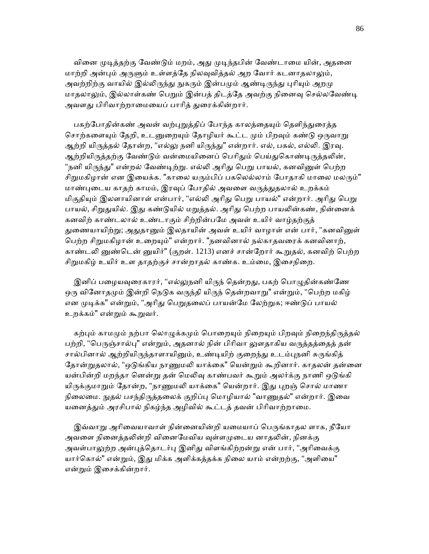வினை முடித்தற்கு வேண்டும் மறம், அது முடிந்தபின் வேண்டாமை யின், அதனை மாற்றி அன்பும் அருளும் உள்ளத்தே நிலவுவித்தல் அற வோர் கடனாதலாலும், அவற்றிற்கு வாயில் இல்லிருந்து நுகரும் இன்பமும் ஆண்டிருந்து புரியும் அறமு மாதலாலும், இல்லாள்கண் பெறும் இன்பத் திடத்தே அவற்கு நினைவு செல்லவேண்டி அவளது பிரிவாற்றாமையைப் பாரித் துரைக்கின்றார்.

பகற்போதின்கண் அவன் வற்புறுத்திப் போந்த காலத்தையும் தெளிந்துரைத்த சொற்களையும் தேறி, உடனுறையும் தோழியர் கூட்ட மும் பிறவும் கண்டு ஒருவாறு ஆற்றி யிருத்தல் தோன்ற, "எல்லு நனி யிருந்து" என்றார். எல், பகல், எல்லி. இரவு. ஆற்றியிருத்தற்கு வேண்டும் வன்மையினைப் பெரிதும் பெய்துகொண்டிருத்தலின், "நனி யிருந்து" என்றல் வேண்டிற்று. எல்லி அரிது பெறு பாயல், கனவினுள் பெற்ற சிறுமகிழான் என இயைக்க. "காலை யரும்பிப் பகலெல்லாம் போதாகி மாலை மலரும்" மாண்புடைய காதற் காமம், இரவுப் போதில் அவளை வருத்துதலால் உறக்கம் மிகுதியும் இலளாயினாள் என்பார், "எல்லி அரிது பெறு பாயல்" என்றார். அரிது பெறு பாயல், சிறுதுயில். இது கண்டுயில் மறுத்தல். அரிது பெற்ற பாயலின்கண், நின்னைக் கனவிற் காண்டலால் உண்டாகும் சிற்றின்பேம அவள் உயிர் வாழ்தற்குத் துணையாயிற்று; அதுதானும் இலதாயின் அவள் உயிர் வாழாள் என் பார், "கனவினுள் பெற்ற சிறுமகிழான் உறையும்" என்றார். "நனவினால் நல்காதவரைக் கனவினாற், காண்டலி னுண்டென் னுயிர்" (குறள். 1213) எனச் சான்றோர் கூறுதல், கனவிற் பெற்ற சிறுமகிழ் உயிர் உள தாதற்குச் சான்றாதல் காண்க. உம்மை, இசைநிறை.

இனிப் பழையவுரைகாரர், "எல்லுநனி யிருந் தென்றது, பகற் பொழுதின்கண்ணே ஒரு வினோதமும் இன்றி நெடுக வருந்தி யிருந் தென்றவாறு" என்றும், "பெற்ற மகிழ் என முடிக்க" என்றும், "அரிது பெறுதலைப் பாயன்மே லேற்றுக; ஈண்டுப் பாயல் உறக்கம்" என்ᾠம் கூᾠவர்.

கற்பும் காமமும் நற்பா லொழுக்கமும் பொறையும் நிறையும் பிறவும் நிறைந்திருத்தல் பற்றி, "பெருஞ்சால்பு" என்றும், அதனால் நின் பிரிவா லுளதாகிய வருத்தத்தைத் தன் சால்பினால் ஆற்றியிருந்தாளாயினும், உண்டியிற் குறைந்து உடம்புநனி சுருங்கித் தோன்றுதலால், "ஒடுங்கிய நாணுமலி யாக்கை" யென்றும் கூறினார். காதலன் தன்னை யன்பின்றி மறந்தா னென்று தன் மெலிவு காண்பவர் கூறும் அலர்க்கு நாணி ஒடுங்கி யிருக்குமாறும் தோன்ற, "நாணுமலி யாக்கை" யென்றார். இது புறஞ் சொல் மாணா நிலைமை. நுதல் பசந்திருத்தலைக் குறிப்பு மொழியால் "வாணுதல்" என்றார். இவை யனைத்தும் அரசிபால் நிகழ்ந்த அழிவில் கூட்டத் தவன் பிரிவாற்றாமை.

இவ்வாறு அரிவையாவாள் நின்னையின்றி யமையாப் பெருங்காதல ளாக, நீயோ அவளை நினைத்தலின்றி வினைமேவிய வுள்ளமுடைய னாதலின், நினக்கு அவள்பாலுற்ற அன்புத்தொடர்பு இனிது விளங்கிற்றன்று என் பார், "அரிவைக்கு யார்கொல்" என்றும், இது மிக்க அளிக்கத்தக்க நிலை யாம் என்றற்கு, "அளியை" என்ᾠம் இைசக்கின்றார்.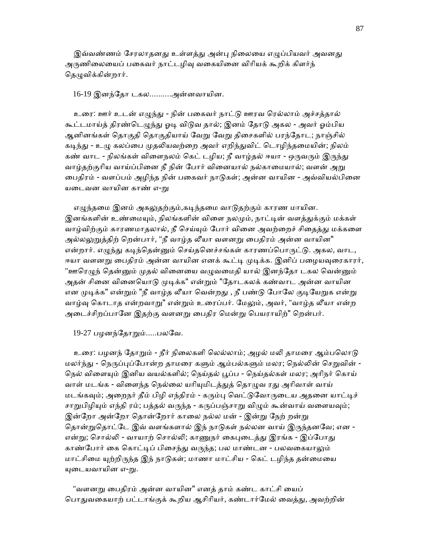இவ்வண்ணம் சேரலாதனது உள்ளத்து அன்பு நிலையை எழுப்பியவர் அவனது அருணிலையைப் பகைவர் நாட்டழிவு வகையினை விரியக் கூறிக் கிளர்ந் தெழுவிக்கின்றார்.

#### 16-19 இனந்ேதா டகல..........அன்னவாயின.

 உைர: ஊர் உடன் எᾨந்ᾐ - நின் பைகவர் நாட்ᾌ ஊரவ ெரல்லாம் அச்சத்தால் கூட்டமாய்த் திரண்டெழுந்து ஓடி விடுவ தால்; இனம் தோடு அகல - அவர் ஓம்பிய ஆனினங்கள் தொகுதி தொகுதியாய் வேறு வேறு திசைகளில் பரந்தோட; நாஞ்சில் கடிந்து - உழு கலப்பை முதலியவற்றை அவர் எறிந்துவிட் டொழிந்தமையின்; நிலம் கண் வாட - நிலங்கள் விளைநலம் கெட் டழிய; நீ வாழ்தல் ஈயா - ஒருவரும் இருந்து வாழ்தற்குரிய வாய்ப்பினை நீ நின் போர் வினையால் நல்காமையால்; வளன் அறு பைதிரம் - வளப்பம் அழிந்த நின் பகைவர் நாடுகள்; அன்ன வாயின - அவ்வியல்பினை யடைவன வாயின காண் எ-று

எழுந்தமை இனம் அகலுதற்கும்,கடிந்தமை வாடுதற்கும் காரண மாயின. இனங்களின் உண்மையும், நிலங்களின் விளை நலமும், நாட்டின் வளத்துக்கும் மக்கள் வாழ்விற்கும் காரணமாதலால், நீ செய்யும் போர் வினை அவற்றைச் சிதைத்து மக்களை அல்லலுறுத்திற் றென்பார், "நீ வாழ்த லீயா வளனறு பைதிரம் அன்ன வாயின" என்றார். எழுந்து கடிந்தென்னும் செய்தனெச்சங்கள் காரணப்பொருட்டு. அகல, வாட, ஈயா வளனறு பைதிரம் அன்ன வாயின எனக் கூட்டி முடிக்க. இனிப் பழையவுரைகாரர், "ஊரெழுந் தென்னும் முதல் வினையை வழுவமைதி யால் இனந்தோ டகல வென்னும் அதன் சினை வினையொடு முடிக்க" என்றும் "தோடகலக் கண்வாட அன்ன வாயின என முடிக்க" என்றும் "நீ வாழ்த லீயா வென்றது , நீ பண்டு போலே குடியேறுக என்று வாழ்வு கொடாத என்றவாறு" என்றும் உரைப்பர். மேலும், அவர், "வாழ்த லீயா என்ற அடைச்சிறப்பானே இதற்கு வளனறு பைதிர மென்று பெயராயிற்" றென்பர்.

19-27 பழனந்தோறும்.....பலவே.

உரை: பழனந் தோறும் - நீர் நிலைகளி லெல்லாம்; அழல் மலி தாமரை ஆம்பலொடு மலர்ந்து - நெருப்புப்போன்ற தாமரை களும் ஆம்பல்களும் மலர; நெல்லின் செறுவின் -நெல் விளையும் இனிய வயல்களில்; நெய்தல் பூப்ப - நெய்தல்கள் மலர; அரிநர் கொய் வாள் மடங்க - விளைந்த நெல்லை யரியுமிடத்துத் தொழுவ ரது அரிவாள் வாய் மடங்கவும்; அறைநர் தீம் பிழி எந்திரம் - கரும்பு வெட்டுவோருடைய அதனை யாட்டிச் சாறுபிழியும் எந்தி ரம்; பத்தல் வருந்த - கருப்பஞ்சாறு விழும் கூன்வாய் வளையவும்; இன்றோ அன்றோ தொன்றோர் காலை நல்ல மன் - இன்று நேற் றன்று தொன்றுதொட்டே இவ் வளங்களால் இந் நாடுகள் நல்லன வாய் இருந்தனவே; என -என்று; சொல்லி - வாயாற் சொல்லி; காணுநர் கைபுடைத்து இரங்க - இப்போது காண்போர் கை கொட்டிப் பிசைந்து வருந்த; பல மாண்டன - பலவகையாலும் மாட்சிமை யுற்றிருந்த இந் நாடுகள்; மாணா மாட்சிய - கெட் டழிந்த தன்மையை யுடையவாயின எ-று.

"வளனறு பைதிரம் அன்ன வாயின" எனத் தாம் கண்ட காட்சி யைப் பொதுவகையாற் பட்டாங்குக் கூறிய ஆசிரியர், கண்டார்மேல் வைத்து, அவற்றின்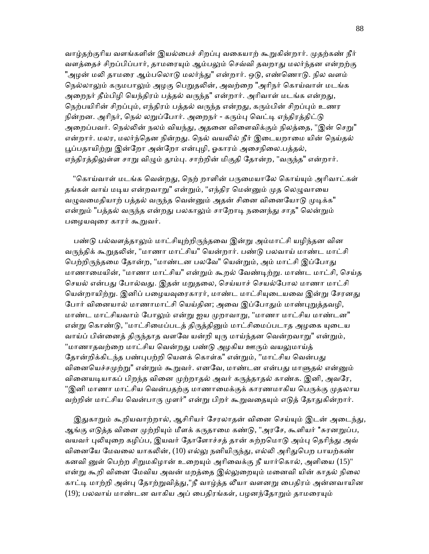வாழ்தற்குரிய வளங்களின் இயல்பைச் சிறப்பு வகையாற் கூறுகின்றார். முதற்கண் நீர் வளத்தைச் சிறப்பிப்பார், தாமரையும் ஆம்பலும் செவ்வி தவறாது மலர்ந்தன என்றற்கு "அழன் மலி தாமரை ஆம்பலொடு மலர்ந்து" என்றார். ஒடு, எண்ணொடு. நில வளம் நெல்லாலும் கருமபாலும் அழகு பெறுதலின், அவற்றை "அரிநர் கொய்வாள் மடங்க அறைநர் தீம்பிழி யெந்திரம் பத்தல் வருந்த" என்றார். அரிவாள் மடங்க என்றது, நெற்பயிரின் சிறப்பும், எந்திரம் பத்தல் வருந்த என்றது, கரும்பின் சிறப்பும் உணர நின்றன. அரிநர், நெல் லறுப்போர். அறைநர் - கரும்பு வெட்டி எந்திரத்திட்டு அறைப்பவர். நெல்லின் நலம் வியந்து, அதனை விளைவிக்கும் நிலத்தை, "இன் செறு" என்றார். மலர, மலர்ந்தென நின்றது. நெல் வயலில் நீர் இடையறாமை யின் நெய்தல் பூப்பதாயிற்று இன்றோ அன்றோ என்புழி, ஓகாரம் அசைநிலை.பத்தல், எந்திரத்திலுள்ள சாறு விழும் தூம்பு. சாற்றின் மிகுதி தோன்ற, "வருந்த" என்றார்.

"கொய்வாள் மடங்க வென்றது, நெற் றாளின் பருமையாலே கொய்யும் அரிவாட்கள் தங்கள் வாய் மடிய என்றவாறு" என்றும், "எந்திர மென்னும் முத லெமுவாயை வழுவமைதியாற் பத்தல் வருந்த வென்னும் அதன் சினை வினையோடு முடிக்க" என்றும் "பத்தல் வருந்த என்றது பலகாலும் சாறோடி நனைந்து சாத" லென்றும் பழையவுரை காரர் கூறுவர்.

பண்டு பல்வளத்தாலும் மாட்சியுற்றிருந்தவை இன்று அம்மாட்சி யழிந்தன வின வருந்திக் கூறுதலின், "மாணா மாட்சிய" யென்றார். பண்டு பலவாய் மாண்ட மாட்சி பெற்றிருந்தமை தோன்ற, "மாண்டன பலவே" யென்றும், அம் மாட்சி இப்போது மாணாைமயின், "மாணா மாட்சிய" என்ᾠம் கூறல் ேவண்ᾊற்ᾠ. மாண்ட மாட்சி, ெசய்த செயல் என்பது போல்வது. இதன் மறுதலை, செய்யாச் செயல்போல மாணா மாட்சி யென்றாயிற்று. இனிப் பழையவுரைகாரர், மாண்ட மாட்சியுடையவை இன்று சேரனது போர் வினையால் மாணாமாட்சி யெய்தின; அவை இப்போதும் மாண்புறுத்தவழி, மாண்ட மாட்சியவாம் போலும் என்று ஐய முறாவாறு, "மாணா மாட்சிய மாண்டன" என்று கொண்டு, "மாட்சிமைப்படத் திருத்தினும் மாட்சிமைப்படாத அழகை யுடைய வாய்ப் பின்னைத் திருந்தாத வளவே யன்றி யுரு மாய்ந்தன வென்றவாறு" என்றும், "மாணாதவற்றை மாட்சிய வென்றது பண்டு அழகிய ஊரும் வயலுமாய்த் தோன்றிக்கிடந்த பண்புபற்றி யெனக் கொள்க" என்றும், "மாட்சிய வென்பது வினையெச்சமுற்று" என்றும் கூறுவர். எனவே, மாண்டன என்பது மாளுதல் என்னும் வினையடியாகப் பிறந்த வினை முற்றாதல் அவர் கருத்தாதல் காண்க. இனி, அவரே, "இனி மாணா மாட்சிய வென்பதற்கு மாணாமைக்குக் காரணமாகிய பெருக்கு முதலாய வற்றின் மாட்சிய வென்பாரு முளர்" என்று பிறர் கூறுவதையும் எடுத் தோதுகின்றார்.

இதுகாறும் கூறியவாற்றால், ஆசிரியர் சேரலாதன் வினை செய்யும் இடன் அடைந்து, ஆங்கு எடுத்த வினை முற்றியும் மீளக் கருதாமை கண்டு, "அரசே, கூளியர் \*சுரனறுப்ப, வயவர் புலியுறை கழிப்ப, இயவர் தோளோச்சத் தான் சுற்றமொடு அம்பு தெரிந்து அவ் வினையே மேவலை யாகலின், (10) எல்லு நனியிருந்து, எல்லி அரிதுபெற பாயற்கண் கனவி னுள் பெற்ற சிறுமகிழான் உறையும் அரிவைக்கு நீ யார்கொல், அளியை (15)" என்று கூறி வினை மேவிய அவன் மறத்தை இல்லுறையும் மனைவி யின் காதல் நிலை காட்டி மாற்றி அன்பு தோற்றுவித்து,"நீ வாழ்த்த லீயா வளனறு பைதிரம் அன்னவாயின (19); பலவாய் மாண்டன வாகிய அப் பைதிரங்கள், பழனந்தோறும் தாமரையும்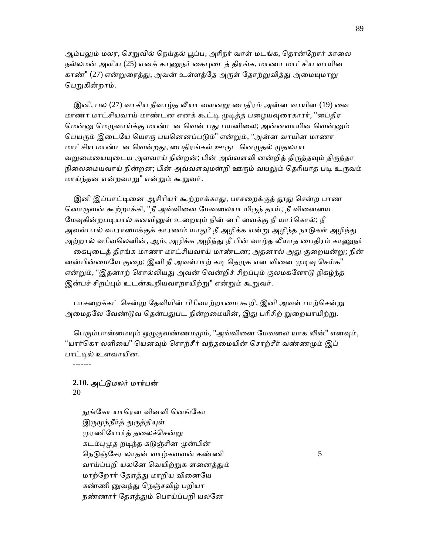ஆம்பலும் மலர, செறுவில் நெய்தல் பூப்ப, அரிநர் வாள் மடங்க, தொன்றோர் காலை நல்லமன் அளிய (25) எனக் காணுநர் கைபுடைத் திரங்க, மாணா மாட்சிய வாயின காண்" (27) என்றுரைத்து, அவன் உள்ளத்தே அருள் தோற்றுவித்து அமையுமாறு பெறுகின்றாம்.

இனி, பல (27) வாகிய நீவாம்க லீயா வளனறு பைகிரம் அன்ன வாயின (19) வை மாணா மாட்சியவாய் மாண்டன எனக் கூட்டி முடித்த பழையவுரைகாரர், "பைதிர மென்னு மெழுவாய்க்கு மாண்டன வென் பது பயனிலை; அன்னவாயின வென்னும் பெயரும் இடையே யொரு பயனெனப்படும்" என்றும், "அன்ன வாயின மாணா மாட்சிய மாண்டன வென்றது, பைதிரங்கள் ஊருட னெழுதல் முதலாய வறுமையையுடைய அளவாய் நின்றன்; பின் அவ்வளவி னன்றித் திருத்தவும் திருந்தா நிலைமையவாய் நின்றன; பின் அவ்வளவுமன்றி ஊரும் வயலும் தெரியாத படி உருவம் மாய்ந்தன என்றவாᾠ" என்ᾠம் கூᾠவர்.

இனி இப்பாட்டினை ஆசிரியர் கூற்றாக்காது, பாசறைக்குத் தூது சென்ற பாண னொருவன் கூற்றாக்கி, "நீ அவ்வினை மேவலையா யிருந் தாய்; நீ வினையை மேவுகின்றபடியால் கனவினுள் உறையும் நின் னரி வைக்கு நீ யார்கொல்; நீ அவள்பால் வாராமைக்குக் காரணம் யாது? நீ அழிக்க என்று அழிந்த நாடுகள் அழிந்து அற்றால் வரிவலெனின், ஆம், அழிக்க அழிந்து நீ பின் வாழ்த லீயாத பைதிரம் காணுநர் கைபுடைத் திரங்க மாணா மாட்சியவாய் மாண்டன; அதனால் அது குறையன்று; நின் னன்பின்மையே குறை; இனி நீ அவள்பாற் கடி தெழுக என வினை முடிவு செய்க" என்றும், "இதனாற் சொல்லியது அவன் வென்றிச் சிறப்பும் குலமகளோடு நிகழ்ந்த இன்பச் சிறப்பும் உடன்கூறியவாறாயிற்று" என்றும் கூறுவர்.

பாசறைக்கட் சென்று தேவியின் பிரிவாற்றாமை கூறி, இனி அவள் பாற்சென்று அமைதலே வேண்டுவ தென்பதுபட நின்றமையின், இது பரிசிற் றுறையாயிற்று.

பெரும்பான்மையும் ஒழுகுவண்ணமமும், "அவ்வினை மேவலை யாக லின்" எனவும், "யார்கொ லளியை" யெனவும் சொற்சீர் வந்தமையின் சொற்சீர் வண்ணமும் இப் பாட்டில் உளவாயின.

-------

# **2.10.** அட்ᾌமலர் மார்பன்

20

நுங்கோ யாரென வினவி னெங்கோ இருமுந்நீர்த் துருத்தியுள் முரணியோர்த் தலைச்சென்று கடம்புமுத றடிந்த கடுஞ்சின முன்பின் நெடுஞ்சேர லாதன் வாழ்கவவன் கண்ணி  $5$ வாய்ப்பறி யலனே வெயிற்றுக ளனைத்தும் மாற்றோர் தேஎத்து மாறிய வினையே கண்ணி னுவந்து நெஞ்சவிழ் பறியா நண்ணார் தேஎத்தும் பொய்ப்பறி யலனே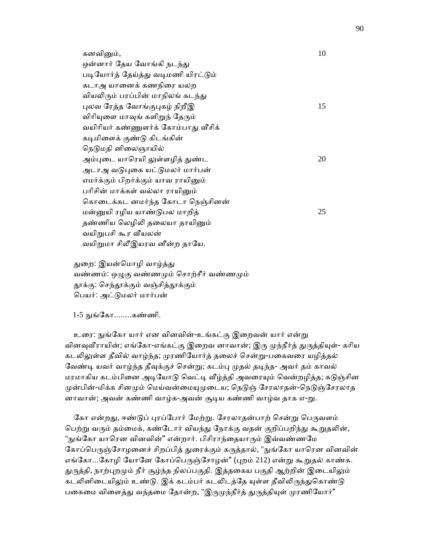| கனவினும்,                           | 10 |
|-------------------------------------|----|
| ஒன்னார் தேய வோங்கி நடந்து           |    |
| படியோர்த் தேய்த்து வடிமணி யிரட்டும் |    |
| கடாஅ யானைக் கணநிரை யலற              |    |
| வியலிரும் பரப்பின் மாநிலங் கடந்து   |    |
| புலவ ரேத்த வோங்குபுகழ் நிறீஇ        | 15 |
| விரியுளை மாவுங் களிறுந் தேரும்      |    |
| வயிரியர் கண்ணுளர்க் கோம்பாது வீசிக் |    |
| கடிமிளைக் குண்டு கிடங்கின்          |    |
| நெடுமதி னிலைஞாயில்                  |    |
| அம்புடை யாரெயி லுள்ளழித் துண்ட      | 20 |
| அடாஅ வடுபுகை யட்டுமலர் மார்பன்      |    |
| எமர்க்கும் பிறர்க்கும் யாவ ராயினும் |    |
| பரிசின் மாக்கள் வல்லா ராயினும்      |    |
| கொடைக்கட னமர்ந்த கோடா நெஞ்சினன்     |    |
| மன்னுயி ரழிய யாண்டுபல மாறித்        | 25 |
| தண்ணிய லெழிலி தலையா தாயினும்        |    |
| வயிறுபசி கூர வீயலன்                 |    |
| வயிறுமா சிலீஇயரவ னீன்ற தாயே.        |    |

துறை: இயன்மொழி வாழ்த்து வண்ணம்: ஒழுகு வண்ணமும் சொற்சீர் வண்ணமும் தூக்கு: செந்தூக்கும் வஞ்சித்தூக்கும் ெபயர்: அட்ᾌமலர் மார்பன்

1-5 ᾒங்ேகா........கண்ணி.

உரை: நுங்கோ யார் என வினவின்-உங்கட்கு இறைவன் யார் என்று வினவவீராயின்; எங்கோ-எங்கட்கு இறைவ னாவான்; இரு முந்நீர்த் துருத்தியுள்- கரிய கடலிலுள்ள தீவில் வாழ்ந்த; முரணியோர்த் தலைச் சென்று-பகைவரை யழித்தல் வேண்டி யவர் வாழ்ந்த தீவுக்குச் சென்று; கடம்பு முதல் தடிந்த- அவர் தம் காவல் மரமாகிய கடம்பினை அடியோடு வெட்டி வீழ்த்தி அவரையும் வென்றழித்த; கடுஞ்சின முன்பின்-மிக்க சினமும் மெய்வன்மையுமுடைய; நெடுஞ் சேரலாதன்-நெடுஞ்சேரலாத னாவான்; அவன் கண்ணி வாழ்க-அவன் சூடிய கண்ணி வாழ்வ தாக எ-று.

கோ என்றது, ஈண்டுப் புரப்போர் மேற்று. சேரலாதன்பாற் சென்று பெருவளம் பெற்று வரும் தம்மைக், கண்டோர் வியந்து நோக்கு வதன் குறிப்பறிந்து கூறுதலின், "நுங்கோ யாரென வினவின்" என்றார். பிசிராந்தையாரும் இவ்வண்ணமே கோப்பெருஞ்சோழனைச் சிறப்பித் துரைக்கும் கருத்தால், "நுங்கோ யாரென வினவின் எங்கோ...கோழி யோனே கோப்பெருஞ்சோழன்" (புறம் 212) என்று கூறுதல் காண்க. துருத்தி, நாற்புறமும் நீர் சூழ்ந்த நிலப்பகுதி. இத்தகைய பகுதி ஆற்றின் இடையிலும் கடலினிடையிலும் உண்டு. இக் கடம்பர் கடலிடத்தே யுள்ள தீவிலிருந்துகொண்டு பகைமை விளைத்து வந்தமை தோன்ற, "இருமுந்நீர்த் துருத்தியுள் முரணியோர்"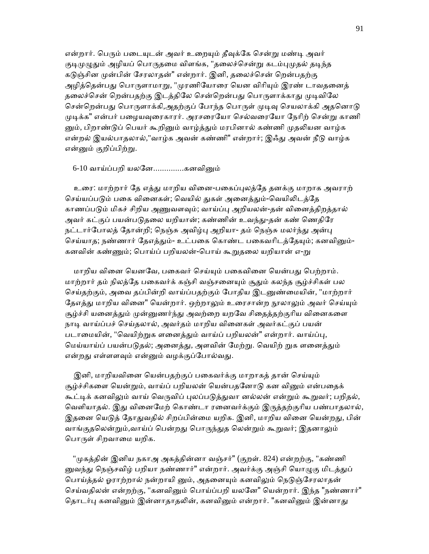என்றார். பெரும் படையுடன் அவர் உறையும் தீவுக்கே சென்று மண்டி அவர் குடிமுழுதும் அழியப் பொருதமை விளங்க, "தலைச்சென்று கடம்புமுதல் தடிந்த கடுஞ்சின முன்பின் சேரலாதன்" என்றார். இனி, தலைச்சென் றென்பதற்கு அழித்தென்பது பொருளாமாறு, "முரணியோரை யென விரியும் இரண் டாவதனைத் தலைச்சென் றென்பதற்கு இடத்திலே சென்றென்பது பொருளாக்காது முடிவிலே சென்றென்பது பொருளாக்கி,அதற்குப் போந்த பொருள் முடிவு செயலாக்கி அதனொடு முடிக்க" என்பர் பழையவுரைகாரர். அரசரையோ செல்வரையோ நேரிற் சென்று காணி னும், பிறாண்டுப் பெயர் கூறினும் வாழ்த்தும் மரபினால் கண்ணி முதலியன வாழ்க என்றல் இயல்பாதலால்,"வாழ்க அவன் கண்ணி" என்றார்; இஃது அவன் நீடு வாழ்க என்னும் குறிப்பிற்று.

#### 6-10 வாய்ப்பறி யலனே.................கனவினும்

 உைர: மாற்றார் ேத எத்ᾐ மாறிய விைன-பைகப்ᾗலத்ேத தனக்கு மாறாக அவராற் செய்யப்படும் பகை வினைகள்; வெயில் துகள் அனைத்தும்-வெயிலிடத்தே காணப்படும் மிகச் சிறிய அணுவளவும்; வாய்ப்பு அறியலன்-தன் வினைத்திறத்தால் அவர் கட்குப் பயன்படுதலை யறியான்; கண்ணின் உவந்து-தன் கண் ணெதிரே நட்டார்போலத் தோன்றி; நெஞ்சு அவிழ்பு அறியா- தம் நெஞ்சு மலர்ந்து அன்பு செய்யாத; நண்ணார் தேஎத்தும்- உட்பகை கொண்ட பகைவரிடத்தேயும்; கனவினும்-கனவின் கண்ணும்; பொய்ப் பறியலன்-பொய் கூறுதலை யறியான் எ-று

மாறிய வினை யெனவே, பகைவர் செய்யும் பகைவினை யென்பது பெற்றாம். மாற்றார் தம் நிலத்தே பகைவர்க் கஞ்சி வஞ்சனையும் சூதும் கலந்த சூழ்ச்சிகள் பல செய்தற்கும், அவை தப்பின்றி வாய்ப்பதற்கும் போதிய இடனுண்மையின், "மாற்றார் தேஎத்து மாறிய வினை" யென்றார். ஒற்றாலும் உரைசான்ற நூலாலும் அவர் செய்யும் சூழ்ச்சி யனைத்தும் முன்னுணர்ந்து அவற்றை யறவே சிதைத்தற்குரிய வினைகளை நாடி வாய்ப்பச் செய்தலால், அவர்தம் மாறிய வினைகள் அவர்கட்குப் பயன் படாமையின், "வெயிற்றுக ளனைத்தும் வாய்ப் பறியலன்" என்றார். வாய்ப்பு, மெய்யாய்ப் பயன்படுதல்; அனைத்து, அளவின் மேற்று. வெயிற் றுக ளனைத்தும் என்றது எள்ளளவும் என்னும் வழக்குப்போல்வது.

இனி, மாறியவினை யென்பதற்குப் பகைவர்க்கு மாறாகத் தான் செய்யும் சூழ்ச்சிகளை யென்றும், வாய்ப் பறியலன் யென்பதனோடு கன வினும் என்பதைக் கூட்டிக் கனவிலும் வாய் வெருவிப் புலப்படுத்துவா னல்லன் என்றும் கூறுவர்; பறிதல், வெளியாதல். இது வினைமேற் கொண்டா ரனைவர்க்கும் இருத்தற்குரிய பண்பாதலால், இதனை யெடுத் தோதுவதில் சிறப்பின்மை யறிக. இனி, மாறிய வினை யென்றது, பின் வாங்குதலென்றும்,வாய்ப் பென்றது பொருந்துத லென்றும் கூறுவர்; இதனாலும் பொருள் சிறவாமை யறிக.

"முகத்தின் இனிய நகாஅ அகத்தின்னா வஞ்சர்" (குறள். 824) என்றற்கு, "கண்ணி னுவந்து நெஞ்சவிழ் பறியா நண்ணார்" என்றார். அவர்க்கு அஞ்சி யொழுகு மிடத்துப் பொய்த்தல் ஓராற்றால் நன்றாயி னும், அதனையும் கனவிலும் நெடுஞ்சேரலாதன் செய்வதிலன் என்றற்கு, "கனவினும் பொய்ப்பறி யலனே" யென்றார். இந்த "நண்ணார்" தொடர்பு கனவினும் இன்னாதாதலின், கனவினும் என்றார். "கனவினும் இன்னாது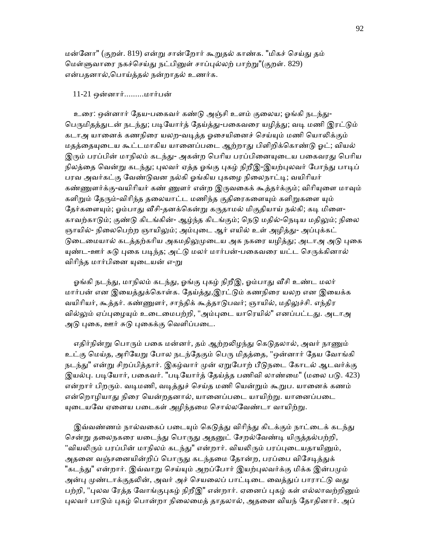மன்ேனா" (குறள். 819) என்ᾠ சான்ேறார் கூᾠதல் காண்க. "மிகச் ெசய்ᾐ தம் ெமள்ᾦவாைர நகச்ெசய்ᾐ நட்பிᾔள் சாப்ᾗல்லற் பாற்ᾠ"(குறள். 829) என்பதனால்,ெபாய்த்தல் நன்றாதல் உணர்க.

#### 11-21 ஒன்னார்.........மார்பன்

உரை: ஒன்னார் தேய-பகைவர் கண்டு அஞ்சி உளம் குலைய; ஓங்கி நடந்து-பெருமிதத்துடன் நடந்து; படியோர்த் தேய்த்து-பகைவரை யழித்து; வடி மணி இரட்டும் கடாஅ யானைக் கணநிரை யலற-வடித்த ஓசையினைச் செய்யும் மணி யொலிக்கும் மதத்தையுடைய கூட்டமாகிய யானைப்படை ஆற்றாது பிளிறிக்கொண்டு ஓட்; வியல் இரும் பரப்பின் மாநிலம் கடந்து- அகன்ற பெரிய பரப்பினையுடைய பகைவரது பெரிய நிலத்தை வென்று கடந்து; புலவர் ஏத்த ஓங்கு புகழ் நிறீஇ-இயற்புலவர் போந்து பாடிப் பரவ அவர்கட்கு வேண்டுவன நல்கி ஓங்கிய புகழை நிலைநாட்டி; வயிரியர் கண்ணுளர்க்கு-வயிரியர் கண் ணுளர் என்ற இருவகைக் கூத்தர்க்கும்; விரியுளை மாவும் களிறும் தேரும்-விரிந்த தலையாட்ட மணிந்த குதிரைகளையும் களிறுகளை யும் தேர்களையும்; ஓம்பாது வீசி-தனக்கென்று கருதாமல் மிகுதியாய் நல்கி; கடி மிளை-காவற்காடும்; குண்டு கிடங்கின்- ஆழ்ந்த கிடங்கும்; நெடு மதில்-நெடிய மதிலும்; நிலை ஞாயில்- நிலைபெற்ற ஞாயிலும்; அம்புடை ஆர் எயில் உள் அழித்து- அப்புக்கட் டுடைமையால் கடத்தற்கரிய அகமதிலுமுடைய அக நகரை யழித்து; அடாஅ அடு புகை யுண்ட-ஊர் சுடு புகை படிந்த; அட்டு மலர் மார்பன்-பகைவரை யட்ட செருக்கினால் விரிந்த மார்பினை யுடையன் எ-று

ஓங்கி நடந்து, மாநிலம் கடந்து, ஓங்கு புகழ் நிறீஇ, ஓம்பாது வீசி உண்ட மலர் மார்பன் என இயைத்துக்கொள்க. தேய்த்து,இரட்டும் கணநிரை யலற என இயைக்க வயிரியர், கூத்தர். கண்ணுளர், சாந்திக் கூத்தாடுபவர்; ஞாயில், மதிலுச்சி. எந்திர வில்லும் ஏப்புழையும் உடைமைபற்றி, "அம்புடை யாரெயில்" எனப்பட்டது. அடாஅ அடு புகை, ஊர் சுடு புகைக்கு வெளிப்படை.

எதிர்நின்று பொரும் பகை மன்னர், தம் ஆற்றலிழந்து கெடுதலால், அவர் நாணும் உட்கு மெய்த, அரியேறு போல நடந்தேகும் பெரு மிதத்தை, "ஒன்னார் தேய வோங்கி நடந்து" என்று சிறப்பித்தார். இகழ்வார் முன் ஏறுபோற் பீடுநடை கோடல் ஆடவர்க்கு இயல்பு. படியோர், பகைவர். "படியோர்த் தேய்த்த பணிவி லாண்மை" (மலை படு. 423) என்றார் பிறரும். வடிமணி, வடித்துச் செய்த மணி யென்றும் கூறுப. யானைக் கணம் என்றொழியாது நிரை யென்றதனால், யானைப்படை யாயிற்று. யானைப்படை யுடையவே ஏனைய படைகள் அழிந்தமை சொல்லவேண்டா வாயிற்று.

இவ்வண்ணம் நால்வகைப் படையும் கெடுத்து விரிந்து கிடக்கும் நாட்டைக் கடந்து சென்று தலைநகரை யடைந்து பொருது அதனுட் சேறல்வேண்டி யிருத்தல்பற்றி, "வியலிரும் பரப்பின் மாநிலம் கடந்து" என்றார். வியலிரும் பரப்புடையதாயினும், அதனை வஞ்சனையின்றிப் பொருது கடந்தமை தோன்ற, பரப்பை விசேடித்துக் "கடந்து" என்றார். இவ்வாறு செய்யும் அறப்போர் இயற்புலவர்க்கு மிக்க இன்பமும் அன்பு முண்டாக்குதலின், அவர் அச் செயலைப் பாட்டிடை வைத்துப் பாராட்டு வது பற்றி, "புலவ ரேத்த வோங்குபுகழ் நிறீஇ" என்றார். ஏனைப் புகழ் கள் எல்லாவற்றினும் புலவர் பாடும் புகழ் பொன்றா நிலைமைத் தாதலால், அதனை வியந் தோதினார். அப்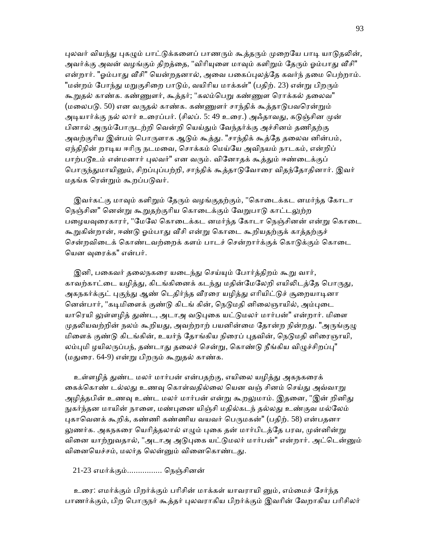புலவர் வியந்து புகழும் பாட்டுக்களைப் பாணரும் கூத்தரும் முறையே பாடி யாடுதலின், அவர்க்கு அவன் வழங்கும் திறத்தை, "விரியுளை மாவும் களிறும் தேரும் ஓம்பாது வீசி" என்றார். "ஓம்பாது வீசி" யென்றதனால், அவை பகைப்புலத்தே கவர்ந் தமை பெற்றாம். "மன்றம் போந்து மறுகுசிறை பாடும், வயிரிய மாக்கள்" (பதிற். 23) என்று பிறரும் கூறுதல் காண்க. கண்ணுளர், கூத்தர்; "கலம்பெறு கண்ணுள ரொக்கல் தலைவ" (மலைபடு. 50) என வருதல் காண்க. கண்ணுளர் சாந்திக் கூத்தாடுபவரென்றும் அடியார்க்கு நல் லார் உரைப்பர். (சிலப். 5: 49 உரை.) அஃதாவது, கடுஞ்சின முன் பினால் அரும்போருடற்றி வென்றி யெய்தும் வேந்தர்க்கு அச்சினம் தணிதற்கு அவற்குரிய இன்பம் பொருளாக ஆடும் கூத்து. "சாந்திக் கூத்தே தலைவ னின்பம், ஏந்திநின் றாடிய ஈரிரு நடமவை, சொக்கம் மெய்யே அவிநயம் நாடகம், என்றிப் பாற்படூஉம் என்மனார் புலவர்" என வரும். வினோதக் கூத்தும் ஈண்டைக்குப் பொருந்துமாயினும், சிறப்புப்பற்றி, சாந்திக் கூத்தாடுவோரை விதந்தோதினார். இவர் மதங்க ெரன்ᾠம் கூறப்பᾌவர்.

இவர்கட்கு மாவும் களிறும் தேரும் வழங்குதற்கும், "கொடைக்கட னமர்ந்த கோடா நெஞ்சின" னென்று கூறுதற்குரிய கொடைக்கும் வேறுபாடு காட்டலுற்ற பழையவுரைகாரர், "மேலே கொடைக்கட னமர்ந்த கோடா நெஞ்சினன் என்று கொடை கூறுகின்றான், ஈண்டு ஓம்பாது வீசி என்று கொடை கூறியதற்குக் காத்தற்குச் சென்றவிடைக் கொண்டவற்றைக் களம் பாடச் சென்றார்க்குக் கொடுக்கும் கொடை ெயன ᾫைரக்க" என்பர்.

இனி, பகைவர் தலைநகரை யடைந்து செய்யும் போர்த்திறம் கூறு வார், காவற்காட்டை யழித்து, கிடங்கினைக் கடந்து மதின்மேலேறி எயிலிடத்தே பொருது, அகநகர்க்குட் புகுந்து ஆண் டெதிர்ந்த வீரரை யழித்து எரியிட்டுச் சூறையாடினா னென்பார், "கடிமிளைக் குண்டு கிடங் கின், நெடுமதி னிலைஞாயில், அம்புடை யாரெயி லுள்ளழித் துண்ட, அடாஅ வடுபுகை யட்டுமலர் மார்பன்" என்றார். மிளை முதலியவற்றின் நலம் கூறியது, அவற்றாற் பயனின்மை தோன்ற நின்றது. "அருங்குழு மிளைக் குண்டு கிடங்கின், உயர்ந் தோங்கிய நிரைப் புதவின், நெடுமதி னிரைஞாயி, லம்புமி ழயிலருப்பந், தண்டாது தலைச் சென்று, கொண்டு நீங்கிய விழுச்சிறப்பு" (மதுரை. 64-9) என்று பிறரும் கூறுதல் காண்க.

உள்ளழித் துண்ட மலர் மார்பன் என்பதற்கு, எயிலை யழித்து அகநகரைக் கைக்கொண் டல்லது உணவு கொள்வதில்லை யென வஞ் சினம் செய்து அவ்வாறு அழித்தபின் உணவு உண்ட மலர் மார்பன் என்று கூறலுமாம். இதனை, "இன் றினிது நுகர்ந்தன மாயின் நாளை, மண்புனை யிஞ்சி மதில்கடந் தல்லது உண்குவ மல்லேம் புகாவெனக் கூறிக், கண்ணி கண்ணிய வயவர் பெருமகன்" (பதிற். 58) என்பதனா லுணர்க. அகநகரை யெரித்தலால் எழும் புகை தன் மார்பிடத்தே பரவ, முன்னின்று வினை யாற்றுவதால், "அடாஅ அடுபுகை யட்டுமலர் மார்பன்" என்றார். அட்டென்னும் வினையெச்சம், மலர்த லென்னும் வினைகொண்டது.

### 21-23 எமர்க்கும்................ ெநஞ்சினன்

 உைர: எமர்க்கும் பிறர்க்கும் பாிசின் மாக்கள் யாவராயி ᾔம், எம்ைமச் ேசர்ந்த பாணர்க்கும், பிற பொருநர் கூத்தர் புலவராகிய பிறர்க்கும் இவரின் வேறாகிய பரிசிலர்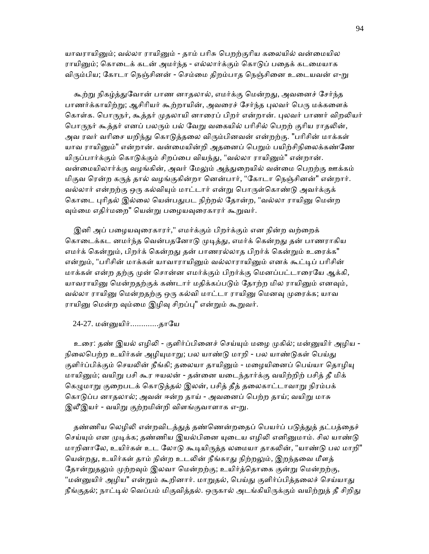யாவராயினும்; வல்லா ராயினும் - தாம் பரிசு பெறற்குரிய கலையில் வன்மையில ராயினும்; கொடைக் கடன் அமர்ந்த - எல்லார்க்கும் கொடுப் பதைக் கடமையாக விரும்பிய; கோடா நெஞ்சினன் - செம்மை திறம்பாத நெஞ்சினை உடையவன் எ-று

கூற்று நிகழ்த்துவோன் பாண னாதலால், எமர்க்கு மென்றது, அவனைச் சேர்ந்த பாணர்க்காயிற்று; ஆசிரியர் கூற்றாயின், அவரைச் சேர்ந்த புலவர் பெரு மக்களைக் கொள்க. பொருநர், கூத்தர் முதலாயி னாரைப் பிறர் என்றான். புலவர் பாணர் விறலியர் பொருநர் கூத்தர் எனப் பலரும் பல் வேறு வகையில் பரிசில் பெறற் குரிய ராதலின், அவ ரவர் வரிசை யறிந்து கொடுத்தலை விரும்பினவன் என்றற்கு. "பரிசின் மாக்கள் யாவ ராயினும்" என்றான். வன்மையின்றி அதனைப் பெறும் பயிற்சிநிலைக்கண்ணே யிருப்பார்க்கும் கொடுக்கும் சிறப்பை வியந்து, "வல்லா ராயினும்" என்றான். வன்ைமயிலார்க்கு வழங்கின், அவர் ேமᾤம் அத்ᾐைறயில் வன்ைம ெபறற்கு ஊக்கம் மிகுவ ெரன்ற கᾞத் தால் வழங்குகின்றா ெனன்பார், "ேகாடா ெநஞ்சினன்" என்றார். வல்லார் என்றற்கு ஒரு கல்வியும் மாட்டார் என்று பொருள்கொண்டு அவர்க்குக் கொடை புரிதல் இல்லை யென்பதுபட நிற்றல் தோன்ற, "வல்லா ராயினு மென்ற வும்மை எதிர்மறை" யென்று பழையவுரைகாரர் கூறுவர்.

இனி அப் பழையவுரைகாரர்," எமர்க்கும் பிறர்க்கும் என நின்ற வற்றைக் கொடைக்கட னமர்ந்த வென்பதனோடு முடித்து, எமர்க் கென்றது தன் பாணராகிய எமர்க் கென்றும், பிறர்க் கென்றது தன் பாணரல்லாத பிறர்க் கென்றும் உரைக்க" என்றும், "பரிசின் மாக்கள் யாவாராயினும் வல்லாராயினும் எனக் கூட்டிப் பரிசின் மாக்கள் என்ற தற்கு முன் சொன்ன எமர்க்கும் பிறர்க்கு மெனப்பட்டாரையே ஆக்கி, யாவராயினு மென்றதற்குக் கண்டார் மதிக்கப்படும் தோற்ற மில ராயினும் எனவும், வல்லா ராயினு மென்றதற்கு ஒரு கல்வி மாட்டா ராயினு மெனவு முரைக்க; யாவ ராயினு மென்ற வும்மை இழிவு சிறப்பு" என்றும் கூறுவர்.

24-27. மன்ᾔயிர்.............தாேய

உரை: தண் இயல் எழிலி - குளிர்ப்பினைச் செய்யும் மழை முகில்; மன்னுயிர் அழிய -நிலைபெற்ற உயிர்கள் அழியுமாறு; பல யாண்டு மாறி - பல யாண்டுகள் பெய்து குளிர்ப்பிக்கும் செயலின் நீங்கி; தலையா தாயினும் - மழையினைப் பெய்யா தொழியு மாயிᾔம்; வயிᾠ பசி கூர ஈயலன் - தன்ைன யைடந்தார்க்கு வயிற்றிற் பசித் தீ மிக் கெழுமாறு குறைபடக் கொடுத்தல் இலன், பசித் தீத் தலைகாட்டாவாறு நிரம்பக் கொடுப்ப னாதலால்; அவன் ஈன்ற தாய் - அவனைப் பெற்ற தாய்; வயிறு மாசு இலீஇயர் - வயிறு குற்றமின்றி விளங்குவாளாக எ-று.

தண்ணிய லெழிலி என்றவிடத்துத் தண்ணென்றதைப் பெயர்ப் படுத்துத் தட்பத்தைச் செய்யும் என முடிக்க; தண்ணிய இயல்பினை யுடைய எழிலி எனினுமாம். சில யாண்டு மாறினாலே, உயிர்கள் உட லோடு கூடியிருத்த லமையா தாகலின், "யாண்டு பல மாறி" யென்றது, உயிர்கள் தாம் நின்ற உடலின் நீங்காது நிற்றலும், இறந்தவை மீளத் தோன்றுதலும் முற்றவும் இலவா மென்றற்கு; உயிர்த்தொகை குன்று மென்றற்கு, "மன்னுயிர் அழிய" என்றும் கூறினார். மாறுதல், பெய்து குளிர்ப்பித்தலைச் செய்யாது நீங்குதல்; நாட்டில் வெப்பம் மிகுவித்தல். ஒருகால் அடங்கியிருக்கும் வயிற்றுத் தீ சிறிது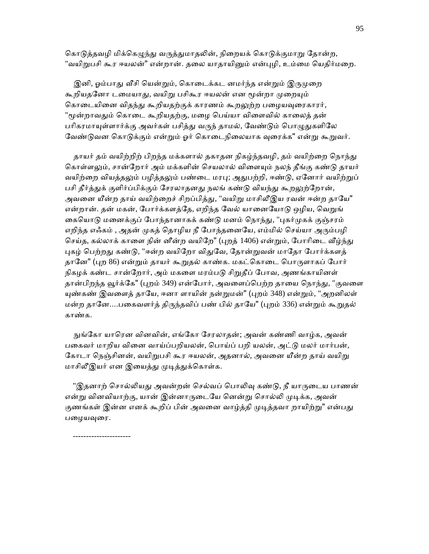கொடுத்தவழி மிக்கெழுந்து வருத்துமாதலின், நிறையக் கொடுக்குமாறு தோன்ற, "வயிறுபசி கூர ஈயலன்" என்றான். தலை யாதாயினும் என்புழி, உம்மை யெதிர்மறை.

இனி, ஓம்பாது வீசி யென்றும், கொடைக்கட னமர்ந்த என்றும் இருமுறை கூறியதனோ டமையாது, வயிறு பசிகூர ஈயலன் என மூன்றா முறையும் கொடையினை விதந்து கூறியதற்குக் காரணம் கூறலுற்ற பழையவுரைகாரர், "மூன்றாவதும் கொடை கூறியதற்கு, மழை பெய்யா விளைவில் காலைத் தன் பரிகரமாயுள்ளார்க்கு அவர்கள் பசித்து வருந் தாமல், வேண்டும் பொழுதுகளிலே வேண்டுவன கொடுக்கும் என்றும் ஓர் கொடைநிலையாக வுரைக்க" என்று கூறுவர்.

தாயர் தம் வயிற்றிற் பிறந்த மக்களால் தகாதன நிகழ்ந்தவழி, தம் வயிற்றை நொந்து கொள்ளலும், சான்றோர் அம் மக்களின் செயலால் விளையும் நலந் தீங்கு கண்டு தாயர் வயிற்றை வியத்தலும் பழித்தலும் பண்டை மரபு; அதுபற்றி, ஈண்டு, ஏனோர் வயிற்றுப் பசி தீர்த்துக் குளிர்ப்பிக்கும் சேரலாதனது நலங் கண்டு வியந்து கூறலுற்றோன், அவனை யீன்ற தாய் வயிற்றைச் சிறப்பித்து, "வயிறு மாசிலீஇய ரவன் ஈன்ற தாயே" என்றான். தன் மகன், போர்க்களத்தே, எறிந்த வேல் யானையோடு ஒழிய, வெறுங் கையொடு மனைக்குப் போந்தானாகக் கண்டு மனம் நொந்து, "புகர்முகக் குஞ்சரம் எறிந்த எஃகம் , அதன் முகத் தொழிய நீ போந்தனையே, எம்மில் செய்யா அரும்பழி செய்த, கல்லாக் காளை நின் னீன்ற வயிறே" (புறத் 1406) என்றும், போரிடை வீழ்ந்து புகழ் பெற்றது கண்டு, "ஈன்ற வயிறோ விதுவே, தோன்றுவன் மாதோ போர்க்களத் தானே" (புற 86) என்றும் தாயர் கூறுதல் காண்க. மகட்கொடை பொருளாகப் போர் நிகழக் கண்ட சான்றோர், அம் மகளை மரம்படு சிறுதீப் போவ, அணங்காயினள் தான்பிறந்த வூர்க்கே" (புறம் 349) என்போர், அவளைப்பெற்ற தாயை நொந்து, "குவளை யுண்கண் இவளைத் தாயே, ஈனா ளாயின் நன்றுமன்" (புறம் 348) என்றும், "அறனிலள் மன்ற தானே....பகைவளர்த் திருந்தவிப் பண் பில் தாயே" (புறம் 336) என்றும் கூறுதல் காண்க.

 ᾒங்ேகா யாெரன வினவின், எங்ேகா ேசரலாதன்; அவன் கண்ணி வாழ்க, அவன் பகைவர் மாறிய வினை வாய்ப்பறியலன், பொய்ப் பறி யலன், அட்டு மலர் மார்பன், கோடா நெஞ்சினன், வயிறுபசி கூர ஈயலன், அதனால், அவனை யீன்ற தாய் வயிறு மாசிலீஇயர் என இயைத்து முடித்துக்கொள்க.

"இதனாற் சொல்லியது அவன்றன் செல்வப் பொலிவு கண்டு, நீ யாருடைய பாணன் என்று வினவியாற்கு, யான் இன்னாருடையே னென்று சொல்லி முடிக்க, அவன் குணங்கள் இன்ன எனக் கூறிப் பின் அவனை வாழ்த்தி முடித்தவா றாயிற்று" என்பது பழையவுரை.

----------------------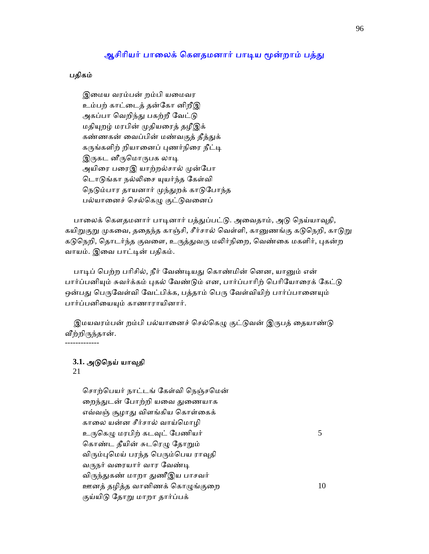# ஆசிரியர் பாலைக் கௌதமனார் பாடிய மூன்றாம் பத்து

### பதிகம்

 இைமய வரம்பன் றம்பி யைமவர உம்பற் காட்ைடத் தன்ேகா னிறீஇ அகப்பா வெறிந்து பகற்றீ வேட்டு மதியுறழ் மரபின் முதியரைத் தழீஇக் கண்ணகன் வைப்பின் மண்வகுத் தீத்துக் கருங்களிற் றியானைப் புணர்நிரை நீட்டி இருகட னீருமொருபக லாடி அயிரை பரைஇ யாற்றல்சால் முன்போ டொடுங்கா நல்லிசை யுயர்ந்த கேள்வி நெடும்பார தாயனார் முந்துறக் காடுபோந்த பல்யானைச் செல்கெழு குட்டுவனைப்

பாலைக் கௌதமனார் பாடினார் பத்துப்பட்டு. அவைதாம், அடு நெய்யாவுதி, கயிறுகுறு முகவை, ததைந்த காஞ்சி, சீர்சால் வெள்ளி, கானுணங்கு கடுநெறி, காடுறு கடுநெறி, தொடர்ந்த குவளை, உருத்துவரு மலிர்நிறை, வெண்கை மகளிர், புகன்ற வாயம். இவை பாட்டின் பதிகம்.

பாடிப் பெற்ற பரிசில், நீர் வேண்டியது கொண்மின் னென, யானும் என் பார்ப்பனியும் சுவர்க்கம் புகல் வேண்டும் என, பார்ப்பாரிற் பெரியோரைக் கேட்டு ஒன்பது பெருவேள்வி வேட்பிக்க, பத்தாம் பெரு வேள்வியிற் பார்ப்பானையும் பார்ப்பனியையும் காணாராயினார்.

இமயவரம்பன் றம்பி பல்யானைச் செல்கெழு குட்டுவன் இருபத் தையாண்டு வீற்றிருந்தான். -------------

# **3.1.** அᾌெநய் யாᾫதி

21

 ெசாற்ெபயர் நாட்டங் ேகள்வி ெநஞ்செமன் றைந்துடன் போற்றி யவை துணையாக எவ்வஞ் சூழாᾐ விளங்கிய ெகாள்ைகக் காைல யன்ன சீர்சால் வாய்ெமாழி உருகெழு மரபிற் கடவுட் பேணியர்  $5$ கொண்ட தீயின் சுடரெழு தோறும் விரும்புமெய் பரந்த பெரும்பெய ராவுதி வருநர் வரையார் வார வேண்டி விருந்துகண் மாறா துணீஇய பாசவர் ஊனத் தழித்த வானிணக் கொழுங்குறை $10$ குய்யிடு தோறு மாறா தார்ப்பக்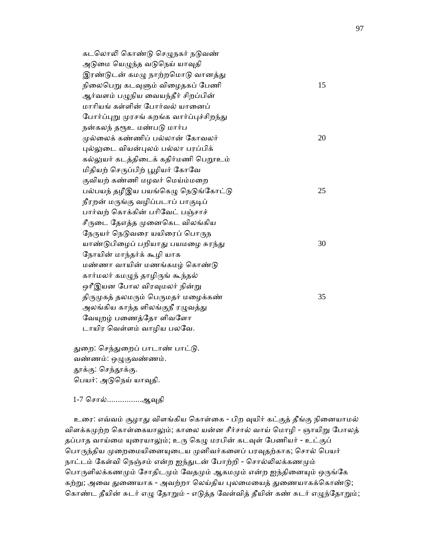கடலொலி கொண்டு செழுநகர் நடுவண் அடுமை யெழுந்த வடுநெய் யாவுதி இரண்டுடன் கமழு நாற்றமொடு வானத்து நிலைபெறு கடவுளும் விழைதகப் பேணி  $15$ ஆர்வளம் பழுநிய வையந்தீர் சிறப்பின் மாாியங் கள்ளின் ேபார்வல் யாைனப் போர்ப்புறு முரசங் கறங்க வார்ப்புச்சிறந்து நன்கலந் தரூஉ மண்படு மார்ப  $\mu$ ல்லைக் கண்ணிப் பல்லான் கோவலர்  $20$  ᾗல்ᾤைட வியன்ᾗலம் பல்லா பரப்பிக் கல்லுயர் கடத்திடைக் கதிர்மணி பெறூஉம் மிதியற் செருப்பிற் பூழியர் கோவே குவியற் கண்ணி மழவர் மெய்ம்மறை பல்பயந் தழீஇய பயங்கெழு நெடுங்கோட்டு $25$ நீரறன் மருங்கு வழிப்படாப் பாகுடிப் பார்வற் ெகாக்கின் பாிேவட் பஞ்சாச் சீருடை தேஎத்த முனைகெட விலங்கிய நேருயர் நெடுவரை யயிரைப் பொருந யாண்டுபிழைப் பறியாது பயமழை சுரந்து  $30$  ேநாயின் மாந்தர்க் கூழி யாக மண்ணா வாயின் மணங்கமழ் கொண்டு கார்மலர் கமᾨந் தாழிᾞங் கூந்தல் ஒரீஇயன போல விரவுமலர் நின்று திருமுகத் தலமரும் பெருமதர் மழைக்கண்  $35$ அலங்கிய காந்த ளிலங்குநீ ரழுவத்து வேயுறழ் பணைத்தோ ளிவளோ டாயிர வெள்ளம் வாழிய பலவே.

துறை: செந்துறைப் பாடாண் பாட்டு. வண்ணம்: ஒᾨகுவண்ணம். தூக்கு: செந்தூக்கு. ெபயர்: அᾌெநய் யாᾫதி.

1-7 ெசால்................ஆᾫதி

உரை: எவ்வம் சூழாது விளங்கிய கொள்கை - பிற வுயிர் கட்குத் தீங்கு நினையாமல் விளக்கமுற்ற கொள்கையாலும்; காலை யன்ன சீர்சால் வாய் மொழி - ஞாயிறு போலத் தப்பாத வாய்மை யுரையாலும்; உரு கெழு மரபின் கடவுள் பேணியர் - உட்குப் பொருந்திய முறைமையினையுடைய முனிவர்களைப் பரவுதற்காக; சொல் பெயர் நாட்டம் கேள்வி நெஞ்சம் என்ற ஐந்துடன் போற்றி - சொல்லிலக்கணமும் பொருளிலக்கணமும் சோதிடமும் வேதமும் ஆகமமும் என்ற ஐந்தினையும் ஒருங்கே கற்று; அவை துணையாக - அவற்றா லெய்திய புலமையைத் துணையாகக்கொண்டு; கொண்ட தீயின் சுடர் எழு தோறும் - எடுத்த வேள்வித் தீயின் கண் சுடர் எழுந்தோறும்;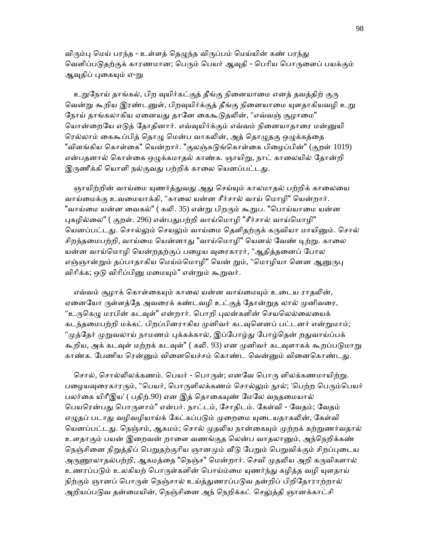விரும்பு மெய் பரந்த - உள்ளத் தெழுந்த விருப்பம் மெய்யின் கண் பரந்து வெளிப்படுதற்குக் காரணமான; பெரும் பெயர் ஆவுதி - பெரிய பொருளைப் பயக்கும் ஆவுதிப் புகையும் எ-று

உறுநோய் தாங்கல், பிற வுயிர்கட்குத் தீங்கு நினையாமை எனத் தவத்திற் குரு வென்று கூறிய இரண்டனுள், பிறவுயிர்க்குத் தீங்கு நினையாமை யுளதாகியவழி உறு நோய் தாங்கலாகிய ஏனையது தானே கைகூடுதலின், "எவ்வஞ் சூழாமை" யொன்றையே எடுத் தோதினார். எவ்வுயிர்க்கும் எவ்வம் நினையாதாரை மன்னுயி ரெல்லாம் கைகூப்பித் தொழு மென்ப வாகலின், அத் தொழுதகு ஒழுக்கத்தை "விளங்கிய கொள்கை" யென்றார். "குலஞ்சுடுங்கொள்கை பிழைப்பின்" (குறள் 1019) என்பதனால் கொள்கை ஒழுக்கமாதல் காண்க. ஞாயிறு, நாட் காலையில் தோன்றி இருணீக்கி யொளி நல்குவது பற்றிக் காலை யெனப்பட்டது.

ஞாயிற்றின் வாய்மை யுணர்த்துவது அது செய்யும் காலமாதல் பற்றிக் காலையை வாய்மைக்கு உவமையாக்கி, "காலை யன்ன சீர்சால் வாய் மொழி" யென்றார். "வாய்மை யன்ன வைகல்" ( கலி. 35) என்று பிறரும் கூறுப. "பொய்யாமை யன்ன புகழில்லை" ( குறள். 296) என்பதுபற்றி வாய்மொழி "சீர்சால் வாய்மொழி" யெனப்பட்டது. சொல்லும் செயலும் வாய்மை தெளிதற்குக் கருவியா மாயினும். சொல் சிறந்தமைபற்றி, வாய்மை யென்னாது "வாய்மொழி" யெனல் வேண் டிற்று. காலை யன்ன வாய்மொழி யென்றதற்குப் பழைய வுரைகாரர், "ஆதித்தனைப் போல எஞ்ஞான்றும் தப்பாதாகிய மெய்ம்மொழி" யென் றும், "மொழியா னென ஆனுருபு விரிக்க; ஒடு விரிப்பினு மமையும்" என்றும் கூறுவர்.

எவ்வம் சூழாக் கொள்கையும் காலை யன்ன வாய்மையும் உடைய ராதலின், ஏனையோ ருள்ளத்தே அவரைக் கண்டவழி உட்குத் தோன்றுத லால் முனிவரை, "உருகெழு மரபின் கடவுள்" என்றார். பொறி புலன்களின் செயலெல்லையைக் கடந்தமைபற்றி மக்கட் பிறப்பினராகிய முனிவர் கடவுளெனப் பட்டனர் என்றுமாம்; "முத்தேர் முறுவலாய் நாமணம் புக்கக்கால், இப்போழ்து போழ்தென் றதுவாய்ப்பக் கூறிய, அக் கடவுள் மற்றக் கடவுள்" ( கலி. 93) என முனிவர் கடவுளாகக் கூறப்படுமாறு காண்க. பேணிய ரென்னும் வினையெச்சம் கொண்ட வென்னும் வினைகொண்டது.

சொல், சொல்லிலக்கணம். பெயர் - பொருள்; எனவே பொரு ளிலக்கணமாயிற்று. பழையவுரைகாரரும், "பெயர், பொருளிலக்கணம் சொல்லும் நூல்; 'பெற்ற பெரும்பெயர் பலர்கை யிரீஇய' ( பதிற்.90) என இத் தொகையுண் மேலே வநதமையால் பெயரென்பது பொருளாம்" என்பர். நாட்டம், சோதிடம். கேள்வி - வேதம்; வேதம் எழுதப் படாது வழிவழியாய்க் கேட்கப்படும் முறைமை யுடையதாகலின், கேள்வி யெனப்பட்டது. நெஞ்சம், ஆகமம்; சொல் முதலிய நான்கையும் முற்றக் கற்றுணர்வதால் உளதாகும் பயன் இறைவன் றாளை வணங்குத லென்ப வாதலானும், அந்நெறிக்கண் நெஞ்சினை நிறுத்திப் பெறுதற்குரிய ஞானமும் வீடு பேறும் பெறுவிக்கும் சிறப்புடைய அருணூலாதல்பற்றி, ஆகமத்தை "நெஞ்ச" மென்றார். செவி முதலிய அறி கருவிகளால் உணரப்படும் உலகியற் பொருள்களின் பொய்ம்மை யுணர்ந்து கழித்த வழி யுளதாய் நிற்கும் ஞானப் பொருள் நெஞ்சால் உய்த்துணரப்படுவ தன்றிப் பிறிதோராற்றால் அறியப்படுவ தன்மையின், நெஞ்சினை அந் நெறிக்கட் செலுத்தி ஞானக்காட்சி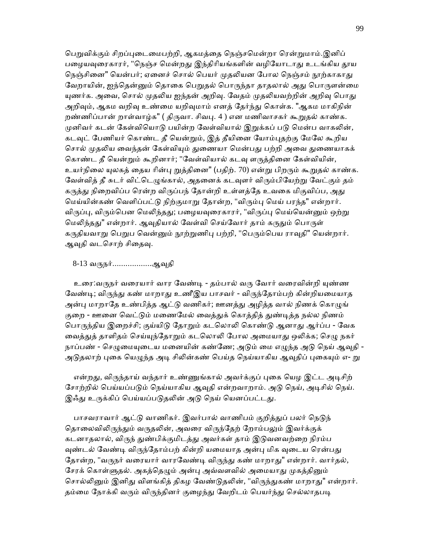பெறுவிக்கும் சிறப்புடைமைபற்றி, ஆகமத்தை நெஞ்சமென்றா ரென்றுமாம்.இனிப் பழையவுரைகாரர், "நெஞ்ச மென்றது இந்திரியங்களின் வழியோடாது உடங்கிய தூய நெஞ்சினை" யென்பர்; ஏனைச் சொல் பெயர் முதலியன போல நெஞ்சம் நூற்காகாது வேறாயின், ஐந்தென்னும் தொகை பெறுதல் பொருந்தா தாதலால் அது பொருளன்மை யுணர்க. அவை, சொல் முதலிய ஐந்தன் அறிவு. வேதம் முதலியவற்றின் அறிவு பொது அறிவும், ஆகம வறிவு உண்மை யறிவுமாம் எனத் தேர்ந்து கொள்க. "ஆகம மாகிநின் றண்ணிப்பான் றாள்வாழ்க" ( திருவா. சிவபு. 4 ) என மணிவாசகர் கூறுதல் காண்க. முனிவர் கடன் கேள்வியொடு பயின்ற வேள்வியால் இறுக்கப் படு மென்ப வாகலின், கடவுட் பேணியர் கொண்ட தீ யென்றும், இத் தீயினை யோம்புதற்கு மேலே கூறிய சொல் முதலிய வைந்தன் கேள்வியும் துணையா மென்பது பற்றி அவை துணையாகக் கொண்ட தீ யென்றும் கூறினார்; "வேள்வியால் கடவு ளருத்தினை கேள்வியின், உயர்நிலை யுலகத் தைய ரின்பு றுத்தினை" (பதிற். 70) என்று பிறரும் கூறுதல் காண்க. வேள்வித் தீ சுடர் விட்டெழுங்கால், அதனைக் கடவுளர் விரும்பியேற்று வேட்கும் தம் கருத்து நிறைவிப்ப ரென்ற விருப்பந் தோன்றி உள்ளத்தே உவகை மிகுவிப்ப, அது ெமய்யின்கண் ெவளிப்பட்ᾌ நிற்குமாᾠ ேதான்ற, "விᾞம்ᾗ ெமய் பரந்த" என்றார். விருப்பு, விரும்பென மெலிந்தது; பழையவுரைகாரர், "விருப்பு மெய்யென்னும் ஒற்று மெலிந்தது" என்றார். ஆவுதியால் வேள்வி செய்வோர் தாம் கருதும் பொருள் கருதியவாறு பெறுப வென்னும் நூற்றுணிபு பற்றி, "பெரும்பெய ராவுதி" யென்றார். ஆவுதி வடசொற் சிதைவு.

8-13 வருநர்.................ஆவுதி

உரை:வருநர் வரையார் வார வேண்டி - தம்பால் வரு வோர் வரைவின்றி யுண்ண வேண்டி; விருந்து கண் மாறாது உணீஇய பாசவர் - விருந்தோம்பற் கின்றியமையாத அன்பு மாறாதே உண்பித்த ஆட்டு வணிகர்; ஊனத்து அழித்த வால் நிணக் கொழுங் குறை - ஊனை வெட்டும் மணைமேல் வைத்துக் கொத்தித் துண்டித்த நல்ல நிணம் பொருந்திய இறைச்சி; குய்யிடு தோறும் கடலொலி கொண்டு ஆனாது ஆர்ப்ப - வேக வைத்துத் தாளிதம் செய்யுந்தோறும் கடலொலி போல அமையாது ஒலிக்க; செழு நகர் நாப்பண் - செழுமையுடைய மனையின் கண்ணே; அடும் மை எழுந்த அடு நெய் ஆவுதி -அடுதலாற் புகை யெழுந்த அடி சிலின்கண் பெய்த நெய்யாகிய ஆவுதிப் புகையும் எ- று

என்றது, விருந்தாய் வந்தார் உண்ணுங்கால் அவர்க்குப் புகை யெழ இட்ட அடிசிற் சோற்றில் பெய்யப்படும் நெய்யாகிய ஆவுதி என்றவாறாம். அடு நெய், அடிசில் நெய். இஃது உருக்கிப் பெய்யப்படுதலின் அடு நெய் யெனப்பட்டது.

பாசவராவார் ஆட்டு வாணிகர். இவர்பால் வாணிபம் குறித்துப் பலர் நெடுந் தொலைவிலிருந்தும் வருதலின், அவரை விருந்தேற் றோம்பலும் இவர்க்குக் கடனாதலால், விருந் துண்பிக்குமிடத்து அவர்கள் தாம் இடுவனவற்றை நிரம்ப வுண்டல் வேண்டி விருந்தோம்பற் கின்றி யமையாத அன்பு மிக வுடைய ரென்பது தோன்ற, "வருநர் வரையார் வாரவேண்டி விருந்து கண் மாறாது" என்றார். வார்தல், சேரக் கொள்ளுதல். அகத்தெழும் அன்பு அவ்வளவில் அமையாது முகத்தினும் சொல்லினும் இனிது விளங்கித் திகழ வேண்டுதலின், "விருந்துகண் மாறாது" என்றார். தம்மை நோக்கி வரும் விருந்தினர் குழைந்து வேறிடம் பெயர்ந்து செல்லாதபடி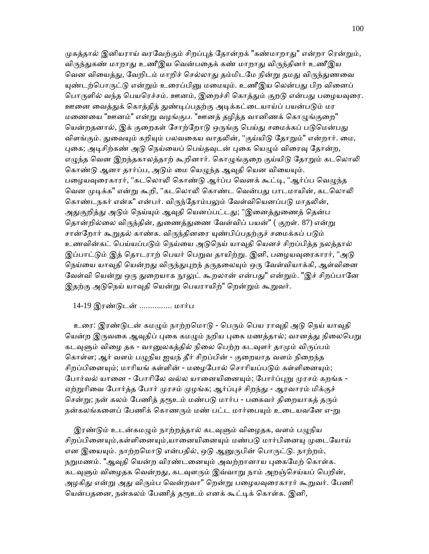முகத்தால் இனியராய் வரவேற்கும் சிறப்புத் தோன்றக் "கண்மாறாது" என்றா ரென்றும், விருந்துகண் மாறாது உணீஇய வென்பதைக் கண் மாறாது விருந்தினர் உணீஇய வென வியைத்து, வேறிடம் மாறிச் செல்லாது தம்மிடமே நின்று தமது விருந்துணவை யுண்டற்பொருட்டு என்றும் உரைப்பினு மமையும். உணீஇய லென்பது பிற வினைப் பொருளில் வந்த பெயரெச்சம். ஊனம், இறைச்சி கொத்தும் குறடு என்பது பழையவுரை. ஊனை வைத்துக் கொத்தித் துண்டிப்பதற்கு அடிக்கட்டையாய்ப் பயன்படும் மர மணையை "ஊனம்" என்று வழங்குப. "ஊனத் தழித்த வானிணக் கொழுங்குறை" யென்றதனால், இக் குறைகள் சோற்றோடு ஒருங்கு பெய்து சமைக்கப் படுமென்பது விளங்கும். துவையும் கறியும் பலவகைய வாதலின், "குய்யிடு தோறும்" என்றார். மை, புகை; அடிசிற்கண் அடு நெய்யைப் பெய்தவுடன் புகை யெழும் விரைவு தோன்ற, எழுந்த வென இறந்தகாலத்தாற் கூறினார். கொழுங்குறை குய்யிடு தோறும் கடலொலி கொண்டு ஆனா தார்ப்ப, அடும் மை யெழுந்த ஆவுதி யென வியையும். பழையவுரைகாரர், "கடலொலி கொண்டு ஆர்ப்ப வெனக் கூட்டி, "ஆர்ப்ப வெழுந்த வென முடிக்க" என்று கூறி, "கடலொலி கொண்ட வென்பது பாடமாயின், கடலொலி கொண்டநகர் என்க" என்பர். விருந்தோம்பலும் வேள்வியெனப்படு மாதலின், அதுகுறித்து அடும் நெய்யும் ஆவுதி யெனப்பட்டது; "இனைத்துணைத் தென்ப தொன்றில்லை விருந்தின், துணைத்துணை வேள்விப் பயன்" ( குறள். 87) என்று சான்றோர் கூறுதல் காண்க. விருந்தினரை யுண்பிப்பதற்குச் சமைக்கப் படும் உணவின்கட் பெய்யப்படும் நெய்யை அடுநெய் யாவுதி யெனச் சிறப்பித்த நலத்தால் இப்பாட்டும் இத் தொடராற் பெயர் பெறுவ தாயிற்று. இனி, பழையவுரைகாரர், "அடு நெய்யை யாவுதி யென்றது விருந்துபுறந் தருதலையும் ஒரு வேள்வியாக்கி, ஆள்வினை வேள்வி யென்று ஒரு துறையாக நூலுட் கூறலான் என்பது" என்றும். "இச் சிறப்பானே இதற்கு அடுநெய் யாவுதி யென்று பெயராயிற்" றென்றும் கூறுவர்.

# 14-19 இரண்ᾌடன் ............... மார்ப

உரை: இரண்டுடன் கமழும் நாற்றமொடு - பெரும் பெய ராவுதி அடு நெய் யாவுதி யென்ற இருவகை ஆவுதிப் புகை கமழும் நறிய புகை மணத்தால்; வானத்து நிலைபெறு கடவுளும் விழை தக - வானுலகத்தில் நிலை பெற்ற கடவுளர் தாமும் விருப்பம் கொள்ள; ஆர் வளம் பழுநிய ஐயந் தீர் சிறப்பின் - குறையாத வளம் நிறைந்த சிறப்பினையும்; மாரியங் கள்ளின் - மழைபோல் சொரியப்படும் கள்ளினையும்; போர்வல் யானை - போரிலே வல்ல யானையினையும்; போர்ப்புறு முரசம் கறங்க -ஏற்றுரிவை போர்த்த போர் முரசம் முழங்க; ஆர்ப்புச் சிறந்து - ஆரவாரம் மிக்குச் சென்று; நன் கலம் பேணித் தரூஉம் மண்படு மார்ப - பகைவர் திறையாகத் தரும் நன்கலங்களைப் பேணிக் கொணரும் மண் பட்ட மார்பையும் உடையவனே எ-<u>ற</u>ு

இரண்டும் உடன்கமமும் நாற்றத்தால் கடவுளும் விழைதக, வளம் பமுநிய சிறப்பினையும்,கள்ளினையும்,யானையினையும் மண்படு மார்பினையு முடையோய் என இயையும். நாற்றமொடு என்பதில், ஒடு ஆனுருபின் பொருட்டு. நாற்றம், நறுமணம். "ஆவுதி யென்ற விரண்டனையும் அவற்றானாய புகைமேற் கொள்க. கடவுளும் விழைதக வென்றது, கடவுளரும் இவ்வாறு நாம் அறஞ்செய்யப் பெறின், அழகிது என்று அது விரும்ப வென்றவா" றென்று பழையவுரைகாரர் கூறுவர். பேணி யென்பதனை, நன்கலம் பேணித் தரூஉம் எனக் கூட்டிக் கொள்க. இனி,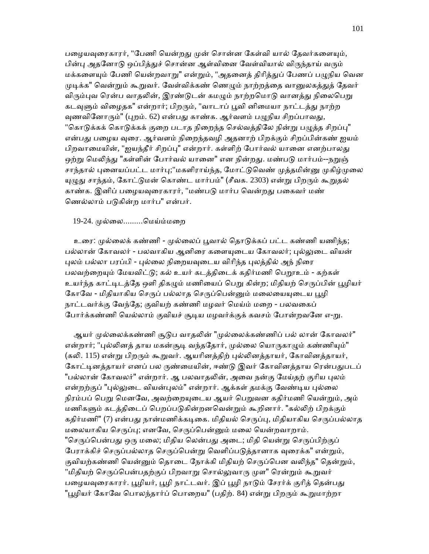பழையவுரைகாரர், "பேணி யென்றது முன் சொன்ன கேள்வி யால் தேவர்களையும், பின்பு அதனோடு ஒப்பித்துச் சொன்ன ஆள்வினை வேள்வியால் விருந்தாய் வரும் மக்களையும் பேணி யென்றவாறு" என்றும், "அதனைத் திரித்துப் பேணப் பழுநிய வென முடிக்க" வென்றும் கூறுவர். வேள்விக்கண் ணெமும் நாற்றத்தை வானுலகத்துத் தேவர் விரும்புவ ரென்ப வாதலின், இரண்டுடன் கமழும் நாற்றமொடு வானத்து நிலைபெறு கடவுளும் விழைதக" என்றார்; பிறரும், "வாடாப் பூவி னிமையா நாட்டத்து நாற்ற வுணவினோரும்" (புறம். 62) என்பது காண்க. ஆர்வளம் பழுநிய சிறப்பாவது, "கொடுக்கக் கொடுக்கக் குறை படாத நிறைந்த செல்வத்திலே நின்று பழுத்த சிறப்பு" என்பது பழைய வுரை. ஆர்வளம் நிறைந்தவழி அதனாற் பிறக்கும் சிறப்பின்கண் ஐயம் பிறவாமையின், "ஐயந்தீர் சிறப்பு" என்றார். கள்ளிற் போர்வல் யானை எனற்பாலது ஒற்று மெலிந்து "கள்ளின் போர்வல் யானை" என நின்றது. மண்படு மார்பம்--நறுஞ் சாந்தால் புனையப்பட்ட மார்பு;"மகளிராய்ந்த, மோட்டுவெண் முத்தமின்னு முகிழ்முலை யுழுது சாந்தம், கோட்டுமன் கொண்ட மார்பம்" (சீவக. 2303) என்று பிறரும் கூறுதல் காண்க. இனிப் பழையவுரைகாரர், "மண்படு மார்ப வென்றது பகைவர் மண் ெணல்லாம் பᾌகின்ற மார்ப" என்பர்.

### 19-24. ᾙல்ைல.........ெமய்ம்மைற

உரை: முல்லைக் கண்ணி - முல்லைப் பூவால் தொடுக்கப் பட்ட கண்ணி யணிந்த; பல்லான் கோவலர் - பலவாகிய ஆனிரை களையுடைய கோவலர்; புல்லுடை வியன் புலம் பல்லா பரப்பி - புல்லை நிறையவுடைய விரிந்த புலத்தில் அந் நிரை பலவற்றையும் மேயவிட்டு; கல் உயர் கடத்திடைக் கதிர்மணி பெறூஉம் - கற்கள் உயர்ந்த காட்டிடத்தே ஒளி திகழும் மணியைப் பெறு கின்ற; மிதியற் செருப்பின் பூழியர் கோவே - மிதியாகிய செருப் பல்லாத செருப்பென்னும் மலையையுடைய பூழி நாட்டவர்க்கு ேவந்ேத; குவியற் கண்ணி மழவர் ெமய்ம் மைற - பலவைகப் போர்க்கண்ணி யெல்லாம் குவியச் சூடிய மழவர்க்குக் கவசம் போன்றவனே எ-று.

ஆயர் முல்லைக்கண்ணி சூடுப வாதலின் "முல்லைக்கண்ணிப் பல் லான் கோவலர்" என்றார்; "புல்லினத் தாய மகன்சூடி வந்ததோர், முல்லை யொருகாழும் கண்ணியும்" (கலி. 115) என்று பிறரும் கூறுவர். ஆயரினத்திற் புல்லினத்தாயர், கோவினத்தாயர், கோட்டினத்தாயர் எனப் பல ருண்மையின், ஈண்டு இவர் கோவினத்தாய ரென்பதுபடப் "பல்லான் கோவலர்" என்றார். ஆ பலவாதலின், அவை நன்கு மேய்தற் குரிய புலம் என்றற்குப் "புல்லுடை வியன்புலம்" என்றார். ஆக்கள் தமக்கு வேண்டிய புல்லை நிரம்பப் பெறு மெனவே, அவற்றையுடைய ஆயர் பெறுவன கதிர்மணி யென்றும், அம் மணிகளும் கடத்திடைப் பெறப்படுகின்றனவென்றும் கூறினார். "கல்லிற் பிறக்கும் கதிர்மணி" (7) என்பது நான்மணிக்கடிகை. மிதியல் செருப்பு, மிதியாகிய செருப்பல்லாத மலையாகிய செருப்பு; எனவே, செருப்பென்னும் மலை யென்றவாறாம். "செருப்பென்பது ஒரு மலை; மிதிய லென்பது அடை; மிதி யென்று செருப்பிற்குப் பேராக்கிச் செருப்பல்லாத செருப்பென்று வெளிப்படுத்தானாக வுரைக்க" என்றும், குவியற்கண்ணி யென்னும் தொடை நோக்கி மிதியற் செருப்பென வலிந்த" தென்றும், "மிதியற் செருப்பென்பதற்குப் பிறவாறு சொல்லுவாரு முள" ரென்றும் கூறுவர் பழையவுரைகாரர். பூழியர், பூழி நாட்டவர். இப் பூழி நாடும் சேரர்க் குரித் தென்பது "பூழியர் கோவே பொலந்தார்ப் பொறைய" (பதிற். 84) என்று பிறரும் கூறுமாற்றா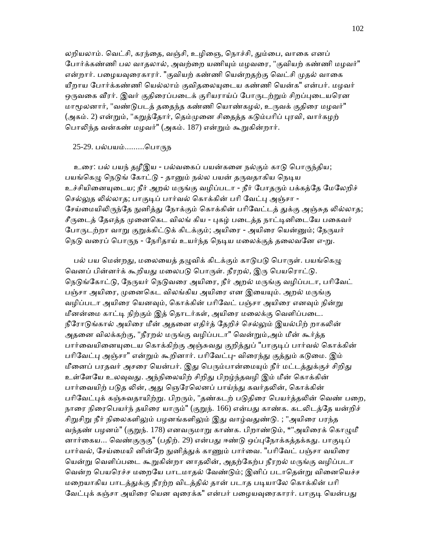லறியலாம். வெட்சி, கரந்தை, வஞ்சி, உழிஞை, நொச்சி, தும்பை, வாகை எனப் போர்க்கண்ணி பல வாதலால், அவற்றை யணியும் மழவரை, "குவியற் கண்ணி மழவர்" என்றார். பழையவுரைகாரர். "குவியற் கண்ணி யென்றதற்கு வெட்சி முதல் வாகை யீறாய போர்க்கண்ணி யெல்லாம் குவிதலையுடைய கண்ணி யென்க" என்பர். மழவர் ஒருவகை வீரர். இவர் குதிரைப்படைக் குரியராய்ப் போருடற்றும் சிறப்புடையரென மாமூலனார், "வண்டுபடத் ததைந்த கண்ணி யொண்கழல், உருவக் குதிரை மழவர்" (அகம். 2) என்றும், "கறுத்தோர், தெம்முனை சிதைத்த கடும்பரிப் புரவி, வார்கழற் பொலிந்த வன்கண் மழவர்" (அகம். 187) என்றும் கூறுகின்றார்.

# 25-29. பல்பயம்.........பொருந

உரை: பல் பயந் தழீஇய - பல்வகைப் பயன்களை நல்கும் காடு பொருந்திய; பயங்கெழு நெடுங் கோட்டு - தானும் நல்ல பயன் தருவதாகிய நெடிய உச்சியினையுடைய; நீர் அறல் மருங்கு வழிப்படா - நீர் போதரும் பக்கத்தே மேலேறிச் செல்லுத லில்லாத; பாகுடிப் பார்வல் கொக்கின் பரி வேட்பு அஞ்சா -சேய்மையிலிருந்தே நுனித்து நோக்கும் கொக்கின் பரிவேட்டத் துக்கு அஞ்சுத லில்லாத; சீருடைத் தேஎத்த முனைகெட விலங் கிய - புகழ் படைத்த நாட்டினிடையே பகைவர் போருடற்றா வாறு குறுக்கிட்டுக் கிடக்கும்; அயிரை - அயிரை யென்னும்; நேருயர் நெடு வரைப் பொருந - நேரிதாய் உயர்ந்த நெடிய மலைக்குத் தலைவனே எ-று.

பல் பய மென்றது, மலையைத் தழுவிக் கிடக்கும் காடுபடு பொருள். பயங்கெழு வெனப் பின்னர்க் கூறியது மலைபடு பொருள். நீரறல், இரு பெயரொட்டு. நெடுங்கோட்டு, நேருயர் நெடுவரை அயிரை, நீர் அறல் மருங்கு வழிப்படா, பரிவேட் பஞ்சா அயிரை, முனைகெட விலங்கிய அயிரை என இயையும். அறல் மருங்கு வழிப்படா அயிரை யெனவும், கொக்கின் பரிவேட் பஞ்சா அயிரை எனவும் நின்று மீனன்மை காட்டி நிற்கும் இத் தொடர்கள், அயிரை மலைக்கு வெளிப்படை. நீரோடுங்கால் அயிரை மீன் அதனை எதிர்த் தேறிச் செல்லும் இயல்பிற் றாகலின் அதனை விலக்கற்கு, "நீரறல் மருங்கு வழிப்படா" வென்றும்,அம் மீன் கூர்த்த பார்வையினையுடைய கொக்கிற்கு அஞ்சுவது குறித்துப் "பாகுடிப் பார்வல் கொக்கின் பரிவேட்பு அஞ்சா" என்றும் கூறினார். பரிவேட்பு- விரைந்து குத்தும் கடுமை. இம் மீனைப் பரதவர் அசரை யென்பர். இது பெரும்பான்மையும் நீர் மட்டத்துக்குச் சிறிது உள்ளேயே உலவுவது. அந்நிலையிற் சிறிது பிறழ்ந்தவழி இம் மீன் கொக்கின் பார்வையிற் படுத லின், அது ஞெரேலெனப் பாய்ந்து கவர்தலின், கொக்கின் பரிவேட்புக் கஞ்சுவதாயிற்று. பிறரும், "தண்கடற் படுதிரை பெயர்த்தலின் வெண் பறை, நாரை நிரைபெயர்ந் தயிரை யாரும்" (குறுந். 166) என்பது காண்க. கடலிடத்தே யன்றிச் சிறுசிறு நீர் நிலைகளிலும் பழனங்களிலும் இது வாழ்வதுண்டு. ; "அயிரை பரந்த வந்தண் பழனம்" (குறுந். 178) எனவருமாறு காண்க. பிறாண்டும், \*"அயிரைக் கொழுமீ னார்கைய... வெண்குருகு" (பதிற். 29) என்பது ஈண்டு ஒப்புநோக்கத்தக்கது. பாகுடிப் பார்வல், சேய்மையி னின்றே நுனித்துக் காணும் பார்வை. "பரிவேட் பஞ்சா வயிரை யென்று வெளிப்படை கூறுகின்றா னாதலின், அதற்கேற்ப நீரறல் மருங்கு வழிப்படா வென்ற பெயரெச்ச மறையே பாடமாதல் வேண்டும்; இனிப் படாதென்று வினையெச்ச மறையாகிய பாடத்துக்கு நீரற்ற விடத்தில் தான் படாத படியாலே கொக்கின் பரி வேட்புக் கஞ்சா அயிரை யென வுரைக்க" என்பர் பழையவுரைகாரர். பாகுடி யென்பது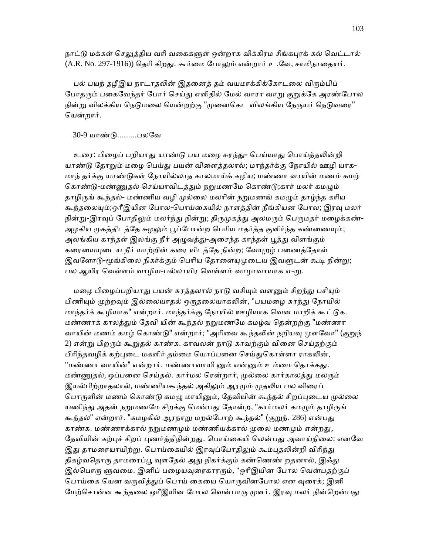நாட்டு மக்கள் செலுத்திய வரி வகைகளுள் ஒன்றாக விக்கிரம சிங்கபுரக் கல் வெட்டால் (A.R. No. 297-1916)) தெரி கிறது. கூர்மை போலும் என்றார் உ.வே, சாமிநாதையர்.

பல் பயந் தழீஇய நாடாதலின் இதனைத் தம் வயமாக்கிக்கோடலை விரும்பிப் போதரும் பகைவேந்தர் போர் செய்து எளிதில் மேல் வாரா வாறு குறுக்கே அரண்போல நின்று விலக்கிய நெடுமலை யென்றற்கு "முனைகெட விலங்கிய நேருயர் நெடுவரை" ெயன்றார்.

# 30-9 யாண்ᾌ.........பலேவ

உரை: பிழைப் பறியாது யாண்டு பய மழை சுரந்து- பெய்யாது பொய்த்தலின்றி யாண்டு தோறும் மழை பெய்து பயன் விளைத்தலால்; மாந்தர்க்கு நோயில் ஊழி யாக-மாந் தர்க்கு யாண்ᾌகள் ேநாயில்லாத காலமாய்க் கழிய; மண்ணா வாயின் மணம் கமழ் கொண்டு-மண்ணுதல் செய்யாவிடத்தும் நறுமணமே கொண்டு;கார் மலர் கமழும் தாழிருங் கூந்தல்- மண்ணிய வழி முல்லை மலரின் நறுமணங் கமழும் தாழ்ந்த கரிய கூந்தலையும்;ஒரீஇயின போல-பொய்கையில் நாளத்தின் நீங்கியன போல; இரவு மலர் நின்று-இரவுப் போதிலும் மலர்ந்து நின்று; திருமுகத்து அலமரும் பெருமதர் மழைக்கண்-அழகிய முகத்திடத்தே சுழலும் பூப்போன்ற பெரிய மதர்த்த குளிர்ந்த கண்ணையும்; அலங்கிய காந்தள் இலங்கு நீர் அமுவத்து-அசைந்த காந்தள் பூத்து விளங்கும் கரையையுடைய நீர் யாற்றின் கரை யிடத்தே நின்ற; வேயுறழ் பணைத்தோள் இவளோடு-மூங்கிலை நிகர்க்கும் பெரிய தோளையுமுடைய இவளுடன் கூடி நின்று; பல ஆயிர வெள்ளம் வாழிய-பல்லாயிர வெள்ளம் வாழாவாயாக எ-று.

மழை பிழைப்பறியாது பயன் சுரத்தலால் நாடு வசியும் வளனும் சிறந்து பசியும் பிணியும் முற்றவும் இல்லையாதல் ஒருதலையாகலின், "பயமழை சுரந்து நோயில் மாந்தர்க் கூழியாக" என்றார். மாந்தர்க்கு நோயில் ஊழியாக வென மாறிக் கூட்டுக. மண்ணாக் காலத்தும் தேவி யின் கூந்தல் நறுமணமே கமழ்வ தென்றற்கு "மண்ணா வாயின் மணம் கமழ் கொண்டு" என்றார்; "அரிவை கூந்தலின் நறியவு முளவோ" (குறுந் 2) என்று பிறரும் கூறுதல் காண்க. காவலன் நாடு காவற்கும் வினை செய்தற்கும் பிரிந்தவழிக் கற்புடை மகளிர் தம்மை யொப்பனை செய்துகொள்ளா ராகலின், "மண்ணா வாயின்" என்றார். மண்ணாவாயி னும் என்னும் உம்மை தொக்கது. மண்ணுதல், ஒப்பனை செய்தல். கார்மல ரென்றார், முல்லை கார்காலத்து மலரும் இயல்பிற்றாதலால், மண்ணியகூந்தல் அகிலும் ஆரமும் முதலிய பல விரைப் பொருளின் மணம் கொண்டு கமழு மாயினும், தேவியின் கூந்தல் சிறப்புடைய முல்லை யணிந்து அதன் நறுமணமே சிறக்கு மென்பது தோன்ற, "கார்மலர் கமழும் தாழிருங் கூந்தல்" என்றார். "கமழகில் ஆரநாறு மறல்போற் கூந்தல்" (குறுந். 286) என்பது காண்க. மண்ணாக்கால் நறுமணமும் மண்ணியக்கால் முலை மணமும் என்றது, தேவியின் கற்புச் சிறப் புணர்த்திநின்றது. பொய்கையி லென்பது அவாய்நிலை; எனவே இது தாமரையாயிற்று. பொய்கையில் இரவுப்போதிலும் கூம்புதலின்றி விரிந்து திகழ்வதொரு தாமரைப்பூ வுளதேல் அது நிகர்க்கும் கண்ணெண் றதனால், இஃது இல்பொரு ளுவமை. இனிப் பழையவுரைகாரரும், "ஒரீஇயின போல வென்பதற்குப் பொய்கை யென வருவித்துப் பொய் கையை யொருவினபோல என வுரைக்; இனி மேற்சொன்ன கூந்தலை ஒரீஇயின போல வென்பாரு முளர். இரவு மலர் நின்றென்பது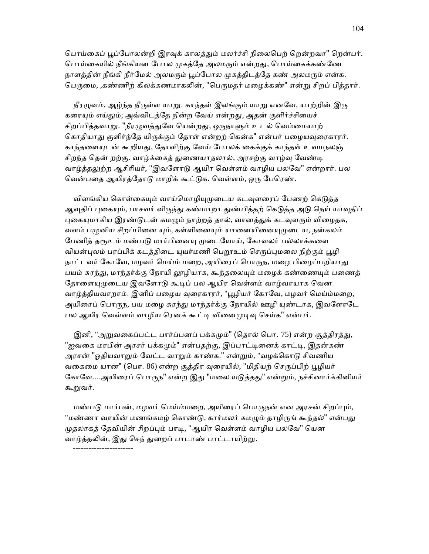பொய்கைப் பூப்போலன்றி இரவுக் காலத்தும் மலர்ச்சி நிலைபெற் றென்றவா" றென்பர். பொய்கையில் நீங்கியன போல முகத்தே அலமரும் என்றது, பொய்கைக்கண்ணே நாளத்தின் நீங்கி நீர்மேல் அலமரும் பூப்போல முகத்திடத்தே கண் அலமரும் என்க. பெருமை, ,கண்ணிற் கிலக்கணமாகலின், "பெருமதர் மழைக்கண்" என்று சிறப் பித்தார்.

நீரழுவம், ஆழ்ந்த நீருள்ள யாறு. காந்தள் இலங்கும் யாறு எனவே, யாற்றின் இரு கரையும் எய்தும்; அவ்விடத்தே நின்ற வேய் என்றது, அதன் குளிர்ச்சியைச் சிறப்பித்தவாறு. "நீரழுவத்துவே யென்றது, ஒருநாளும் உடல் வெம்மையாற் கொதியாது குளிர்ந்தே யிருக்கும் தோள் என்றற் கென்க" என்பர் பழையவுரைகாரர். காந்தளையுடன் கூறியது, தோளிற்கு வேய் போலக் கைக்குக் காந்தள் உவமநலஞ் சிறந்த தென் றற்கு. வாழ்க்கைத் துணையாதலால், அரசற்கு வாழ்வு வேண்டி வாழ்த்தலுற்ற ஆசிரியர், "இவளோடு ஆயிர வெள்ளம் வாழிய பலவே" என்றார். பல வென்பதை ஆயிரத்தோடு மாறிக் கூட்டுக. வெள்ளம், ஒரு பேரெண்.

விளங்கிய கொள்கையும் வாய்மொழியுமுடைய கடவுளரைப் பேணற் கெடுத்த ஆவுதிப் புகையும், பாசவர் விருந்து கண்மாறா துண்பித்தற் கெடுத்த அடு நெய் யாவுதிப் புகையுமாகிய இரண்டுடன் கமழும் நாற்றத் தால், வானத்துக் கடவுளரும் விழைதக, வளம் பழுனிய சிறப்பினை யும், கள்ளினையும் யானையினையுமுடைய, நன்கலம் பேணித் தரூஉம் மண்படு மார்பினையு முடையோய், கோவலர் பல்லாக்களை வியன்புலம் பரப்பிக் கடக்கிடை யுயர்மணி பெறூஉம் செருப்புமலை நிற்கும் பூழி நாட்டவர் கோவே, மழவர் மெய்ம் மறை, அயிரைப் பொருந, மழை பிழைப்பறியாது பயம் சுரந்து, மாந்தர்க்கு நோயி லூழியாக, கூந்தலையும் மழைக் கண்ணையும் பணைத் தோளையுமுடைய இவளோடு கூடிப் பல ஆயிர வெள்ளம் வாழ்வாயாக வென வாழ்த்தியவாறாம். இனிப் பழைய வுரைகாரர், "பூழியர் கோவே, மழவர் மெய்ம்மறை, அயிரைப் பொருந, பய மழை சுரந்து மாந்தர்க்கு நோயில் ஊழி யுண்டாக, இவளோடே பல ஆயிர வெள்ளம் வாழிய ரெனக் கூட்டி வினைமுடிவு செய்க" என்பர்.

இனி, "அறுவகைப்பட்ட பார்ப்பனப் பக்கமும்" (தொல் பொ. 75) என்ற சூத்திரத்து, "ஐவகை மரபின் அரசர் பக்கமும்" என்பதற்கு, இப்பாட்டினைக் காட்டி, இதன்கண் அரசன் "ஓதியவாறும் வேட்ட வாறும் காண்க." என்றும், "வழக்கொடு சிவணிய வகைமை யான" (பொ. 86) என்ற சூத்திர வுரையில், "மிதியற் செருப்பிற் பூழியர் கோவே....அயிரைப் பொருந" என்ற இது "மலை யடுத்தது" என்றும், நச்சினார்க்கினியர் கூᾠவர்.

மண்படு மார்பன், மழவர் மெய்ம்மறை, அயிரைப் பொருநன் என அரசன் சிறப்பும், "மண்ணா வாயின் மணங்கமழ் கொண்டு, கார்மலர் கமழும் தாழிருங் கூந்தல்" என்பது முதலாகத் தேவியின் சிறப்பும் பாடி, "ஆயிர வெள்ளம் வாழிய பலவே" யென வாழ்த்தலின், இது செந் துறைப் பாடாண் பாட்டாயிற்று.

-----------------------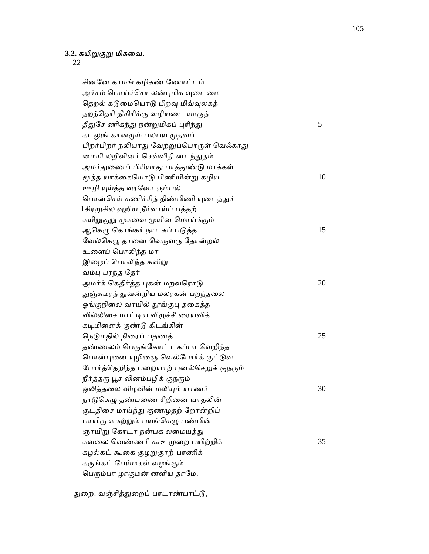# **3.2.** கயிᾠகுᾠ மிகைவ.

22

 சினேன காமங் கழிகண் ேணாட்டம் அச்சம் பொய்ச்சொ லன்புமிக வுடைமை தெறல் கடுமையொடு பிறவு மிவ்வுலகத் தறந்ெதாி திகிாிக்கு வழியைட யாகுந்  $\mathcal{L}$ துசே ணிகந்து நன்றுமிகப் புரிந்து  $5$ கடலுங் கானமும் பலபய முதவப் பிறர்பிறர் நலியாது வேற்றுப்பொருள் வெஃகாது மையி லறிவினர் செவ்விதி னடந்துதம் அமர்துணைப் பிரியாது பாத்துண்டு மாக்கள் மூத்த யாக்கையொடு பிணியின்று கழிய  $10$ ஊழி யுய்த்த வுரவோ ரும்பல் பொன்செய் கணிச்சித் திண்பிணி யுடைத்துச் 1சிரறுசில வூறிய நீர்வாய்ப் பத்தற் கயிறுகுறு முகவை மூயின மொய்க்கும் ஆகெழு கொங்கர் நாடகப் படுத்த  $15$ வேல்கெழு தானை வெருவரு தோன்றல் உளைப் பொலிந்த மா இழைப் பொலிந்த களிறு வம்பு பரந்த தேர் அமர்க் கெதிர்த்த புகன் மறவரொடு $20$ துஞ்சுமரந் துவன்றிய மலரகன் பறந்தலை ஓங்குநிலை வாயில் தூங்குபு தகைத்த வில்லிசை மாட்டிய விழுச்சீ ரையவிக் கடிமிளைக் குண்டு கிடங்கின் நெடுமதில் நிரைப் பதணத்  $25$ தண்ணலம் பெருங்கோட் டகப்பா வெறிந்த பொன்புனை யுழிஞை வெல்போர்க் குட்டுவ போர்த்தெறிந்த பறையாற் புனல்செறுக் குநரும் நீர்த்தரு பூச லினம்பழிக் குநரும் ஒலித்தலை விழவின் மலியும் யாணர்  $30$ நாடுகெழு தண்பணை சீறினை யாதலின் குடதிசை மாய்ந்து குணமுதற் றோன்றிப் பாயிரு ளகற்றும் பயங்கெழு பண்பின் ஞாயிறு கோடா நன்பக லமையத்து கவலை வெண்ணரி கூஉமுறை பயிற்றிக்  $35$ கழல்கட் கூகை குழறுகுரற் பாணிக் கருங்கட் பேய்மகள் வழங்கும் பெரும்பா ழாகுமன் னளிய தாமே.

துறை: வஞ்சித்துறைப் பாடாண்பாட்டு,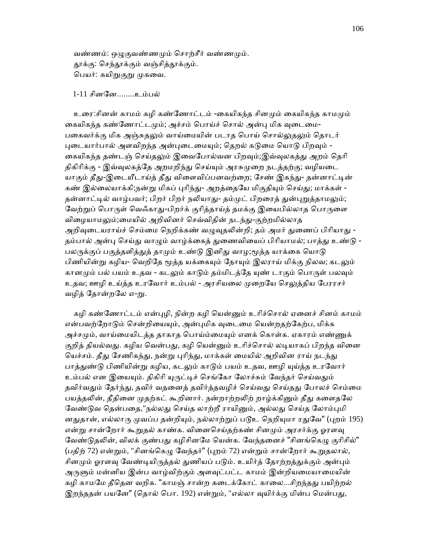வண்ணம்: ஒழுகுவண்ணமும் சொற்சீர் வண்ணமும். தூக்கு: செந்தூக்கும் வஞ்சித்தூக்கும். பெயர்: கயிறுகுறு முகவை.

1-11 சின ேன........உம்ப ல்

உரை:சினன் காமம் கழி கண்ணோட்டம் -கையிகந்த சினமும் கையிகந்த காமமும் கையிகந்த கண்ணோட்டமும்; அச்சம் பொய்ச் சொல் அன்பு மிக வுடைமை-பகைவர்க்கு மிக அஞ்சுதலும் வாய்மையின் படாத பொய் சொல்லுதலும் தொடர் புடையார்பால் அளவிறந்த அன்புடைமையும்; தெறல் கடுமை யொடு பிறவும் -கையிகந்த தண்டஞ் செய்தலும் இவைபோல்வன பிறவும்;இவ்வுலகத்து அறம் தெரி திகிரிக்கு - இவ்வுலகத்தே அறமறிந்து செய்யும் அரசுமுறை நடத்தற்கு; வழியடை யாகும் தீது-இடையீடாய்த் தீது விளைவிப்பனவற்றை; சேண் இகந்து- தன்னாட்டின் கண் இல்லையாக்கி;நன்று மிகப் புரிந்து- அறத்தையே மிகுதியும் செய்து; மாக்கள் -தன்னாட்டில் வாழ்பவர்; பிறர் பிறர் நலியாது- தம்முட் பிறரைத் துன்புறுத்தாமலும்; வேற்றுப் பொருள் வெஃகாது-பிறர்க் குரித்தாய்த் தமக்கு இயைபில்லாத பொருளை விழையாமலும்;மையில் அறிவினர் செவ்விதின் நடந்து-குற்றமில்லாத அறிவுடையராய்ச் செம்மை நெறிக்கண் வழுவுதலின்றி; தம் அமர் துணைப் பிரியாது -தம்பால் அன்பு செய்து வாழும் வாழ்க்கைத் துணைவியைப் பிரியாமல்; பாத்து உண்டு -பலருக்குப் பகுத்தளித்துத் தாமும் உண்டு இனிது வாழ;மூத்த யாக்கை யொடு பிணியின்று கழிய- வெறிதே மூத்த யக்கையும் நோயும் இலராய் மிக்கு நிலவ; கடலும் கானமும் பல் பயம் உதவ - கடலும் காடும் தம்மிடத்தே யுண் டாகும் பொருள் பலவும் உதவ; ஊழி உய்த்த உரவோர் உம்பல் - அரசியலை முறையே செலுத்திய பேரரசர் வழித் தோன்றலே எ-று.

கழி கண்ணோட்டம் என்புழி, நின்ற கழி யென்னும் உரிச்சொல் ஏனைச் சினம் காமம் என்பவற்றோடும் சென்றியையும், அன்புமிக வுடைமை யென்றதற்கேற்ப, மிக்க அச்சமும், வாய்மையிடத்த தாகாத பொய்ம்மையும் எனக் கொள்க. ஏகாரம் எண்ணுக் குறித் தியல்வது. கழிய வென்பது, கழி யென்னும் உரிச்சொல் லடியாகப் பிறந்த வினை யெச்சம். தீது சேணிகந்து, நன்று புரிந்து, மாக்கள் மையில் அறிவின ராய் நடந்து பாத்துண்டு பிணியின்று கழிய, கடலும் காடும் பயம் உதவ, ஊழி யுய்த்த உரவோர் உம்பல் என இயையும். திகிரி யுருட்டிச் செங்கோ லோச்சும் வேந்தர் செய்வதும் தவிர்வதும் தேர்ந்து, தவிர் வதனைத் தவிர்த்தவழிச் செய்வது செய்தது போலச் செம்மை பயத்தலின், தீதினை முதற்கட் கூறினார். நன்றாற்றலிற் றாழ்க்கினும் தீது களைதலே வேண்டுவ தென்பதை,"நல்லது செய்த லாற்றீ ராயினும், அல்லது செய்த லோம்புமி னதுதான், எல்லாரு முவப்ப தன்றியும், நல்லாற்றுப் படூஉ நெறியுமா ரதுவே" (புறம் 195) என்று சான்றோர் கூறுதல் காண்க. வினைசெய்தற்கண் சினமும் அரசர்க்கு ஓரளவு வேண்டுதலின், விலக் குண்பது கழிசினமே யென்க. வேந்தனைச் "சினங்கெழு குரிசில்" (பதிற் 72) என்றும், "சினங்கெழு வேந்தர்" (புறம் 72) என்றும் சான்றோர் கூறுதலால், சினமும் ஓரளவு வேண்டியிருத்தல் துணியப் படும். உயிர்த் தோற்றத்துக்கும் அன்பும் அருளும் மன்னிய இன்ப வாழ்விற்கும் அளவுட்பட்ட காமம் இன்றியமையாமையின் கழி காமமே தீதென வறிக. "காமஞ் சான்ற கடைக்கோட் காலை...சிறந்தது பயிற்றல் இறந்ததன் பயனே" (தொல் பொ. 192) என்றும், "எல்லா வுயிர்க்கு மின்ப மென்பது,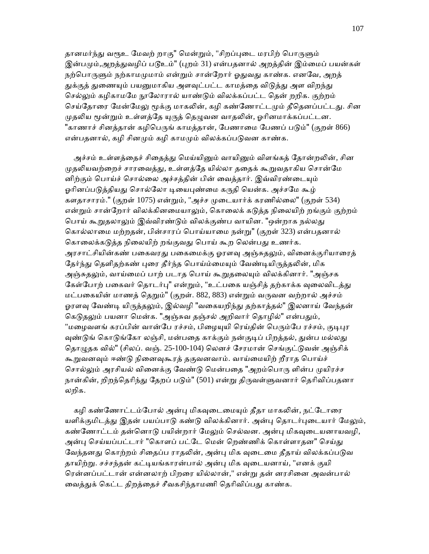தானமர்ந்து வரூஉ மேவற் றாகு" மென்றும், "சிறப்புடை மரபிற் பொருளும் இன்பமும்,அறத்துவழிப் படூஉம்" (புறம் 31) என்பதனால் அறத்தின் இம்மைப் பயன்கள் நற்பொருளும் நற்காமமுமாம் என்றும் சான்றோர் ஓதுவது காண்க. எனவே, அறத் துக்குத் துணையும் பயனுமாகிய அளவுட்பட்ட காமத்தை விடுத்து அள விறந்து செல்லும் கழிகாமமே நூலோரால் யாண்டும் விலக்கப்பட்ட தென் றறிக. குற்றம் செய்தோரை மேன்மேலு மூக்கு மாகலின், கழி கண்ணோட்டமும் தீதெனப்பட்டது. சின முதலிய மூன்றும் உள்ளத்தே யுருத் தெழுவன வாதலின், ஓரினமாக்கப்பட்டன. "காணாச் சினத்தான் கழிபெருங் காமத்தான், பேணாமை பேணப் படும்" (குறள் 866) என்பதனால், கழி சினமும் கழி காமமும் விலக்கப்படுவன காண்க.

அச்சம் உள்ளத்தைச் சிதைத்து மெய்யினும் வாயினும் விளங்கத் தோன்றலின், சின முதலியவற்றைச் சாரவைத்து, உள்ளத்தே யில்லா ததைக் கூறுவதாகிய சொன்மே னிற்கும் பொய்ச் சொல்லை அச்சத்தின் பின் வைத்தார். இவ்விரண்டையும் ஓரினப்படுத்தியது சொல்லோ டியைபுண்மை கருதி யென்க. அச்சமே கூழ் களதாசாரம்." (குறள் 1075) என்ᾠம், "அச்ச ᾙைடயார்க் கரணில்ைல" (குறள் 534) என்றும் சான்றோர் விலக்கினமையாலும், கொலைக் கடுத்த நிலையிற் றங்கும் குற்றம் பொய் கூறுதலாலும் இவ்விரண்டும் விலக்குண்ப வாயின. "ஒன்றாக நல்லது ெகால்லாைம மற்றதன், பின்சாரப் ெபாய்யாைம நன்ᾠ" (குறள் 323) என்பதனால் கொலைக்கடுத்த நிலையிற் றங்குவது பொய் கூற லென்பது உணர்க. அரசாட்சியின்கண் பகைவரது பகைமைக்கு ஓரளவு அஞ்சுதலும், வினைக்குரியாரைத் தேர்ந்து தெளிதற்கண் புரை தீர்ந்த பொய்ம்மையும் வேண்டியிருத்தலின், மிக அஞ்சுதலும், வாய்மைப் பாற் படாத பொய் கூறுதலையும் விலக்கினார். "அஞ்சக கேள்போற் பகைவர் தொடர்பு" என்றும், "உட்பகை யஞ்சித் தற்காக்க வுலைவிடத்து மட்பகையின் மாணத் தெறும்" (குறள். 882, 883) என்றும் வருவன வற்றால் அச்சம் ஓரளவு வேண்டி யிருத்தலும், இல்வழி "வகையறிந்து தற்காத்தல்" இலனாய் வேந்தன் கெடுதலும் பயனா மென்க. "அஞ்சுவ தஞ்சல் அறிவார் தொழில்" என்பதும், "மழைவளங் கரப்பின் வான்பே ரச்சம், பிழையுயி ரெய்தின் பெரும்பே ரச்சம், குடிபுர வுண்டுங் கொடுங்கோ லஞ்சி, மன்பதை காக்கும் நன்குடிப் பிறத்தல், துன்ப மல்லது தொழுதக வில்" (சிலப். வஞ். 25-100-104) லெனச் சேரமான் செங்குட்டுவன் அஞ்சிக் கூறுவனவும் ஈண்டு நினைவுகூரத் தகுவனவாம். வாய்மையிற் றீராத பொய்ச் சொல்லும் அரசியல் வினைக்கு வேண்டு மென்பதை "அறம்பொரு ளின்ப முயிரச்ச நான்கின், றிறந்தெரிந்து தேறப் படும்" (501) என்று திருவள்ளுவனார் தெரிவிப்பதனா லறிக.

கழி கண்ணோட்டம்போல் அன்பு மிகவுடைமையும் தீதா மாகலின், நட்டோரை யளிக்குமிடத்து இதன் பயப்பாடு கண்டு விலக்கினார். அன்பு தொடர்புடையார் மேலும், கண்ணோட்டம் தன்னொடு பயின்றார் மேலும் செல்வன. அன்பு மிகவுடையனாயவழி, அன்பு செய்யப்பட்டார் "கொளப் பட்டே மென் றெண்ணிக் கொள்ளாதன" செய்து வேந்தனது கொற்றம் சிதைப்ப ராதலின், அன்பு மிக வுடைமை தீதாய் விலக்கப்படுவ தாயிற்று. சச்சந்தன் கட்டியங்காரன்பால் அன்பு மிக வுடையனாய், "எனக் குயி ெரன்னப்பட்டான் என்னலாற் பிறைர யில்லான்," என்ᾠ தன் னரசிைன அவன்பால் வைத்துக் கெட்ட திறத்தைச் சீவகசிந்தாமணி தெரிவிப்பது காண்க.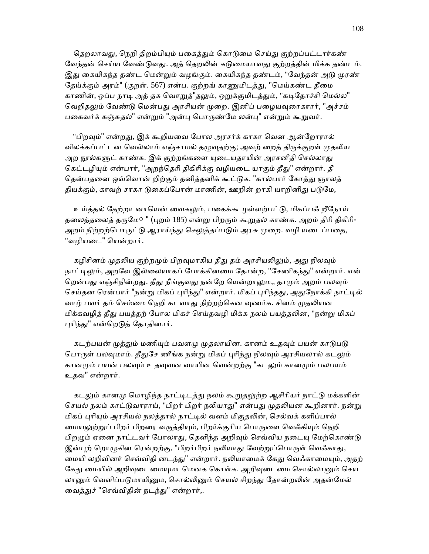தெறலாவது, நெறி திறம்பியும் பகைத்தும் கொடுமை செய்து குற்றப்பட்டார்கண் வேந்தன் செய்ய வேண்டுவது. அத் தெறலின் கடுமையாவது குற்றத்தின் மிக்க தண்டம். இது கையிகந்த தண்ட மென்றும் வழங்கும். கையிகந்த தண்டம், "வேந்தன் அடு முரண் தேய்க்கும் அரம்" (குறள். 567) என்ப. குற்றங் காணுமிடத்து, "மெய்கண்ட தீமை காணின், ஒப்ப நாடி அத் தக வொறுத்"தலும், ஒறுக்குமிடத்தும், "கடிதோச்சி மெல்ல" வெறிதலும் வேண்டு மென்பது அரசியன் முறை. இனிப் பழையவுரைகாரர், "அச்சம் பகைவர்க் கஞ்சுதல்" என்றும் "அன்பு பொருண்மே லன்பு" என்றும் கூறுவர்.

"பிறவும்" என்றது, இக் கூறியவை போல அரசர்க் காகா வென ஆன்றோரால் விலக்கப்பட்டன வெல்லாம் எஞ்சாமல் தழுவுதற்கு; அவற் றைத் திருக்குறள் முதலிய அற நூல்களுட் காண்க. இக் குற்றங்களை யுடையதாயின் அரசனீதி செல்லாது கெட்டழியும் என்பார், "அறந்தெரி திகிரிக்கு வழியடை யாகும் தீது" என்றார். தீ தென்பதனை ஒவ்வொன் றிற்கும் தனித்தனிக் கூட்டுக. "கால்பார் கோத்து ஞாலத் தியக்கும், காவற் சாகா டுகைப்போன் மாணின், ஊறின் றாகி யாறினிது படுமே,

உய்த்தல் தேற்றா னாயென் வைகலும், பகைக்கூ ழள்ளற்பட்டு, மிகப்பஃ றீநோய் தலைத்தலைத் தருமே் " (புறம் 185) என்று பிறரும் கூறுதல் காண்க. அறம் திரி திகிரி-அறம் நிற்றற்பொருட்டு ஆராய்ந்து செலுத்தப்படும் அரசு முறை. வழி யடைப்பதை, "வழியைட" ெயன்றார்.

கழிசினம் முதலிய குற்றமும் பிறவுமாகிய தீது தம் அரசியலிலும், அது நிலவும் நாட்டிலும், அறவே இல்லையாகப் போக்கினமை தோன்ற, "சேணிகந்து" என்றார். என் றென்பது எஞ்சிநின்றது. தீது நீங்குவது நன்றே யென்றாலும,, தாமும் அறம் பலவும் செய்தன ரென்பார் "நன்று மிகப் புரிந்து" என்றார். மிகப் புரிந்தது, அதுநோக்கி நாட்டில் வாழ் பவர் தம் செம்மை நெறி கடவாது நிற்றற்கென வுணர்க. சினம் முதலியன மிக்கவழித் தீது பயத்தற் போல மிகச் செய்தவழி மிக்க நலம் பயத்தலின, "நன்று மிகப் புரிந்து" என்றெடுத் தோதினார்.

கடற்பயன் முத்தும் மணியும் பவளமு முதலாயின. கானம் உதவும் பயன் காடுபடு பொருள் பலவுமாம். தீதுசே ணீங்க நன்று மிகப் புரிந்து நிலவும் அரசியலால் கடலும் கானமும் பயன் பலவும் உதவுவன வாயின வென்றற்கு "கடலும் கானமும் பலபயம் உதவ" என்றார்.

கடலும் கானமு மொழிந்த நாட்டிடத்து நலம் கூறுதலுற்ற ஆசிரியர் நாட்டு மக்களின் செயல் நலம் காட்டுவாராய், "பிறர் பிறர் நலியாது" என்பது முதலியன கூறினார். நன்று மிகப் புரியும் அரசியல் நலத்தால் நாட்டில் வளம் மிகுதலின், செல்வக் களிப்பால் மையலுற்றுப் பிறர் பிறரை வருத்தியும், பிறர்க்குரிய பொருளை வெஃகியும் நெறி பிறழும் ஏனை நாட்டவர் போலாது, தெளிந்த அறிவும் செவ்விய நடையு மேற்கொண்டு இன்புற் றொழுகின ரென்றற்கு, "பிறர்பிறர் நலியாது வேற்றுப்பொருள் வெஃகாது, மையி லறிவினர் செவ்விதி னடந்து" என்றார். நலியாமைக் கேது வெஃகாமையும், அதற் கேது மையில் அறிவுடைமையுமா மெனக கொள்க. அறிவுடைமை சொல்லானும் செய லானும் வெளிப்படுமாயினும, சொல்லினும் செயல் சிறந்து தோன்றலின் அதன்மேல் வைத்துச் "செவ்விதின் நடந்து" என்றார்,.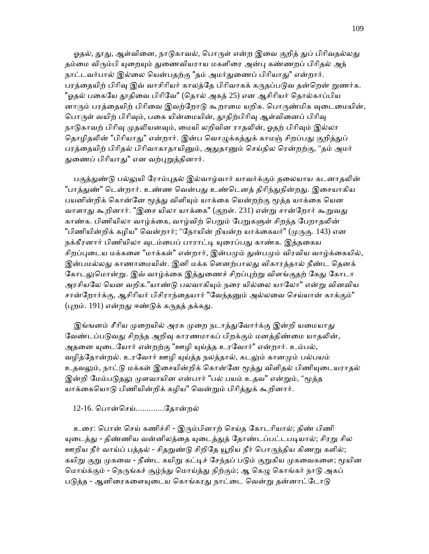ஓதல், தூது, ஆள்வினை, நாடுகாவல், பொருள் என்ற இவை குறித் துப் பிரிவதல்லது தம்மை விரும்பி யுறையும் துணைவியராய மகளிரை அன்பு கண்ணறப் பிரிதல் அந் நாட்டவர்பால் இல்லை யென்பதற்கு "தம் அமர்துணைப் பிரியாது" என்றார். பரத்தையிற் பிரிவு இவ் வாசிரியர் காலத்தே பிரிவாகக் கருதப்படுவ தன்றென் றுணர்க. "ஓதல் பகையே தூதிவை பிரிவே" (தொல் அகத் 25) என ஆசிரியர் தொல்காப்பிய னாரும் பரத்தையிற் பிரிவை இவற்றோடு கூறாமை யறிக. பொருண்மிக வுடைமையின், பொருள் வயிற் பிரிவும், பகை யின்மையின், தூதிற்பிரிவு ஆள்வினைப் பிரிவு நாடுகாவற் பிரிவு முதலியனவும், மையி லறிவின ராதலின், ஓதற் பிரிவும் இல்லா தொழிதலின் "பிரியாது" என்றார். இன்ப வொழுக்கத்துக் காமஞ் சிறப்பது குறித்துப் பரத்தையிற் பிரிதல் பிரிவாகாதாயினும், அதுதானும் செய்தில ரென்றற்கு, "தம் அமர் துணைப் பிரியாது" என வற்புறுத்தினார்.

பகுத்துண்டு பல்லுயி ரோம்புதல் இல்வாழ்வார் யாவர்க்கும் தலையாய கடனாதலின் "பாக்துண்" டென்றார். உண்ண வென்பது உண்டெனக் கிரிந்துநின்றது. இசையாகிய பயனின்றிக் கொன்னே மூத்து விளியும் யாக்கை யென்றற்கு மூத்த யாக்கை யென வாளாது கூறினார். "இசை யிலா யாக்கை" (குறள். 231) என்று சான்றோர் கூறுவது காண்க. பிணியிலா வாழ்க்கை, வாழ்விற் பெறும் பேறுகளுள் சிறந்த பேறாதலின் "பிணியின்றிக் கழிய" வென்றார்; "நோயின் றியன்ற யாக்கையர்" (முருகு. 143) என நக்கீரனார் பிணியிலா வுடம்பைப் பாராட்டி யுரைப்பது காண்க. இத்தகைய சிறப்புடைய மக்களை "மாக்கள்" என்றார், இன்பமும் துன்பமும் விரவிய வாழ்க்கையில், இன்பமல்லது காணாமையின். இனி மக்க ளெனற்பாலது விகாரத்தால் நீண்ட தெனக் கோடலுமொன்று. இவ் வாழ்க்கை இத்துணைச் சிறப்புற்று விளங்குதற் கேது கோடா அரசியலே யென வறிக."யாண்டு பலவாகியும் நரை யில்லை யாலோ" என்று வினவிய சான்றோர்க்கு, ஆசிரியர் பிசிராந்தையார் "வேந்தனும் அல்லவை செய்யான் காக்கும்"  $(\mu$ றம். 191) என்றது ஈண்டுக் கருதத் தக்கது.

இங்ஙனம் சீரிய முறையில் அரசு முறை நடாத்துவோர்க்கு இன்றி யமையாது வேண்டப்படுவது சிறந்த அறிவு காரணமாகப் பிறக்கும் மனத்திண்மை யாதலின், அதனை யுடையோர் என்றற்கு "ஊழி யுய்த்த உரவோர்" என்றார். உம்பல், வழித்தோன்றல். உரவோர் ஊழி யுய்த்த நலத்தால், கடலும் கானமும் பல்பயம் உதவலும், நாட்டு மக்கள் இசையின்றிக் கொன்னே மூத்து விளிதல் பிணியுடையராதல் இன்றி மேம்படுதலு முளவாயின என்பார் "பல் பயம் உதவ" என்றும், "மூத்த யாக்கையொடு பிணியின்றிக் கழிய" வென்றும் பிரித்துக் கூறினார்.

## 12-16. ெபான்ெசய்.............ேதான்றல்

உரை: பொன் செய் கணிச்சி - இரும்பினாற் செய்த கோடரியால்; திண் பிணி யுடைத்து - திண்ணிய வன்னிலத்தை யுடைத்துத் தோண்டப்பட்டபடியால்; சிரறு சில ஊறிய நீர் வாய்ப் பத்தல் - சிதறுண்டு சிறிதே யூறிய நீர் பொருந்திய கிணறு களில்; கயிறு குறு முகவை - நீண்ட கயிறு கட்டிச் சேந்தப் படும் குறுகிய முகவைகளை; மூயின மொய்க்கும் - நெருங்கச் சூழ்ந்து மொய்த்து நிற்கும்; ஆ கெழு கொங்கர் நாடு அகப் படுத்த - ஆனிரைகளையுடைய கொங்கரது நாட்டை வென்று தன்னாட்டோடு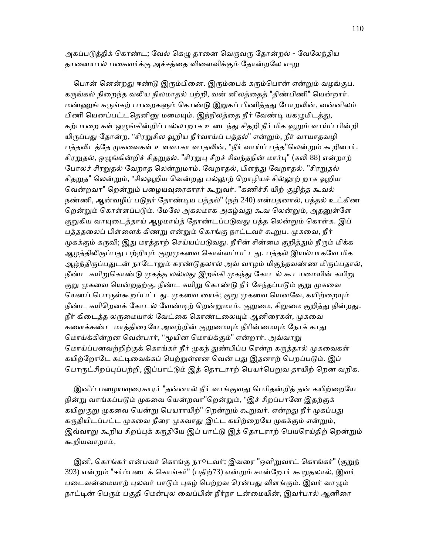அகப்படுத்திக் கொண்ட; வேல் கெழு தானை வெருவரு தோன்றல் - வேலேந்திய தானையால் பகைவர்க்கு அச்சத்தை விளைவிக்கும் தோன்றலே எ-று

பொன் னென்றது ஈண்டு இரும்பினை. இரும்பைக் கரும்பொன் என்றும் வழங்குப. கருங்கல் நிறைந்த வலிய நிலமாதல் பற்றி, வன் னிலத்தைத் "திண்பிணி" யென்றார். மண்ணுங் கருங்கற் பாறைகளும் கொண்டு இறுகப் பிணித்தது போறலின், வன்னிலம் பிணி யெனப்பட்டதெனினு மமையும். இந்நிலத்தை நீர் வேண்டி யகழுமிடத்து, கற்பாறை கள் ஒழுங்கின்றிப் பல்லாறாக உடைந்து சிதறி நீர் மிக வூறும் வாய்ப் பின்றி யிருப்பது தோன்ற, "சிரறுசில வூறிய நீர்வாய்ப் பத்தல்" என்றும், நீர் வாயாதவழி பத்தலிடத்தே முகவைகள் உளவாகா வாதலின், "நீர் வாய்ப் பத்த"லென்றும் கூறினார். சிரறுதல், ஒழுங்கின்றிச் சிதறுதல். "சிரறுபு சீறச் சிவந்தநின் மார்பு" (கலி 88) என்றாற் போலச் சிரறுதல் வேறாத லென்றுமாம். வேறாதல், பிளந்து வேறாதல். "சிரறுதல் சிதறுத" லென்றும், "சிலவூறிய வென்றது பல்லூற் றொழியச் சில்லூற் றாக வூறிய வென்றவா" றென்றும் பழையவுரைகாரர் கூறுவர். "கணிச்சி யிற் குழித்த கூவல் நண்ணி, ஆன்வழிப் படுநர் தோண்டிய பத்தல்" (நற் 240) என்பதனால், பத்தல் உட்கிண றென்றும் கொள்ளப்படும். மேலே அகலமாக அகழ்வது கூவ லென்றும், அதனுள்ளே குறுகிய வாயுடைத்தாய் ஆழமாய்த் தோண்டப்படுவது பத்த லென்றும் கொள்க. இப் பத்ததலைப் பிள்ளைக் கிணறு என்றும் கொங்கு நாட்டவர் கூறுப. முகவை, நீர் முகக்கும் கருவி; இது மரத்தாற் செய்யப்படுவது. நீரின் சின்மை குறித்தும் நீரும் மிக்க ஆழத்திலிருப்பது பற்றியும் குறுமுகவை கொள்ளப்பட்டது. பத்தல் இயல்பாகவே மிக ஆழ்ந்திருப்பதுடன் நாடோறும் சுரண்டுதலால் அவ் வாழம் மிகுந்தவண்ண மிருப்பதால், நீண்ட கயிறுகொண்டு முகத்த லல்லது இறங்கி முகந்து கோடல் கூடாமையின் கயிறு குறு முகவை யென்றதற்கு, நீண்ட கயிறு கொண்டு நீர் சேந்தப்படும் குறு முகவை யெனப் பொருள்கூறப்பட்டது. முகவை யைக்; குறு முகவை யெனவே, கயிற்றையும் நீண்ட கயிறெனக் கோடல் வேண்டிற் றென்றுமாம். குறுமை, சிறுமை குறித்து நின்றது. நீர் கிடைத்த லருமையால் வேட்கை கொண்டலையும் ஆனிரைகள், முகவை களைக்கண்ட மாத்திரையே அவற்றின் குறுமையும் நீரின்மையும் நோக் காது மொய்க்கின்றன வென்பார், "மூயின மொய்க்கும்" என்றார். அவ்வாறு மொய்ப்பனவற்றிற்குக் கொங்கர் நீர் முகந் துண்பிப்ப ரென்ற கருத்தால் முகவைகள் கயிற்றோடே கட்டிவைக்கப் பெற்றுள்ளன வென் பது இதனாற் பெறப்படும். இப் பொருட்சிறப்புப்பற்றி, இப்பாட்டும் இத் தொடராற் பெயர்பெறுவ தாயிற் றென வறிக.

இனிப் பழையவுரைகாரர் "தன்னால் நீர் வாங்குவது பெரிதன்றித் தன் கயிற்றையே நின்று வாங்கப்படும் முகவை யென்றவா"றென்றும், "இச் சிறப்பானே இதற்குக் கயிறுகுறு முகவை யென்று பெயராயிற்" றென்றும் கூறுவர். ஏன்றது நீர் முகப்பது கருதியிடப்பட்ட முகவை நீரை முகவாது இட்ட கயிற்றையே முகக்கும் என்றும், இவ்வாறு கூறிய சிறப்புக் கருதியே இப் பாட்டு இத் தொடராற் பெயரெய்திற் றென்றும் கூறியவாறாம்.

இனி, கொங்கர் என்பவர் கொங்கு நா்டவர்; இவரை "ஒளிறுவாட் கொங்கர்" (குறுந் 393) என்றும் "ஈர்ம்படைக் கொங்கர்" (பதிற்73) என்றும் சான்றோர் கூறுதலால், இவர் படைவன்மையாற் புலவர் பாடும் புகழ் பெற்றவ ரென்பது விளங்கும். இவர் வாழும் நாட்டின் பெரும் பகுதி மென்புல வைப்பின் நீர்நா டன்மையின், இவர்பால் ஆனிரை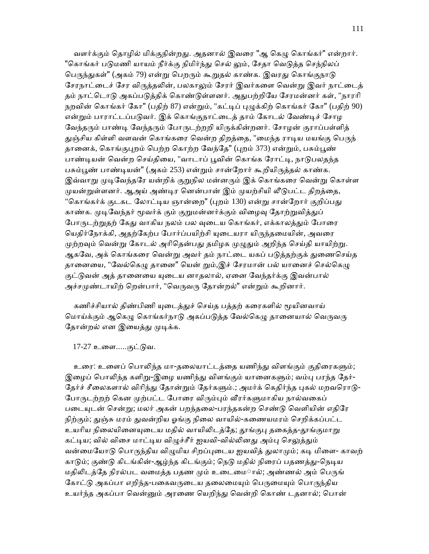வளர்க்கும் தொழில் மிக்குநின்றது. அதனால் இவரை "ஆ கெழு கொங்கர்" என்றார். "கொங்கர் படுமணி யாயம் நீர்க்கு நிமிர்ந்து செல் லும், சேதா வெடுத்த செந்நிலப் பெருந்துகள்" (அகம் 79) என்று பெறரும் கூறுதல் காண்க. இவரது கொங்குநாடு சேரநாட்டைச் சேர விருக்கலின், பலகாலும் சேரர் இவர்களை வென்று இவர் நாட்டைக் தம் நாட்டொடு அகப்படுத்திக் கொண்டுள்ளனர். அதுபற்றியே சேரமன்னர் கள், "நாரரி நறவின் கொங்கர் கோ" (பதிற் 87) என்றும், "கட்டிப் புழுக்கிற் கொங்கர் கோ" (பதிற் 90) என்றும் பாராட்டப்படுவர். இக் கொங்குநாட்டைத் தாம் கோடல் வேண்டிச் சோழ வேந்தரும் பாண்டி வேந்தரும் போருடற்றறி யிருக்கின்றனர். சோழன் குராப்பள்ளித் துஞ்சிய கிள்ளி வளவன் கொங்கரை வென்ற திறத்தை, "மைந்த ராடிய மயங்கு பெருந் தானைக், கொங்குபுறம் பெற்ற கொற்ற வேந்தே" (புறம் 373) என்றும், பசும்பூண் பாண்டியன் வென்ற செய்தியை, "வாடாப் பூவின் கொங்க ரோட்டி, நாடுபலதந்த பசும்பூண் பாண்டியன்" (அகம் 253) என்றும் சான்றோர் கூறியிருத்தல் காண்க. இவ்வாறு முடிவேந்தரே யன்றிக் குறுநில மன்னரும் இக் கொங்கரை வென்று கொள்ள முயன்றுள்ளனர். ஆஅய் அண்டிர னென்பான் இம் முயற்சியி லீடுபட்ட திறத்தை, "கொங்கர்க் குடகட லோட்டிய ஞான்றை" (புறம் 130) என்று சான்றோர் குறிப்பது காண்க. முடிவேந்தர் மூவர்க் கும் குறுமன்னர்க்கும் விழைவு தோற்றுவித்துப் போருடற்றுதற் கேது வாகிய நலம் பல வுடைய கொங்கர், எக்காலத்தும் போரை யெதிர்நோக்கி, அதற்கேற்ப போர்ப்பயிற்சி யுடையரா யிருந்தமையின், அவரை முற்றவும் வென்று கோடல் அரிதென்பது தமிழக முழுதும் அறிந்த செய்தி யாயிற்று. ஆகவே, அக் கொங்கரை வென்று அவர் தம் நாட்டை யகப் படுத்தற்குக் துணைசெய்த தானையை, "வேல்கெழு தானை" யென் றும்,இச் சேரமான் பல் யானைச் செல்கெழு குட்டுவன் அத் தானையை யுடைய னாதலால், ஏனை வேந்தர்க்கு இவன்பால் அச்சமுண்டாயிற் றென்பார், "வெருவரு தோன்றல்" என்றும் கூறினார்.

கணிச்சியால் திண்பிணி யுடைத்துச் செய்த பத்தற் கரைகளில் மூயினவாய் மொய்க்கும் ஆகெழு கொங்கர்நாடு அகப்படுத்த வேல்கெழு தானையால் வெருவரு தோன்றல் என இயைத்து முடிக்க.

17-27 உைள.....குட்ᾌவ.

உரை: உளைப் பொலிந்த மா-தலையாட்டத்தை யணிந்து விளங்கும் குதிரைகளும்; இழைப் பொலிந்த களிறு-இழை யணிந்து விளங்கும் யானைகளும்; வம்பு பரந்த தேர்-தேர்ச் சீலைகளால் விரிந்து தோன்றும் தேர்களும்.; அமர்க் கெதிர்ந்த புகல் மறவரொடு-போருடற்றற் கென முற்பட்ட போரை விரும்பும் வீரர்களுமாகிய நால்வகைப் படையுடன் சென்று; மலர் அகன் பறந்தலை-பரந்தகன்ற செண்டு வெளியின் எதிரே நிற்கும்; துஞ்சு மரம் துவன்றிய ஓங்கு நிலை வாயில்-கணையமரம் செறிக்கப்பட்ட உயரிய நிலையினையுடைய மதில் வாயிலிடத்தே; தூங்குபு தகைத்த-தூங்குமாறு கட்டிய; வில் விசை மாட்டிய விழுச்சீர் ஐயவி-வில்லினது அம்பு செலுத்தும் வன்மையோடு பொருந்திய விழுமிய சிறப்புடைய ஐயவித் துலாமும்; கடி மிளை- காவற் காடும்; குண்டு கிடங்கின்-ஆழ்ந்த கிடங்கும்; நெடு மதில் நிரைப் பதணத்து-நெடிய மதிலிடத்தே நிரல்பட வமைத்த பதண மும் உடைமைால்; அண்ணல் அம் பெருங் கோட்டு அகப்பா எறிந்த-பகைவருடைய தலைமையும் பெருமையும் பொருந்திய உயர்ந்த அகப்பா ெவன்ᾔம் அரைண ெயறிந்ᾐ ெவன்றி ெகாண் டதனால்; ெபான்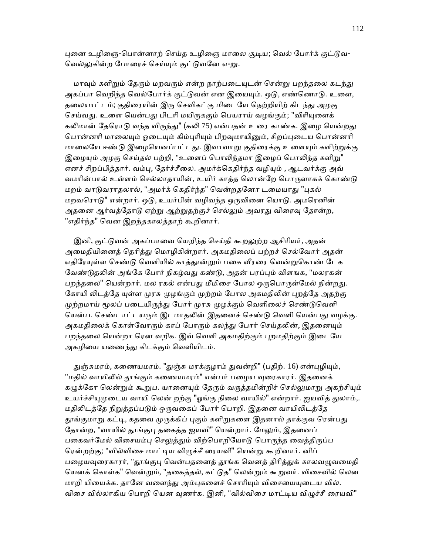புனை உழிஞை-பொன்னாற் செய்த உழிஞை மாலை சூடிய; வெல் போர்க் குட்டுவ-வெல்லுகின்ற போரைச் செய்யும் குட்டுவனே எ-று.

மாவும் களிறும் தேரும் மறவரும் என்ற நாற்படையுடன் சென்று பறந்தலை கடந்து அகப்பா வெறிந்த வெல்போர்க் குட்டுவன் என இயையும். ஒடு, எண்ணொடு. உளை, தலையாட்டம்; குதிரையின் இரு செவிகட்கு மிடையே நெற்றியிற் கிடந்து அழகு செய்வது. உளை யென்பது பிடரி மயிருககும் பெயராய் வழங்கும்; "விரியுளைக் கலிமான் தேரொடு வந்த விருந்து" (கலி 75) என்பதன் உரை காண்க. இழை யென்றது பொன்னரி மாலையும் ஓடையும் கிம்புரியும் பிறவுமாயினும், சிறப்புடைய பொன்னரி மாலையே ஈண்டு இமையெனப்பட்டது. இவாவாறு குகிரைக்கு உளையும் களிற்றுக்கு இழையும் அழகு செய்தல் பற்றி, "உளைப் பொலிந்தமா இழைப் பொலிந்த களிறு" எனச் சிறப்பித்தார். வம்பு, தேர்ச்சீலை. அமர்க்கெதிர்ந்த வழியும் , ஆடவர்க்கு அவ் வமரின்பால் உள்ளம் செல்லாதாயின், உயிர் காத்த லொன்றே பொருளாகக் கொண்டு மறம் வாடுவராதலால், "அமர்க் கெதிர்ந்த" வென்றதனோ டமையாது "புகல் மறவரொடு" என்றார். ஒடு, உயர்பின் வழிவந்த ஒருவினை யொடு. அமரெனின் அதனை ஆர்வத்தோடு ஏற்று ஆற்றுதற்குச் செல்லும் அவரது விரைவு தோன்ற, "எதிர்ந்த" வென இறந்தகாலத்தாற் கூறினார்.

இனி, குட்டுவன் அகப்பாவை யெறிந்த செய்தி கூறலுற்ற ஆசிரியர், அதன் அமைதியினைத் தெரித்து மொழிகின்றார். அகமதிலைப் பற்றச் செல்வோர் அதன் எதிரேயுள்ள செண்டு வெளியில் காத்தூன்றும் பகை வீரரை வென்றுகொண் டேக வேண்டுதலின் அங்கே போர் நிகழ்வது கண்டு, அதன் பரப்பும் விளஙக, "மலரகன் பறந்தலை" யென்றார். மல ரகல் என்பது மீமிசை போல ஒருபொருள்மேல் நின்றது. கோயி லிடத்தே யுள்ள முரசு முழங்கும் முற்றம் போல அகமதிலின் புறத்தே அதற்கு முற்றமாய் மூலப் படையிருந்து போர் முரசு முழக்கும் வெளிலைச் செண்டுவெளி யென்ப. செண்டாட்டயரும் இடமாதலின் இதனைச் செண்டு வெளி யென்பது வழக்கு. அகமதிலைக் கொள்வோரும் காப் போரும் கலந்து போர் செய்தலின், இதனையும் பறந்தலை யென்றா ரென வறிக. இவ் வெளி அகமதிற்கும் புறமதிற்கும் இடையே அகழியை யணைந்து கிடக்கும் வெளியிடம்.

துஞ்சுமரம், கணையமரம். "துஞ்சு மரக்குழாம் துவன்றி" (பதிற். 16) என்புழியும், "மதில் வாயிலில் தூங்கும் கணையமரம்" என்பர் பழைய வுரைகாரர். இதனைக் கழுக்கோ லென்றும் கூறுப. யானையும் தேரும் வருத்தமின்றிச் செல்லுமாறு அகற்சியும் உயர்ச்சியுமுடைய வாயி லென் றற்கு "ஓங்கு நிலை வாயில்" என்றார். ஐயவித் துலாம்,. மதிலிடத்தே நிறுத்தப்படும் ஒருவகைப் போர் பொறி. இதனை வாயிலிடத்தே தூங்குமாறு கட்டி, கதவை முருக்கிப் புகும் களிறுகளை இதனால் தாக்குவ ரென்பது தோன்ற, "வாயில் தூங்குபு தகைத்த ஐயவி" யென்றார். மேலும், இதனைப் பகைவர்மேல் விசையம்பு செலுத்தும் விற்பொறியோடு பொருந்த வைத்திருப்ப ெரன்றற்கு; "வில்விைச மாட்ᾊய விᾨச்சீ ைரயவி" ெயன்ᾠ கூறினார். னிப் பழையவுரைகாரர், "தூங்குபு வென்பதனைத் தூங்க வெனத் திரித்துக் காலவழுவமைதி ெயனக் ெகாள்க" ெவன்ᾠம், "தைகத்தல், கட்ᾌத" ெலன்ᾠம் கூᾠவர். விைசவில் ெலன மாறி யியைக்க. தானே வளைந்து அம்புகளைச் சொரியும் விசையையுடைய வில். விசை வில்லாகிய பொறி யென வுணர்க. இனி, "வில்விசை மாட்டிய விழுச்சீ ரையவி"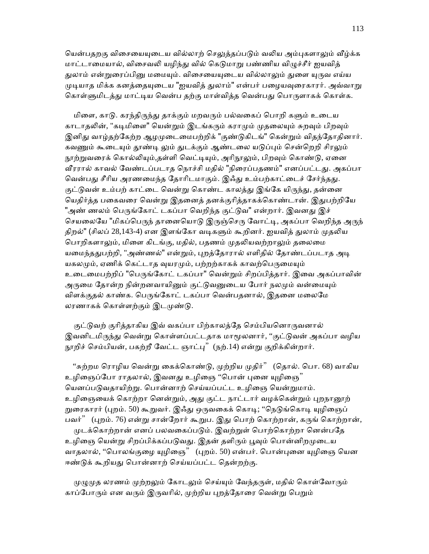யென்பதறகு விசையையுடைய வில்லாற் செலுத்தப்படும் வலிய அம்புகளாலும் வீழ்க்க மாட்டாமையால், விசைவலி யழிந்து வில் கெடுமாறு பண்ணிய விழுச்சீர் ஐயவித் துலாம் என்றுரைப்பினு மமையும். விசையையுடைய வில்லாலும் துளை யுருவ எய்ய முடியாத மிக்க கனத்தையுடைய "ஐயவித் துலாம்" என்பர் பழையவுரைகாரர். அவ்வாறு கொள்ளுமிடத்து மாட்டிய வென்ப தற்கு மாள்வித்த வென்பது பொருளாகக் கொள்க.

மிளை, காடு. கரந்திருந்து தாக்கும் மறவரும் பல்வகைப் பொறி களும் உடைய காடாதலின், "கடிமிளை" யென்றும் இடங்கரும் கராமும் முதலையும் சுறவும் பிறவும் இனிது வாழ்தற்கேற்ற ஆழமுடைமைபற்றிக் "குண்டுகிடங்" கென்றும் விதந்தோதினார். கவணும் கூடையும் தூண்டி லும் துடக்கும் ஆண்டலை யடுப்பும் சென்றெறி சிரலும் நூற்றுவரைக் கொல்லியும்,தள்ளி வெட்டியும், அரிநூலும், பிறவும் கொண்டு, ஏனை வீரரால் காவல் வேண்டப்படாத நொச்சி மதில் "நிரைப்பதணம்" எனப்பட்டது. அகப்பா வென்பது சீரிய அரணமைந்த தோரிடமாகும். இஃது உம்பற்காட்டைச் சேர்ந்தது. குட்டுவன் உம்பற் காட்டை வென்று கொண்ட காலத்து இங்கே யிருந்து, தன்னை யெதிர்த்த பகைவரை வென்று இதனைத் தனக்குரித்தாகக்கொண்டான். இதுபற்றியே "அண் ணலம் பெருங்கோட் டகப்பா வெறிந்த குட்டுவ" என்றார். இவனது இச் செயலையே "மிகப்பெருந் தானையொடு இருஞ்செரு வோட்டி, அகப்பா வெறிந்த அருந் திறல்" (சிலப் 28,143-4) என இளங்கோ வடிகளும் கூறினர். ஐயவித் துலாம் முதலிய பொறிகளாலும், மிளை கிடங்கு, மதில், பதணம் முதலியவற்றாலும் தலைமை யமைந்ததுபற்றி, "அண்ணல்" என்றும், புறத்தோரால் எளிதில் தோண்டப்படாத அடி யகலமும், ஏணிக் கெட்டாத வுயரமும், பற்றற்காகக் காவற்பெருமையும் உடைமைபற்றிப் "பெருங்கோட் டகப்பா" வென்றும் சிறப்பித்தார். இவை அகப்பாவின் அருமை தோன்ற நின்றனவாயினும் குட்டுவனுடைய போர் நலமும் வன்மையும் விளக்குதல் காண்க. பெருங்கோட் டகப்பா வென்பதனால், இதனை மலைமே லரணாகக் கொள்ளற்கும் இடமுண்டு.

குட்டுவற் குரித்தாகிய இவ் வகப்பா பிற்காலத்தே செம்பியனொருவனால் இவனிடமிருந்து வென்று கொள்ளப்பட்டதாக மாமூலனார், ''குட்டுவன் அகப்பா வழிய நூறிச் செம்பியன், பகற்றீ வேட்ட ஞாட்பு" (நற்.14) என்று குறிக்கின்றார்.

"சுற்றம ரொழிய வென்று கைக்கொண்டு, முற்றிய முதிர்" (தொல். பொ. 68) வாகிய உழிஞைப்போ ராதலால், இவனது உழிஞை ''பொன் புனை யுழிஞை'' யெனப்படுவதாயிற்று. பொன்னாற் செய்யப்பட்ட உழிஞை யென்றுமாம். உழிஞையைக் கொற்றா னென்றும், அது குட்ட நாட்டார் வழக்கென்றும் புறநானூற் றுரைகாரர் (புறம். 50) கூறுவர். இஃ்து ஒருவகைக் கொடி; "நெடுங்கொடி யுழிஞைப் பவர்" (புறம். 76) என்று சான்றோர் கூறுப. இது பொற் கொற்றான், கருங் கொற்றான், முடக்கொற்றான் எனப் பலவகைப்படும். இவற்றுள் பொற்கொற்றா னென்பதே உழிஞை யென்று சிறப்பிக்கப்படுவது. இதன் தளிரும் பூவும் பொன்னிறமுடைய வாதலால், ''பொலங்குழை யுழிஞை" (புறம். 50) என்பர். பொன்புனை யுழிஞை யென ஈண்டுக் கூறியது பொன்னாற் செய்யப்பட்ட தென்றற்கு.

முமுமுக லரணம் முற்றலும் கோடலும் செய்யும் வேந்தருள், மதில் கொள்வோரும் காப்போரும் என வரும் இருவரில், முற்றிய புறத்தோரை வென்று பெறும்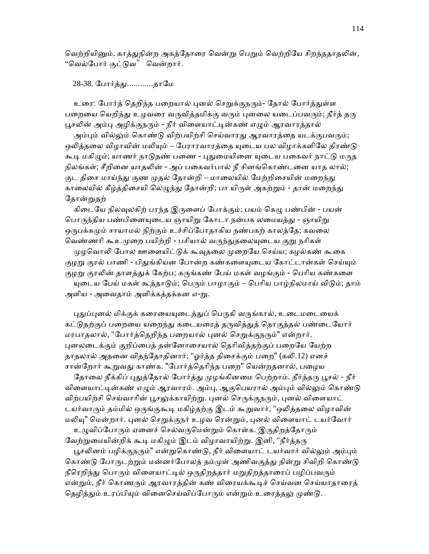வெற்றியினும், காத்துநின்ற அகத்தோரை வென்று பெறும் வெற்றியே சிறந்ததாதலின், "ெவல்ேபார் குட்ᾌவ" ெவன்றார்.

28-38. போர்த்து.............தாமே

உரை: போர்த் தெறிந்த பறையால் புனல் செறுக்குநரும்- தோல் போர்த்துள்ள பறையை யெறிந்து உழவரை வருவித்தமிக்கு வரும் புனலை யடைப்பவரும்; நீர்த் தரு பூசலின் அம்பு அழிக்குநரும் - நீர் விளையாட்டின்கண் எழும் ஆரவாரத்தால்

அம்பும் வில்லும் கொண்டு விற்பயிற்சி செய்வாரது ஆரவாரத்தை யடக்குபவரும்; ஒலித்தலை விழாவின் மலியும் – பேராரவாரத்தை யுடைய பல விழாக்களிலே திரண்டு கூடி மகிழும்; யாணர் நாடுதண் பணை - புதுமையினை யுடைய பகைவர் நாட்டு மருத நிலங்கள்; சீறினை யாதலின் - அப் பகைவர்பால் நீ சினங்கொண்டனை யாத லால்; குட திசை மாய்ந்து குண முதல் தோன்றி – மாலையில் மேற்றிசையின் மறைந்து காலையில் கீழ்த்திசையி லெழுந்து தோன்றி; பா யிருள் அகற்றும் - தான் மறைந்து தோன்றுதற்

கிடையே நிலவுலகிற் பரந்த இருளைப் போக்கும்; பயம் கெழு பண்பின் - பயன் பொருந்திய பண்பினையுடைய ஞாயிறு கோடா நன்பக லமையத்து - ஞாயிறு ஒருபக்கமும் சாயாமல் நிற்கும் உச்சிப்போதாகிய நண்பகற் காலத்தே; கவலை வெண்ணரி கூஉமுறை பயிற்றி - பசியால் வருந்துதலையுடைய குறு நரிகள்

முழவொலி போல ஊளையிட்டுக் கூவுதலை முறையே செய்ய; கழல்கண் கூகை குழறு குரல் பாணி - பிதுங்கியன போன்ற கண்களையுடைய கோட்டான்கள் செய்யும் குழறு குரலின் தாளத்துக் கேற்ப; கருங்கண் பேய் மகள் வழங்கும் - பெரிய கண்களை யுடைய பேய் மகள் கூத்தாடும்; பெரும் பாழாகும் – பெரிய பாழ்நிலமாய் விடும்; தாம் அளிய - அவைதாம் அளிக்கத்தக்கன எ-று.

புதுப்புனல் மிக்குக் கரையையுடைத்துப் பெருகி வருங்கால், உடைமடையைக் கட்டுதற்குப் பறையை யறைந்து கடையரைத் தருவித்துத் தொகுத்தல் பண்டையோர் மரபாதலால், "போர்த்தெறிந்த பறையால் புனல் செறுக்குநரும்" என்றார். புனலடைக்கும் குறிப்பைத் தன்னோசையால் தெரிவித்தற்குப் பறையே யேற்ற தாதலால் அதனை விதந்தோதினார்; "ஓர்த்த திசைக்கும் பறை" (கலி.12) எனச் சான்றோர் கூறுவது காண்க. "போர்த்தெரிந்த பறை" யென்றதனால், பழைய

தோலை நீக்கிப் புதுத்தோல் போர்த்து முழங்கினமை பெற்றாம். நீர்த்தரு பூசல் - நீர் விளையாட்டின்கண் எழும் ஆரவாரம். அம்பு, ஆகுபெயரால் அம்பும் வில்லும் கொண்டு விற்பயிற்சி செய்வாரின் பூசலுக்காயிற்று. புனல் செருக்குநரும், புனல் விளையாட் டயர்வாரும் தம்மில் ஒருங்குகூடி மகிழ்தற்கு இடம் கூறுவார், "ஒலித்தலை விழாவின் மலியு" மென்றார். புனல் செறுக்குநர் உழவ ரென்றும், புனல் விளையாட் டயர்வோர்

உழுவிப்போரும் ஏனைச் செல்வருமென்றும் கொள்க. இருதிறத்தோரும் வேற்றுமையின்றிக் கூடி மகிழும் இடம் விழாவாயிற்று. இனி, "நீர்த்தரு

பூசலினம் பழிக்குநரும்" என்றுகொண்டு, நீர் விளையாட் டயர்வார் வில்லும் அம்பும் கொண்டு போருடற்றும் மன்னர்போலத் தம்முள் அணிவகுத்து நின்று சிவிறி கொண்டு நீரெறிந்து பொரும் விளையாட்டில் ஒருதிறத்தார் மறுதிறத்தாரைப் பழிப்பவரும் என்றும், நீர் கொணரும் ஆரவாரத்தின் கண் விரையக்கூடிச் செய்வன செய்யாதாரைத் தெழித்தும் உரப்பியும் வினைசெய்விப்போரும் என்றும் உரைத்தலு முண்டு.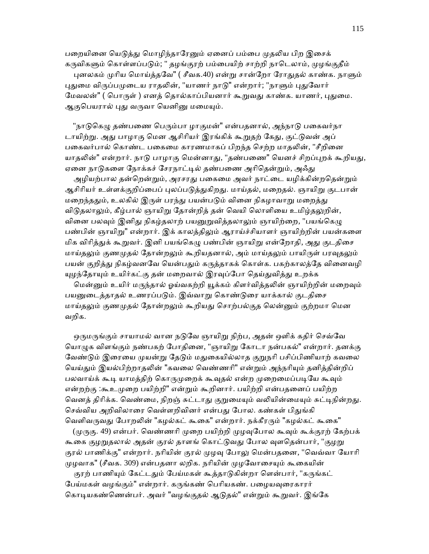பறையினை யெடுத்து மொழிந்தாரேனும் ஏனைப் பம்பை முதலிய பிற இசைக் கருவிகளும் கொள்ளப்படும்; " தழங்குரற் பம்பையிற் சாற்றி நாடெலாம், முழங்குதீம் புனலகம் முரிய மொய்த்தவே" ( சீவக.40) என்று சான்றோ ரோதுதல் காண்க. நாளும் புதுமை விருப்பமுடைய ராதலின், "யாணர் நாடு" என்றார்; "நாளும் புதுவோர் மேவலன்" ( பொருள் ) எனத் தொல்காப்பியனார் கூறுவது காண்க. யாணர், புதுமை. ஆகுபெயரால் புது வருவா யெனினு மமையும்.

"நாடுகெழு தண்பணை பெரும்பா ழாகுமன்" என்பதனால், அந்நாடு பகைவர்நா டாயிற்று. அது பாழாகு மென ஆசிரியர் இரங்கிக் கூறுதற் கேது, குட்டுவன் அப் பகைவர்பால் கொண்ட பகைமை காரணமாகப் பிறந்த செற்ற மாதலின், "சீறினை யாதலின்" என்றார். நாடு பாழாகு மென்னாது, "தண்பணை" யெனச் சிறப்புறக் கூறியது, ஏனை நாடுகளை நோக்கச் சேரநாட்டில் தண்பணை அரிதென்றும், அஃது

அழியற்பால தன்றென்றும், அரசரது பகைமை அவர் நாட்டை யழிக்கின்றதென்றும் ஆசிரியர் உள்ளக்குறிப்பைப் புலப்படுக்குகிறது. மாய்தல், மறைதல். ஞாயிறு குடபான் மறைந்ததும், உலகில் இருள் பரந்து பயன்படும் வினை நிகழாவாறு மறைத்து விடுதலாலும், கீழ்பால் ஞாயிறு தோன்றித் தன் வெயி லொளியை உமிழ்தலுறின், வினை பலவும் இனிது நிகழ்தலாற் பயனுறுவித்தலாலும் ஞாயிற்றை, "பயங்கெழு பண்பின் ஞாயிறு" என்றார். இக் காலத்திலும் ஆராய்ச்சியாளர் ஞாயிற்றின் பயன்களை மிக விரித்துக் கூறுவர். இனி பயங்கெழு பண்பின் ஞாயிறு என்றோதி, அது குடதிசை மாய்தலும் குணமுதல் தோன்றலும் கூறியதனால், அம் மாய்தலும் பாயிருள் பரவுதலும் பயன் குறிக்து நிகழ்வனவே யென்பதும் கருக்காகக் கொள்க. பகற்காலத்தே வினைவழி யுழந்தோயும் உயிர்கட்கு தன் மறைவால் இரவுப்போ தெய்துவித்து உறக்க

மென்னும் உயிர் மருந்தால் ஓய்வகற்றி யூக்கம் கிளர்வித்தலின் ஞாயிற்றின் மறைவும் பயனுடைத்தாதல் உணரப்படும். இவ்வாறு கொண்டுரை யாக்கால் குடதிசை மாய்தலும் குணமுதல் தோன்றலும் கூறியது சொற்பல்குத லென்னும் குற்றமா மென வறிக.

ஒருமருங்கும் சாயாமல் வான நடுவே ஞாயிறு நிற்ப, அதன் ஒளிக் கதிர் செவ்வே யொழுக விளங்கும் நண்பகற் போதினை, "ஞாயிறு கோடா நன்பகல்" என்றார். தனக்கு வேண்டும் இரையை முயன்று தேடும் மதுகையில்லாத குறுநரி பசிப்பிணியாற் கவலை யெய்தும் இயல்பிற்றாதலின் "கவலை வெண்ணரி" என்றும் அந்நரியும் தனித்தின்றிப் பலவாய்க் கூடி யாமத்திற் கொருமுறைக் கூவுதல் என்ற முறைமைப்படியே கூவும் என்றற்கு :கூஉமுறை பயிற்றி" என்றும் கூறினார். பயிற்றி என்பதனைப் பயிற்ற வெனத் திரிக்க. வெண்மை, நிறஞ் சுட்டாது குறுமையும் வலியின்மையும் சுட்டிநின்றது. செவ்விய அறிவிலாரை வெள்ளறிவினர் என்பது போல. கண்கள் பிதுங்கி வெளிவருவது போறலின் "கழல்கட் கூகை" என்றார். நக்கீரரும் "கழல்கட் கூகை"

(முருகு. 49) என்பர். வெண்ணரி முறை பயிற்றி முழவுபோல கூவும் கூக்குரற் கேற்பக் கூகை குழறுதலால் அதன் குரல் தாளங் கொட்டுவது போல வுளதென்பார், "குழறு குரல் பாணிக்கு" என்றார். நரியின் குரல் முழவு போலு மென்பதனை, "வெவ்வா யோரி முழவாக" (சீவக. 309) என்பதனா லறிக. நரியின் முழவோசையும் கூகையின்

குரற் பாணியும் கேட்டதும் பேய்மகள் கூத்தாடுகின்றா ளென்பார், "கருங்கட் பேய்மகள் வழங்கும்" என்றார். கருங்கண் பெரியகண். பழையவுரைகாரர் கொடியகண்ணென்பர். அவர் "வழங்குதல் ஆடுதல்" என்றும் கூறுவர். இங்கே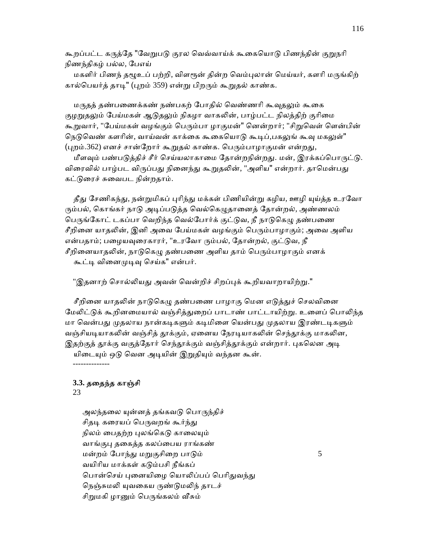கூறப்பட்ட கருத்தே "வேறுபடு குரல வெவ்வாய்க் கூகையொடு பிணந்தின் குறுநரி நிணந்திகழ் பல்ல, ேபஎய்

மகளிர் பிணந் தழூஉப் பற்றி, விளரூன் தின்ற வெம்புலான் மெய்யர், களரி மருங்கிற் கால்பெயர்த் தாடி" (புறம் 359) என்று பிறரும் கூறுதல் காண்க.

மருகக் கண்பணைக்கண் நண்பகற் போகில் வெண்ணரி கூவகலும் கூகை குழறுதலும் பேய்மகள் ஆடுதலும் நிகழா வாகலின், பாழ்பட்ட நிலத்திற் குரிமை கூறுவார், "பேய்மகள் வழங்கும் பெரும்பா ழாகுமன்" னென்றார்; "சிறுவெள் ளென்பின் நெடுவெண் களரின், வாய்வன் காக்கை கூகையொடு கூடிப்,பகலுங் கூவு மகலுள்" (புறம்.362) எனச் சான்றோர் கூறுதல் காண்க. பெரும்பாழாகுமன் என்றது,

மீளவும் பண்படுத்திச் சீர் செய்யலாகாமை தோன்றநின்றது. மன், இரக்கப்பொருட்டு. விரைவில் பாழ்பட விருப்பது நினைந்து கூறுதலின், "அளிய" என்றார். தாமென்பது கட்டுரைச் சுவைபட நின்றதாம்.

தீது சேணிகந்து, நன்றுமிகப் புரிந்து மக்கள் பிணியின்று கழிய, ஊழி யுய்த்த உரவோ ரும்பல், கொங்கர் நாடு அடிப்படுத்த வெல்கெழுதானைத் தோன்றல், அண்ணலம் பெருங்கோட் டகப்பா வெறிந்த வெல்போர்க் குட்டுவ, நீ நாடுகெழு தண்பணை சீறினை யாதலின், இனி அவை பேய்மகள் வழங்கும் பெரும்பாழாகும்; அவை அளிய என்பதாம்; பழையவுரைகாரர், "உரவோ ரும்பல், தோன்றல், குட்டுவ, நீ சீறினையாதலின், நாடுகெழு தண்பணை அளிய தாம் பெரும்பாழாகும் எனக் கூட்டி வினைமுடிவு செய்க" என்பர்.

"இதனாற் சொல்லியது அவன் வென்றிச் சிறப்புக் கூறியவாறாயிற்று."

சீறினை யாதலின் நாடுகெழு தண்பணை பாழாகு மென எடுத்துச் செலவினை மேலிட்டுக் கூறினமையால் வஞ்சித்துறைப் பாடாண் பாட்டாயிற்று. உளைப் பொலிந்த மா வென்பது முதலாய நான்கடிகளும் கடிமிளை யென்பது முதலாய இரண்டடிகளும் வஞ்சியடியாகலின் வஞ்சித் தூக்கும், ஏனைய நேரடியாகலின் செந்தூக்கு மாகலின, இதற்குத் தூக்கு வகுத்தோர் செந்தூக்கும் வஞ்சித்தூக்கும் என்றார். புகலென அடி யிடையும் ஒடு வென அடியின் இறுதியும் வந்தன கூன்.

--------------

# **3.3.** தைதந்த காஞ்சி

## 23

அலந்தலை யுன்னத் தங்கவடு பொருந்திச் சிதடி கரையப் பெருவறங் கூர்ந்து நிலம் பைதற்ற புலங்கெடு காலையும் வாங்குபு தகைத்த கலப்பைய ராங்கண்  $\omega$ ன்றம் போந்து மறுகுசிறை பாடும்  $5$  வயிாிய மாக்கள் கᾌம்பசி நீங்கப் பொன்செய் புனையிழை யொலிப்பப் பெரிதுவந்து நெஞ்சுமலி யுவகைய ருண்டுமலிந் தாடச் சிறுமகி ழானும் பெருங்கலம் வீசும்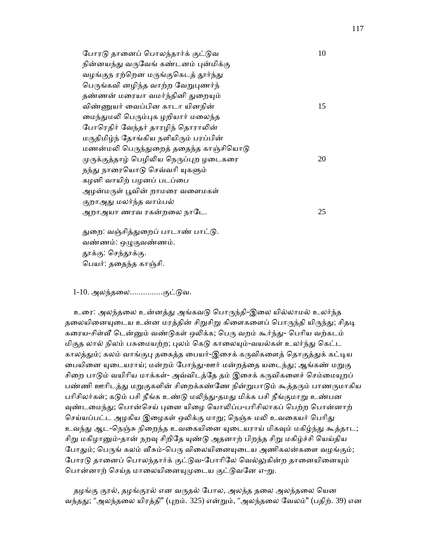| போரடு தானைப் பொலந்தார்க் குட்டுவ        | 10 |
|-----------------------------------------|----|
| நின்னயந்து வருவேங் கண்டனம் புன்மிக்கு   |    |
| வழங்குந ரற்றென மருங்குகெடத் தூர்ந்து    |    |
| பெருங்கவி னழிந்த வாற்ற வேறுபுணர்ந்      |    |
| தண்ணன் மரையா வமர்ந்தினி துறையும்        |    |
| விண்ணுயர் வைப்பின காடா யினநின்          | 15 |
| மைந்துமலி பெரும்புக ழறியார் மலைந்த      |    |
| போரெதிர் வேந்தர் தாரழிந் தொராலின்       |    |
| மருதிமிழ்ந் தோங்கிய நளியிரும் பரப்பின்  |    |
| மணன்மலி பெருந்துறைத் ததைந்த காஞ்சியொடு  |    |
| முருக்குத்தாழ் பெழிலிய நெருப்புற ழடைகரை | 20 |
| நந்து நாரையொடு செவ்வரி யுகளும்          |    |
| கழனி வாயிற் பழனப் படப்பை                |    |
| அழன்மருள் பூவின் றாமரை வளைமகள்          |    |
| குறாஅது மலர்ந்த வாம்பல்                 |    |
| அறாஅயா ணரவ ரகன்றலை நாடே.                | 25 |
|                                         |    |

துறை: வஞ்சித்துறைப் பாடாண் பாட்டு. வண்ணம்: ஒழுகுவண்ணம். தூக்கு: செந்தூக்கு. ெபயர்: தைதந்த காஞ்சி.

1-10. அலந்தலை...............குட்டுவ.

உரை: அலந்தலை உன்னத்து அங்கவடு பொருந்தி-இலை யில்லாமல் உலர்ந்த தலையினையுடைய உன்ன மரத்தின் சிறுசிறு கிளைகளைப் பொருந்தி யிருந்து; சிதடி கரைய-சிள்வீ டென்னும் வண்டுகள் ஒலிக்க; பெரு வறம் கூர்ந்து- பெரிய வற்கடம் மிகுத லால் நிலம் பசுமையற்ற; புலம் கெடு காலையும்-வயல்கள் உலர்ந்து கெட்ட காலத்தும்; கலம் வாங்குபு தகைத்த பையர்-இசைக் கருவிகளைத் தொகுத்துக் கட்டிய பையினை யுடையராய்; மன்றம் போந்து-ஊர் மன்றத்தை யடைந்து; ஆங்கண் மறுகு சிறை பாடும் வயிரிய மாக்கள்- அவ்விடத்தே தம் இசைக் கருவிகளைச் செம்மையுறப் பண்ணி ஊரிடத்து மறுகுகளின் சிறைக்கண்ணே நின்றுபாடும் கூத்தரும் பாணருமாகிய பரிசிலர்கள்; கடும் பசி நீங்க உண்டு மலிந்து-தமது மிக்க பசி நீங்குமாறு உண்பன வுண்டமைந்து; பொன்செய் புனை யிழை யொலிப்ப-பரிசிலாகப் பெற்ற பொன்னாற் செய்யப்பட்ட அழகிய இழைகள் ஒலிக்கு மாறு; நெஞ்சு மலி உவகையர் பெரிது உவந்து ஆட-நெஞ்சு நிறைந்த உவகையினை யுடையராய் மிகவும் மகிழ்ந்து கூத்தாட; சிறு மகிழானும்-தான் நறவு சிறிதே யுண்டு அதனாற் பிறந்த சிறு மகிழ்ச்சி யெய்திய போதும்; பெருங் கலம் வீசும்-பெரு விலையினையுடைய அணிகலன்களை வழங்கும்; போரடு தானைப் பொலந்தார்க் குட்டுவ-போரிலே வெல்லுகின்ற தானையினையும் பொன்னாற் செய்த மாலையினையுமுடைய குட்டுவனே எ-று.

தழங்கு குரல், தழங்குரல் என வருதல் போல, அலந்த தலை அலந்தலை யென வந்தது; "அலந்தலை யிரத்தி" (புறம். 325) என்றும், "அலந்தலை வேலம்" (பதிற். 39) என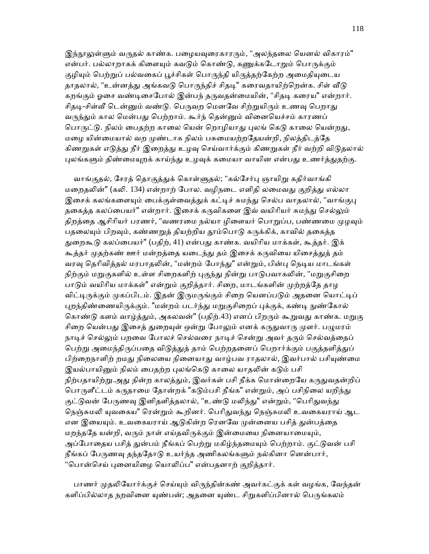இந்நூலுள்ளும் வருதல் காண்க. பழையவுரைகாரரும், "அலந்தலை யெனல் விகாரம்" என்பர். பல்லாறாகக் கிளையும் கவடும் கொண்டு, கணுக்கடோறும் பொருக்கும் குழியும் பெற்றுப் பல்வகைப் பூச்சிகள் பொருந்தி யிருத்தற்கேற்ற அமைதியுடைய தாதலால், "உன்னத்து அங்கவடு பொருந்திச் சிதடி" கரைவதாயிற்றென்க. சிள் வீடு கறங்கும் ஓசை வண்டிசைபோல் இன்பந் தருவதன்மையின், "சிதடி கரைய" என்றார். சிதடி-சிள்வீ டென்னும் வண்டு. பெருவற மெனவே சிற்றுயிரும் உணவு பெறாது வருந்தும் கால மென்பது பெற்றாம். கூர்ந் தென்னும் வினையெச்சம் காரணப் பொருட்டு. நிலம் பைதற்ற காலை யென் றொழியாது புலங் கெடு காலை யென்றது, மழை யின்மையால் வற முண்டாக நிலம் பசுமையற்றதேயன்றி, நிலத்திடத்தே கிணறுகள் எடுத்து நீர் இறைத்து உழவு செய்வார்க்கும் கிணறுகள் நீர் வற்றி விடுதலால் புலங்களும் திண்மையுறக் காய்ந்து உழவுக் கமையா வாயின என்பது உணர்த்துதற்கு.

வாங்குதல், சேரத் தொகுத்துக் கொள்ளுதல்; "கல்சேர்பு ஞாயிறு கதிர்வாங்கி மறைதலின்" (கலி. 134) என்றாற் போல. வழிநடை எளிதி லமைவது குறித்து எல்லா இசைக் கலங்களையும் பைக்குள்வைத்துக் கட்டிச் சுமந்து செல்ப வாதலால், "வாங்குபு தகைத்த கலப்பையர்" என்றார். இசைக் கருவிகளை இவ் வயிரியர் சுமந்து செல்லும் திறத்தை ஆசிரியர் பரணர், "வணரமை நல்யா ழிளையர் பொறுப்ப, பண்ணமை முழவும் பதலையும் பிறவும், கண்ணறுத் தியற்றிய தூம்பொடு சுருக்கிக், காவில் தகைத்த துறைகூடு கலப்பையர்" (பதிற், 41) என்பது காண்க. வயிரிய மாக்கள், கூத்தர். இக் கூத்தர் முதற்கண் ஊர் மன்றத்தை யடைந்து தம் இசைக் கருவியை யிசைத்துத் தம் வரவு தெரிவித்தல் மரபாதலின், "மன்றம் போந்து" என்றும், பின்பு நெடிய மாடங்கள் நிற்கும் மறுகுகளில் உள்ள சிறைகளிற் புகுந்து நின்று பாடுபவாகலின், "மறுகுசிறை பாடும் வயிரிய மாக்கள்" என்றும் குறித்தார். சிறை, மாடங்களின் முற்றத்தே தாழ விட்டிருக்கும் முகப்பிடம். இதன் இருமருங்கும் சிறை யெனப்படும் அதனை யொட்டிப் புறந்திண்ணையிருக்கும். "மன்றம் படர்ந்து மறுகுசிறைப் புக்குக், கண்டி நுண்கோல் கொண்டு களம் வாழ்த்தும், அகலவன்" (பதிற்.43) எனப் பிறரும் கூறுவது காண்க. மறுகு சிறை யென்பது இசைத் துறையுள் ஒன்று போலும் எனக் கருதுவாரு முளர். பழுமரம் நாடிச் செல்லும் பறவை போலச் செல்வரை நாடிச் சென்று அவர் தரும் செல்வத்தைப் பெற்று அமைந்திருப்பதை விடுத்துத் தாம் பெற்றதனைப் பெறார்க்கும் பகுத்தளித்துப் பிற்றைநாளிற் றமது நிலையை நினையாது வாழ்பவ ராதலால், இவர்பால் பசியுண்மை இயல்பாயினும் நிலம் பைதற்ற புலங்கெடு காலை யாதலின் கடும் பசி நிற்பதாயிற்று.அது நின்ற காலத்தும், இவர்கள் பசி நீக்க மொன்றையே கருதுவதன்றிப் பொருளீட்டம் கருதாமை தோன்றக் "கடும்பசி நீங்க" என்றும், அப் பசிநிலை யறிந்து குட்டுவன் பேருணவு இனிதளித்தலால், "உண்டு மலிந்து" என்றும், "பெரிதுவந்து நெஞ்சுமலி யுவகைய" ரென்றும் கூறினர். பெரிதுவந்து நெஞ்சுமலி உவகையராய் ஆட என இயையும். உவகையராய் ஆடுகின்ற ரெனவே முன்னைய பசித் துன்பத்தை மறந்ததே யன்றி, வரும் நாள் எய்தவிருக்கும் இன்மையை நினையாமையும், அப்போதைய பசித் துன்பம் நீங்கப் பெற்று மகிழ்ந்தமையும் பெற்றாம். குட்டுவன் பசி நீங்கப் பேருணவு தந்ததோடு உயர்ந்த அணிகலங்களும் நல்கினா னென்பார், "பொன்செய் புனையிழை யொலிப்ப" என்பதனாற் குறித்தார்.

பாணர் முதலியோர்க்குச் செய்யும் விருந்தின்கண் அவர்கட்குக் கள் வழங்க, வேந்தன் களிப்பில்லாத நறவினை யுண்பன்; அதனை யுண்ட சிறுகளிப்பினால் பெருங்கலம்

118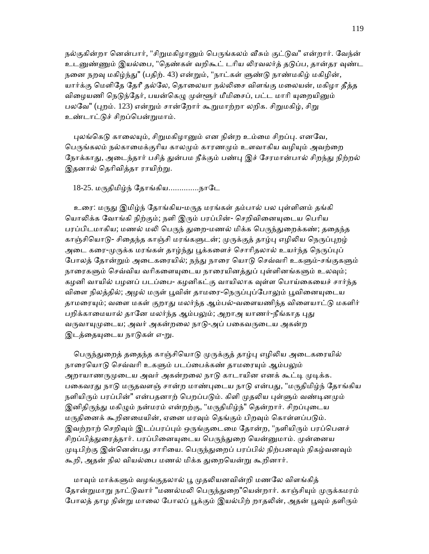நல்குகின்றா னென்பார், "சிறுமகிழானும் பெருங்கலம் வீசும் குட்டுவ" என்றார். வேந்ன் உடனுண்ணும் இயல்பை, "தெண்கள் வறிகூட் டரிய லிரவலர்த் தடுப்ப, தான்தர வுண்ட நனை நறவு மகிழ்ந்து" (பதிற். 43) என்றும், "நாட்கள் ளுண்டு நாண்மகிழ் மகிழின், யார்க்கு மெளிகே தேரீ தல்லே, தொலையா நல்லிசை விளங்கு மலையன், மகிழா தீத்த விழையணி நெடுந்தேர், பயன்கெழு முள்ளூர் மீமிசைப், பட்ட மாரி யுறையினும் பலவே" (புறம். 123) என்றும் சான்றோர் கூறுமாற்றா லறிக. சிறுமகிழ், சிறு உண்டாட்ᾌச் சிறப்ெபன்ᾠமாம்.

புலங்கெடு காலையும், சிறுமகிழானும் என நின்ற உம்மை சிறப்பு. எனவே, பெருங்கலம் நல்காமைக்குரிய காலமும் காரணமும் உளவாகிய வழியும் அவற்றை நோக்காது, அடைந்தார் பசித் துன்பம நீக்கும் பண்பு இச் சேரமான்பால் சிறந்து நிற்றல் இதனால் தெரிவித்தா ராயிற்று.

 $18$ -25. மருதிமிழ்ந் தோங்கிய...............நாடே

உரை: மருது இமிழ்ந் தோங்கிய-மருத மரங்கள் தம்பால் பல புள்ளினம் தங்கி யொலிக்க வோங்கி நிற்கும்; நளி இரும் பரப்பின்- செறிவினையுடைய பெரிய பரப்பிடமாகிய; மணல் மலி பெருந் துறை-மணல் மிக்க பெருந்துறைக்கண்; ததைந்த காஞ்சியொடு- சிகைந்த காஞ்சி மரங்களுடன்; முருக்குத் தாழ்பு எழிலிய நெருப்புறழ் அடை கரை-முருக்க மரங்கள் தாழ்ந்து பூக்களைச் சொரிதலால் உயர்ந்த நெருப்புப் போலத் தோன்றும் அடைகரையில்; நந்து நாரை யொடு செவ்வரி உகளும்-சங்குகளும் நாரைகளும் செவ்விய வரிகளையுடைய நாரையினத்துப் புள்ளினங்களும் உலவும்; கழனி வாயில் பழனப் படப்பை- கழனிகட்கு வாயிலாக வுள்ள பொய்கையைச் சார்ந்த விளை நிலத்தில்; அழல் மருள் பூவின் தாமரை-நெருப்புப்போலும் பூவினையுடைய தாமரையும்; வளை மகள் குறாது மலர்ந்த ஆம்பல்-வளையணிந்த விளையாட்டு மகளிர் பறிக்காமையால் தானே மலர்ந்த ஆம்பலும்; அறாஅ யாணர்-நீங்காத புது வருவாயுமுடைய; அவர் அகன்றலை நாடு-அப் பகைவருடைய அகன்ற இடத்தையுடைய நாடுகள் எ-று.

பெருந்துறைத் ததைந்த காஞ்சியொடு முருக்குத் தாழ்பு எழிலிய அடைகரையில் நாரையொடு செவ்வரி உகளும் படப்பைக்கண் தாமரையும் ஆம்பலும் அறாயாணருமுடைய அவர் அகன்றலை நாடு காடாயின எனக் கூட்டி முடிக்க. பகைவரது நாடு மருதவளஞ் சான்ற மாண்புடைய நாடு என்பது, "மருதிமிழ்ந் தோங்கிய நளியிரும் பரப்பின்" என்பதனாற் பெறப்படும். கிளி முதலிய புள்ளும் வண்டினமும் இனிதிருந்து மகிழும் நன்மரம் என்றற்கு, "மருதிமிழ்ந்" தென்றார். சிறப்புடைய மருதினைக் கூறினமையின், ஏனை மரவும் தெங்கும் பிறவும் கொள்ளப்படும். இவற்றாற் செறிவும் இடப்பரப்பும் ஒருங்குடைமை தோன்ற, "நளியிரும் பரப்பெனச் சிறப்பித்துரைத்தார். பரப்பினையுடைய பெருந்துறை யென்னுமாம். முன்னைய முடிபிற்கு இன்னென்பது சாரியை. பெருந்துறைப் பரப்பில் நிற்பனவும் நிகழ்வனவும் கூறி, அதன் நில வியல்பை மணல் மிக்க துறையென்று கூறினார்.

மாவும் மாக்களும் வழங்குதலால் பூ முதலியனவின்றி மணலே விளங்கித் தோன்றுமாறு நாட்டுவார் "மணல்மலி பெருந்துறை"யென்றார். காஞ்சியும் முருக்கமரம் போலத் தாழ நின்று மாலை போலப் பூக்கும் இயல்பிற் றாதலின், அதன் பூவும் தளிரும்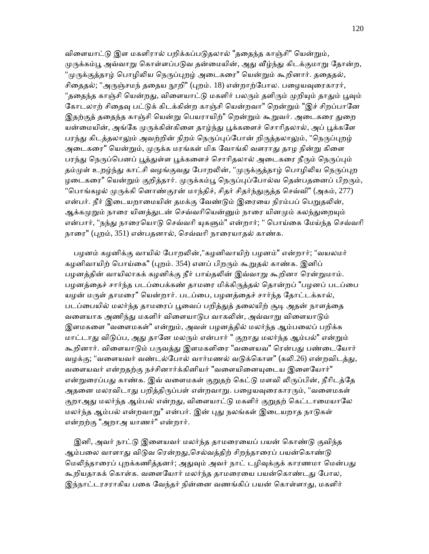விளையாட்டு இள மகளிரால் பறிக்கப்படுதலால் "ததைந்த காஞ்சி" யென்றும், முருக்கம்பூ அவ்வாறு கொள்ளப்படுவ தன்மையின், அது வீழ்ந்து கிடக்குமாறு தோன்ற, "முருக்குத்தாழ் பொழிலிய நெருப்புறழ் அடைகரை" யென்றும் கூறினார். ததைதல், சிதைதல்; "அருஞ்சமந் ததைய நூறி" (புறம். 18) என்றாற்போல. பழையவுரைகாரர், "ததைந்த காஞ்சி யென்றது, விளையாட்டு மகளிர் பலரும் தளிரும் முறியும் தாதும் பூவும் கோடலாற் சிதைவு பட்டுக் கிடக்கின்ற காஞ்சி யென்றவா" றென்றும் "இச் சிறப்பானே இதற்குத் ததைந்த காஞ்சி யென்று பெயராயிற்" றென்றும் கூறுவர். அடைகரை துறை யன்மையின், அங்கே முருக்கின்கிளை தாழ்ந்து பூக்களைச் சொரிதலால், அப் பூக்களே பரந்து கிடத்தலாலும் அவற்றின் நிறம் நெருப்புப்போன் றிருத்தலாலும், "நெருப்புறழ் அடைகரை" யென்றும், முருக்க மரங்கள் மிக வோங்கி வளராது தாழ நின்று கிளை பரந்து நெருப்பெனப் பூத்துள்ள பூக்களைச் சொரிதலால் அடைகரை நீரும் நெருப்பும் தம்முள் உறழ்ந்து காட்சி வழங்குவது போறலின், "முருக்குத்தாழ் பொழிலிய நெருப்புற ழடைகரை" யென்றும் குறித்தார். முருக்கம்பூ நெருப்புப்போல்வ தென்பதனைப் பிறரும், "பொங்கழல் முருக்கி னொண்குரன் மாந்திச், சிதர் சிதர்ந்துகுத்த செவ்வி" (அகம், 277) என்பர். நீர் இடையறாமையின் தமக்கு வேண்டும் இரையை நிரம்பப் பெறுதலின், ஆக்கமுறும் நாரை யினத்துடன் செவ்வரியென்னும் நாரை யினமும் கலந்துறையும் என்பார், "நந்து நாரையொடு செவ்வரி யுகளும்" என்றார்; " பொய்கை மேய்ந்த செவ்வரி நாரை" (புறம், 351) என்பதனால், செவ்வரி நாரையாதல் காண்க.

பழனம் கழனிக்கு வாயில் போறலின்,"கழனிவாயிற் பழனம்" என்றார்; "வயலமர் கழனிவாயிற் பொய்கை" (புறம். 354) எனப் பிறரும் கூறுதல் காண்க. இனிப் பழனத்தின் வாயிலாகக் கழனிக்கு நீர் பாய்தலின் இவ்வாறு கூறினா ரென்றுமாம். பழனத்தைச் சார்ந்த படப்பைக்கண் தாமரை மிக்கிருத்தல் தொன்றப் "பழனப் படப்பை யழன் மருள் தாமரை" யென்றார். படப்பை, பழனத்தைச் சார்ந்த தோட்டக்கால், படப்பையில் மலர்ந்த தாமரைப் பூவைப் பறித்துத் தலையிற் சூடி அதன் நாளத்தை வளையாக அணிந்து மகளிர் விளையாடுப வாகலின், அவ்வாறு விளையாடும் இளமகளை "வளைமகள்" என்றும், அவள் பழனத்தில் மலர்ந்த ஆம்பலைப் பறிக்க மாட்டாது விடுப்ப, அது தானே மலரும் என்பார் " குறாது மலர்ந்த ஆம்பல்" என்றும் கூறினார். விளையாடும் பருவத்து இளமகளிரை "வளையவ" ரென்பது பண்டையோர் வழக்கு; "வளையவர் வண்டல்போல் வார்மணல் வடுக்கொள" (கலி.26) என்றவிடத்து, வளையவர் என்றதற்கு நச்சினார்க்கினியர் "வளையினையுடைய இளையோர்" என்றுரைப்பது காண்க. இவ் வளைமகள் குறுதற் கெட்டு மளவி லிருப்பின், நீரிடத்தே அதனை மலரவிடாது பறித்திருப்பள் என்றவாறு. பழையவுரைகாரரும், "வளைமகள் குறாஅது மலர்ந்த ஆம்பல் என்றது, விளையாட்டு மகளிர் குறுதற் கெட்டாமையாலே மலர்ந்த ஆம்பல் என்றவாறு" என்பர். இன் புது நலங்கள் இடையறாத நாடுகள் என்றற்கு "அறாஅ யாணர்" என்றார்.

இனி, அவர் நாட்டு இளையவர் மலர்ந்த தாமரையைப் பயன் கொண்டு குவிந்த ஆம்பலை வாளாது விடுவ ரென்றது,செல்வத்திற் சிறந்தாரைப் பயன்கொண்டு மெலிந்தாரைப் புறக்கணித்தனர்; அதுவும் அவர் நாட் டழிவுக்குக் காரணமா மென்பது கூறியதாகக் கொள்க. வளையோர் மலர்ந்த தாமரையை பயன்கொண்டது போல, இந்நாட்டரசராகிய பகை வேந்தர் நின்னை வணங்கிப் பயன் கொள்ளாது, மகளிர்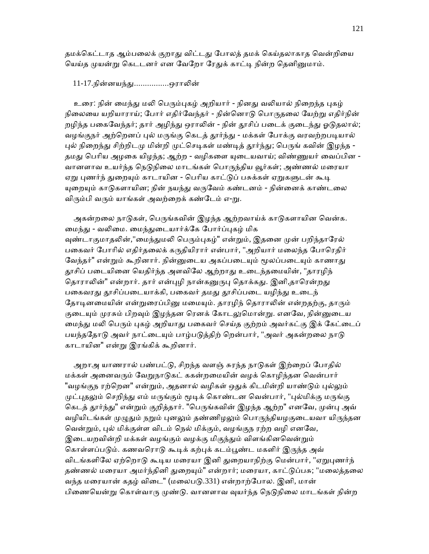தமக்கெட்டாத ஆம்பலைக் குறாது விட்டது போலத் தமக் கெய்தலாகாத வென்றியை யெய்த முயன்று கெடடனர் என வேறோ ரேதுக் காட்டி நின்ற தெனினுமாம்.

11-17.நின்னயந்ᾐ................ஒராᾢன்

உரை: நின் மைந்து மலி பெரும்புகழ் அறியார் - நினது வலியால் நிறைந்த புகழ் நிலையை யறியாராய்; போர் எதிர்வேந்தர் - நின்னொடு பொருதலை யேற்று எதிர்நின் றழிந்த பகைவேந்தர்; தார் அழிந்து ஒராலின் - நின் தூசிப் படைக் குடைந்து ஓடுதலால்; வழங்குநர் அற்றெனப் புல் மருங்கு கெடத் தூர்ந்து - மக்கள் போக்கு வரவற்றபடியால் புல் நிறைந்து சிற்றிடமு மின்றி முட்செடிகள் மண்டித் தூர்ந்து; பெருங் கவின் இழந்த -தமது பெரிய அழகை யிழந்த; ஆற்ற - வழிகளை யுடையவாய்; விண்ணுயர் வைப்பின -வானளாவ உயர்ந்த நெடுநிலை மாடங்கள் பொருந்திய வூர்கள்; அண்ணல் மரையா ஏறு புணர்ந் துறையும் காடாயின - பெரிய காட்டுப் பசுக்கள் ஏறுகளுடன் கூடி யுறையும் காடுகளாயின; நின் நயந்து வருவேம் கண்டனம் - நின்னைக் காண்டலை விரும்பி வரும் யாங்கள் அவற்றைக் கண்டேம் எ-று.

அகன்றலை நாடுகள், பெருங்கவின் இழந்த ஆற்றவாய்க் காடுகளாயின வென்க. மைந்து - வலிமை. மைந்துடையார்க்கே போர்ப்புகழ் மிக வுண்டாகுமாதலின்,"மைந்துமலி பெரும்புகழ்" என்றும், இதனை முன் பறிந்தாரேல் பகைவர் போரில் எதிர்தலைக் கருதியிரார் என்பார், "அறியார் மலைந்த போரெதிர் வேந்தர்" என்றும் கூறினார். நின்னுடைய அகப்படையும் மூலப்படையும் காணாது தூசிப் படையினை யெதிர்ந்த அளவிலே ஆற்றாது உடைந்தமையின், "தாரழிந் தொராலின்" என்றார். தார் என்புழி நான்கனுருபு தொக்கது. இனி,தாரென்றது பகைவரது தூசிப்படையாக்கி, பகைவர் தமது தூசிப்படை யழிந்து உடைந் தோடினமையின் என்றுரைப்பினு மமையும். தாரழிந் தொராலின் என்றதற்கு, தாரும் குடையும் முரசும் பிறவும் இழந்தன ரெனக் கோடலுமொன்று. எனவே, நின்னுடைய மைந்து மலி பெரும் புகழ் அறியாது பகைவர் செய்த குற்றம் அவர்கட்கு இக் கேட்டைப் பயந்ததோடு அவர் நாட்டையும் பாழ்படுத்திற் றென்பார், "அவர் அகன்றலை நாடு காடாயின" என்ᾠ இரங்கிக் கூறினார்.

அறாஅ யாணரால் பண்பட்டு, சிறந்த வளஞ் சுரந்த நாடுகள் இற்றைப் போதில் மக்கள் அனைவரும் வேறுநாடுகட் ககன்றமையின் வழக் கொழிந்தன வென்பார் "வழங்குந ரற்றென" என்றும், அதனால் வழிகள் ஒதுக் கிடமின்றி யாண்டும் புல்லும் முட்புதலும் செறிந்து எம் மருங்கும் மூடிக் கொண்டன வென்பார், "புல்மிக்கு மருங்கு கெடத் தூர்ந்து" என்றும் குறித்தார். "பெருங்கவின் இழந்த ஆற்ற" எனவே, முன்பு அவ் வழியிடங்கள் முழுதும் நறும் புனலும் தண்ணிழலும் பொருந்தியழகுடையவா யிருந்தன வென்றும், புல் மிக்குள்ள விடம் நெல் மிக்கும், வழங்குந ரற்ற வழி எனவே, இடையறவின்றி மக்கள் வழங்கும் வழக்கு மிகுந்தும் விளங்கினவென்றும் கொள்ளப்படும். கணவரொடு கூடிக் கற்புக் கடம்பூண்ட மகளிர் இருந்த அவ் விடங்களிலே ஏற்றொடு கூடிய மரையா இனி துறையாநிற்கு மென்பார், "ஏறுபுணர்ந் தண்ணல் மரையா அமர்ந்தினி துறையும்" என்றார்; மரையா, காட்டுப்பசு; "மலைத்தலை வந்த மரையான் கதழ் விடை" (மலைபடு.331) என்றாற்போல. இனி, மான் பிணையென்று கொள்வாரு முண்டு. வானளாவ வுயர்ந்த நெடுநிலை மாடங்கள் நின்ற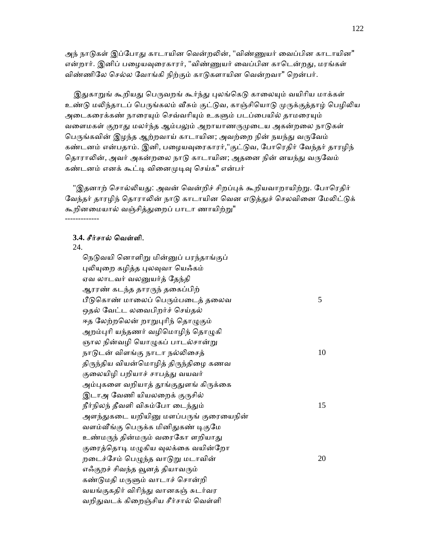அந் நாடுகள் இப்போது காடாயின வென்றலின், "விண்ணுயர் வைப்பின காடாயின" என்றார். இனிப் பழையவுரைகாரர், "விண்ணுயர் வைப்பின காடென்றது, மரங்கள் விண்ணிேல ெசல்ல ேவாங்கி நிற்கும் காᾌகளாயின ெவன்றவா" ெறன்பர்.

இதுகாறுங் கூறியது பெருவறங் கூர்ந்து புலங்கெடு காலையும் வயிரிய மாக்கள் உண்டு மலிந்தாடப் பெருங்கலம் வீசும் குட்டுவ, காஞ்சியொடு முருக்குத்தாழ் பெழிலிய அடைகரைக்கண் நாரையும் செவ்வரியும் உகளும் படப்பையில் தாமரையும் வளைமகள் குறாது மலர்ந்த ஆம்பலும் அறாயாணருமுடைய அகன்றலை நாடுகள் பெருங்கவின் இழந்த ஆற்றவாய் காடாயின; அவற்றை நின் நயந்து வருவேம் கண்டனம் என்பதாம். இனி, பழையவுரைகாரர்,"குட்டுவ, போரெதிர் வேந்தர் தாரழிந் தொராலின், அவர் அகன்றலை நாடு காடாயின; அதனை நின் னயந்து வருவேம் கண்டனம் எனக் கூட்டி வினைமுடிவு செய்க" என்பர்

"இதனாற் சொல்லியது: அவன் வென்றிச் சிறப்புக் கூறியவாறாயிற்று. போரெதிர் வேந்தர் தாரழிந் தொராலின் நாடு காடாயின வென எடுத்துச் செலவினை மேலிட்டுக் கூறினமையால் வஞ்சித்துறைப் பாடா ணாயிற்று"

### **3.4.** சீர்சால் ெவள்ளி.

### 24.

-------------

நெடுவயி னொளிறு மின்னுப் பரந்தாங்குப் புலியுறை கழித்த புலவுவா யெஃகம் ஏவ லாடவர் வலᾔயர்த் ேதந்தி ஆரரண் கடந்த தாரᾞந் தைகப்பிற் பீடுகொண் மாலைப் பெரும்படைத் தலைவ $5$  ஒதல் ேவட்ட லைவபிறர்ச் ெசய்தல் ஈத லேற்றலென் றாறுபுரிந் தொழுகும் அறம்புரி யந்தணர் வழிமொழிந் தொழுகி ஞால நின்வழி யொழுகப் பாடல்சான்று நாடுடன் விளங்கு நாடா நல்லிசைத்  $10$ திருந்திய வியன்மொழித் திருந்திழை கணவ குலையிழி பறியாச் சாபத்து வயவர் அம்புகளை வறியாத் தூங்குதுளங் கிருக்கை இடாஅ வேணி யியலறைக் குருசில்  $\hat{\mathsf{n}}$ ர்நிலந் தீவளி விசும்போ டைந்தும்  $15$ அளந்துகடை யறியினு மளப்பருங் குரையைநின் வளம்வீங்கு பெருக்க மினிதுகண் டிகுமே உண்மருந் தின்மரும் வரைகோ ளறியாது குரைத்தொடி மழுகிய வுலக்கை வயின்றோ றடைச்சேம் பெழுந்த வாடுறு மடாவின்  $20$ எஃகுறச் சிவந்த வூனத் தியாவரும் கண்டுமதி மருளும் வாடாச் சொன்றி வயங்குகதிர் விாிந்ᾐ வானகஞ் சுடர்வர வறிதுவடக் கிறைஞ்சிய சீர்சால் வெள்ளி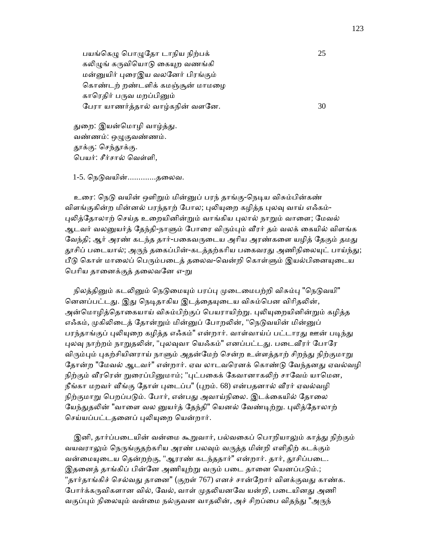பயங்கெழு பொழுதோ டாநிய நிற்பக்  $25$ கலிழுங் கருவியொடு கையுற வணங்கி மன்ᾔயிர் ᾗைரஇய வலேனர் பிரங்கும் கொண்டற் றண்டளிக் கமஞ்சூன் மாமழை காரெதிர் பருவ மறப்பினும் பேரா யாணர்த்தால் வாழ்கநின் வளனே.  $30$ 

துறை: இயன்மொழி வாழ்த்து. வண்ணம்: ஒழுகுவண்ணம். தூக்கு: செந்தூக்கு. ெபயர்: சீர்சால் ெவள்ளி,

1-5. நெடுவயின்...............தலைவ.

உரை: நெடு வயின் ஒளிறும் மின்னுப் பரந் தாங்கு-நெடிய விசும்பின்கண் விளங்குகின்ற மின்னல் பரந்தாற் போல; புலியுறை கழித்த புலவு வாய் எஃகம்-புலித்தோலாற் செய்த உறையினின்றும் வாங்கிய புலால் நாறும் வாளை; மேவல் ஆடவர் வலனுயர்த் தேந்தி-நாளும் போரை விரும்பும் வீரர் தம் வலக் கையில் விளங்க வேந்தி; ஆர் அரண் கடந்த தார்-பகைவருடைய அரிய அரண்களை யழித் கேகும் தமது தூசிப் படையால்; அருந் தகைப்பின்-கடத்தற்கரிய பகைவரது அணிநிலையுட் பாய்ந்து; பீடு கொள் மாலைப் பெரும்படைத் தலைவ-வென்றி கொள்ளும் இயல்பினையுடைய பெரிய தானைக்குத் தலைவனே எ-<u>ற</u>ு

நிலத்தினும் கடலினும் நெடுமையும் பரப்பு முடைமைபற்றி விசும்பு "நெடுவயி" னெனப்பட்டது. இது நெடிதாகிய இடத்தையுடைய விசும்பென விரிதலின், அன்மொழித்தொகையாய் விசும்பிற்குப் பெயராயிற்று. புலியுறையினின்றும் கழித்த எஃகம், முகிலிடைத் தோன்றும் மின்னுப் போறலின், "நெடுவயின் மின்னுப் பரந்தாங்குப் புலியுறை கழித்த எஃகம்" என்றார். வாள்வாய்ப் பட்டாரது ஊன் படிந்து புலவு நாற்றம் நாறுதலின், "புலவுவா யெஃகம்" எனப்பட்டது. படைவீரர் போரே விரும்பும் புகற்சியினராய் நாளும் அதன்மேற் சென்ற உள்ளத்தாற் சிறந்து நிற்குமாறு தோன்ற "மேவல் ஆடவர்" என்றார். ஏவ லாடவரெனக் கொண்டு வேந்தனது ஏவல்வழி நிற்கும் வீரரென் றுரைப்பினுமாம்; "புட்பகைக் கேவானாகலிற் சாவேம் யாமென, நீங்கா மறவர் வீங்கு தோள் புடைப்ப" (புறம். 68) என்பதனால் வீரர் ஏவல்வழி நிற்குமாறு பெறப்படும். போர், என்பது அவாய்நிலை. இடக்கையில் தோலை யேந்துதலின் "வாளை வல னுயர்த் தேந்தி" யெனல் வேண்டிற்று. புலித்தோலாற் செய்யப்பட்டதனைப் புலியுறை யென்றார்.

இனி, தார்ப்படையின் வன்மை கூறுவார், பல்வகைப் பொறியாலும் காத்து நிற்கும் வயவராலும் நெருங்குதற்கரிய அரண் பலவும் வருத்த மின்றி எளிதிற் கடக்கும் வன்மையுடைய தென்றற்கு, "ஆரரண் கடந்ததார்" என்றார். தார், தூசிப்படை. இதனைத் தாங்கிப் பின்னே அணியுற்று வரும் படை தானை யெனப்படும்.; "தார்தாங்கிச் செல்வது தானை" (குறள் 767) எனச் சான்றோர் விளக்குவது காண்க. போர்க்கருவிகளான வில், வேல், வாள் முதலியனவே யன்றி, படையினது அணி வகுப்பும் நிலையும் வன்மை நல்குவன வாதலின், அச் சிறப்பை விதந்து "அருந்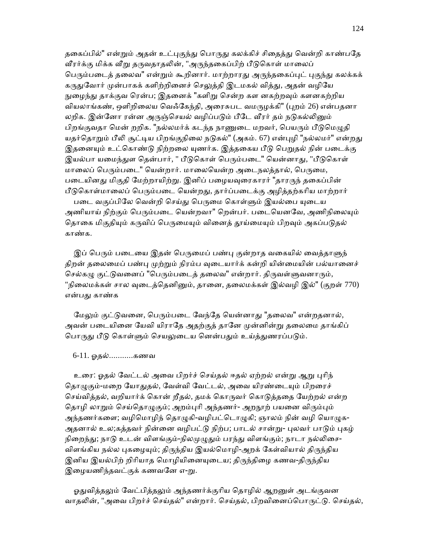தகைப்பில்" என்றும் அதன் உட்புகுந்து பொருது கலக்கிச் சிதைத்து வென்றி காண்பதே வீரர்க்கு மிக்க வீறு தருவதாதலின், "அருந்தகைப்பிற் பீடுகொள் மாலைப் பெரும்படைத் தலைவ" என்றும் கூறினார். மாற்றாரது அருந்தகைப்புட் புகுந்து கலக்கக் கருதுவோர் முன்பாகக் களிற்றினைச் செலுத்தி இடமகல் வித்து, அதன் வழியே நுழைந்து தாக்குவ ரென்ப; இதனைக் "களிறு சென்ற கள னகற்றவும் களனகற்றிய வியலாங்கண், ஒளிறிலைய வெஃகேந்தி, அரைசுபட வமருழக்கி" (புறம் 26) என்பதனா லறிக. இன்னோ ரன்ன அருஞ்செயல் வழிப்படும் பீடே வீரர் தம் நடுகல்லினும் பிறங்குவதா மென் றறிக. "நல்லமர்க் கடந்த நாணுடை மறவர், பெயரும் பீடுமெழுதி யதர்தொறும் பீலி சூட்டிய பிறங்குநிலை நடுகல்" (அகம். 67) என்புழி "நல்லமர்" என்றது இதனையும் உட்கொண்டு நிற்றலை யுணர்க. இத்தகைய பீடு பெறுதல் நின் படைக்கு இயல்பா யமைந்துள தென்பார், " பீடுகொள் பெரும்படை" யென்னாது, "பீடுகொள் மாலைப் பெரும்படை" யென்றார். மாலையென்ற அடைநலத்தால், பெருமை, படையினது மிகுதி மேற்றாயிற்று. இனிப் பழையவுரைகாரர் "தாரருந் தகைப்பின் பீடுகொள்மாலைப் பெரும்படை யென்றது, தார்ப்படைக்கு அழித்தற்கரிய மாற்றார் படை வகுப்பிலே வென்றி செய்து பெருமை கொள்ளும் இயல்பை யுடைய அணியாய் நிற்கும் பெரும்படை யென்றவா" றென்பர். படையெனவே, அணிநிலையும் தொகை மிகுதியும் கருவிப் பெருமையும் வினைத் தூய்மையும் பிறவும் அகப்படுதல்

காண்க.

இப் பெரும் படையை இதன் பெருமைப் பண்பு குன்றாத வகையில் வைத்தாளுந் திறன் தலைமைப் பண்பு முற்றும் நிரம்ப வுடையார்க் கன்றி யின்மையின் பல்யானைச் செல்கழு குட்டுவனைப் "பெரும்படைத் தலைவ" என்றார். திருவள்ளுவனாரும், "நிலைமக்கள் சால வுடைத்தெனினும், தானை, தலைமக்கள் இல்வழி இல்" (குறள் 770) என்பᾐ காண்க

மேலும் குட்டுவனை, பெரும்படை வேந்தே யென்னாது "தலைவ" என்றதனால், அவன் படையினை யேவி யிராதே அதற்குத் தானே முன்னின்று தலைமை தாங்கிப் பொருது பீடு கொள்ளும் செயலுடைய னென்பதும் உய்த்துணரப்படும்.

#### 6-11. ஓதல்...........கணவ

 உைர: ஓதல் ேவட்டல் அைவ பிறர்ச் ெசய்தல் ஈதல் ஏற்றல் என்ᾠ ஆᾠ ᾗாிந் தொழுகும்-மறை யோதுதல், வேள்வி வேட்டல், அவை யிரண்டையும் பிறரைச் செய்வித்தல், வறியார்க் கொன் றீதல், தமக் கொருவர் கொடுத்ததை யேற்றல் என்ற தொழி லாறும் செய்தொழுகும்; அறம்புரி அந்தணர்- அறநூற் பயனை விரும்பும் அந்தணர்களை; வழிமொழிந் தொழுகி-வழிபட்டொழுகி; ஞாலம் நின் வழி யொழுக-அதனால் உல;கத்தவர் நின்னை வழிபட்டு நிற்ப; பாடல் சான்று- புலவர் பாடும் புகழ் நிறைந்து; நாடு உடன் விளங்கும்-நிலமுழுதும் பரந்து விளங்கும்; நாடா நல்லிசை-விளங்கிய நல்ல புகழையும்; திருந்திய இயல்மொழி-அறக் கேள்வியால் திருந்திய இனிய இயல்பிற் றிரியாத மொழியினையுடைய; திருந்திழை கணவ-திருந்திய இழையணிந்தவட்குக் கணவனே எ-று.

ஓதுவித்தலும் வேட்பித்தலும் அந்தணர்க்குரிய தொழில் ஆறனுள் அடங்குவன வாதலின், "அவை பிறர்ச் செய்தல்" என்றார். செய்தல், பிறவினைப்பொருட்டு. செய்தல்,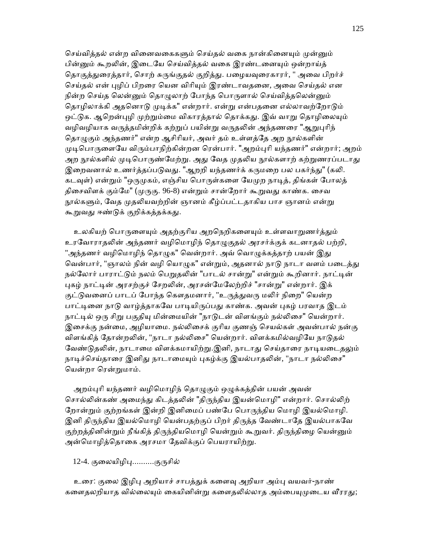செய்வித்தல் என்ற வினைவகைகளும் செய்தல் வகை நான்கினையும் முன்னும் பின்னும் கூறலின், இடையே செய்வித்தல் வகை இரண்டனையும் ஒன்றாய்த் தொகுத்துரைத்தார், சொற் சுருங்குதல் குறித்து. பழையவுரைகாரர், " அவை பிறர்ச் செய்தல் என் புழிப் பிறரை யென விரியும் இரண்டாவதனை, அவை செய்தல் என நின்ற செய்த லென்னும் தொழுலாற் போந்த பொருளால் செய்வித்தலென்னும் தொழிலாக்கி அதனொடு முடிக்க" என்றார். என்று என்பதனை எல்லாவற்றோடும் ஒட்டுக. ஆறென்புழி முற்றும்மை விகாரத்தால் தொக்கது. இவ் வாறு தொழிலையும் வழிவழியாக வருத்தமின்றிக் கற்றுப் பயின்று வருதலின் அந்தணரை "ஆறுபுரிந் தொழுகும் அந்தணர்" என்ற ஆசிரியர், அவர் தம் உள்ளத்தே அற நூல்களின் முடிபொருளையே விரும்பாநிற்கின்றன ரென்பார். "அறம்புரி யந்தணர்" என்றார்; அறம் அற நூல்களில் முடிபொருண்மேற்று. அது வேத முதலிய நூல்களாற் கற்றுணரப்படாது இறைவனால் உணர்த்தப்படுவது. "ஆறறி யந்தணர்க் கருமறை பல பகர்ந்து" (கலி. கடவுள்) என்றும் "ஒருமுகம், எஞ்சிய பொருள்களை யேமுற நாடித், திங்கள் போலத் திசைவிளக் கும்மே" (முருகு. 96-8) என்றும் சான்றோர் கூறுவது காண்க. சைவ நூல்களும், வேத முதலியவற்றின் ஞானம் கீழ்ப்பட்டதாகிய பாச ஞானம் என்று கூறுவது ஈண்டுக் குறிக்கத்தக்கது.

உலகியற் பொருளையும் அதற்குரிய அறநெறிகளையும் உள்ளவாறுணர்த்தும் உரவோராதலின் அந்தணர் வழிமொழிந் தொழுகுதல் அரசர்க்குக் கடனாதல் பற்றி, "அந்தணர் வழிமொழிந் தொழுக" வென்றார். அவ் வொழுக்கத்தாற் பயன் இது வென்பார், "ஞாலம் நின் வழி யொழுக" என்றும், அதனால் நாடு நாடா வளம் படைத்து நல்லோர் பாராட்டும் நலம் பெறுதலின் "பாடல் சான்று" என்றும் கூறினார். நாட்டின் புகழ் நாட்டின் அரசற்குச் சேறலின், அரசன்மேலேற்றிச் "சான்று" என்றார். இக் குட்டுவனைப் பாடப் போந்த கௌதமனார், "உருத்துவரு மலிர் நிறை" யென்ற பாட்டினை நாடு வாழ்த்தாகவே பாடியிருப்பது காண்க. அவன் புகழ் பரவாத இடம் நாட்டில் ஒரு சிறு பகுதியு மின்மையின் "நாடுடன் விளங்கும் நல்லிசை" யென்றார். இசைக்கு நன்மை, அழியாமை. நல்லிசைக் குரிய குணஞ் செயல்கள் அவன்பால் நன்கு விளங்கித் தோன்றலின், "நாடா நல்லிசை" யென்றார். விளக்கமில்வழியே நாடுதல் வேண்டுதலின், நாடாமை விளக்கமாயிற்று.இனி, நாடாது செய்தாரை நாடியடைதலும் நாடிச்செய்தாரை இனிது நாடாமையும் புகழ்க்கு இயல்பாதலின், "நாடா நல்லிசை" ெயன்றா ெரன்ᾠமாம்.

அறம்புரி யந்தணர் வழிமொழிந் தொழுகும் ஒழுக்கத்தின் பயன் அவன் சொல்லின்கண் அமைந்து கிடத்தலின் "திருந்திய இயன்மொழி" என்றார். சொல்லிற் நோன்றும் குற்றங்கள் இன்றி இனிமைப் பண்பே பொருந்திய மொழி இயல்மொழி. இனி திருந்திய இயல்மொழி யென்பதற்குப் பிறர் திருத்த வேண்டாதே இயல்பாகவே குற்றத்தினின்றும் நீங்கித் திருந்தியமொழி யென்றும் கூறுவர். திருந்திழை யென்னும் அன்மொழித்தொகை அரசமா தேவிக்குப் பெயராயிற்று.

## 12-4. குலையிழிபு..........குருசில்

உரை: குலை இழிபு அறியாச் சாபத்துக் களைவு அறியா அம்பு வயவர்-நாண் களைதலறியாத வில்லையும் கையினின்று களைதலில்லாத அம்பையுமுடைய வீரரது;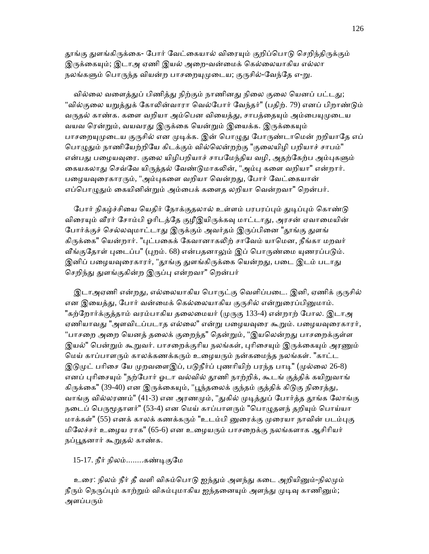தூங்கு துளங்கிருக்கை- போர் வேட்கையால் விரையும் குறிப்பொடு செறிந்திருக்கும் இருக்கையும்; இடாஅ ஏணி இயல் அறை-வன்மைக் கெல்லையாகிய எல்லா நலங்களும் பொருந்த வியன்ற பாசறையுமுடைய; குருசில்-வேந்தே எ-று.

வில்லை வளைத்துப் பிணித்து நிற்கும் நாணினது நிலை குலை யெனப் பட்டது; "வில்குலை யறுத்துக் கோலின்வாரா வெல்போர் வேந்தர்" (பதிற். 79) எனப் பிறாண்டும் வருதல் காண்க. களை வறியா அம்பென வியைத்து, சாபத்தையும் அம்பையுமுடைய வயவ ரென்றும், வயவரது இருக்கை யென்றும் இயைக்க. இருக்கையும் பாசறையுமுடைய குருசில் என முடிக்க. இன் பொழுது போருண்டாமென் றறியாதே எப் பொழுதும் நாணியேற்றியே கிடக்கும் வில்லென்றற்கு "குலையிழி பறியாச் சாபம்" என்பது பழையவுரை. குலை யிழிபறியாச் சாபமேந்திய வழி, அதற்கேற்ப அம்புகளும் கையகலாது செவ்வே யிருத்தல் வேண்டுமாகலின், "அம்பு களை வறியா" என்றார். பழையவுரைகாரரும், "அம்புகளை வறியா வென்றது, போர் வேட்கையான் எப்பொழுதும் கையினின்றும் அம்பைக் களைத லறியா வென்றவா" றென்பர்.

போர் நிகழ்ச்சியை யெதிர் நோக்குதலால் உள்ளம் பரபரப்பும் துடிப்பும் கொண்டு விரையும் வீரர் சோம்பி ஓரிடத்தே குழீஇயிருக்கவு மாட்டாது, அரசன் ஏவாமையின் போர்க்குச் செல்லவுமாட்டாது இருக்கும் அவர்தம் இருப்பினை "தூங்கு துளங் கிருக்கை" யென்றார். "புட்பகைக் கேவானாகலிற் சாவேம் யாமென, நீங்கா மறவர் வீங்குதோள் புடைப்ப" (புறம். 68) என்பதனாலும் இப் பொருண்மை யுணரப்படும். இனிப் பழையவுரைகாரர், "தூங்கு துளங்கிருக்கை யென்றது, படை இடம் படாது செறிந்து துளங்குகின்ற இருப்பு என்றவா" றென்பர்

இடாஅஏணி என்றது, எல்லையாகிய பொருட்கு வெளிப்படை. இனி, ஏணிக் குருசில் என இயைத்து, போர் வன்மைக் கெல்லையாகிய குருசில் என்றுரைப்பினுமாம். "கற்றோர்க்குத்தாம் வரம்பாகிய தலைமையர் (முருகு 133-4) என்றாற் போல. இடாஅ ஏணியாவது "அளவிடப்படாத எல்லை" என்று பழையவுரை கூறும். பழையவுரைகாரர், "பாசறை அறை யெனத் தலைக் குறைந்த" தென்றும், "இயலென்றது பாசறைக்குள்ள இயல்" பென்றும் கூறுவர். பாசறைக்குரிய நலங்கள், புரிசையும் இருக்கையும் அரணும் மெய் காப்பாளரும் காலக்கணக்கரும் உழையரும் நன்கமைந்த நலங்கள். "காட்ட இடுமுட் பரிசை யே முறவளைஇப், படுநீர்ப் புணரியிற் பரந்த பாடி" (முல்லை 26-8) எனப் புரிசையும் "நற்போர் ஓடா வல்வில் தூணி நாற்றிக், கூடங் குத்திக் கயிறுவாங் கிருக்கை" (39-40) என இருக்கையும், "பூந்தலைக் குந்தம் குத்திக் கிடுகு நிரைத்து, வாங்கு வில்லரணம்" (41-3) என அரணமும், "துகில் முடித்துப் போர்த்த தூங்க லோங்கு நடைப் பெருமூதாளர்" (53-4) என மெய் காப்பாளரும் "பொழுதளந் தறியும் பொய்யா மாக்கள்" (55) எனக் காலக் கணக்கரும் "உடம்பி னுரைக்கு முரையா நாவின் படம்புகு மிேலச்சர் உைழய ராக" (65-6) என உைழயᾞம் பாசைறக்கு நலங்களாக ஆசிாியர் நப்பூதனார் கூறுதல் காண்க.

15-17. நீர் நிலம்........கண்ᾊகுேம

உரை: நிலம் நீர் தீ வளி விசும்பொடு ஐந்தும் அளந்து கடை அறியினும்-நிலமும் நீரும் நெருப்பும் காற்றும் விசும்புமாகிய ஐந்தனையும் அளந்து முடிவு காணினும்; அளப்பரும்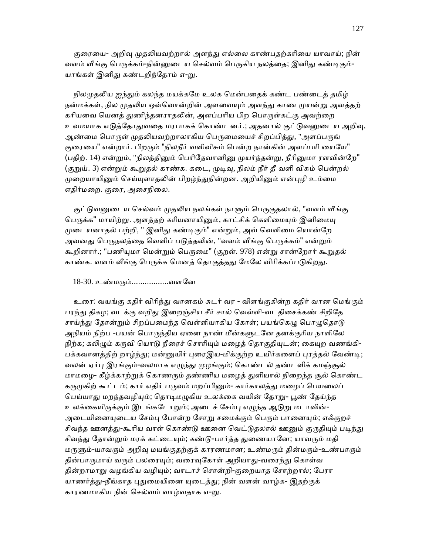குரையை- அறிவு முதலியவற்றால் அளந்து எல்லை காண்பதற்கரியை யாவாய்; நின் வளம் வீங்கு பெருக்கம்-நின்னுடைய செல்வம் பெருகிய நலத்தை; இனிது கண்டிகும்-யாங்கள் இனிது கண்டறிந்தோம் எ-று.

நிலமுதலிய ஐந்தும் கலந்த மயக்கமே உலக மென்பதைக் கண்ட பண்டைத் தமிழ் நன்மக்கள், நில முதலிய ஒவ்வொன்றின் அளவையும் அளந்து காண முயன்று அளத்தற் கரியவை யெனத் துணிந்தனராதலின், அளப்பரிய பிற பொருள்கட்கு அவற்றை உவமயாக எடுத்தோதுவதை மரபாகக் கொண்டனர்.; அதனால் குட்டுவனுடைய அறிவு, ஆண்மை பொருள் முதலியவற்றாலாகிய பெருமையைச் சிறப்பித்து, "அளப்பருங் குரையை" என்றார். பிறரும் "நிலநீர் வளிவிசும் பென்ற நான்கின் அளப்பரி யையே" (பதிற். 14) என்றும், "நிலத்தினும் பெரிதேவானினு முயர்ந்தன்று, நீரினுமா ரளவின்றே" (குறுய். 3) என்றும் கூறுதல் காண்க. கடை, முடிவு, நிலம் நீர் தீ வளி விசும் பென்றல் முறையாயினும் செய்யுளாதலின் பிறழ்ந்துநின்றன. அறியினும் என்புழி உம்மை எதிர்மைற. குைர, அைசநிைல.

குட்டுவனுடைய செல்வம் முதலிய நலங்கள் நாளும் பெருகுதலால், "வளம் வீங்கு பெருக்க" மாயிற்று. அளத்தற் கரியனாயினும், காட்சிக் கெளிமையும் இனிமைய முடையனாதல் பற்றி, " இனிது கண்டிகும்" என்றும், அவ் வெளிமை யொன்றே அவனது பெருநலத்தை வெளிப் படுத்தலின், "வளம் வீங்கு பெருக்கம்" என்றும் கூறினார்.; "பணியுமா மென்றும் பெருமை" (குறள். 978) என்று சான்றோர் கூறுதல் காண்க. வளம் வீங்கு பெருக்க மெனத் தொகுத்தது மேலே விரிக்கப்படுகிறது.

## 18-30. உண்மᾞம்.................வளேன

 உைர: வயங்கு கதிர் விாிந்ᾐ வானகம் சுடர் வர - விளங்குகின்ற கதிர் வான ெமங்கும் பரந்து திகழ; வடக்கு வறிது இறைஞ்சிய சீர் சால் வெள்ளி-வடதிசைக்கண் சிறிதே சாய்ந்து தோன்றும் சிறப்பமைந்த வெள்ளியாகிய கோள்; பயங்கெழு பொழுதொடு அநியம் நிற்ப -பயன் பொருந்திய ஏனை நாண் மீன்களுடனே தனக்குரிய நாளிலே நிற்க; கலிழும் கருவி யொடு நீரைச் சொரியும் மழைத் தொகுதியுடன்; கையுற வணங்கி-பக்கவானத்திற் றாழ்ந்து; மன்னுயிர் புரைஇய-மிக்குற்ற உயிர்களைப் புரத்தல் வேண்டி; வலன் ஏர்பு இரங்கும்-வலமாக எழுந்து முழங்கும்; கொண்டல் தண்டளிக் கமஞ்சூல் மாமழை- கீழ்க்காற்றுக் கொணரும் தண்ணிய மழைத் துளியால் நிறைந்த சூல் கொண்ட கருமுகிற் கூட்டம்; கார் எதிர் பருவம் மறப்பினும்- கார்காலத்து மழைப் பெயலைப் பெய்யாது மறந்தவழியும்; தொடிமழுகிய உலக்கை வயின் தோறு- பூண் தேய்ந்த உலக்கையிருக்கும் இடங்கடோறும்; அடைச் சேம்பு எழுந்த ஆடுறு மடாவின்-அடையினையுடைய சேம்பு போன்ற சோறு சமைக்கும் பெரும் பானையும்; எஃகுறச் சிவந்த ஊனத்து-கூரிய வாள் கொண்டு ஊனை வெட்டுதலால் ஊனும் குருதியும் படிந்து சிவந்து தோன்றும் மரக் கட்டையும்; கண்டு-பார்த்த துணையானே; யாவரும் மதி மருளும்-யாவரும் அறிவு மயங்குதற்குக் காரணமான; உண்மரும் தின்மரும்-உண்பாரும் தின்பாருமாய் வரும் பலரையும்; வரைவுகோள் அறியாது-வரைந்து கொள்வ தின்றாமாறு வழங்கிய வழியும்; வாடாச் சொன்றி-குறையாத சோற்றால்; பேரா யாணர்த்து-நீங்காத புதுமையினை யுடைத்து; நின் வளன் வாழ்க- இதற்குக் காரணமாகிய நின் செல்வம் வாழ்வதாக எ-று.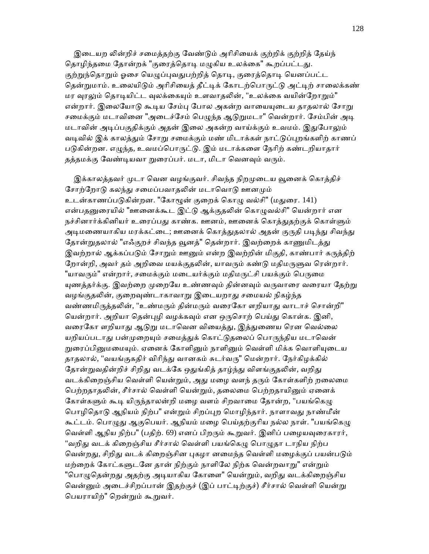இடையற லின்றிச் சமைத்தற்கு வேண்டும் அரிசியைக் குற்றிக் குற்றித் தேய்ந் தொழிந்தமை தோன்றக் "குரைத்தொடி மழுகிய உலக்கை" கூறப்பட்டது. குற்றுந்தொறும் ஓசை யெழுப்புவதுபற்றித் தொடி, குரைத்தொடி யெனப்பட்ட தென்றுமாம். உலையிடும் அரிசியைத் தீட்டிக் கோடற்பொருட்டு அட்டிற் சாலைக்கண் மர வுரலும் தொடியிட்ட வுலக்கையும் உளவாதலின், "உலக்கை வயின்றோறும்" என்றார். இலையோடு கூடிய சேம்பு போல அகன்ற வாயையுடைய தாதலால் சோறு சமைக்கும் மடாவினை "அடைச்சேம் பெழுந்த ஆடுறுமடா" வென்றார். சேம்பின் அடி மடாவின் அᾊப்பகுதிக்கும் அதன் இைல அகன்ற வாய்க்கும் உவமம். இᾐேபாᾤம் வடிவில் இக் காலத்தும் சோறு சமைக்கும் மண் மிடாக்கள் நாட்டுப்புறங்களிற் காணப் படுகின்றன. எழுந்த, உவமப்பொருட்டு. இம் மடாக்களை நேரிற் கண்டறியாதார் தத்தமக்கு வேண்டியவா றுரைப்பர். மடா, மிடா வெனவும் வரும்.

இக்காலத்தவர் முடா வென வழங்குவர். சிவந்த நிறமுடைய வூனைக் கொத்திச் சோற்றோடு கலந்து சமைப்பவாதலின் மடாவொடு ஊனமும் உடன்காணப்படுகின்றன. "கோழூன் குறைக் கொழு வல்சி" (மதுரை. 141) என்பதனுரையில் "ஊனைக்கூட இட்டு ஆக்குதலின் கொழுவல்சி" யென்றார் என நச்சினார்க்கினியர் உரைப்பது காண்க. ஊனம், ஊனைக் கொத்துதற்குக் கொள்ளும் அடிமணையாகிய மரக்கட்டை; ஊனைக் கொத்துதலால் அதன் குருதி படிந்து சிவந்து தோன்றுதலால் "எஃகுறச் சிவந்த வூனத்" தென்றார். இவற்றைக் காணுமிடத்து இவற்றால் ஆக்கப்படும் சோறும் ஊனும் என்ற இவற்றின் மிகுதி, காண்பார் கருத்திற் றோன்றி, அவர் தம் அறிவை மயக்குதலின், யாவரும் கண்டு மதிமருளுவ ரென்றார். "யாவரும்" என்றார், சமைக்கும் மடையர்க்கும் மதிமருட்சி பயக்கும் பெருமை யுணத்தர்க்கு. இவற்றை முறையே உண்ணவும் தின்னவும் வருவாரை வரையா தேற்று வழங்குதலின், குறைவுண்டாகாவாறு இடையறாது சமையல் நிகழ்ந்த வண்ணமிருத்தலின், "உண்மரும் தின்மரும் வரைகோ ளறியாது வாடாச் சொன்றி" யென்றார். அறியா தென்புழி வழக்கவும் என ஒருசொற் பெய்து கொள்க. இனி, வரைகோ ளறியாது ஆடுறு மடாவென வியைத்து, இத்துணைய ரென வெல்லை யறியப்படாது பன்முறையும் சமைத்துக் கொட்டுதலைப் பொருந்திய மடாவென் றுரைப்பினுமமையும். ஏனைக் கோளினும் நாளினும் வெள்ளி மிக்க வொளியுடைய தாதலால், "வயங்குகதிர் விரிந்து வானகம் சுடர்வரு" மென்றார். நேர்கிழக்கில் தோன்றுவதின்றிச் சிறிது வடக்கே ஒதுங்கித் தாழ்ந்து விளங்குதலின், வறிது வடக்கிறைஞ்சிய வெள்ளி யென்றும், அது மழை வளந் தரும் கோள்களிற் றலைமை பெற்றதாதலின், சீர்சால் வெள்ளி யென்றும், தலைமை பெற்றதாயினும் ஏனைக் கோள்களும் கூடி யிருந்தாலன்றி மழை வளம் சிறவாமை தோன்ற, "பயங்கெழு பொழிகொடு ஆநியம் நிற்ப" என்றும் சிறப்புற மொழிந்தார். நாளாவது நாண்மீன் கூட்டம். பொழுது ஆகுபெயர். ஆநியம் மழை பெய்தற்குரிய நல்ல நாள். "பயங்கெழு வெள்ளி ஆநிய நிற்ப" (பதிற். 69) எனப் பிறரும் கூறுவர். இனிப் பழையவுரைகாரர், "வறிது வடக் கிறைஞ்சிய சீர்சால் வெள்ளி பயங்கெமு பொமுதா டாநிய நிற்ப வென்றது, சிறிது வடக் கிறைஞ்சின புகழா னமைந்த வெள்ளி மழைக்குப் பயன்படும் மற்றைக் கோட்களுடனே தான் நிற்கும் நாளிலே நிற்க வென்றவாறு" என்றும் "பொழுதென்றது அதற்கு அடியாகிய கோளை" யென்றும், வறிது வடக்கிறைஞ்சிய வென்னும் அடைச்சிறப்பான் இதற்குச் (இப் பாட்டிற்குச்) சீர்சால் வெள்ளி யென்று ெபயராயிற்" ெறன்ᾠம் கூᾠவர்.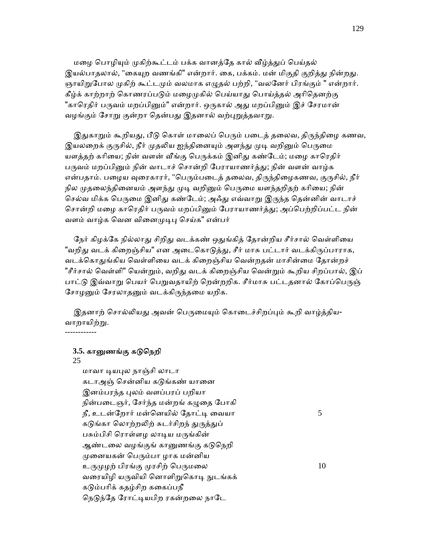மழை பொழியும் முகிற்கூட்டம் பக்க வானத்தே கால் வீழ்த்துப் பெய்தல் இயல்பாதலால், "கையுற வணங்கி" என்றார். கை, பக்கம். மன் மிகுதி குறித்து நின்றது. ஞாயிறுபோல முகிற் கூட்டமும் வலமாக எழுதல் பற்றி, "வலனேர் பிரங்கும் " என்றார். கீழ்க் காற்றாற் கொணரப்படும் மழைமுகில் பெய்யாது பொய்த்தல் அரிதெனற்கு "காரெகிர் பருவம் மறப்பினும்" என்றார். ஒருகால் அது மறப்பினும் இச் சேரமான் வழங்கும் சோறு குன்றா தென்பது இதனால் வற்புறுத்தவாறு.

இதுகாறும் கூறியது, பீடு கொள் மாலைப் பெரும் படைத் தலைவ, திருந்திழை கணவ, இயலறைக் குருசில், நீர் முதலிய ஐந்தினையும் அளந்து முடி வறினும் பெருமை யளத்தற் கரியை; நின் வளன் வீங்கு பெருக்கம் இனிது கண்டேம்; மழை காரெதிர் பருவம் மறப்பினும் நின் வாடாச் சொன்றி பேராயாணர்த்து; நின் வளன் வாழ்க என்பதாம். பழைய வுரைகாரர், "பெரும்படைத் தலைவ, திருந்திழைகணவ, குருசில், நீர் நில முதலைந்தினையம் அளந்து முடி வறினும் பெருமை யளந்தறிதற் கரியை; நின் செல்வ மிக்க பெருமை இனிது கண்டேம்; அஃது எவ்வாறு இருந்த தென்னின் வாடாச் சொன்றி மழை காரெதிர் பருவம் மறப்பினும் பேராயாணர்த்து; அப்பெற்றிப்பட்ட நின் வளம் வாழ்க வென வினைமுடிபு செய்க" என்பர்

நேர் கிழக்கே நில்லாது சிறிது வடக்கண் ஒதுங்கித் தோன்றிய சீர்சால் வெள்ளியை "வறிது வடக் கிறைஞ்சிய" என அடைகொடுத்து, சீர் மாசு பட்டார் வடக்கிருப்பாராக, வடக்கொதுங்கிய வெள்ளியை வடக் கிறைஞ்சிய வென்றதன் மாசின்மை தோன்றச் "சீர்சால் வெள்ளி" யென்றும், வறிது வடக் கிறைஞ்சிய வென்றும் கூறிய சிறப்பால், இப் பாட்டு இவ்வாறு பெயர் பெறுவதாயிற் றென்றறிக. சீர்மாசு பட்டதனால் கோப்பெருஞ் சோழனும் சேரலாதனும் வடக்கிருந்தமை யறிக.

இதனாற் சொல்லியது அவன் பெருமையும் கொடைச்சிறப்பும் கூறி வாழ்த்திய-வாறாயிற்று. ------------

## **3.5.** காᾔணங்கு கᾌெநறி

#### 25

 மாவா ᾊயᾗல நாஞ்சி லாடா கடாஅஞ் சென்னிய கடுங்கண் யானை இனம்பரந்த புலம் வளப்பரப் பறியா நின்படைஞர், சேர்ந்த மன்றங் கழுதை போகி நீ, உடன்ேறார் மன்ெனயில் ேதாட்ᾊ ைவயா 5 கடுங்கா லொற்றலிற் சுடர்சிறந் துருத்துப் பசும்பிசி ரொள்ளழ லாடிய மருங்கின் ஆண்டலை வழங்குங் கானுணங்கு கடுநெறி முனையகன் பெரும்பா ழாக மன்னிய உருமுழற் பிரங்கு முரசிற் பெருமலை  $10$ வரையிழி யருவியி னொளிறுகொடி நுடங்கக் கᾌம்பாிக் கதழ்சிற கைகப்பநீ நெடுந்தே ரோட்டியபிற ரகன்றலை நாடே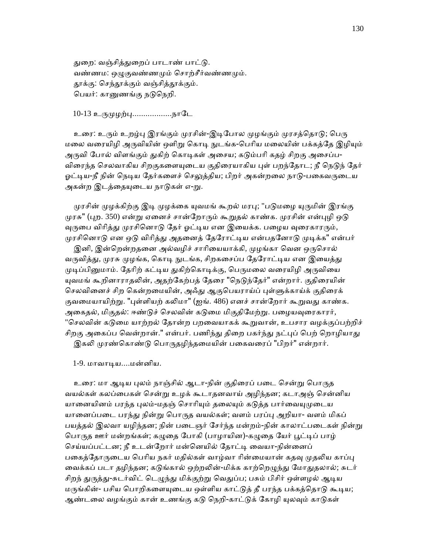துறை: வஞ்சித்துறைப் பாடாண் பாட்டு. வண்ணம: ஒழுகுவண்ணமும் சொற்சீர்வண்ணமும். தூக்கு: செந்தூக்கும் வஞ்சித்தூக்கும். ெபயர்: காᾔணங்கு நᾌெநறி.

10-13 உருமுழற்பு..................நாடே

உரை: உரும் உறழ்பு இரங்கும் முரசின்-இடிபோல முழங்கும் முரசத்தொடு; பெரு மலை வரையிழி அருவியின் ஒளிறு கொடி நுடங்க-பெரிய மலையின் பக்கத்தே இழியும் அருவி போல் விளங்கும் துகிற் கொடிகள் அசைய; கடும்பரி கதழ் சிறகு அசைப்ப-விரைந்த செலவாகிய சிறகுகளையுடைய குதிரையாகிய புள் பறந்தோட; நீ நெடுந் தேர் ஓட்டிய-நீ நின் நெடிய தேர்களைச் செலுத்திய; பிறர் அகன்றலை நாடு-பகைவருடைய அகன்ற இடத்தையுடைய நாடுகள் எ-று.

முரசின் முழக்கிற்கு இடி முழக்கை யுவமங் கூறல் மரபு; "படுமழை யுருமின் இரங்கு முரசு" (புற. 350) என்று ஏனைச் சான்றோரும் கூறுதல் காண்க. முரசின் என்புழி ஒடு வுருபை விரித்து முரசினொடு தேர் ஓட்டிய என இயைக்க. பழைய வுரைகாரரும், முரசினொடு என ஒடு விரித்து அதனைத் தேரோட்டிய என்பதனோடு முடிக்க" என்பர்

இனி, இன்றென்றதனை அல்வழிச் சாரியையாக்கி, முழங்கா வென ஒருசொல் வருவித்து, முரசு முழங்க, கொடி நுடங்க, சிறகசைப்ப தேரோட்டிய என இயைத்து முடிப்பினுமாம். தேரிற் கட்டிய துகிற்கொடிக்கு, பெருமலை வரையிழி அருவியை யுவமங் கூறினாராதலின், அதற்கேற்பத் தேரை "நெடுந்தேர்" என்றார். குதிரையின் செலவினைச் சிற கென்றமையின், அஃது ஆகுபெயராய்ப் புள்ளுக்காய்க் குதிரைக் குவமையாயிற்று. "புள்ளியற் கலிமா" (ஐங். 486) எனச் சான்றோர் கூறுவது காண்க. அகைதல், மிகுதல்: ஈண்டுச் செலவின் கடுமை மிகுதிமேற்று. பழையவுரைகாரர், "செலவின் கடுமை யாற்றல் தோன்ற பறவையாகக் கூறுவான், உபசார வழக்குப்பற்றிச் சிறகு அகைப்ப வென்றான்." என்பர். பணிந்து திறை பகர்ந்து நட்புப் பெற் றொழியாது இகலி முரண்கொண்டு பொருதழிந்தமையின் பகைவரைப் "பிறர்" என்றார்.

1-9. மாவாᾊய....மன்னிய.

உரை: மா ஆடிய புலம் நாஞ்சில் ஆடா-நின் குதிரைப் படை சென்று பொருத வயல்கள் கலப்ைபகள் ெசன்ᾠ உழக் கூடாதனவாய் அழிந்தன; கடாஅஞ் ெசன்னிய யானையினம் பரந்த புலம்-மதஞ் சொரியும் தலையும் கடுத்த பார்வையுமுடைய யானைப்படை பரந்து நின்று பொருத வயல்கள்; வளம் பரப்பு அறியா- வளம் மிகப் பயத்தல் இலவா யழிந்தன; நின் படைஞர் சேர்ந்த மன்றம்-நின் காலாட்படைகள் நின்று பொருத ஊர் மன்றங்கள்; கழுதை போகி (பாழாயின)-கழுதை யேர் பூட்டிப் பாழ் செய்யப்பட்டன; நீ உடன்றோர் மன்னெயில் தோட்டி வையா-நின்னைப் பகைத்தோருடைய பெரிய நகர் மதில்கள் வாழ்வா ரின்மையான் கதவு முதலிய காப்பு வைக்கப் படா தழிந்தன; கடுங்கால் ஒற்றலின்-மிக்க காற்றெழுந்து மோதுதலால்; சுடர் சிறந் துருத்து-சுடர்விட் டெழுந்து மிக்குற்று வெதுப்ப; பசும் பிசிர் ஒள்ளழல் ஆடிய மருங்கின்- பசிய பொறிகளையுடைய ஒள்ளிய காட்டுத் தீ பரந்த பக்கத்தொடு கூடிய; ஆண்டலை வழங்கும் கான் உணங்கு கடு நெறி-காட்டுக் கோழி யலவம் காடுகள்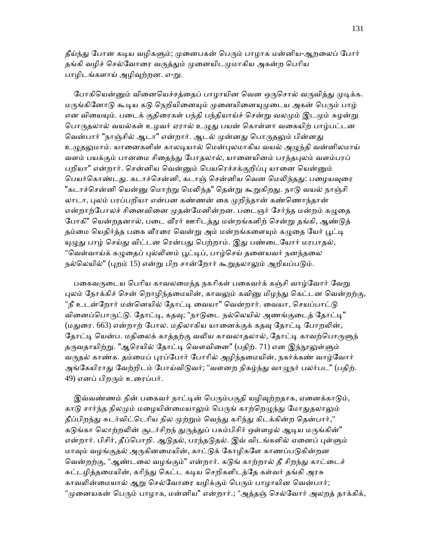தீய்ந்து போன கடிய வழிகளும்; முனைபகன் பெரும் பாழாக மன்னிய-ஆறலைப் போர் தங்கி வழிச் செல்வோரை வருத்தும் முனையிடமுமாகிய அகன்ற பெரிய பாழிடங்களாய் அழிவுற்றன. எ-று.

போகியென்னும் வினையெச்சத்தைப் பாழாயின வென ஒருசொல் வருவித்து முடிக்க. மருங்கினோடு கூடிய கடு நெறியினையும் முனையினையுமுடைய அகன் பெரும் பாம் என வியையும். படைக் குதிரைகள் பந்தி பந்தியாய்ச் சென்று வலமும் இடமும் சுழன்று பொருதலால் வயல்கள் உழவர் ஏரால் உழுது பயன் கொள்ளா வகையிற் பாழ்பட்டன வென்பார் "நாஞ்சில் ஆடா" என்றார். ஆடல் முன்னது பொருதலும் பின்னது உமுதலுமாம். யானைகளின் காலடியால் மென்புலமாகிய வயல் அமுந்தி வன்னிலமாய் வளம் பயக்கும் பானமை சிதைந்து போதலால், யானையினம் பரந்தபுலம் வளம்பரப் பறியா" என்றார். சென்னிய வென்னும் பெயரெச்சக்குறிப்பு யானை யென்னும் பெயர்கொண்டது. கடாச்சென்னி, கடாஞ் சென்னிய வென மெலிந்தது: பழையவுரை "கடாச்சென்னி யென்னு மொற்று மெலிந்த" கென்று கூறுகிறது. நாடு வயல் நாஞ்சி லாடா, புலம் பரப்பறியா என்பன கண்ணன் கை முறிந்தான் கண்ணொந்தான் என்றாற்போலச் சினைவினை முதன்மேனின்றன. படைஞர் சேர்ந்த மன்றம் கழுதை போகி" யென்றதனால், படை வீரர் ஊரிடத்து மன்றங்களிற் சென்று தங்கி, ஆண்டுத் தம்மை யெதிர்த்த பகை வீரரை வென்று அம் மன்றங்களையும் கழுதை யேர் பூட்டி யுழுது பாழ் செய்து விட்டன ரென்பது பெற்றாம். இது பண்டையோர் மரபாதல், "வெள்வாய்க் கழுதைப் புல்லினம் பூட்டிப், பாழ்செய் தனையவர் நனந்தலை நல்லெயில்" (புறம் 15) என்று பிற சான்றோர் கூறுதலாலும் அறியப்படும்.

பகைவருடைய பெரிய காவலமைந்த நகரிகள் பகைவர்க் கஞ்சி வாழ்வோர் வேறு புலம் நோக்கிச் சென் றொழிந்தமையின், காவலும் கவினு மிழந்து கெட்டன வென்றற்கு, "நீ உடன்றோர் மன்னெயில் தோட்டி வையா" வென்றார். வையா, செயப்பாட்டு வினைப்பொருட்டு. தோட்டி, கதவு; "நாடுடை நல்லெயில் அணங்குடைத் தோட்டி" (மதுரை. 663) என்றாற் போல. மதிலாகிய யானைக்குக் கதவு தோட்டி போறலின், தோட்டி யென்ப. மதிலைக் காத்தற்கு வலிய காவலாதலால், தோட்டி காவற்பொருளுந் தருவதாயிற்று. "ஆரெயில் தோட்டி வெளவினை" (பதிற். 71) என இந்நூலுள்ளும் வருதல் காண்க. தம்மைப் புரப்போர் போரில் அழிந்தமையின், நகர்க்கண் வாழ்வோர் அங்கேயிராது வேற்றிடம் போய்விடுவர்; "வளனற நிகழ்ந்து வாழுநர் பலர்பட" (பதிற். 49) எனப் பிறᾞம் உைரப்பர்.

இவ்வண்ணம் நின் பகைவர் நாட்டின் பெரும்பகுதி யழிவுற்றதாக, ஏனைக்காடும், காடு சார்ந்த நிலமும் மழையின்மையாலும் பெருங் காற்றெழுந்து மோதுதலாலும் தீப்பிறந்து சுடர்விட்டெரிய நில முற்றும் வெந்து கரிந்து கிடக்கின்ற தென்பார்," கடுங்கா லொற்றலின் சூடர்சிறந் துருத்துப் பசும்பிசிர் ஒள்ளழல் ஆடிய மருங்கின்" என்றார். பிசிர், தீப்பொறி. ஆடுதல், பரந்தடுதல். இவ் விடங்களில் ஏனைப் புள்ளும் மாவும் வழங்குதல் அருகினமையின், காட்டுக் கோழிகளே காணப்படுகின்றன வென்றற்கு, "ஆண்டலை வழங்கும்" என்றார். கடுங் காற்றால் தீ சிறந்து காட்டைச் சுட்டழித்தமையின், கரிந்து கெட்ட கடிய செறிகளிடத்தே கள்வர் தங்கி அரசு காவலின்மையால் ஆறு செல்வோரை யழிக்கும் பெரும் பாழாயின வென்பார்; "முனையகன் பெரும் பாழாக, மன்னிய" என்றார்.; "அத்தஞ் செல்வோர் அலறத் தாக்கிக்,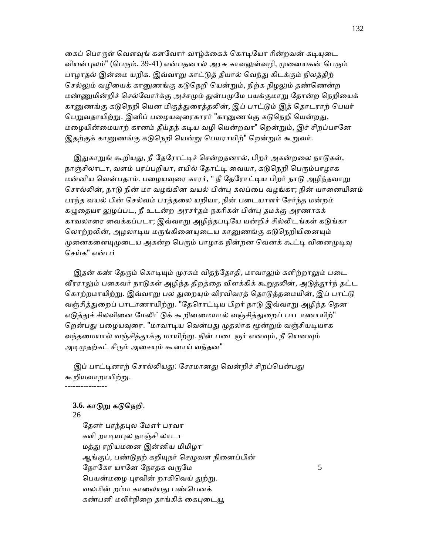கைப் பொருள் வௌவுங் களவோர் வாழ்க்கைக் கொடியோ ரின்றவன் கடியுடை வியன்புலம்" (பெரும். 39-41) என்பதனால் அரசு காவலுள்வழி, முனையகன் பெரும் பாழாதல் இன்மை யறிக. இவ்வாறு காட்டுத் தீயால் வெந்து கிடக்கும் நிலத்திற் செல்லும் வழியைக் கானுணங்கு கடுநெறி யென்றும், நிற்க நிழலும் தண்ணென்ற மண்ணுமின்றிச் செல்வோர்க்கு அச்சமும் துன்பமுமே பயக்குமாறு தோன்ற நெறியைக் கானுணங்கு கடுநெறி யென மிகுத்துரைத்தலின், இப் பாட்டும் இத் தொடராற் பெயர் பெறுவதாயிற்று. இனிப் பழையவுரைகாரர் "கானுணங்கு கடுநெறி யென்றது, மழையின்மையாற் கானம் தீய்தந் கடிய வழி யென்றவா" றென்றும், இச் சிறப்பானே இதற்குக் கானுணங்கு கடுநெறி யென்று பெயராயிற்" றென்றும் கூறுவர்.

இதுகாறுங் கூறியது, நீ தேரோட்டிச் சென்றதனால், பிறர் அகன்றலை நாடுகள், நாஞ்சிலாடா, வளம் பரப்பறியா, எயில் தோட்டி வையா, கடுநெறி பெரும்பாழாக மன்னிய வென்பதாம். பழையவுரை காரர், " நீ தேரோட்டிய பிறர் நாடு அழிந்தவாறு சொல்லின், நாடு நின் மா வழங்கின வயல் பின்பு கலப்பை வழங்கா; நின் யானையினம் பரந்த வயல் பின் ெசல்வம் பரத்தைல யறியா, நின் பைடயாளர் ேசர்ந்த மன்றம் கழுதையா லுழப்பட, நீ உடன்ற அரசர்தம் நகரிகள் பின்பு தமக்கு அரணாகக் காவலாரை வைக்கப்படா; இவ்வாறு அழிந்தபடியே யன்றிச் சில்லிடங்கள் கடுங்கா லொற்றலின், அழலாடிய மருங்கினையுடைய கானுணங்கு கடுநெறியினையும் முனைகளையுமுடைய அகன்ற பெரும் பாழாக நின்றன வெனக் கூட்டி வினைமுடிவு ெசய்க" என்பர்

இதன் கண் தேரும் கொடியும் முரசும் விதந்தோதி, மாவாலும் களிற்றாலும் படை வீரராலும் பகைவர் நாடுகள் அழிந்த திறத்தை விளக்கிக் கூறுதலின், அடுத்தூர்ந் தட்ட கொற்றமாயிற்று. இவ்வாறு பல துறையும் விரவிவரத் தொடுத்தமையின், இப் பாட்டு வஞ்சித்துறைப் பாடாணாயிற்று. "தேரொட்டிய பிறர் நாடு இவ்வாறு அழிந்த தென எடுத்துச் சிலவினை மேலிட்டுக் கூறினமையால் வஞ்சித்துறைப் பாடாணாயிற்" றென்பது பழையவுரை. "மாவாடிய வென்பது முதலாக மூன்றும் வஞ்சியடியாக வந்தமையால் வஞ்சித்தூக்கு மாயிற்று. நின் படைஞர் எனவும், நீ யெனவும் அடிமுதற்கட் சீரும் அசையும் கூனாய் வந்தன"

இப் பாட்டினாற் சொல்லியது: சேரமானது வென்றிச் சிறப்பென்பது கூறியவாறாயிற்ᾠ. ----------------

## **3.6.** காᾌᾠ கᾌெநறி.

### 26

தேஎர் பரந்தபுல மேஎர் பரவா களி றாடியபுல நாஞ்சி லாடா மத்ᾐ ரறியமைன இன்னிய மிமிழா ஆங்குப், பண்டுநற் கறியுநர் செழுவள நினைப்பின் நோகோ யானே நோதக வருமே $5$ பெயன்மழை புரவின் றாகிவெய் துற்று. வலமின் றம்ம காலையது பண்பெனக் கண்பனி மலிர்நிறை தாங்கிக் கைபுடையூ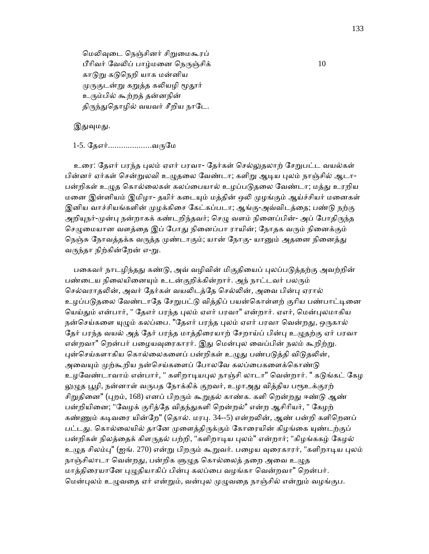மெலிவுடை நெஞ்சினர் சிறுமைகூரப் பீரிவர் வேலிப் பாழ்மனை நெருஞ்சிக் $10$ காடுறு கடுநெறி யாக மன்னிய முருகுடன்று கறுத்த கலியழி மூதூர் உரும்பில் கூற்றத் தன்னநின் திருந்துதொழில் வயவர் சீறிய நாடே.

இதுவுமது.

## 1-5. தேஎர்......................வருமே

உரை: தேஎர் பரந்த புலம் ஏஎர் பரவா- தேர்கள் செல்லுதலாற் சேறுபட்ட வயல்கள் பின்னர் ஏர்கள் சென்றுலவி உழுதலை வேண்டா; களிறு ஆடிய புலம் நாஞ்சில் ஆடா-பன்றிகள் உழுத கொல்லைகள் கலப்பையால் உழப்படுதலை வேண்டா; மத்து உரறிய மனை இன்னியம் இமிழா- தயிர் கடையும் மத்தின் ஒலி முழங்கும் ஆய்ச்சியர் மனைகள் இனிய வாச்சியங்களின் முழக்கிசை கேட்கப்படா; ஆங்கு-அவ்விடத்தை; பண்டு நற்கு அறியுநர்-முன்பு நன்றாகக் கண்டறிந்தவர்; செழு வளம் நினைப்பின்- அப் போதிருந்த செழுமையான வளத்தை இப் போது நினைப்பா ராயின்; நோதக வரும் நினைக்கும் நெஞ்சு நோவத்தக்க வருத்த முண்டாகும்; யான் நோகு- யானும் அதனை நினைத்து வருந்தா நிற்கின்றேன் எ-று.

பகைவர் நாடழிந்தது கண்டு, அவ் வழிவின் மிகுதியைப் புலப்படுத்தற்கு அவற்றின் பண்டைய நிலையினையும் உடன்குறிக்கின்றார். அந் நாட்டவர் பலரும் செல்வராதலின், அவர் தேர்கள் வயலிடத்தே செல்லின், அவை பின்பு ஏரால் உழப்படுதலை வேண்டாதே சேறுபட்டு வித்திப் பயன்கொள்ளற் குரிய பண்பாட்டினை யெய்தும் என்பார், " தேஎர் பரந்த புலம் ஏஎர் பரவா" என்றார். ஏஎர், மென்புலமாகிய நன்செய்களை யுழும் கலப்பை. "தேஎர் பரந்த புலம் ஏஎர் பரவா வென்றது, ஒருகால் தேர் பரந்த வயல் அத் தேர் பரந்த மாத்திரையாற் சேறாய்ப் பின்பு உழுதற்கு ஏர் பரவா என்றவா" றென்பர் பழையவுரைகாரர். இது மென்புல வைப்பின் நலம் கூறிற்று. புன்செய்களாகிய கொல்லைகளைப் பன்றிகள் உழுது பண்படுத்தி விடுதலின், அவையும் முற்கூறிய நன்செய்களைப் போலவே கலப்பைகளைக்கொண்டு உழவேண்டாவாம் என்பார், " களிறாடியபுல நாஞ்சி லாடா" வென்றார். " கடுங்கட் கேழ லுமுத பூழி, நன்னாள் வருபத நோக்கிக் குறவர், உழாஅது வித்திய பரூஉக்குரற் சிறுதினை" (புறம், 168) எனப் பிறரும் கூறுதல் காண்க. களி றென்றது ஈண்டு ஆண் பன்றியினை; "வேழக் குரித்தே விதந்துகளி றென்றல்" என்ற ஆசிரியர், " கேழற் கண்ணும் கடிவரை யின்றே" (தொல். மரபு. 34--5) என்றலின், ஆண் பன்றி களிறெனப் பட்டது. கொல்லையில் தானே முளைத்திருக்கும் கோரையின் கிழங்கை யுண்டற்குப் பன்றிகள் நிலத்தைக் கிளருதல் பற்றி, "களிறாடிய புலம்" என்றார்; "கிழங்ககழ் கேழல் உழுத சிலம்பு" (ஐங். 270) என்று பிறரும் கூறுவர். பழைய வுரைகாரர், "களிறாடிய புலம் நாஞ்சிலாடா வென்றது, பன்றிக ளுழுத கொல்லைத் தறை அவை உழுத மாத்திரையானே புழுதியாகிப் பின்பு கலப்பை வழங்கா வென்றவா" றென்பர். மென்புலம் உழுவதை ஏர் என்றும், வன்புல முழுவதை நாஞ்சில் என்றும் வழங்குப.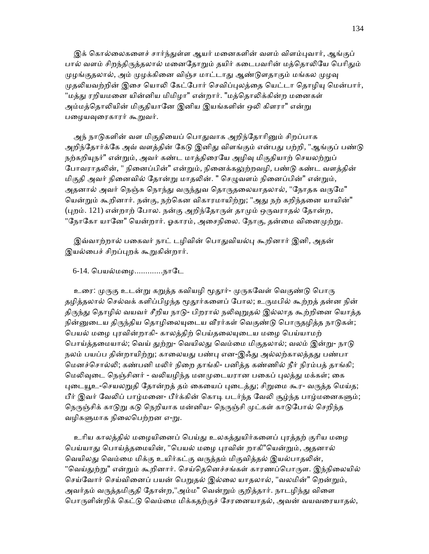இக் கொல்லைகளைச் சார்ந்துள்ள ஆயர் மனைகளின் வளம் விளம்புவார், ஆங்குப் பால் வளம் சிறந்திருத்தலால் மனைதோறும் தயிர் கடைபவரின் மத்தொலியே பெரிதும் முழங்குதலால், அம் முழக்கினை விஞ்ச மாட்டாது ஆண்டுளதாகும் மங்கல முழவு முதலியவற்றின் இசை யொலி கேட்போர் செவிப்புலத்தை யெட்டா தொழியு மென்பார், "மத்து ரறியமனை யின்னிய மிமிழா" என்றார். "மத்தொலிக்கின்ற மனைகள் அம்மத்தொலியின் மிகுதியானே இனிய இயங்களின் ஒலி கிளரா" என்று பழையவுரைகாரர் கூறுவர்.

அந் நாடுகளின் வள மிகுதியைப் பொதுவாக அறிந்தோரினும் சிறப்பாக அறிந்தோர்க்கே அவ் வளத்தின் கேடு இனிது விளங்கும் என்பது பற்றி, "ஆங்குப் பண்டு நற்கறியுநர்" என்றும், அவர் கண்ட மாத்திரையே அழிவு மிகுதியாற் செயலற்றுப் போவராதலின், " நினைப்பின்" என்றும், நினைக்கலுற்றவழி, பண்டு கண்ட வளத்தின் மிகுதி அவர் நினைவில் தோன்று மாதலின். " செழுவளம் நினைப்பின்" என்றும், அதனால் அவர் நெஞ்சு நொந்து வருந்துவ தொருதலையாதலால், "நோதக வருமே" யென்றும் கூறினார். நன்கு, நற்கென விகாரமாயிற்று; "அது நற் கறிந்தனை யாயின்" (புறம். 121) என்றாற் போல. நன்கு அறிந்தோருள் தாமும் ஒருவராதல் தோன்ற, "நோகோ யானே" யென்றார். ஓகாரம், அசைநிலை. நோகு, தன்மை வினைமுற்று.

இவ்வாற்றால் பகைவர் நாட் டழிவின் பொதுவியல்பு கூறினார் இனி, அதன் இயல்பைச் சிறப்புறக் கூறுகின்றார்.

<u>6-14. பெயல்மமை..............நாடே</u>

உரை: முருகு உடன்று கறுத்த கவியழி மூதூர்- முருகவேள் வெகுண்டு பொரு தழித்தலால் செல்வக் களிப்பிழந்த மூதூர்களைப் போல; உருமபில் கூற்றத் தன்ன நின் திருந்து தொழில் வயவர் சீறிய நாடு- பிறரால் நலிவுறுதல் இல்லாத கூற்றினை யொத்த நின்னுடைய திருந்திய தொழிலையுடைய வீரர்கள் வெகுண்டு பொருதழித்த நாடுகள்; பெயல் மழை புரவின்றாகி- காலத்திற் பெய்தலையுடைய மழை பெய்யாமற் பொய்த்தமையால்; வெய் துற்று- வெயிலது வெம்மை மிகுதலால்; வலம் இன்று- நாடு நலம் பயப்ப தின்றாயிற்று; காலையது பண்பு என-இஃது அல்லற்காலத்தது பண்பா மெனச்சொல்லி; கண்பனி மலிர் நிறை தாங்கி- பனித்த கண்ணில் நீர் நிரம்பத் தாங்கி; மெலிவுடை நெஞ்சினர் - வலியழிந்த மனமுடையரான பகைப் புலத்து மக்கள்; கை புடையூஉ-செயலறுதி தோன்றத் தம் கையைப் புடைத்து; சிறுமை கூர- வருத்த மெய்த; பீர் இவர் வேலிப் பாழ்மனை- பீர்க்கின் கொடி படர்ந்த வேலி சூழ்ந்த பாழ்மனைகளும்; நெருஞ்சிக் காடுறு கடு நெறியாக மன்னிய- நெருஞ்சி முட்கள் காடுபோல் செறிந்த வழிகளுமாக நிலைபெற்றன எ-று.

உரிய காலத்தில் மழையினைப் பெய்து உலகத்துயிர்களைப் புரத்தற் குரிய மழை பெய்யாது பொய்த்தமையின், "பெயல் மழை புரவின் றாகி"ெயன்றும், அதனால் வெயிலது வெம்மை மிக்கு உயிர்கட்கு வருத்தம் மிகுவித்தல் இயல்பாதலின், "வெய்துற்று" என்றும் கூறினார். செய்தெனெச்சங்கள் காரணப்பொருள. இந்நிலையில் செய்வோர் செய்வினைப் பயன் பெறுதல் இல்லை யாதலால், "வலமின்" றென்றும், அவர்தம் வருத்தமிகுதி தோன்ற,"அம்ம" வென்றும் குறித்தார். நாடழிந்து விளை பொருளின்றிக் கெட்டு வெம்மை மிக்கதற்குச் சேரனையாதல், அவன் வயவரையாதல்,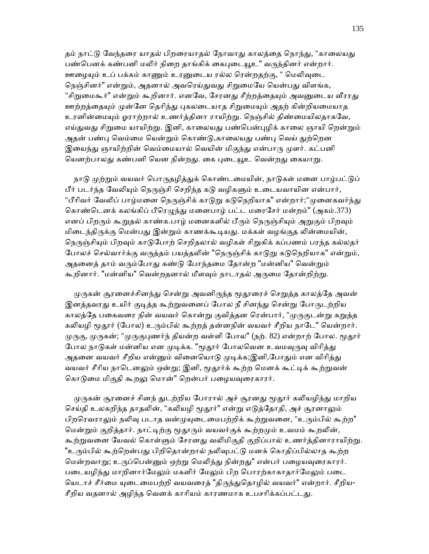தம் நாட்டு வேந்தரை யாதல் பிறரையாதல் நோவாது காலத்தை நொந்து, "காலையது பண்பெனக் கண்பனி மலிர் நிறை தாங்கிக் கைபுடையூஉ" வருந்தினர் என்றார். ஊழையும் உப் பக்கம் காணும் உரனுடைய ரல்ல ரென்றதற்கு, " மெலிவுடை நெஞ்சினர்" என்றும், அதனால் அவரெய்துவது சிறுமையே யென்பது விளங்க, "சிறுமைகூர்" என்றும் கூறினார். எனவே, சேரனது சீற்றத்தையும் அவனுடைய வீரரது ஊற்றத்தையும் முன்னே தெரிந்து புகலடையாத சிறுமையும் அதற் கின்றியமையாத உரனின்மையும் ஓராற்றால் உணர்த்தினா ராயிற்று. நெஞ்சில் திண்மையிலதாகவே, எய்துவது சிறுமை யாயிற்று. இனி, காலையது பண்பென்புழிக் காலை ஞாயி றென்றும் அதன் பண்பு வெம்மை யென்றும் கொண்டு,காலையது பண்பு வெய் துற்றென இயைந்து ஞாயிற்றின் வெம்மையால் வெயின் மிகுந்து என்பாரு முளர். கட்பனி யெனற்பாலது கண்பனி யென நின்றது. கை புடையூஉ வென்றது கையாறு.

நாடு முற்றும் வயவர் பொருதழித்துக் கொண்டமையின், நாடுகள் மனை பாழ்பட்டுப் பீர் படர்ந்த வேலியும் நெருஞ்சி செறிந்த கடு வழிகளும் உடையவாயின என்பார், "பீரிவர் வேலிப் பாழ்மனை நெருஞ்சிக் காடுறு கடுநெறியாக" என்றார்;"முனைகவர்ந்து கொண்டெனக் கலங்கிப் பீரெழுந்து மனைபாழ் பட்ட மரைசேர் மன்றம்" (அகம்.373) எனப் பிறரும் கூறுதல் காண்க.பாழ் மனைகளில் பீரும் நெருஞ்சியும் அறுகும் பிறவும் மிடைந்திருக்கு மென்பது இன்றும் காணக்கூடியது. மக்கள் வழங்குத லின்மையின், நெருஞ்சியும் பிறவும் காடுபோற் செறிதலால் வழிகள் சிறுகிக் கப்பணம் பரந்த கல்லதர் போலச் செல்வார்க்கு வருத்தம் பயத்தலின் "நெருஞ்சிக் காடுறு கடுநெறியாக" என்றும், அதனைத் தாம் வரும்போது கண்டு போந்தமை தோன்ற "மன்னிய" வென்றும் கூறினார். "மன்னிய" வென்றதனால் மீளவும் நாடாதல் அருமை தோன்றிற்று.

முருகன் சூரனைச்சினந்து சென்று அவனிருந்த மூதூரைச் செறுத்த காலத்தே அவன் இனத்தவரது உயிர் குடித்த கூற்றுவனைப் போல நீ சினந்து சென்று போருடற்றிய காலத்தே பகைவரை நின் வயவர் கொன்று குவித்தன ரென்பார், "முருகுடன்று கறுத்த கலியழி மூதூர் (போல) உரும்பில் கூற்றத் தன்னநின் வயவர் சீறிய நாடே" யென்றார். முருகு, முருகன்; "முருகுபணர்ந் தியன்ற வள்ளி போல" (நற். 82) என்றாற் போல. மூதூர் போல நாடுகள் மன்னிய என முடிக்க. "மூதூர் போலவென உவமவுருவு விரித்து அதனை வயவர் சீறிய என்னும் வினையொடு முடிக்க;இனி,போதும் என விரித்து வயவர் சீரிய நாடெனலும் ஒன்று; இனி, மூதூர்க் கூற்ற மெனக் கூட்டிக் கூற்றுவன் கொடுமை மிகுதி கூறலு மொன்" றென்பர் பழையவுரைகாரர்.

முருகன் சூரனைச் சினந் துடற்றிய போரால் அச் சூரனது மூதூர் கலியழிந்து மாறிய செய்தி உலகறிந்த தாதலின், "கலியழி மூதூர்" என்று எடுத்தோதி, அச் சூரனாலும் பிறரெவராலும் நலிவு படாத வன்முயுடைமைபற்றிக் கூற்றுவனை, "உரும்பில் கூற்ற" மென்றும் குறித்தார். நாட்டிற்கு மூதூரும் வயவர்குக் கூற்றமும் உவமம் கூறலின், கூற்றுவனை யேவல் கொள்ளும் சேரனது வலிமிகுதி குறிப்பால் உணர்த்தினாராயிற்று. "உரும்பில் கூற்றென்பது பிறிதொன்றால் நலிவுபட்டு மனக் கொதிப்பில்லாத கூற்ற மென்றவாறு; உருப்பென்னும் ஒற்று மெலிந்து நின்றது" என்பர் பழையவுரைகாரர். படையழிந்து மாறினார்மேலும் மகளிர் மேலும் பிற பொரற்காகாதார்மேலும் படை யெடாச் சீர்மை யுடைமைபற்றி வயவரைத் "திருந்துதொழில் வயவர்" என்றார். சீறிய-சீறிய வதனால் அழிந்த வெனக் காரியம் காரணமாக உபசரிக்கப்பட்டது.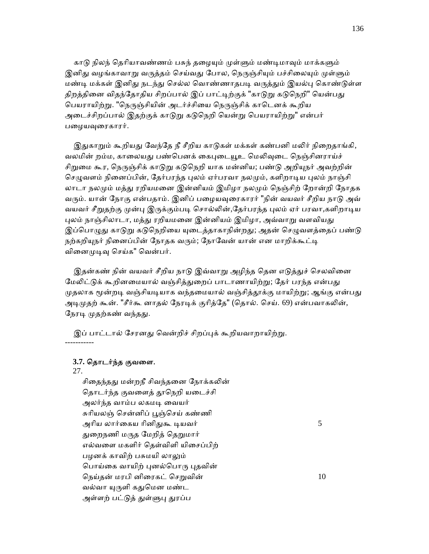காடு நிலந் தெரியாவண்ணம் பசுந் தழையும் முள்ளும் மண்டிமாவும் மாக்களும் இனிது வழங்காவாறு வருத்தம் செய்வது போல, நெருஞ்சியும் பச்சிலையும் முள்ளும் மண்டி மக்கள் இனிது நடந்து செல்ல வொண்ணாதபடி வருத்தும் இயல்பு கொண்டுள்ள திறத்தினை விதந்தோதிய சிறப்பால் இப் பாட்டிற்குக் "காடுறு கடுநெறி" யென்பது பெயராயிற்று. "நெருஞ்சியின் அடர்ச்சியை நெருஞ்சிக் காடெனக் கூறிய அடைச்சிறப்பால் இதற்குக் காடுறு கடுநெறி யென்று பெயராயிற்று" என்பர் பழையவுரைகாரர்.

இதுகாறும் கூறியது வேந்தே நீ சீறிய காடுகள் மக்கள் கண்பனி மலிர் நிறைதாங்கி, வலமின் றம்ம, காலையது பண்பெனக் கைபுடையூஉ மெலிவுடை நெஞ்சினராய்ச் சிறுமை கூர, நெருஞ்சிக் காடுறு கடுநெறி யாக மன்னிய; பண்டு அறியுநர் அவற்றின் செழுவளம் நினைப்பின், தேர்பரந்த புலம் ஏர்பரவா நலமும், களிறாடிய புலம் நாஞ்சி லாடா நலமும் மத்து ரறியமனை இன்னியம் இமிழா நலமும் நெஞ்சிற் றோன்றி நோதக வரும். யான் நோகு என்பதாம். இனிப் பழையவுரைகாரர் "நின் வயவர் சீறிய நாடு அவ் வயவர் சீறுதற்கு முன்பு இருக்கும்படி சொல்லின்,தேர்பரந்த புலம் ஏர் பரவா,களிறாடிய புலம் நாஞ்சிலாடா, மத்து ரறியமனை இன்னியம் இமிழா, அவ்வாறு வளவியது இப்பொழுது காடுறு கடுநெறியை யுடைத்தாகாநின்றது; அதன் செழுவளத்தைப் பண்டு நற்கறியுநர் நினைப்பின் நோதக வரும்; நோவேன் யான் என மாறிக்கூட்டி வினைமுடிவு செய்க" வென்பர்.

இதன்கண் நின் வயவர் சீறிய நாடு இவ்வாறு அழிந்த தென எடுத்துச் செலவினை மேலிட்டுக் கூறினமையால் வஞ்சித்துறைப் பாடாணாயிற்று; தேர் பரந்த என்பது முதலாக மூன்றடி வஞ்சியடியாக வந்தமையால் வஞ்சித்தூக்கு மாயிற்று; ஆங்கு என்பது அடிமுதற் கூன். "சீர்கூ னாதல் நேரடிக் குரித்தே" (தொல். செய். 69) என்பவாகலின், நேரடி முதற்கண் வந்தது.

இப் பாட்டால் சேரனது வென்றிச் சிறப்புக் கூறியவாறாயிற்று. -----------

## **3.7.** ெதாடர்ந்த குவைள.

27.

சிதைந்தது மன்றநீ சிவந்தனை நோக்கலின் தொடர்ந்த குவளைத் தூநெறி யடைச்சி அலர்ந்த வாம்ப லகமᾊ ைவயர் சுரியலஞ் சென்னிப் பூஞ்செய் கண்ணி அாிய லார்ைகய ாினிᾐகூ ᾊயவர் 5 துறைநணி மருத மேறித் தெறுமார் எல்வைள மகளிர் ெதள்விளி யிைசப்பிற் பழனக் காவிற் பசுமயி லாலும் பொய்கை வாயிற் புனல்பொரு புதவின் நெய்தன் மரபி னிரைகட் செறுவின்  $10$ வல்வா யுருளி கதுமென மண்ட அள்ளற் பட்டுத் துள்ளுபு துரப்ப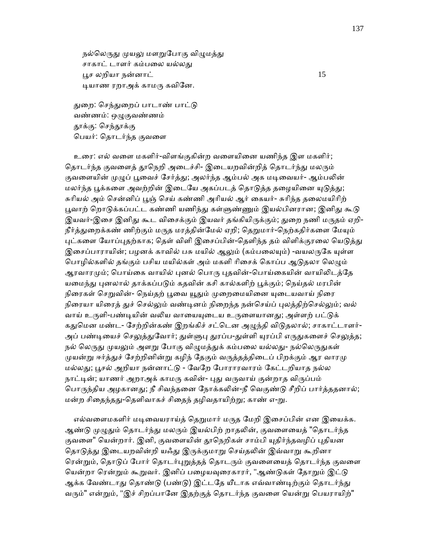நல்லெருது முயலு மளறுபோகு விழுமத்து சாகாட் டாளர் கம்பலை யல்லது ᾘச லறியா நன்னாட் 15 ᾊயாண ரறாஅக் காமᾞ கவிேன.

துறை: செந்துறைப் பாடாண் பாட்டு வண்ணம்: ஒᾨகுவண்ணம் தூக்கு: செந்தூக்கு ெபயர்: ெதாடர்ந்த குவைள

 உைர: எல் வைள மகளிர்-விளங்குகின்ற வைளயிைன யணிந்த இள மகளிர்; தொடர்ந்த குவளைத் தூநெறி அடைச்சி- இடையறவின்றித் தொடர்ந்து மலரும் குவளையின் முழுப் பூவைச் சேர்த்து; அலர்ந்த ஆம்பல் அக மடிவையர்- ஆம்பலின் மலர்ந்த பூக்களை அவற்றின் இடையே அகப்படத் தொடுத்த தழையினை யுடுத்து; சுரியல் அம் சென்னிப் பூஞ் செய் கண்ணி அரியல் ஆர் கையர்- சுரிந்த தலைமயிரிற் பூவாற் றொடுக்கப்பட்ட கண்ணி யணிந்து கள்ளுண்ணும் இயல்பினரான; இனிது கூடு இயவர்-இசை இனிது கூட விசைக்கும் இயவர் தங்கியிருக்கும்; துறை நணி மருதம் ஏறி-நீர்த்துறைக்கண் ணிற்கும் மருத மரத்தின்மேல் ஏறி; தெறுமார்-நெற்கதிர்களை மேயும் புட்களை யோப்புதற்காக; தெள் விளி இசைப்பின்-தெளிந்த தம் விளிக்குரலை யெடுத்து இசைப்பாராயின்; பழனக் காவில் பசு மயில் ஆலும் (கம்பலையும்) -வயலருகே யுள்ள பொழில்களில் தங்கும் பசிய மயில்கள் அம் மகளி ரிசைக் கொப்ப ஆடுதலா லெழும் ஆரவாரமும்; பொய்கை வாயில் புனல் பொரு புதவின்-பொய்கையின் வாயிலிடத்தே யமைந்து புனலால் தாக்கப்படும் கதவின் கசி கால்களிற் பூக்கும்; நெய்தல் மரபின் நிரைகள் செறுவின்- நெய்தற் பூவை யூதும் முறைமையினை யுடையவாய் நிரை நிரையா யிரைத் துச் செல்லும் வண்டினம் நிறைந்த நன்செய்ப் புலத்திற்செல்லும்; வல் வாய் உருளி-பண்டியின் வலிய வாயையுடைய உருளையானது; அள்ளற் பட்டுக் கதுமென மண்ட- சேற்றின்கண் இறங்கிச் சட்டென அழுந்தி விடுதலால்; சாகாட்டாளர்-அப் பண்டியைச் செலுத்துவோர்; துள்ளுபு துரப்ப-துள்ளி யுரப்பி எருதுகளைச் செலுத்த; நல் லெருது முயலும் அளறு போகு விழுமத்துக் கம்பலை யல்லது- நல்லெருதுகள் முயன்று ஈர்த்துச் சேற்றினின்று கழிந் தேகும் வருத்தத்திடைப் பிறக்கும் ஆர வாரமு மல்லᾐ; ᾘசல் அறியா நன்னாட்ᾌ - ேவேற ேபாராரவாரம் ேகட்டறியாத நல்ல நாட்டின்; யாணர் அறாஅக் காமரு கவின்- புது வருவாய் குன்றாத விருப்பம் பொருந்திய அழகானது; நீ சிவந்தனை நோக்கலின்-நீ வெகுண்டு சீறிப் பார்த்ததனால்; மன்ற சிதைந்தது-தெளிவாகச் சிதைந் தழிவதாயிற்று; காண் எ-று.

எல்வளைமகளிர் மடிவையராய்த் தெறுமார் மருத மேறி இசைப்பின் என இயைக்க. ஆண்டு முழுதும் தொடர்ந்து மலரும் இயல்பிற் றாதலின், குவளையைத் "தொடர்ந்த குவளை" யென்றார். இனி, குவளையின் தூநெறிகள் சாம்பி யுதிர்ந்தவழிப் புதியன தொடுத்து இடையறவின்றி யஃது இருக்குமாறு செய்தலின் இவ்வாறு கூறினா ரென்றும், தொடுப் போர் தொடர்புறுத்தத் தொடரும் குவளையைத் தொடர்ந்த குவளை யென்றா ரென்றும் கூறுவர். இனிப் பழையவுரைகாரர், "ஆண்டுகள் தோறும் இட்டு ஆக்க வேண்டாது தொண்டு (பண்டு) இட்டதே யீடாக எவ்வாண்டிற்கும் தொடர்ந்து வரும்" என்றும், "இச் சிறப்பானே இதற்குத் தொடர்ந்த குவளை யென்று பெயராயிற்"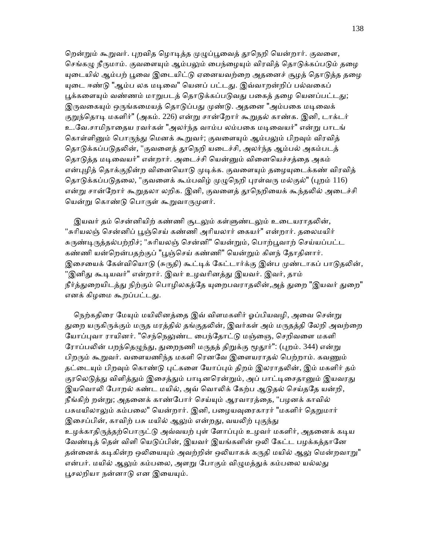றென்றும் கூறுவர். புறவித ழொடித்த முழுப்பூவைத் தூநெறி யென்றார். குவளை, செங்கழு நீருமாம். குவளையும் ஆம்பலும் பைந்ழையும் விரவித் தொடுக்கப்படும் தழை யுடையில் ஆம்பற் பூவை இடையிட்டு ஏனையவற்றை அதனைச் சூழத் தொடுத்த தழை யுடை ஈண்டு "ஆம்ப லக மடிவை" யெனப் பட்டது. இவ்வாறன்றிப் பல்வகைப் பூக்களையும் வண்ணம் மாறுபடத் தொடுக்கப்படுவது பகைத் தழை யெனப்பட்டது; இருவகையும் ஒருங்கமையத் தொடுப்பது முண்டு. அதனை "அம்பகை மடிவைக் குறுந்தொடி மகளிர்" (அகம். 226) என்று சான்றோர் கூறுதல் காண்க. இனி, டாக்டர் உ.வே.சாமிநாதைய ரவர்கள் "அலர்ந்த வாம்ப லம்பகை மடிவையர்" என்று பாடங் கொள்ளினும் பொருந்து மெனக் கூறுவர்; குவளையும் ஆம்பலும் பிறவும் விரவித் தொடுக்கப்படுதலின், "குவளைத் தூநெறி யடைச்சி, அலர்ந்த ஆம்பல் அகம்படத் தொடுத்த மடிவையர்" என்றார். அடைச்சி யென்னும் வினையெச்சத்தை அகம் என்புழித் தொக்குநின்ற வினையொடு முடிக்க. குவளையும் தழையுடைக்கண் விரவித் தொடுக்கப்படுதலை, "குவளைக் கூம்பவிழ் முழுநெறி புரள்வரு மல்குல்" (புறம் 116) என்று சான்றோர் கூறுதலா லறிக. இனி, குவளைத் தூநெறியைக் கூந்தலில் அடைச்சி யென்று கொண்டு பொருள் கூறுவாருமுளர்.

இயவர் தம் சென்னியிற் கண்ணி சூடலும் கள்ளுண்டலும் உடையராதலின், "சுரியலஞ் சென்னிப் பூஞ்செய் கண்ணி அரியலார் கையர்" என்றார். தலைமயிர் சுருண்டிருத்தல்பற்றிச்; "சுரியலஞ் சென்னி" யென்றும், பொற்பூவாற் செய்யப்பட்ட கண்ணி யன்றென்பதற்குப் "பூஞ்செய் கண்ணி" யென்றும் கிளந் தோதினார். இசையைக் கேள்வியொடு (சுருதி) கூட்டிக் கேட்டார்க்கு இன்ப முண்டாகப் பாடுதலின், "இனிது கூடியவர்" என்றார். இவர் உழவரினத்து இயவர். இவர், தாம் நீர்த்துறையிடத்து நிற்கும் பொழிலகத்தே யுறைபவராதலின்,அத் துறை "இயவர் துறை" எனக் கிழமை கூறப்பட்டது.

நெற்கதிரை மேயும் மயிலினத்தை இவ் விளமகளிர் ஓப்பியவழி, அவை சென்று துறை யருகிருக்கும் மருத மரத்தில் தங்குதலின், இவர்கள் அம் மருதத்தி லேறி அவற்றை யோப்புவா ராயினர். "செந்நெலுண்ட பைந்தோட்டு மஞ்ஞை, செறிவளை மகளி ரோப்பலின் பறந்தெழுந்து, துறைநணி மருதத் திறுக்கு மூதூர்": (புறம். 344) என்று பிறரும் கூறுவர். வளையணிந்த மகளி ரெனவே இளையராதல் பெற்றாம். கவணும் தட்டையும் பிறவும் கொண்டு புட்களை யோப்பும் திறம் இலராதலின், இம் மகளிர் தம் குரலெடுத்து விளித்தும் இசைத்தும் பாடினரென்றும், அப் பாட்டிசைதானும் இயவரது இயவொலி போறல் கண்ட மயில், அவ் வொலிக் கேற்ப ஆடுதல் செய்ததே யன்றி, நீங்கிற் றன்று; அதனைக் காண்போர் செய்யும் ஆரவாரத்தை, "பழனக் காவில் பசுமயிலாலும் கம்பலை" யென்றார். இனி, பழையவுரைகாரர் "மகளிர் தெறுமார் இசைப்பின், காவிற் பசு மயில் ஆலும் என்றது, வயலிற் புகுந்து உழக்காதிருத்தற்பொருட்டு அவ்வயற் புள் ளோப்பும் உழவர் மகளிர், அதனைக் கடிய வேண்டித் தெள் விளி யெடுப்பின், இயவர் இயங்களின் ஒலி கேட்ட பழக்கத்தானே தன்னைக் கடிகின்ற ஒலியையும் அவற்றின் ஒலியாகக் கருதி மயில் ஆலு மென்றவாறு" என்பர். மயில் ஆலும் கம்பலை, அளறு போகும் விழுமத்துக் கம்பலை யல்லது பூசலறியா நன்னாடு என இயையும்.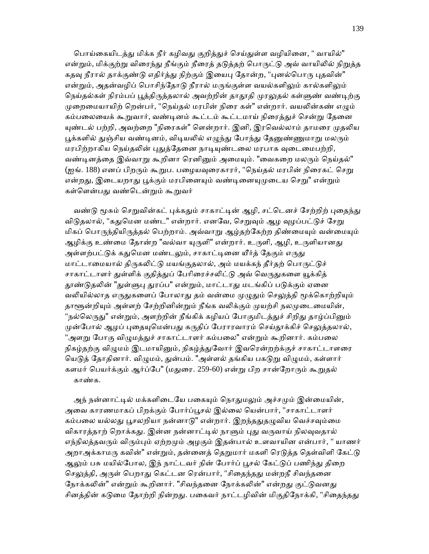பொய்கையிடத்து மிக்க நீர் கழிவது குறித்துச் செய்துள்ள வழியினை, " வாயில்" என்றும், மிக்குற்று விரைந்து நீங்கும் நீரைத் தடுத்தற் பொருட்டு அவ் வாயிலில் நிறுத்த கதவு நீரால் தாக்குண்டு எதிர்த்து நிற்கும் இயைபு தோன்ற, "புனல்பொரு புதவின்" என்றும், அதன்வழிப் பொசிந்தோடு நீரால் மருங்குள்ள வயல்களிலும் கால்களிலும் நெய்தல்கள் நிரம்பப் பூத்திருத்தலால் அவற்றின் தாதூதி முரலுதல் கள்ளுண் வண்டிற்கு முறைமையாயிற் றென்பர், "நெய்தல் மரபின் நிரை கள்" என்றார். வயலின்கண் எழும் கம்பலையைக் கூறுவார், வண்டினம் கூட்டம் கூட்டமாய் நிரைத்துச் சென்று தேனை யுண்டல் பற்றி, அவற்றை "நிரைகள்" ளென்றார். இனி, இரவெல்லாம் தாமரை முதலிய பூக்களில் துஞ்சிய வண்டினம், விடியலில் எழுந்து போந்து தேனுண்ணுமாறு மலரும் மரபிற்றாகிய நெய்தலின் புதுத்தேனை நாடியுண்டலை மரபாக வுடைமைபற்றி, வண்டினத்தை இவ்வாறு கூறினா ரெனினும் அமையும். "வைகறை மலரும் நெய்தல்" (ஐங். 188) எனப் பிறரும் கூறுப. பழையவுரைகாரர், "நெய்தல் மரபின் நிரைகட் செறு என்றது, இடையறாது பூக்கும் மரபினையும் வண்டினையுமுடைய செறு" என்றும் கள்ளென்பது வண்டென்றும் கூறுவர்

வண்டு மூசும் செறுவின்கட் புக்கதும் சாகாட்டின் ஆழி, சட்டெனச் சேற்றிற் புதைந்து விடுதலால், "கதுமென மண்ட" என்றார். எனவே, செறுவும் ஆழ வுழப்பட்டுச் சேறு மிகப் பொருந்தியிருத்தல் பெற்றாம். அவ்வாறு ஆழ்தற்கேற்ற திண்மையும் வன்மையும் ஆழிக்கு உண்மை தோன்ற "வல்வா யுருளி" என்றார். உருளி, ஆழி, உருளியானது அள்ளற்பட்டுக் கதுமென மண்டலும், சாகாட்டினை யீர்த் தேகும் எருது மாட்டாமையால் திருகலிட்டு மயங்குதலால், அம் மயக்கந் தீர்தற் பொருட்டுச் சாகாட்டாளர் துள்ளிக் குதித்துப் பேரிரைச்சலிட்டு அவ் வெருதுகளை யூக்கித் தூண்டுதலின் "துள்ளுபு துரப்ப" என்றும், மாட்டாது மடங்கிப் படுக்கும் ஏனை வலியில்லாத எருதுகளைப் போலாது தம் வன்மை முழுதும் செலுத்தி மூக்கொற்றியும் தாளூன்றியும் அள்ளற் சேற்றினின்றும் நீங்க வலிக்கும் முயற்சி நலமுடைமையின், "நல்லெருது" என்றும், அளற்றின் நீங்கிக் கழியப் போகுமிடத்துச் சிறிது தாழ்ப்பினும் முன்போல் ஆழப் புதையுமென்பது கருதிப் பேராரவாரம் செய்தூக்கிச் செலுத்தலால், "அளறு போகு விழுமத்துச் சாகாட்டாளர் கம்பலை" என்றும் கூறினார். கம்பலை நிகழ்தற்கு விழுமம் இடமாயினும், நிகழ்த்துவோர் இவரென்றற்க்குச் சாகாட்டாளரை யெடுத் தோதினார். விழுமம், துன்பம். "அள்ளல் தங்கிய பகடுறு விழுமம், கள்ளார் களமர் பெயர்க்கும் ஆர்ப்பே" (மதுரை. 259-60) என்று பிற சான்றோரும் கூறுதல் காண்க.

அந் நன்னாட்டில் மக்களிடையே பகையும் நொதுமலும் அச்சமும் இன்மையின், அவை காரணமாகப் பிறக்கும் போர்ப்பூசல் இல்லை யென்பார், "சாகாட்டாளர் கம்பலை யல்லது பூசலறியா நன்னாடு" என்றார். இறந்ததுதழுவிய வெச்சவும்மை விகாரத்தாற் றொக்கது. இன்ன நன்னாட்டில் நாளும் புது வருவாய் நிலவுவதால் எந்நிலத்தவரும் விரும்பும் ஏற்றமும் அழகும் இதன்பால் உளவாயின என்பார், " யாணர் அறாஅக்காமரு கவின்" என்றும், தன்னைத் தெறுமார் மகளி ரெடுத்த தெள்விளி கேட்டு ஆலும் பசு மயில்போல, இந் நாட்டவர் நின் போர்ப் பூசல் கேட்டுப் பணிந்து திறை செலுத்தி, அருள் பெறாது கெட்டன ரென்பார், "சிதைந்தது மன்றநீ சிவந்தனை நோக்கலின்" என்றும் கூறினார். "சிவந்தனை நோக்கலின்" என்றது குட்டுவனது சினத்தின் கடுமை தோற்றி நின்றது. பகைவர் நாட்டழிவின் மிகுதிநோக்கி, "சிதைந்தது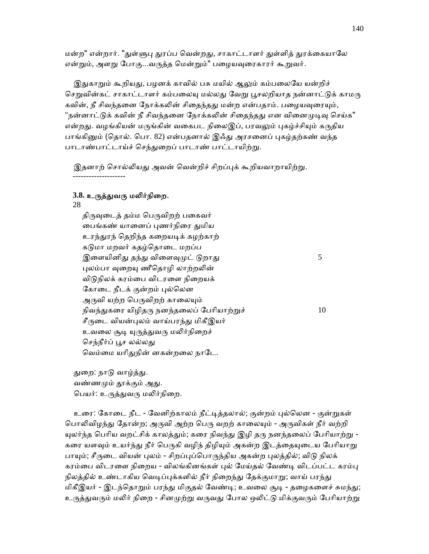மன்ற" என்றார். "துள்ளுபு துரப்ப வென்றது, சாகாட்டாளர் துள்ளித் துரக்கையாலே என்றும், அளறு போகு...வருத்த மென்றும்" பழையவுரைகாரர் கூறுவர்.

இதுகாறும் கூறியது, பழனக் காவில் பசு மயில் ஆலும் கம்பலையே யன்றிச் செறுவின்கட் சாகாட்டாளர் கம்பலையு மல்லது வேறு பூசலறியாத நன்னாட்டுக் காமரு கவின், நீ சிவந்தனை நோக்கலின் சிதைந்தது மன்ற என்பதாம். பழையவுரையும், "நன்னாட்டுக் கவின் நீ சிவந்தனை நோக்கலின் சிதைந்தது என வினைமுடிவு செய்க" என்றது. வழங்கியன் மருங்கின் வகைபட நிலைஇப், பரவலும் புகழ்ச்சியும் கருதிய பாங்கினும் (தொல். பொ. 82) என்பதனால் இஃது அரசனைப் புகழ்தற்கண் வந்த பாடாண்பாட்டாய்ச் செந்துறைப் பாடாண் பாட்டாயிற்று.

இதனாற் சொல்லியது அவன் வென்றிச் சிறப்புக் கூறியவாறாயிற்று. --------------------

## 3.8. உருத்துவரு மலிர்நிறை.

 28 திருவுடைத் தம்ம பெருவிறற் பகைவர் பைங்கண் யானைப் புணர்நிரை துமிய உரந்துரந் தெறிந்த கறையடிக் கழற்காற் கடுமா மறவர் கதழ்தொடை மறப்ப இளையினிது தந்து விளைவுமுட் டுறாது $5$ புலம்பா வுறையு ணீதொழி லாற்றலின் விடுநிலக் கரம்பை விடரளை நிறையக் கோடை நீடக் குன்றம் புல்லென அருவி யற்ற பெருவிறற் காலையும் நிவந்துகரை யிழிதரு நனந்தலைப் பேரியாற்றுச்  $10$ சீருடை வியன்புலம் வாய்பரந்து மிகீஇயர் உவலை சூடி யுருத்துவரு மலிர்நிறைச் செந்நீர்ப் பூச லல்லது வெம்மை யரிதுநின் னகன்றலை நாடே.

துறை: நாடு வாழ்த்து. வண்ணமும் தூக்கும் அது. பெயர்: உருத்துவரு மலிர்நிறை.

உரை: கோடை நீட - வேனிற்காலம் நீட்டித்தலால்; குன்றம் புல்லென - குன்றுகள் பொலிவிழந்து தோன்ற; அருவி அற்ற பெரு வறற் காலையும் - அருவிகள் நீர் வற்றி யுலர்ந்த பெரிய வறட்சிக் காலத்தும்; கரை நிவந்து இழி தரு நனந்தலைப் பேரியாற்று -கரை யளவும் உயர்ந்து நீர் பெருகி வழிந் திழியும் அகன்ற இடத்தையுடைய பேரியாறு பாயும்; சீருடை வியன் புலம் - சிறப்புப்பொருந்திய அகன்ற புலத்தில்; விடு நிலக் கரம்பை விடரளை நிறைய - விலங்கினங்கள் புல் மேய்தல் வேண்டி விடப்பட்ட கரம்பு நிலத்தில் உண்டாகிய வெடிப்புக்களில் நீர் நிறைந்து தேக்குமாறு; வாய் பரந்து மிகீஇயர் - இடந்தொறும் பரந்து மிகுதல் வேண்டி; உவலை சூடி - தழைகளைச் சுமந்து; உருத்துவரும் மலிர் நிறை - சினமுற்று வருவது போல ஒலிட்டு மிக்குவரும் பேரியாற்று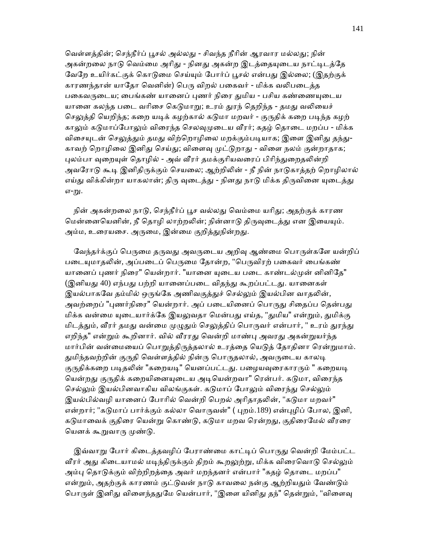வெள்ளத்தின்; செந்நீர்ப் பூசல் அல்லது - சிவந்த நீரின் ஆரவார மல்லது; நின் அகன்றலை நாடு வெம்மை அரிது - நினது அகன்ற இடத்தையுடைய நாட்டிடத்தே வேறே உயிர்கட்குக் கொடுமை செய்யும் போர்ப் பூசல் என்பது இல்லை; (இதற்குக் காரணந்தான் யாதோ வெனின்) பெரு விறல் பகைவர் - மிக்க வலிபடைத்த பகைவருடைய; பைங்கண் யானைப் புணர் நிரை துமிய - பசிய கண்ணையுடைய யானை கலந்த படை வரிசை கெடுமாறு; உரம் துரந் தெறிந்த - தமது வலியைச் செலுத்தி யெறிந்த; கறை யடிக் கழற்கால் கடுமா மறவர் - குருதிக் கறை படிந்த கழற் காலும் கடுமாப்போலும் விரைந்த செலவுமுடைய வீரர்; கதழ் தொடை மறப்ப - மிக்க விசையுடன் செலுத்தும் தமது விற்றொழிலை மறக்கும்படியாக; இளை இனிது தந்து-காவற் றொழிலை இனிது செய்து; விளைவு முட்டுறாது - விளை நலம் குன்றாதாக; புலம்பா வுறையுள் தொழில் - அவ் வீரர் தமக்குரியவரைப் பிரிந்துறைதலின்றி அவரோடு கூடி இனிதிருக்கும் செயலை; ஆற்றிலின் - நீ நின் நாடுகாத்தற் றொழிலால் எய்து விக்கின்றா யாகலான்; திரு வுடைத்து - நினது நாடு மிக்க திருவினை யுடைத்து எ-று.

நின் அகன்றலை நாடு, செந்நீர்ப் பூச வல்லது வெம்மை யரிது; அதற்குக் காரண மென்னையெனின், நீ தொழி லாற்றலின்; நின்னாடு திருவுடைத்து என இயையும். அம்ம, உரையசை. அருமை, இன்மை குறித்துநின்றது.

வேந்தர்க்குப் பெருமை தருவது அவருடைய அறிவு ஆண்மை பொருள்களே யன்றிப் படையுமாதலின், அப்படைப் பெருமை தோன்ற, "பெருவிரற் பகைவர் பைங்கண் யானைப் புணர் நிரை" யென்றார். "யானை யுடைய படை காண்டல்முன் னினிதே" (இனியது 40) எந்பது பற்றி யானைப்படை விதந்து கூறப்பட்டது. யானைகள் இயல்பாகவே தம்மில் ஒருங்கே அணிவகுத்துச் செல்லும் இயல்பின வாதலின், அவற்றைப் "புணர்நிரை" யென்றார். அப் படையினைப் பொருது சிதைப்ப தென்பது மிக்க வன்மை யுடையார்க்கே இயலுவதா மென்பது எய்த, "துமிய" என்றும், துமிக்கு மிடத்தும், வீரர் தமது வன்மை முழுதும் செலுத்திப் பொருவர் என்பார், " உரம் துரந்து எறிந்த" என்றும் கூறினார். வில் வீரரது வென்றி மாண்பு அவரது அகன்றுயர்ந்த மார்பின் வன்மையைப் பொறுத்திருத்தலால் உரத்தை யெடுத் தோதினா ரென்றுமாம். துமிந்தவற்றின் குருதி வெள்ளத்தில் நின்ரு பொருதலால், அவருடைய காலடி குருதிக்கறை படிதலின் "கறையடி" யெனப்பட்டது. பழையவுரைகாரரும் " கறையடி யென்றது குருதிக் கறையினையடைய அடியென்றவா" ரென்பர். கடுமா, விரைந்த செல்லும் இயல்பினவாகிய விலங்குகள். கடுமாப் போலும் விரைந்து செல்லும் இயல்பில்வழி யானைப் போரில் வென்றி பெறல் அரிதாதலின், "கடுமா மறவர்" என்றார்; "கடுமாப் பார்க்கும் கல்லா வொருவன்" ( புறம்.189) என்புழிப் போல, இனி, கடுமாவைக் குதிரை யென்று கொண்டு, கடுமா மறவ ரென்றது, குதிரைமேல் வீரரை யெனக் கூறுவாரு முண்டு.

இவ்வாறு போர் கிடைத்தவழிப் பேராண்மை காட்டிப் பொருது வென்றி மேம்பட்ட வீரர் அது கிடையாமல் மடிந்திருக்கும் திறம் கூறலுற்று, மிக்க விரைவொடு செல்லும் அம்பு தொடுக்கும் விற்றிறத்தை அவர் மறந்தனர் என்பார் "கதழ் தொடை மறப்ப" என்றும், அதற்குக் காரணம் குட்டுவன் நாடு காவலை நன்கு ஆற்றியதும் வேண்டும் பொருள் இனிது விளைந்ததுமே யென்பார், "இளை யினிது தந்" தென்றும், "விளைவு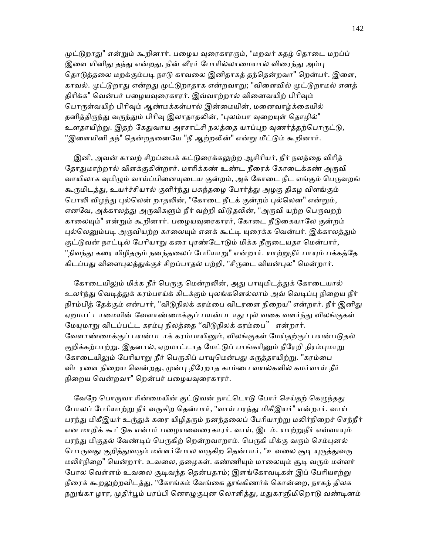முட்டுறாது" என்றும் கூறினார். பழைய வுரைகாரரும், "மறவர் கதழ் தொடை மறப்ப் இளை யினிது தந்து என்றது, நின் வீரர் போரில்லாமையால் விரைந்து அம்பு தொடுத்தலை மறக்கும்படி நாடு காவலை இனிதாகத் தந்தென்றவா" றென்பர். இளை, காவல். முட்டுறாது என்றது முட்டுறாதாக என்றவாறு; "விளைவில் முட்டுறாமல் எனத் திரிக்க" வென்பர் பழையவுரைகாரர். இவ்வாற்றால் வினைவயிற் பிரிவும் பொருள்வயிற் பிரிவும் ஆண்மக்கள்பால் இன்மையின், மனைவாழ்க்கையில் தனித்திருந்து வருந்தும் பிரிவு இலாதாதலின், "புலம்பா வுறையுள் தொழில்" உளதாயிற்று. இதற் கேதுவாய அரசாட்சி நலத்தை யாப்புற வுணர்த்தற்பொருட்டு, "இளையினி தந்" தென்றதனையே "நீ ஆற்றலின்" என்று மீட்டும் கூறினார்.

இனி, அவன் காவற் சிறப்பைக் கட்டுரைக்கலுற்ற ஆசிரியர், நீர் நலத்தை விரித் தோதுமாற்றால் விளக்குகின்றார். மாரிக்கண் உண்ட நீரைக் கோடைக்கண் அருவி வாயிலாக வுமிழும் வாய்ப்பினையுடைய குன்றம், அக் கோடை நீட எங்கும் பெருவறங் கூருமிடத்து, உயர்ச்சியால் குளிர்ந்து பசுந்தழை போர்த்து அழகு திகழ விளங்கும் பொலி விழந்து புல்லென் றாதலின், "கோடை நீடக் குன்றம் புல்லென" என்றும், எனவே, அக்காலத்து அருவிகளும் நீர் வற்றி விடுதலின், "அருவி யற்ற பெருவறற் காலையும்" என்றும் கூறினார். பழையவுரைகாரர், கோடை நீடுகையாலே குன்றம் புல்லெனும்படி அருவியற்ற காலையும் எனக் கூட்டி யுரைக்க வென்பர். இக்காலத்தும் குட்டுவன் நாட்டில் பேரியாறு கரை புரண்டோடும் மிக்க நீருடையதா மென்பார், "நிவந்து கரை யிழிதரும் நனந்தலைப் பேரியாறு" என்றார். யாற்றுநீர் பாயும் பக்கத்தே கிடப்பது விளைபுலத்துக்குச் சிறப்பாதல் பற்றி, "சீருடை வியன்புல" மென்றார்.

கோடையிலும் மிக்க நீர் பெருகு மென்றலின், அது பாயுமிடத்துக் கோடையால் உலர்ந்து வெடித்துக் கரம்பாய்க் கிடக்கும் புலங்களெல்லாம் அவ் வெடிப்பு நிறைய நீர் நிரம்பித் தேக்கும் என்பார், "விடுநிலக் கரம்பை விடரளை நிறைய" என்றார். நீர் இனிது ஏறமாட்டாமையின் வேளாண்மைக்குப் பயன்படாது புல் வகை வளர்ந்து விலங்குகள் மேயுமாறு விடப்பட்ட கரம்பு நிலத்தை ''விடுநிலக் கரம்பை'' என்றார். வேளாண்மைக்குப் பயன்படாக் கரம்பாயினும், விலங்குகள் மேய்தற்குப் பயன்படுதல் குறிக்கற்பாற்று. இதனால், ஏறமாட்டாத மேட்டுப் பாங்கரினும் நீரேறி நிரம்புமாறு கோடையிலும் பேரியாறு நீர் பெருகிப் பாயுமென்பது கருத்தாயிற்று. "கரம்பை விடரளை நிறைய வென்றது, முன்பு நீரேறாத காம்பை வயல்களில் கமர்வாய் நீர் நிறைய வென்றவா" றென்பர் பழையவுரைகாரர்.

வேறே பொருவா ரின்மையின் குட்டுவன் நாட்டொடு போர் செய்தற் கெழுந்தது போலப் பேரியாற்று நீர் வருகிற தென்பார், "வாய் பரந்து மிகீஇயர்" என்றார். வாய் பரந்து மிகீஇயர் உரு்துக் கரை யிழிதரும் நனந்தலைப் பேரியாற்று மலிர்நிறைச் செந்நீர் என மாறிக் கூட்டுக என்பர் பழையவைரைகாரர். வாய், இடம். யாற்றுநீர் எவ்வாயும் பரந்து மிகுதல் வேண்டிப் பெருகிற் றென்றவாறாம். பெருகி மிக்கு வரும் செம்புனல் பொருவது குறித்துவரும் மள்ளர்போல வருகிற தென்பார், "உவலை சூடி யுருத்துவரு மலிர்நிறை" யென்றார். உவலை, தழைகள். கண்ணியும் மாலையும் சூடி வரும் மள்ளர் போல வெள்ளம் உவலை சூடிவந்த தென்பதாம்; இளங்கோவடிகள் இப் பேரியாற்று நீரைக் கூறலுற்றவிடத்து, "கோங்கம் வேங்கை தூங்கிணர்க் கொன்றை, நாகந் திலக நறுங்கா ழார, முதிர்பூம் பரப்பி னொழுகுபுன லொளித்து, மதுகரஞிமிறொடு வண்டினம்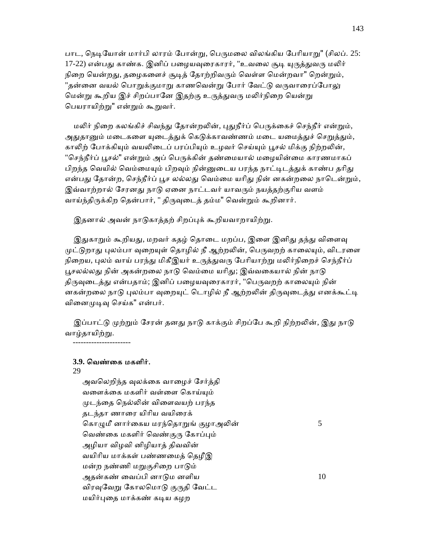பாட, நெடியோன் மார்பி லாரம் போன்று, பெருமலை விலங்கிய பேரியாறு" (சிலப். 25: 17-22) என்பது காண்க. இனிப் பழையவுரைகாரர், "உவலை சூடி யுருத்துவரு மலிர் நிறை யென்றது, தழைகளைச் சூடித் தோற்றிவரும் வெள்ள மென்றவா" றென்றும், "தன்னை வயல் பொறுக்குமாறு காணவென்று போர் வேட்டு வருவாரைப்போலு மென்று கூறிய இச் சிறப்பானே இதற்கு உருத்துவரு மலிர்நிறை யென்று பெயராயிற்று" என்றும் கூறுவர்.

மலிர் நிறை கலங்கிச் சிவந்து தோன்றலின், புதுநீர்ப் பெருக்கைச் செந்நீர் என்றும், அதுதானும் மடைகளை யுடைக்துக் கெடுக்காவண்ணம் மடை யமைக்துச் செறுக்தும், காலிற் போக்கியும் வயலிடைப் பரப்பியும் உழவர் செய்யும் பூசல் மிக்கு நிற்றலின், "செந்நீர்ப் பூசல்" என்றும் அப் பெருக்கின் தண்மையால் மழையின்மை காரணமாகப் பிறந்த வெயில் வெம்மையும் பிறவும் நின்னுடைய பரந்த நாட்டிடத்துக் காண்ப தரிது என்பது தோன்ற, செந்நீர்ப் பூச லல்லது வெம்மை யரிது நின் னகன்றலை நாடென்றும், இவ்வாற்றால் சேரனது நாடு ஏனை நாட்டவர் யாவரும் நயத்தற்குரிய வளம் வாய்ந்திருக்கிற தென்பார், " திருவுடைத் தம்ம" வென்றும் கூறினார்.

இதனால் அவன் நாடுகாத்தற் சிறப்புக் கூறியவாறாயிற்று.

இதுகாறும் கூறியது, மறவர் கதழ் தொடை மறப்ப, இளை இனிது தந்து விளைவு முட்டுறாது புலம்பா வுறையுள் தொழில் நீ ஆற்றலின், பெருவறற் காலையும், விடரளை நிறைய, புலம் வாய் பரந்து மிகீஇயர் உருத்துவரு பேரியாற்று மலிர்நிறைச் செந்நீர்ப் பூசலல்லது நின் அகன்றலை நாடு வெம்மை யரிது; இவ்வகையால் நின் நாடு திருவுடைத்து என்பதாம்; இனிப் பழையவுரைகாரர், "பெருவறற் காலையும் நின் னகன்றலை நாடு புலம்பா வுறையுட் டொழில் நீ ஆற்றலின் திருவுடைத்து எனக்கூட்டி வினைமுடிவு செய்க" என்பர்.

இப்பாட்டு முற்றும் சேரன் தனது நாடு காக்கும் சிறப்பே கூறி நிற்றலின், இது நாடு வாழ்தாய<u>ிற்ற</u>ு.

----------------------

## **3.9.** ெவண்ைக மகளிர்.

### 29

அவலெறிந்த வுலக்கை வாழைச் சேர்த்தி வளைக்கை மகளிர் வள்ளை கொய்யும் ᾙடந்ைத ெநல்ᾢன் விைளவயற் பரந்த தடந்தா ணாைர யிாிய வயிைரக் கொழுமீ னார்கைய மரந்தொறுங் குழாஅலின்  $5$ வெண்கை மகளிர் வெண்குரு கோப்பும் அழியா விழவி னிழியாத் திவவின் வயிாிய மாக்கள் பண்ணைமத் ெதழீஇ மன்ற நண்ணி மறுகுசிறை பாடும் அதன்கண் வைப்பி னாடும னளிய  $10$ விரவுவேறு கோலமொடு குருதி வேட்ட மயிர்புதை மாக்கண் கடிய கழற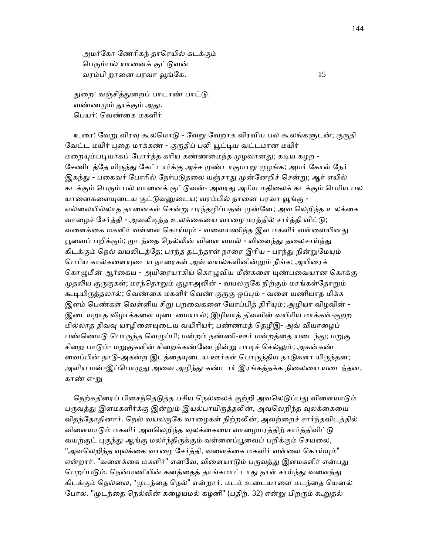அமர்ேகா ேணாிகந் தாெரயில் கடக்கும் பெரும்பல் யானைக் குட்டுவன் வரம்பி றானை பரவா வூங்கே.  $15$ 

துறை: வஞ்சித்துறைப் பாடாண் பாட்டு. வண்ணமும் காக்கும் அகு. ெபயர்: ெவண்ைக மகளிர்

உரை: வேறு விரவு கூலமொடு - வேறு வேறாக விரவிய பல கூலங்களுடன்; குருதி வேட்ட மயிர் புதை மாக்கண் - குருதிப் பலி யூட்டிய வட்டமான மயிர் மறையும்படியாகப் போர்த்த கரிய கண்ணமைந்த முழவானது; கடிய கழற -சேணிடத்தே யிருந்து கேட்டார்க்கு அச்ச முண்டாகுமாறு முழங்க; அமர் கோள் நேர் இகந்து - பகைவர் போரில் நேர்படுதலை யஞ்சாது முன்னேறிச் சென்று; ஆர் எயில் கடக்கும் பெரும் பல் யானைக் குட்டுவன்- அவரது அரிய மதிலைக் கடக்கும் பெரிய பல யானைகளையுடைய குட்டுவனுடைய; வரம்பில் தானை பரவா வூங்கு -எல்லையில்லாத தானைகள் சென்று பரந்தழிப்பதன் முன்னே; அவ லெறிந்த உலக்கை வாழைச் சேர்த்தி - அவலிடித்த உலக்கையை வாழை மரத்தில் சார்த்தி விட்டு; வளைக்கை மகளிர் வள்ளை கொய்யும் - வளையணிந்த இள மகளிர் வள்ளையினது பூவைப் பறிக்கும்; முடந்தை நெல்லின் விளை வயல் - விளைந்து தலைசாய்ந்து கிடக்கும் நெல் வயலிடத்தே; பரந்த தடந்தாள் நாரை இரிய - பரந்து நின்றுமேயும் பெரிய கால்களையுடைய நாரைகள் அவ் வயல்களினின்றும் நீங்க; அயிரைக் கொழுமீன் ஆர்கைய - அயிரையாகிய கொழுவிய மீன்களை யுண்பவையான கொக்கு முதலிய குருகுகள்; மரந்தொறும் குழாஅலின் - வயலருகே நிற்கும் மரங்கள்தோறும் கூடியிருத்தலால்; வெண்கை மகளிர் வெண் குருகு ஒப்பும் - வளை யணியாத மிக்க இளம் பெண்கள் வெள்ளிய சிறு பறவைகளை யோப்பித் திரியும்; அழியா விழவின் -இடையறாத விழாக்களை யுடைமையால்; இழியாத் திவவின் வயிரிய மாக்கள்-குறற மில்லாத திவவு யாழினையுடைய வயிரியர்; பண்ணமத் தெழீஇ- அவ் வியாழைப் பண்ணொடு பொருந்த வெழுப்பி; மன்றம் நண்ணி-ஊர் மன்றத்தை யடைந்து; மறுகு சிறை பாடும்- மறுகுகளின் சிறைக்கண்ணே நின்று பாடிச் செல்லும்; அகன்கண் வைப்பின் நாடு-அகன்ற இடத்தையுடைய ஊர்கள் பொருந்திய நாடுகளா யிருந்தன; அளிய மன்-இப்பொழுது அவை அழிந்து கண்டார் இரங்கத்தக்க நிலையை யடைந்தன, காண் எ-று

நெற்கதிரைப் பிசைந்தெடுத்த பசிய நெல்லைக் குற்றி அவலெடுப்பது விளையாடும் பருவத்து இளமகளிர்க்கு இன்றும் இயல்பாயிருத்தலின், அவலெறிந்த வுலக்கையை விதந்தோதினார். நெல் வயலருகே வாழைகள் நிற்றலின், அவற்றைச் சார்ந்தவிடத்தில் விளையாடும் மகளிர் அவலெறிந்த வுலக்கையை வாழைமரத்திற் சார்த்திவிட்டு வயற்குட் புகுந்து ஆங்கு மலர்ந்திருக்கும் வள்ளைப்பூவைப் பறிக்கும் செயலை, "அவலெறிந்த வுலக்கை வாழை சேர்த்தி, வளைக்கை மகளிர் வள்ளை கொய்யும்" என்றார். "வளைக்கை மகளிர்" எனவே, விளையாடும் பருவத்து இளமகளிர் என்பது பெறப்படும். நென்மணியின் கனத்தைத் தாங்கமாட்டாது தாள் சாய்ந்து வளைந்து கிடக்கும் நெல்லை, "முடந்தை நெல்" என்றார். மடம் உடையாளை மடந்தை யெனல் போல. "முடந்தை நெல்லின் கழையமல் கழனி" (பதிற். 32) என்று பிறரும் கூறுதல்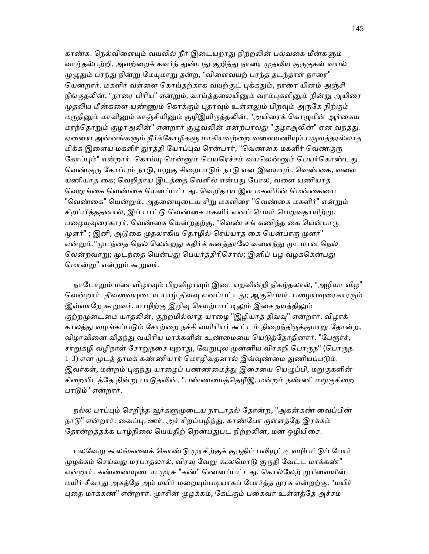காண்க. நெல்விளையும் வயலில் நீர் இடையறாது நிற்றலின் பல்வகை மீன்களும் வாழ்தல்பற்றி, அவற்றைக் கவர்ந் துண்பது குறித்து நாரை முதலிய குருகுகள் வயல் முழுதும் பரந்து நின்று மேயுமாறு தன்ற, "விளைவயற் பரந்த தடந்தாள் நாரை" யென்றார். மகளிர் வள்ளை கொய்தற்காக வயற்குட் புக்கதும், நாரை யினம் அஞ்சி நீங்குதலின், "நாரை பிரிய" என்றும், வாய்த்தலையினும் வரம்புகளினும் நின்று அயிரை முதலிய மீன்களை யுண்ணும் கொக்கும் புதாவும் உள்ளலும் பிறவும் அருகே நிற்கும் மருதினும் மாவினும் காஞ்சியினும் குழீஇயிருத்தலின், "அயிரைக் கொழுமீன் ஆர்கைய மரந்தொறும் குழாஅலின்" என்றார் குழுவலின் எனற்பாலது "குழாஅலின்" என வந்தது. ஏனைய அன்னங்களும் நீர்க்கோழிகளு மாகியவற்றை வளையணியும் பருவத்தரல்லாத மிக்க இளைய மகளிர் துரத்தி யோப்புவ ரென்பார், "வெண்கை மகளிர் வெண்குரு கோப்பும்" என்றார். கொய்யு மென்னும் பெயரெச்சம் வயலென்னும் பெயர்கொண்டது. வெண்குரு கோப்பும் நாடு, மறுகு சிறைபாடும் நாடு என இயையும். வெண்கை, வளை யணியாத கை; வெறிதாய இடத்தை வெளில் என்பது போல, வளை யணியாத வெறுங்கை வெண்கை யெனப்பட்டது. வெறிதாய இள மகளிரின் மென்கையை "வெண்கை" யென்றும், அதனையுடைய சிறு மகளிரை "வெண்கை மகளிர்" என்றும் சிறப்பித்ததனால், இப் பாட்டு வெண்கை மகளிர் எனப் பெயர் பெறுவதாயிற்று. பழையவுரைகாரர், வெண்கை யென்றதற்கு, "வெண் சங் கணிந்த கை யென்பாரு முளர்" ; இனி, அடுகை முதலாகிய தொழில் செய்யாத கை யென்பாரு முளர்" என்றும்,"முடந்தை நெல் லென்றது கதிர்க் கனத்தாலே வளைந்து முடமான நெல் லென்றவாறு; முடந்தை யென்பது பெயர்த்திரிசொல்; இனிப் பழ வழக்கென்பது ெமான்ᾠ" என்ᾠம் கூᾠவர்.

நாடோறும் மண விழாவும் பிறவிழாவும் இடையறவின்றி நிகழ்தலால், "அழியா விழ" வென்றார். திவவையுடைய யாழ் திவவு எனப்பட்டது; ஆகுபெயர். பழையவுரைகாரரும் இவ்வாறே கூறுவர். யாழிற்கு இழிவு செயற்பாட்டிலும் இசை நயத்திலும் குற்றமுடைமை யாதலின், குற்றமில்லாத யாழை "இழியாத் திவவு" என்றார். விழாக் காலத்து வழங்கப்படும் சோற்றை நச்சி வயிரியர் கூட்டம் நிறைந்திருக்குமாறு தோன்ற, விழாவினை விதந்து வயிரிய மாக்களின் உண்மையை யெடுத்தோதினார். "பேரூர்ச், சாறுகழி வழிநாள் சோறுநசை யுறாது, வேறுபுல முன்னிய விரகறி பொருந" (பொருந. 1-3) என முடத் தாமக் கண்ணியார் மொழிவதனால் இவ்வுண்மை துணியப்படும். இவர்கள், மன்றம் புகுந்து யாழைப் பண்ணமைத்து இசையை யெழுப்பி, மறுகுகளின் சிறையிடத்தே நின்று பாடுதலின், "பண்ணமைத்தெழீஇ, மன்றம் நண்ணி மறுகுசிறை பாᾌம்" என்றார்.

நல்ல பரப்பும் செறிந்த வூர்களுமுடைய நாடாதல் தோன்ற, "அகன்கண் வைப்பின் நாடு" என்றார். வைப்பு, ஊர். அச் சிறப்பழிந்து, காண்போ ருள்ளத்தே இரக்கம் தோன்றத்தக்க பாழ்நிலை யெய்திற் றென்பதுபட நிற்றலின், மன் ஒழியிசை.

பலவேறு கூலங்களைக் கொண்டு முரசிற்குக் குருதிப் பலியூட்டி வழிபட்டுப் போர் முழக்கம் செய்வது மரபாதலால், விரவு வேறு கூலமொடு குருதி வேட்ட மாக்கண்" என்றார். கண்ணையுடைய முரசு "கண்" ணெனப்பட்டது. கொல்லேற் றுரிவையின் மயிர் சீவாது அகத்தே அம் மயிர் மறையும்படியாகப் போர்த்த முரசு என்றற்கு, "மயிர் புதை மாக்கண்" என்றார். முரசின் முழக்கம், கேட்கும் பகைவர் உள்ளத்தே அச்சம்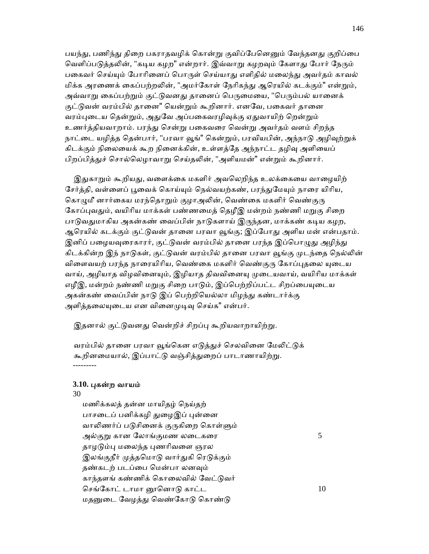பயந்து, பணிந்து திறை பகராதவழிக் கொன்று குவிப்பேனெனும் வேந்தனது குறிப்பை வெளிப்படுத்தலின், "கடிய கழற" என்றார். இவ்வாறு கழறவும் கேளாது போர் நேரும் பகைவர் செய்யும் போரினைப் பொருள் செய்யாது எளிதில் மலைந்து அவர்தம் காவல் மிக்க அரணைக் கைப்பற்றலின், "அமர்கோள் நேரிகந்து ஆரெயில் கடக்கும்" என்றும், அவ்வாறு கைப்பற்றும் குட்டுவனது தானைப் பெருமையை, "பெரும்பல் யானைக் குட்டுவன் வரம்பில் தானை" யென்றும் கூறினார். எனவே, பகைவர் தானை வரம்புடைய தென்றும், அதுவே அப்பகைவரழிவுக்கு ஏதுவாயிற் றென்றும் உணர்த்தியவாறாம். பரந்ᾐ ெசன்ᾠ பைகவைர ெவன்ᾠ அவர்தம் வளம் சிறந்த நாட்டை யழித்த தென்பார், "பரவா வூங்" கென்றும், பரவியபின், அந்நாடு அழிவுற்றுக் கிடக்கும் நிலையைக் கூற நினைக்கின், உள்ளத்தே அந்நாட்ட தழிவு அளியைப் பிறப்பித்துச் சொல்லெழாவாறு செய்தலின், "அளியமன்" என்றும் கூறினார்.

இதுகாறும் கூறியது, வளைக்கை மகளிர் அவலெறிந்த உலக்கையை வாழையிற் சேர்த்தி, வள்ளைப் பூவைக் கொய்யும் நெல்வயற்கண், பரந்துமேயும் நாரை யிரிய, கொழுமீ னார்கைய மரந்தொறும் குழாஅலின், வெண்கை மகளிர் வெண்குரு கோப்புவதும், வயிரிய மாக்கள் பண்ணமைத் தெழீஇ மன்றம் நண்ணி மறுகு சிறை பாடுவதுமாகிய அகன்கண் வைப்பின் நாடுகளாய் இருந்தன, மாக்கண் கடிய கழற, ஆரெயில் கடக்கும் குட்டுவன் தானை பரவா வூங்கு; இப்போது அளிய மன் என்பதாம். இனிப் பழையவுரைகாரர், குட்டுவன் வரம்பில் தானை பரந்த இப்பொழுது அழிந்து கிடக்கின்ற இந் நாடுகள், குட்டுவன் வரம்பில் தானை பரவா வூங்கு முடந்தை நெல்லின் விளைவயற் பரந்த நாரையிரிய, வெண்கை மகளிர் வெண்குரு கோப்புதலை யுடைய வாய், அழியாத விழவினையும், இழியாத திவவினையு முடையவாய், வயிரிய மாக்கள் எழீஇ, மன்றம் நண்ணி மறுகு சிறை பாடும், இப்பெற்றிப்பட்ட சிறப்பையுடைய அகன்கண் வைப்பின் நாடு இப் பெற்றியெல்லா மிழந்து கண்டார்க்கு அளித்தலையுடைய என வினைமுடிவு செய்க" என்பர்.

இதனால் குட்டுவனது வென்றிச் சிறப்பு கூறியவாறாயிற்று.

வரம்பில் தானை பரவா வூங்கென எடுத்துச் செலவினை மேலிட்டுக் கூறினமையால், இப்பாட்டு வஞ்சித்துறைப் பாடாணாயிற்று. ---------

## **3.10.** ᾗகன்ற வாயம்

30

 மணிக்கலத் தன்ன மாயிதழ் ெநய்தற் பாசடைப் பனிக்கழி துழைஇப் புன்னை வாலிணர்ப் படுசினைக் குருகிறை கொள்ளும் அல்குᾠ கான ேலாங்குமண லைடகைர 5 தாழடும்பு மலைந்த புணரிவளை ஞரல இலங்குநீர் முத்தமொடு வார்துகி ரெடுக்கும் தண்கடற் படப்பை மென்பா லனவும் காந்தளங் கண்ணிக் கொலைவில் வேட்டுவர் செங்கோட் டாமா னூனொடு காட்ட  $10$ மதனுடை வேழத்து வெண்கோடு கொண்டு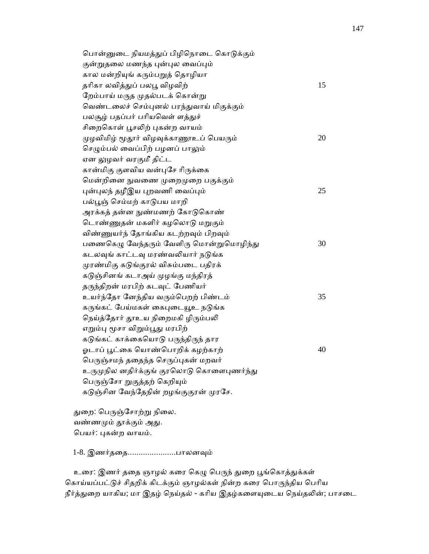| பொன்னுடை நியமத்துப் பிழிநொடை கொடுக்கும்    |    |
|--------------------------------------------|----|
| குன்றுதலை மணந்த புன்புல வைப்பும்           |    |
| கால மன்றியுங் கரும்பறுத் தொழியா            |    |
| தரிகா லவித்துப் பலபூ விழவிற்               | 15 |
| றேம்பாய் மருத முதல்படக் கொன்று             |    |
| வெண்டலைச் செம்புனல் பரந்துவாய் மிகுக்கும்  |    |
| பலசூழ் பதப்பர் பரியவெள் ளத்துச்            |    |
| சிறைகொள் பூசலிற் புகன்ற வாயம்              |    |
| முழவிமிழ் மூதூர் விழவுக்காணூஉப் பெயரும்    | 20 |
| செழும்பல் வைப்பிற் பழனப் பாலும்            |    |
| ஏன லுழவர் வரகுமீ திட்ட                     |    |
| கான்மிகு குளவிய வன்புசே ரிருக்கை           |    |
| மென்றினை நுவணை முறைமுறை பகுக்கும்          |    |
| புன்புலந் தழீஇய புறவணி வைப்பும்            | 25 |
| பல்பூஞ் செம்மற் காடுபய மாறி                |    |
| அரக்கத் தன்ன நுண்மணற் கோடுகொண்             |    |
| டொண்ணுதன் மகளிர் கழலொடு மறுகும்            |    |
| விண்ணுயர்ந் தோங்கிய கடற்றவும் பிறவும்      |    |
| பணைகெழு வேந்தரும் வேளிரு மொன்றுமொழிந்து    | 30 |
| கடலவுங் காட்டவு மரண்வலியார் நடுங்க         |    |
| முரண்மிகு கடுங்குரல் விசும்படை பதிரக்      |    |
| கடுஞ்சினங் கடாஅய் முழங்கு மந்திரத்         |    |
| தருந்திறன் மரபிற் கடவுட் பேணியர்           |    |
| உயர்ந்தோ னேந்திய வரும்பெறற் பிண்டம்        | 35 |
| கருங்கட் பேய்மகள் கைபுடையூஉ நடுங்க         |    |
| நெய்த்தோர் தூஉய நிறைமகி ழிரும்பலி          |    |
| எறும்பு மூசா விறும்பூது மரபிற்             |    |
| கடுங்கட் காக்கையொடு பருந்திருந் தார        |    |
| ஓடாப் பூட்கை யொண்பொறிக் கழற்காற்           | 40 |
| பெருஞ்சமந் ததைந்த செருப்புகன் மறவர்        |    |
| உருமுநில னதிர்க்குங் குரலொடு கொளைபுணர்ந்து |    |
| பெருஞ்சோ றுகுத்தற் கெறியும்                |    |
| கடுஞ்சின வேந்தேநின் றழங்குகுரன் முரசே.     |    |
|                                            |    |

துறை: பெருஞ்சோற்று நிலை. வண்ணமும் தூக்கும் அது. ெபயர்: ᾗகன்ற வாயம்.

1-8. இணர்ததை.......................பாலனவும்

உரை: இணர் ததை ஞாழல் கரை கெழு பெருந் துறை பூங்கொத்துக்கள் கொய்யப்பட்டுச் சிதறிக் கிடக்கும் ஞாழல்கள் நின்ற கரை பொருந்திய பெரிய நீர்த்துறை யாகிய; மா இதழ் நெய்தல் - கரிய இதழ்களையுடைய நெய்தலின்; பாசடை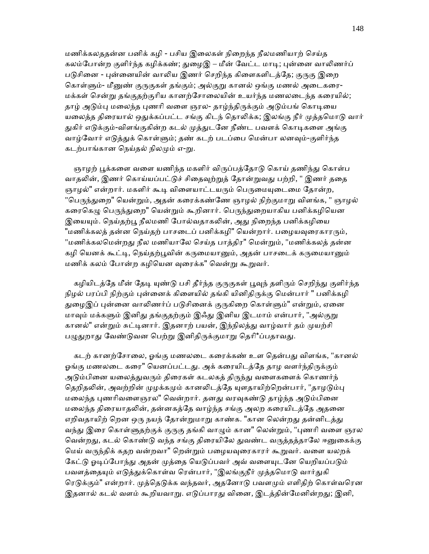மணிக்கலததன்ன பனிக் கழி - பசிய இைலகள் நிைறந்த நீலமணியாற் ெசய்த கலம்போன்ற குளிர்ந்த கழிக்கண்; துழைஇ – மீன் வேட்ட மாடி; புன்னை வாலிணர்ப் படுசினை - புன்னையின் வாலிய இணர் செறிந்த கிளைகளிடத்தே; குருகு இறை கொள்ளும்- மீனுண் குருகுகள் தங்கும்; அல்குறு கானல் ஒங்கு மணல் அடைகரை-மக்கள் சென்று தங்குதற்குரிய கானற்சோலையின் உயர்ந்த மணலடைந்த கரையில்; தாழ் அடும்பு மலைந்த புணரி வளை ஞரல- தாழ்ந்திருக்கும் அடும்பங் கொடியை யலைத்த திரையால் ஒதுக்கப்பட்ட சங்கு கிடந் தொலிக்க; இலங்கு நீர் முத்தமொடு வார் துகிர் எடுக்கும்-விளங்குகின்ற கடல் முத்துடனே நீண்ட பவளக் கொடிகளை அங்கு வாழ்வோர் எடுத்துக் கொள்ளும்; தண் கடற் படப்பை மென்பா லனவும்-குளிர்ந்த கடற்பாங்கான நெய்தல் நிலமும் எ-று.

ஞாழற் பூக்களை வளை யணிந்த மகளிர் விருப்பத்தோடு கொய் தணிந்து கொள்ப வாதலின், இணர் கொய்யப்பட்டுச் சிதைவுற்றுத் தோன்றுவது பற்றி, " இணர் ததை ஞாழல்" என்றார். மகளிர் கூடி விளையாட்டயரும் பெருமையுடைமை கோன்ற, "பெருந்துறை" யென்றும், அதன் கரைக்கண்ணே ஞாழல் நிற்குமாறு விளங்க, " ஞாழல் கரைகெழு பெருந்துறை" யென்றும் கூறினார். பெருந்துறையாகிய பனிக்கழியென இயையும். நெய்தற்பூ நீலமணி போல்வதாகலின், அது நிறைந்த பனிக்கழியை "மணிக்கலத் தன்ன நெய்தற் பாசடைப் பனிக்கழி" யென்றார். பழையவுரைகாரரும், "மணிக்கலமென்றது நீல மணியாலே செய்த பாத்திர" மென்றும், "மணிக்கலத் தன்ன கழி யெனக் கூட்டி, நெய்தற்பூவின் கருமையானும், அதன் பாசடைக் கருமையானும் மணிக் கலம் போன்ற கழியென வுரைக்க" வென்று கூறுவர்.

கழியிடத்தே மீன் தேடி யுண்டு பசி தீர்ந்த குருகுகள் பூவுந் தளிரும் செறிந்து குளிர்ந்த நிழல் பரப்பி நிற்கும் புன்னைக் கிளையில் தங்கி யினிதிருக்கு மென்பார் " பனிக்கமி துழைஇப் புன்னை வாலிணர்ப் படுசினைக் குருகிறை கொள்ளும்" என்றும், ஏனை மாவும் மக்களும் இனிது தங்குதற்கும் இஃது இனிய இடமாம் என்பார், "அல்குறு கானல்" என்றும் சுட்டினார். இதனாற் பயன், இந்நிலத்து வாழ்வார் தம் முயற்சி பழுதுறாது வேண்டுவன பெற்று இனிதிருக்குமாறு தெரி\*ப்பதாவது.

கடற் கானற்சோலை, ஓங்கு மணலடை கரைக்கண் உள தென்பது விளங்க, "கானல் ஓங்கு மணலடை கரை" யெனப்பட்டது. அக் கரையிடத்தே தாழ வளர்ந்திருக்கும் அடும்பினை யலைத்துவரும் திரைகள் கடலகத் திருந்து வளைகளைக் கொணர்ந் தெறிதலின், அவற்றின் முழக்கமும் கானலிடத்தே யுளதாயிற்றென்பார், "தாழடும்பு மலைந்த புணரிவளைஞரல" வென்றார். தனது வரவுகண்டு தாழ்ந்த அடும்பினை மலைந்த திரையாதலின், தன்னகத்தே வாழ்ந்த சங்கு அலற கரையிடத்தே அதனை எறிவதாயிற் றென ஒரு நயந் தோன்றுமாறு காண்க. "கான லென்றது தன்னிடத்து வந்து இரை கொள்ளுதற்குக் குருகு தங்கி வாழும் கான" லென்றும், "புணரி வளை ஞரல வென்றது, கடல் கொண்டு வந்த சங்கு திரையிலே துவண்ட வருத்தத்தாலே ஈனுகைக்கு மெய் வருந்திக் கதற வன்றவா" றென்றும் பழையவுரைகாரர் கூறுவர். வளை யலறக் கேட்டு ஓடிப்போந்து அதன் முத்தை யெடுப்பவர் அவ் வளையுடனே யெறியப்படும் பவளத்தையும் எடுத்துக்கொள்வ ரென்பார், "இலங்குநீர் முத்தமொடு வார்துகி ரெடுக்கும்" என்றார். முத்தெடுக்க வந்தவர், அதனோடு பவளமும் எளிதிற் கொள்வரென இதனால் கடல் வளம் கூறியவாறு. எடுப்பாரது வினை, இடத்தின்மேனின்றது; இனி,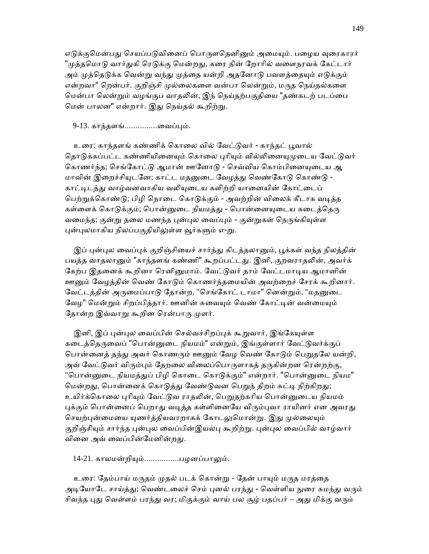எடுக்குமென்பது செயப்படுவினைப் பொருளதெனினும் அமையும். பழைய வுரைகாரர் "முத்தமொடு வார்துகி ரெடுக்கு மென்றது, கரை நின் றோரில் வளைநரவக் கேட்டார் அம் முத்தெடுக்க வென்று வந்து முத்தை யன்றி அதனோடு பவளத்தையும் எடுக்கும் என்றவா" றென்பர். குறிஞ்சி முல்லைகளை வன்பா லென்றும், மருத நெய்தல்களை ெமன்பா ெலன்ᾠம் வழங்குப வாதᾢன், இந் ெநய்தற்பகுதிைய "தண்கடற் படப்ைப மென் பாலன" என்றார். இது நெய்தல் கூறிற்று.

9-13. காந்தளங்...............ைவப்ᾗம்.

உரை: காந்தளங் கண்ணிக் கொலை வில் வேட்டுவர் - காந்தட் பூவால் தொடுக்கப்பட்ட கண்ணியினையும் கொலை புரியும் வில்லினையுமுடைய வேட்டுவர் கொணர்ந்த; செங்கோட்டு ஆமான் ஊனோடு - செவ்விய கொம்பினையுடைய ஆ மாவின் இறைச்சியுடனே; காட்ட மதனுடை வேழத்து வெண்கோடு கொண்டு -காட்டிடத்து வாழ்வனவாகிய வலியுடைய களிற்றி யானையின் கோட்டைப் பெற்றுக்கொண்டு; பிழி நொடை கொடுக்கும் - அவற்றின் விலைக் கீடாக வடித்த கள்ளைக் கொடுக்கும்; பொன்னுடை நியமத்து - பொன்னையுடைய கடைத்தெரு வமைந்த; குன்று தலை மணந்த புன்புல வைப்பும் - குன்றுகள் நெருங்கியுள்ள புன்புலமாகிய நிலப்பகுதியிலுள்ள வூர்களும் எ-று.

இப் புன்புல வைப்புக் குறிஞ்சியைச் சார்ந்து கிடத்தலானும், பூக்கள் வந்த நிலத்தின் பயத்த வாதலானும் "காந்தளங் கண்ணி" கூறப்பட்டது. இனி, குறவராதலின், அவர்க் கேற்ப இதனைக் கூறினா ரெனினுமாம். வேட்டுவர் தாம் வேட்டமாடிய ஆமானின் <u>ஊனு</u>ம் வேழத்தின் வெண் கோடும் கொணர்ந்தமையின் அவற்றைச் சேரக் கூறினார். வேட்டத்தின் அருமைப்பாடு தோன்ற, "செங்கோட் டாமா" னென்றும், "மதனுடை வேழ" மென்றும் சிறப்பித்தார். ஊனின் சுவையும் வெண் கோட்டின் வன்மையும் தோன்ற இவ்வாறு கூறின ரென்பாரு முளர்.

இனி, இப் புன்புல வைப்பின் செல்வச்சிறப்புக் கூறுவார், இங்கேயுள்ள கடைத்தெருவைப் "பொன்னுடை நியமம்" என்றும், இங்குள்ளார் வேட்டுவர்க்குப் பொன்னைத் தந்து அவர் கொணரும் ஊனும் வேழ வெண் கோடும் பெறுதலே யன்றி, அவ் வேட்டுவர் விரும்பும் தேறலை விலைப்பொருளாகத் தருகின்றன ரென்றற்கு, "பொன்னுடை நியமத்துப் பிழி கொடை கொடுக்கும்" என்றார். "பொன்னுடை நியம" மென்றது, பொன்னைக் கொடுத்து வேண்டுவன பெறுந் திறம் சுட்டி நிற்கிறது; உயிர்க்கொலை புரியும் வேட்டுவ ராதலின், பெறுதற்கரிய பொன்னுடைய நியமம் புக்கும் பொன்னைப் பெறாது வடித்த கள்ளினையே விரும்புவா ராயினர் என அவரது செயற்புன்மையை யுணர்த்தியவாறாகக் கோடலுமொன்று. இது முல்லையும் குறிஞ்சியும் சார்ந்த புன்புல வைப்பின்இயல்பு கூறிற்று. புன்புல வைப்பில் வாழ்வார் வினை அவ் வைப்பின்மேனின்றது.

14-21. காலமன்றியும்................பழனப்பாலும்.

உரை: தேம்பாய் மருதம் முதல் படக் கொன்று - தேன் பாயும் மருத மரத்தை அடியோடே சாய்த்து; வெண்டலைச் செம் புனல் பரந்து - வெள்ளிய நுரை சுமந்து வரும் சிவந்த புது வெள்ளம் பரந்து வர; மிகுக்கும் வாய் பல சூழ் பதப்பர் – அது மிக்கு வரும்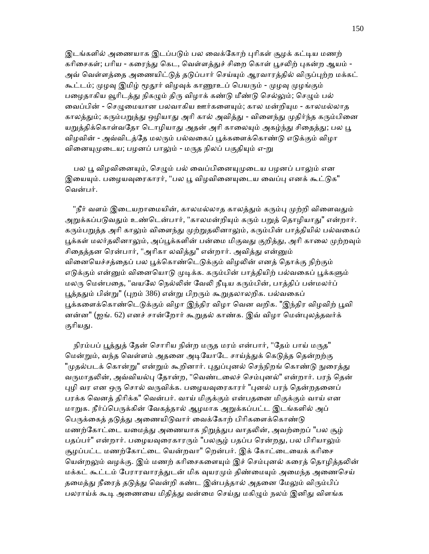இடங்களில் அணையாக இடப்படும் பல வைக்கோற் புரிகள் சூழக் கட்டிய மணற் கரிசைகள்; பரிய - கரைந்து கெட, வெள்ளத்துச் சிறை கொள் பூசலிற் புகன்ற ஆயம் -அவ் வெள்ளத்தை அணையிட்டுத் தடுப்பார் செய்யும் ஆரவாரத்தில் விருப்புற்ற மக்கட் கூட்டம்; முழவு இமிழ் மூதூர் விழவுக் காணூஉப் பெயரும் - முழவு முழங்கும் பழைதாகிய வூரிடத்து நிகழும் திரு விழாக் கண்டு மீண்டு செல்லும்; செழும் பல் வைப்பின் - செழுமையான பலவாகிய ஊர்களையும்; கால மன்றியும - காலமல்லாத காலத்தும்; கரும்பறுத்து ஒழியாது அரி கால் அவித்து - விளைந்து முதிர்ந்த கரும்பினை யறுத்திக்கொள்வதோ டொழியாது அதன் அரி காலையும் அகழ்ந்து சிதைத்து; பல பூ விழவின் - அவ்விடத்தே மலரும் பல்வகைப் பூக்களைக்கொண்டு எடுக்கும் விழா வினையுமுடைய; பழனப் பாலும் - மருத நிலப் பகுதியும் எ-று

பல பூ விழவினையும், செழும் பல் வைப்பினையுமுடைய பழனப் பாலும் என இயையும். பழையவுரைகாரர், "பல பூ விழவினையுடைய வைப்பு எனக் கூட்டுக" ெவன்பர்.

"நீர் வளம் இடையறாமையின், காலமல்லாக காலக்கும் கரும்பு முற்றி விளைவதும் அறுக்கப்படுவதும் உண்டென்பார், "காலமன்றியும் கரும் பறுத் தொழியாது" என்றார். கரும்பறுத்த அரி காலும் விளைந்து முற்றுதலினாலும், கரும்பின் பாத்தியில் பல்வகைப் பூக்கள் மலர்தலினாலும், அப்பூக்களின் பன்மை மிகுவது குறித்து, அரி காலை முற்றவும் சிதைத்தன ரென்பார், "அரிகா லவித்து" என்றார். அவித்து என்னும் வினையெச்சத்தைப் பல பூக்கொண்டெடுக்கும் விழலின் எனத் தொக்கு நிற்கும் எடுக்கும் என்னும் வினையொடு முடிக்க. கரும்பின் பாத்தியிற் பல்வகைப் பூக்களும் மலரு மென்பதை, "வயலே நெல்லின் வேலி நீடிய கரும்பின், பாத்திப் பன்மலர்ப் பூத்ததும் பின்று" (புறம் 386) என்று பிறரும் கூறுதலாலறிக. பல்வகைப் பூக்களைக்கொண்டெடுக்கும் விழா இந்திர விழா வென வறிக. "இந்திர விழவிற் பூவி னன்ன" (ஐங். 62) எனச் சான்றோர் கூறுதல் காண்க. இவ் விழா மென்புலத்தவர்க் குரியது.

நிரம்பப் பூத்துத் தேன் சொரிய நின்ற மருத மரம் என்பார், "தேம் பாய் மருத" மென்றும், வந்த வெள்ளம் அதனை அடியோடே சாய்த்துக் கெடுத்த தென்றற்கு "முதல்படக் கொன்று" என்றும் கூறினார். புதுப்புனல் செந்நிறங் கொண்டு நுரைத்து வருமாதலின், அவ்வியல்பு தோன்ற, "வெண்டலைச் செம்புனல்" என்றார். பரந் தென் புழி வர என ஒரு சொல் வருவிக்க. பழையவுரைகாரர் "புனல் பரந் தென்றதனைப் பரக்க ெவனத் திாிக்க" ெவன்பர். வாய் மிகுக்கும் என்பதைன மிகுக்கும் வாய் என மாறுக. நீர்ப்பெருக்கின் வேகத்தால் ஆழமாக அறுக்கப்பட்ட இடங்களில் அப் பெருக்கைத் தடுத்து அணையிடுவார் வைக்கோற் பிரிகளைக்கொண்டு மணற்கோட்டை யமைத்து அணையாக நிறுத்துப வாதலின், அவற்றைப் "பல சூழ் பதப்பர்" என்றார். பழையவுரைகாரரும் "பலசூழ் பதப்ப ரென்றது, பல பிரியாலும் சூழப்பட்ட மணற்கோட்டை யென்றவா" றென்பர். இக் கோட்டையைக் கரிசை யென்றலும் வழக்கு. இம் மணற் கரிசைகளையும் இச் செம்புனல் கரைத் தொழித்தலின் மக்கட் கூட்டம் பேராரவாரத்துடன் மிக வுயரமும் திண்மையும் அமைந்த அணைசெய் தமைத்து நீரைத் தடுத்து வென்றி கண்ட இன்பத்தால் அதனை மேலும் விரும்பிப் பலராய்க் கூடி அணையை மிதித்து வன்மை செய்து மகிழும் நலம் இனிது விளங்க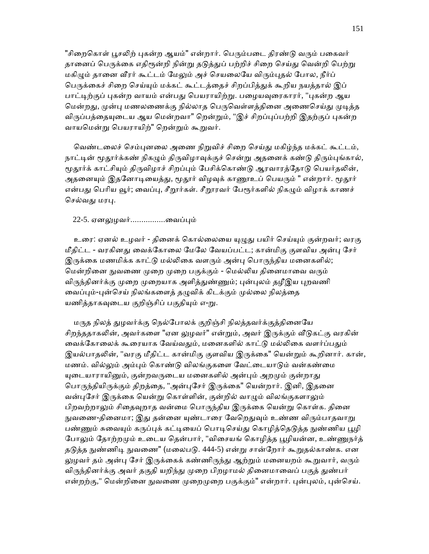"சிறைகொள் பூசலிற் புகன்ற ஆயம்" என்றார். பெரும்படை திரண்டு வரும் பகைவர் தானைப் பெருக்கை எதிரூன்றி நின்று தடுத்துப் பற்றிச் சிறை செய்து வென்றி பெற்று மகிழும் தானை வீரர் கூட்டம் மேலும் அச் செயலையே விரும்புதல் போல, நீர்ப் பெருக்கைச் சிறை செய்யும் மக்கட் கூட்டத்தைச் சிறப்பித்துக் கூறிய நயத்தால் இப் பாட்டிற்குப் புகன்ற வாயம் என்பது பெயராயிற்று. பழையவுரைகாரர், "புகன்ற ஆய மென்றது, முன்பு மணலணைக்கு நில்லாத பெருவெள்ளத்தினை அணைசெய்து முடித்த விருப்பத்தையுடைய ஆய மென்றவா" றென்றும், "இச் சிறப்புப்பற்றி இதற்குப் புகன்ற வாயமென்று பெயராயிற்" றென்றும் கூறுவர்.

வெண்டலைச் செம்புனலை அணை நிறுவிச் சிறை செய்து மகிழ்ந்த மக்கட் கூட்டம், நாட்டின் மூதூர்க்கண் நிகழும் திருவிழாவுக்குச் சென்று அதனைக் கண்டு திரும்புங்கால், மூதூர்க் காட்சியும் திருவிழாச் சிறப்பும் பேசிக்கொண்டு ஆரவாரத்தோடு பெயர்தலின், அதனையும் இதனோடியைத்து, மூதூர் விழவுக் காணூஉப் பெயரும் " என்றார். மூதூர் என்பது பெரிய வூர்; வைப்பு, சீறூர்கள். சீறூரவர் பேரூர்களில் நிகமும் விழாக் காணச் செல்வது மரபு.

22-5. ஏனலுழவர்............................வைப்பும்

உரை: ஏனல் உழவர் - தினைக் கொல்லையை யுழுது பயிர் செய்யும் குன்றவர்; வரகு மீதிட்ட - வரகினது வைக்கோலை மேலே வேயப்பட்ட; கான்மிகு குளவிய அன்பு சேர் இருக்கை மணமிக்க காட்டு மல்லிகை வளரும் அன்பு பொருந்திய மனைகளில்; மென்றினை நுவணை முறை முறை பகுக்கும் - மெல்லிய தினைமாவை வரும் விருந்தினர்க்கு முறை முறையாக அளித்துண்ணும்; புன்புலம் தழீஇய புறவணி வைப்பும்-புன்செய் நிலங்களைத் தழுவிக் கிடக்கும் முல்லை நிலத்தை யணித்தாகவுடைய குறிஞ்சிப் பகுதியும் எ-று.

மருத நிலத் துழவர்க்கு நெல்போலக் குறிஞ்சி நிலத்தவர்க்குத்தினையே சிறந்ததாகலின், அவர்களை "ஏன லுழவர்" என்றும், அவர் இருக்கும் வீடுகட்கு வரகின் வைக்கோலைக் கூரையாக வேய்வதும், மனைகளில் காட்டு மல்லிகை வளர்ப்பதும் இயல்பாதலின், "வரகு மீதிட்ட கான்மிகு குளவிய இருக்கை" யென்றும் கூறினார். கான், மணம். வில்லும் அம்பும் கொண்டு விலங்குகளை வேட்டையாடும் வன்கண்மை யுடையாராயினும், குன்றவருடைய மனைகளில் அன்பும் அறமும் குன்றாது பொருந்தியிருக்கும் திறத்தை, "அன்புசேர் இருக்கை" யென்றார். இனி, இதனை வன்பசேர் இருக்கை யென்று கொள்ளின், குன்றில் வாழும் விலங்குகளாலும் பிறவற்றாலும் சிதைவுறாத வன்மை பொருந்திய இருக்கை யென்று கொள்க. தினை நுவணை-தினைமா; இது தன்னை யுண்டாரை வேறெதுவும் உண்ண விரும்பாதவாறு பண்ணும் சுவையும் கருப்புக் கட்டியைப் பொடிசெய்து கொழித்தெடுத்த நுண்ணிய பூழி போலும் தோற்றமும் உடைய தென்பார், "விசையங் கொழித்த பூழியன்ன, உண்ணுநர்த் தடுத்த நுண்ணிடி நுவணை" (மலைபடு. 444-5) என்று சான்றோர் கூறுதல்காண்க. என லுழவர் தம் அன்பு சேர் இருக்கைக் கண்ணிருந்து ஆற்றும் மனையறம் கூறுவார், வரும் விருந்தினர்க்கு அவர் தகுதி யறிந்து முறை பிறழாமல் தினைமாவைப் பகுத் துண்பர் என்றற்கு," மென்றினை நுவணை முறைமுறை பகுக்கும்" என்றார். புன்புலம், புன்செய்.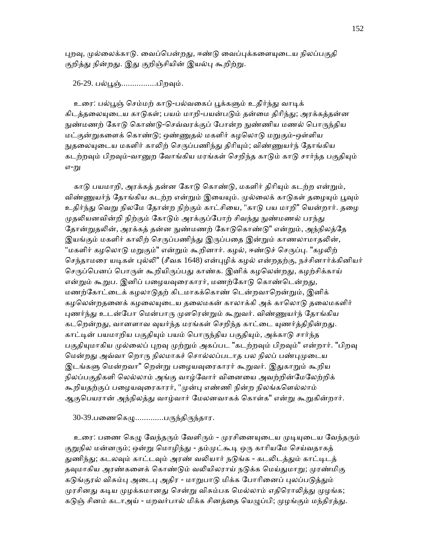புறவு, முல்லைக்காடு. வைப்பென்றது, ஈண்டு வைப்புக்களையுடைய நிலப்பகுதி குறித்து நின்றது. இது குறிஞ்சியின் இயல்பு கூறிற்று.

26-29. பல்பூஞ்................பிறவும்.

உரை: பல்பூஞ் செம்மற் காடு-பல்வகைப் பூக்களும் உதிர்ந்து வாடிக் கிடத்தலையுடைய காடுகள்; பயம் மாறி-பயன்படும் தன்மை திரிந்து; அரக்கத்தன்ன நுண்மணற் கோடு கொண்டு-செவ்வரக்குப் போன்ற நுண்ணிய மணல் பொருந்திய மட்குன்றுகளைக் கொண்டு; ஒண்ணுதல் மகளிர் கழலொடு மறுகும்-ஒள்ளிய நுதலையுடைய மகளிர் காலிற் செருப்பணிந்து திரியும்; விண்ணுயர்ந் தோங்கிய கடற்றவும் பிறவும்-வானுற வோங்கிய மரங்கள் செறிந்த காடும் காடு சார்ந்த பகுதியும் எ-று

காடு பயமாறி, அரக்கத் தன்ன கோடு கொண்டு, மகளிர் திரியும் கடற்ற என்றும், விண்ணுயர்ந் தோங்கிய கடற்ற என்றும் இயையும். முல்லைக் காடுகள் தழையும் பூவும் உதிர்ந்து வெறு நிலமே தோன்ற நிற்கும் காட்சியை, "காடு பய மாறி" யென்றார். தழை முதலியனவின்றி நிற்கும் கோடும் அரக்குப்போற் சிவந்து நுண்மணல் பரந்து தோன்றுதலின், அரக்கத் தன்ன நுண்மணற் கோடுகொண்டு" என்றும், அந்நிலத்தே இயங்கும் மகளிர் காலிற் செருப்பணிந்து இருப்பதை இன்றும் காணலாமாதலின், "மகளிர் கழலொடு மறுகும்" என்றும் கூறினார். கழல், ஈண்டுச் செருப்பு. "கழலிற் செந்தாமரை யடிகள் புல்லி" (சீவக 1648) என்புழிக் கழல் என்றதற்கு, நச்சினார்க்கினியர் செருப்பெனப் பொருள் கூறியிருப்பது காண்க. இனிக் கழலென்றது, கழற்சிக்காய் என்றும் கூறுப. இனிப் பழையவுரைகாரர், மணற்கோடு கொண்டென்றது, மணற்கோட்டைக் கழலாடுதற் கிடமாகக்கொண் டென்றவாறென்றும், இனிக் கழலென்றதனைக் கழலையுடைய தலைமகன் காலாக்கி அக் காலொடு தலைமகளிர் புணர்ந்து உடன்போ மென்பாரு முளரென்றும் கூறுவர். விண்ணுயர்ந் தோங்கிய கடறென்றது, வானளாவ வுயர்ந்த மரங்கள் செறிந்த காட்டை யுணர்த்திநின்றது. காட்டின் பயமாறிய பகுதியும் பயம் பொருந்திய பகுதியும், அக்காடு சார்ந்த பகுதியுமாகிய முல்லைப் புறவு முற்றும் அகப்பட "கடற்றவும் பிறவும்" என்றார். "பிறவு மென்றது அவ்வா றொரு நிலமாகச் சொல்லப்படாத பல நிலப் பண்புமுடைய இடங்களு மென்றவா" றென்று பழையவுரைகாரர் கூறுவர். இதுகாறும் கூறிய நிலப்பகுதிகளி ெலல்லாம் அங்கு வாழ்ேவார் விைனைய அவற்றின்ேமேலற்றிக் கூறியதற்குப் பழையவுரைகாரர், "முன்பு எண்ணி நின்ற நிலங்களெல்லாம் ஆகுபெயரான் அந்நிலத்து வாழ்வார் மேலனவாகக் கொள்க" என்று கூறுகின்றார்.

30-39.பணைகெழு............பருந்திருந்தார.

உரை: பணை கெழு வேந்தரும் வேளிரும் - முரசினையுடைய முடியுடைய வேந்தரும் குறுநில மன்னரும்; ஒன்று மொழிந்து - தம்முட்கூடி ஒரு காரியமே செய்வதாகத் துணிந்து; கடலவும் காட்டவும் அரண் வலியார் நடுங்க - கடலிடத்தும் காட்டிடத் தவுமாகிய அரண்களைக் கொண்டும் வலியிலராய் நடுக்க மெய்துமாறு; முரண்மிகு கடுங்குரல் விசும்பு அடைபு அதிர - மாறுபாடு மிக்க போரினைப் புலப்படுத்தும் முரசினது கடிய முழக்கமானது சென்று விசும்பக மெல்லாம் எதிரொலித்து முழங்க; கடுஞ் சினம் கடாஅய் - மறவர்பால் மிக்க சினத்தை யெழுப்பி; முழங்கும் மந்திரத்து.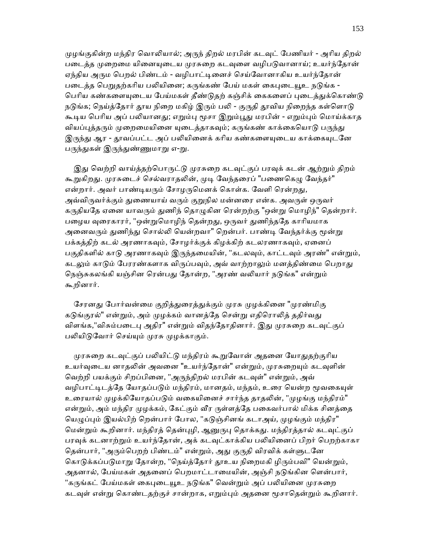முழங்குகின்ற மந்திர வொலியால்; அருந் திறல் மரபின் கடவுட் பேணியர் - அரிய திறல் படைத்த முறைமை யினையுடைய முரசுறை கடவுளை வழிபடுவானாய்; உயர்ந்தோன் ஏந்திய அரும பெறல் பிண்டம் - வழிபாட்டினைச் செய்வோனாகிய உயர்ந்தோன் படைத்த பெறுதற்கரிய பலியினை; கருங்கண் பேய் மகள் கைபுடையூஉ நடுங்க -பெரிய கண்களையுடைய பேய்மகள் தீண்டுதற் கஞ்சிக் கைகளைப் புடைத்துக்கொண்டு நடுங்க; நெய்த்தோர் தூய நிறை மகிழ் இரும் பலி - குருதி தூவிய நிறைந்த கள்ளொடு கூடிய பெரிய அப் பலியானது; எறும்பு மூசா இறும்பூது மரபின் - எறும்பும் மொய்க்காத வியப்புத்தரும் முறைமையினை யுடைத்தாகவும்; கருங்கண் காக்கையொடு பருந்து இருந்து ஆர - தூவப்பட்ட அப் பலியினைக் கரிய கண்களையுடைய காக்கையுடனே பருந்துகள் இருந்துண்ணுமாறு எ-று.

இது வெற்றி வாய்த்தற்பொருட்டு முரசுறை கடவுட்குப் பரவுக் கடன் ஆற்றும் திறம் கூறுகிறது. முரசுடைச் செல்வராதலின், முடி வேந்தரைப் "பணைகெழு வேந்தர்" என்றார். அவர் பாண்டியரும் சோழருமெனக் கொள்க. வேளி ரென்றது, அவ்விருவர்க்கும் துணையாய் வரும் குறுநில மன்னரை என்க. அவருள் ஒருவர் கருதியதே ஏனை யாவரும் துணிந் தொழுகின ரென்றற்கு "ஒன்று மொழிந்" தென்றார். பழைய வுரைகாரர், "ஒன்றுமொழிந் தென்றது, ஒருவர் துணிந்ததே காரியமாக அனைவரும் துணிந்து சொல்லி யென்றவா" றென்பர். பாண்டி வேந்தர்க்கு மூன்று பக்கத்திற் கடல் அரணாகவும், சோழர்க்குக் கிழக்கிற் கடலரணாகவும், ஏனைப் பகுதிகளில் காடு அரணாகவும் இருந்தமையின், "கடலவும், காட்டவும் அரண்" என்றும், கடலும் காடும் பேரரண்களாக விருப்பவும், அவ் வாற்றாலும் மனத்திண்மை பெறாது நெஞ்சுகலங்கி யஞ்சின ரென்பது தோன்ற, "அரண் வலியார் நடுங்க" என்றும் கூறினார்.

சேரனது போர்வன்மை குறித்துரைத்துக்கும் முரசு முழக்கினை "முரண்மிகு கடுங்குரல்" என்றும், அம் முழக்கம் வானத்தே சென்று எதிரொலித் ததிர்வது விளங்க,"விசும்படைபு அதிர" என்றும் விதந்தோதினார். இது முரசுறை கடவுட்குப் பலியிடுவோர் செய்யும் முரசு முழக்காகும்.

முரசுறை கடவுட்குப் பலியிட்டு மந்திரம் கூறுவோன் அதனை யோதுதற்குரிய உயர்வுடைய னாதலின் அவனை "உயர்ந்தோன்" என்றும், முரசுறையும் கடவுளின் வெற்றி பயக்கும் சிறப்பினை, "அருந்திறல் மரபின் கடவுள்" என்றும், அவ் வழிபாட்டிடத்தே யோதப்படும் மந்திரம், மானதம், மந்தம், உரை யென்ற மூவகையுள் உரையால் முழக்கியோதப்படும் வகையினைச் சார்ந்த தாதலின், "முழங்கு மந்திரம்" என்றும், அம் மந்திர முழக்கம், கேட்கும் வீர ருள்ளத்தே பகைவர்பால் மிக்க சினத்தை யெழுப்பும் இயல்பிற் றென்பார் போல, "கடுஞ்சினங் கடாஅய், முழங்கும் மந்திர" மென்றும் கூறினார். மந்திரத் தென்புழி, ஆனுருபு தொக்கது. மந்திரத்தால் கடவுட்குப் பரவுக் கடனாற்றும் உயர்ந்தோன், அக் கடவுட்காக்கிய பலியினைப் பிறர் பெறற்காகா தென்பார், "அரும்பெறற் பிண்டம்" என்றும், அது குருதி விரவிக் கள்ளுடனே கொடுக்கப்படுமாறு தோன்ற, "நெய்த்தோர் தூஉய நிறைமகி ழிரும்பவி" யென்றும், அதனால், பேய்மகள் அதனைப் பெறமாட்டாமையின், அஞ்சி நடுங்கின ளென்பார், "கருங்கட் பேய்மகள் கைபுடையூஉ நடுங்க" வென்றும் அப் பலியினை முரசுறை கடவுள் என்று கொண்டதற்குச் சான்றாக, எறும்பும் அதனை மூசாதென்றும் கூறினார்.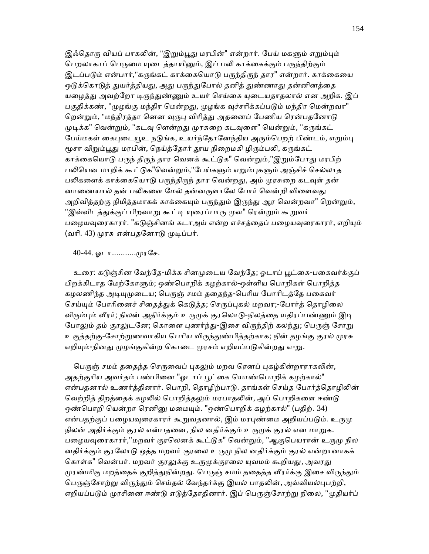இஃதொரு வியப் பாகலின், "இறும்பூது மரபின்" என்றார். பேய் மகளும் எறும்பும் பெறலாகாப் பெருமை யுடைத்தாயினும், இப் பலி காக்கைக்கும் பருந்திற்கும் இடப்படும் என்பார்,"கருங்கட் காக்கையொடு பருந்திருந் தார" என்றார். காக்கையை ஒடுக்கொடுத் துயர்த்தியது, அது பருந்துபோல் தனித் துண்ணாது தன்னினத்தை யழைத்து அவற்றோ டிருந்துண்ணும் உயர் செய்கை யுடையதாதலால் என அறிக. இப் பகுதிக்கண், "முழங்கு மந்திர மென்றது, முழங்க வுச்சரிக்கப்படும் மந்திர மென்றவா" றென்றும், "மந்திரத்தா னென வுருபு விரித்து அதனைப் பேணிய ரென்பதனோடு முடிக்க" வென்றும், "கடவு ளென்றது முரசுறை கடவுளை" யென்றும், "கருங்கட் பேய்மகள் கைபுடையூஉ நடுங்க, உயர்ந்தோனேந்திய அரும்பெறற் பிண்டம், எறும்பு மூசா விறும்பூது மரபின், நெய்த்தோர் தூய நிறைமகி ழிரும்பலி, கருங்கட் காக்கையொடு பருந் திருந் தார வெனக் கூட்டுக" வென்றும்,"இறும்போது மரபிற் பலியென மாறிக் கூட்டுக"வென்றும்,"பேய்களும் எறும்புகளும் அஞ்சிச் செல்லாத பலிகளைக் காக்கையொடு பருந்திருந் தார வென்றது, அம் முரசுறை கடவுள் தன் னாணையால் தன் பலிகளை மேல் தன்னருளாலே போர் வென்றி விளைவது அறிவித்தற்கு நிமித்தமாகக் காக்கையும் பருந்தும் இருந்து ஆர வென்றவா" றென்றும், "இவ்விடத்துக்குப் பிறவாறு கூட்டி யுரைப்பாரு முள" ரென்றும் கூறுவர் பழையவுரைகாரர். "கடுஞ்சினங் கடாஅய் என்ற எச்சத்தைப் பழையவுரைகாரர், எறியும் (வரி. 43) முரசு என்பதனோடு முடிப்பர்.

40-44. ஓடா...........முரசே.

உரை: கடுஞ்சின வேந்தே-மிக்க சினமுடைய வேந்தே; ஓடாப் பூட்கை-பகைவர்க்குப் பிறக்கிடாத மேற்கோளும்; ஒண்பொறிக் கழற்கால்-ஒள்ளிய பொறிகள் பொறித்த கழலணிந்த அடியுமுடைய; பெருஞ் சமம் ததைந்த-பெரிய போரிடத்தே பகைவர் செய்யும் போரினைச் சிதைத்துக் கெடுத்த; செருப்புகல் மறவர;-போர்த் தொழிலை விரும்பும் வீரர்; நிலன் அதிர்க்கும் உருமுக் குரலொடு-நிலத்தை யதிரப்பண்ணும் இடி போலும் தம் குரலுடனே; கொளை புணர்ந்து-இசை விருந்திற் கலந்து; பெருஞ் சோறு உகுத்தற்கு-சோற்றுணவாகிய பெரிய விருந்துண்பித்தற்காக; நின் தழங்கு குரல் முரசு எறியும்-நினது முழங்குகின்ற கொடை முரசம் எறியப்படுகின்றது எ-று.

பெருஞ் சமம் ததைந்த செருவைப் புகலும் மறவ ரெனப் புகழ்கின்றாராகலின், அதற்குரிய அவர்தம் பண்பினை "ஓடாப் பூட்கை யொண்பொறிக் கழற்கால்" என்பதனால் உணர்த்தினார். பொறி, தொழிற்பாடு. தாங்கள் செய்த போர்த்தொழிலின் வெற்றித் திறத்தைக் கழலில் பொறித்தலும் மரபாதலின், அப் பொறிகளை ஈண்டு ஒண்பொறி யென்றா ரெனினு மமையும். "ஒண்பொறிக் கழற்கால்" (பதிற். 34) என்பதற்குப் பழையவுரைகாரர் கூறுவதனால், இம் மரபுண்மை அறியப்படும். உருமு நிலன் அதிர்க்கும் குரல் என்பதனை, நில னதிர்க்கும் உருமுக் குரல் என மாறுக. பழையவுரைகாரர்,"மறவர் குரலெனக் கூட்டுக" வென்றும், "ஆகுபெயரான் உருமு நில னதிர்க்கும் குரலோடு ஒத்த மறவர் குரலை உருமு நில னதிர்க்கும் குரல் என்றானாகக் கொள்க" வென்பர். மறவர் குரலுக்கு உருமுக்குரலை யுவமம் கூறியது, அவரது முரண்மிகு மறத்தைக் குறித்துநின்றது. பெருஞ் சமம் ததைத்த வீரர்க்கு இசை விருந்தும் பெருஞ்சோற்று விருந்தும் செய்தல் வேந்தர்க்கு இயல் பாதலின், அவ்வியல்புபற்றி, எறியப்படும் முரசினை ஈண்டு எடுத்தோதினார். இப் பெருஞ்சோற்று நிலை, "முதியர்ப்